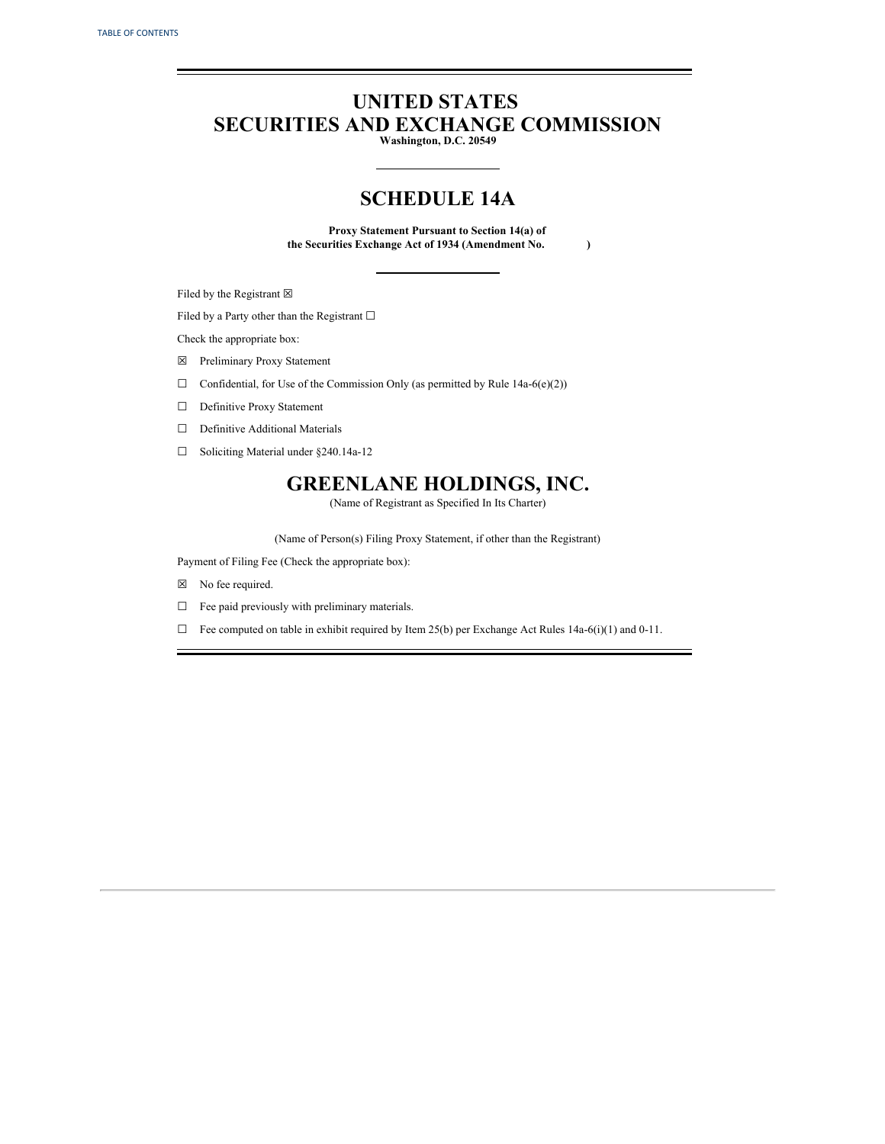# **UNITED STATES SECURITIES AND EXCHANGE COMMISSION**

**Washington, D.C. 20549**

## **SCHEDULE 14A**

**Proxy Statement Pursuant to Section 14(a) of the Securities Exchange Act of 1934 (Amendment No. )**

Filed by the Registrant  $\boxtimes$ 

Filed by a Party other than the Registrant  $\Box$ 

Check the appropriate box:

- ☒ Preliminary Proxy Statement
- $\Box$  Confidential, for Use of the Commission Only (as permitted by Rule 14a-6(e)(2))
- □ Definitive Proxy Statement
- □ Definitive Additional Materials
- ☐ Soliciting Material under §240.14a-12

## **GREENLANE HOLDINGS, INC.**

(Name of Registrant as Specified In Its Charter)

(Name of Person(s) Filing Proxy Statement, if other than the Registrant)

Payment of Filing Fee (Check the appropriate box):

- ☒ No fee required.
- ☐ Fee paid previously with preliminary materials.
- $\Box$  Fee computed on table in exhibit required by Item 25(b) per Exchange Act Rules 14a-6(i)(1) and 0-11.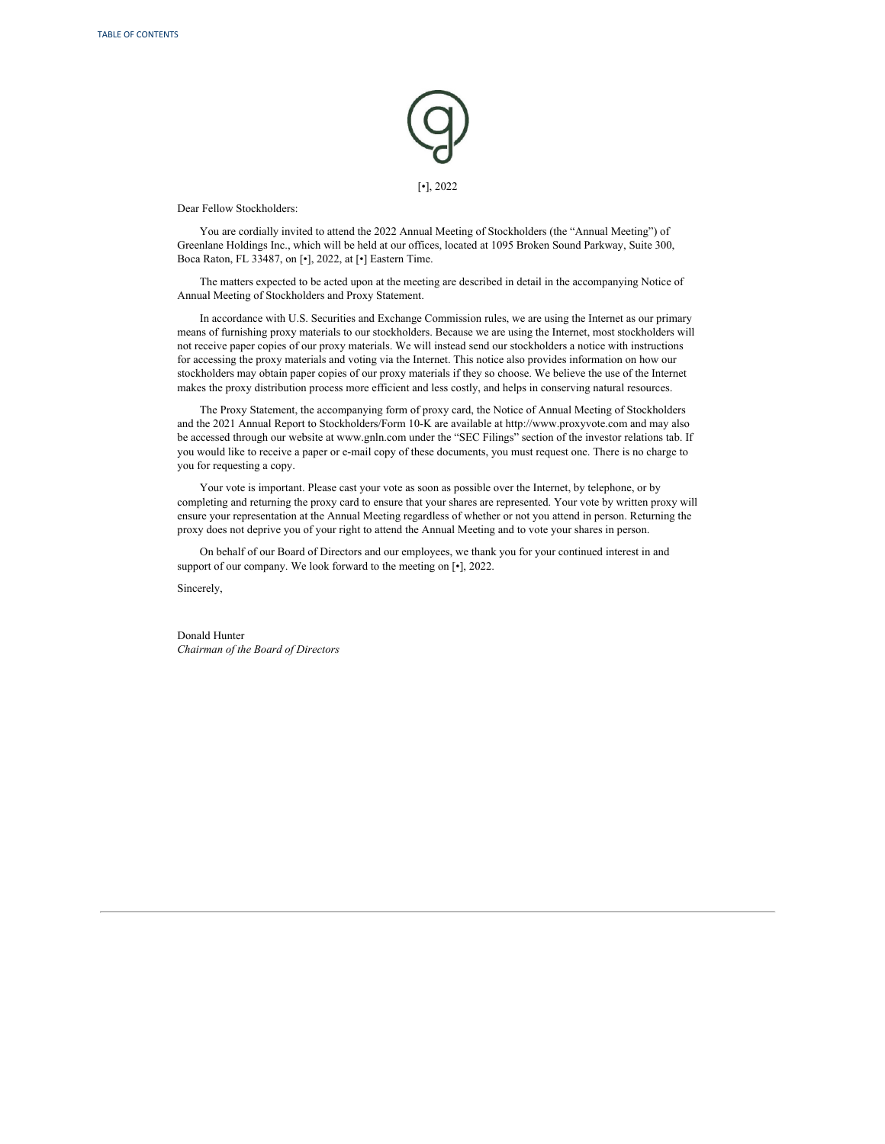

Dear Fellow Stockholders:

You are cordially invited to attend the 2022 Annual Meeting of Stockholders (the "Annual Meeting") of Greenlane Holdings Inc., which will be held at our offices, located at 1095 Broken Sound Parkway, Suite 300, Boca Raton, FL 33487, on [•], 2022, at [•] Eastern Time.

The matters expected to be acted upon at the meeting are described in detail in the accompanying Notice of Annual Meeting of Stockholders and Proxy Statement.

In accordance with U.S. Securities and Exchange Commission rules, we are using the Internet as our primary means of furnishing proxy materials to our stockholders. Because we are using the Internet, most stockholders will not receive paper copies of our proxy materials. We will instead send our stockholders a notice with instructions for accessing the proxy materials and voting via the Internet. This notice also provides information on how our stockholders may obtain paper copies of our proxy materials if they so choose. We believe the use of the Internet makes the proxy distribution process more efficient and less costly, and helps in conserving natural resources.

The Proxy Statement, the accompanying form of proxy card, the Notice of Annual Meeting of Stockholders and the 2021 Annual Report to Stockholders/Form 10-K are available at http://www.proxyvote.com and may also be accessed through our website at www.gnln.com under the "SEC Filings" section of the investor relations tab. If you would like to receive a paper or e-mail copy of these documents, you must request one. There is no charge to you for requesting a copy.

Your vote is important. Please cast your vote as soon as possible over the Internet, by telephone, or by completing and returning the proxy card to ensure that your shares are represented. Your vote by written proxy will ensure your representation at the Annual Meeting regardless of whether or not you attend in person. Returning the proxy does not deprive you of your right to attend the Annual Meeting and to vote your shares in person.

On behalf of our Board of Directors and our employees, we thank you for your continued interest in and support of our company. We look forward to the meeting on [•], 2022.

Sincerely,

Donald Hunter *Chairman of the Board of Directors*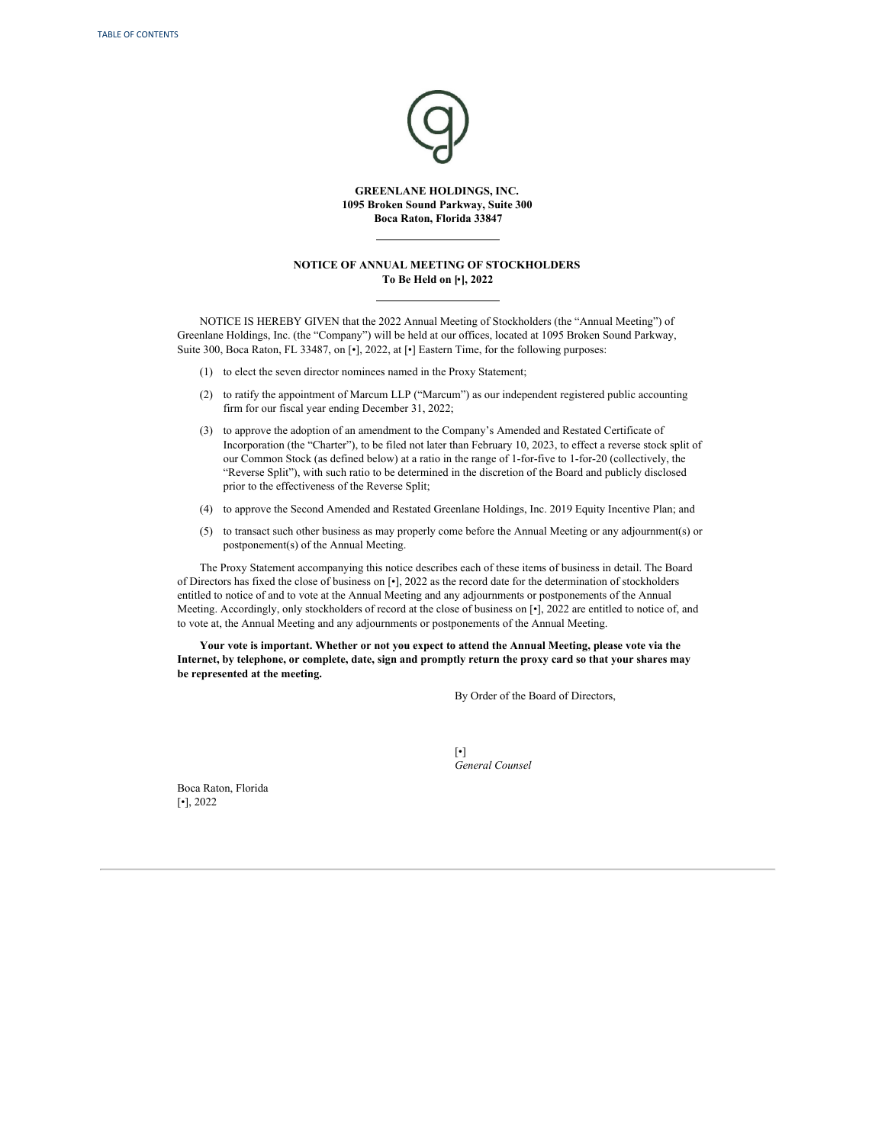

**GREENLANE HOLDINGS, INC. 1095 Broken Sound Parkway, Suite 300 Boca Raton, Florida 33847**

## **NOTICE OF ANNUAL MEETING OF STOCKHOLDERS To Be Held on [**•**], 2022**

NOTICE IS HEREBY GIVEN that the 2022 Annual Meeting of Stockholders (the "Annual Meeting") of Greenlane Holdings, Inc. (the "Company") will be held at our offices, located at 1095 Broken Sound Parkway, Suite 300, Boca Raton, FL 33487, on [•], 2022, at [•] Eastern Time, for the following purposes:

- (1) to elect the seven director nominees named in the Proxy Statement;
- (2) to ratify the appointment of Marcum LLP ("Marcum") as our independent registered public accounting firm for our fiscal year ending December 31, 2022;
- (3) to approve the adoption of an amendment to the Company's Amended and Restated Certificate of Incorporation (the "Charter"), to be filed not later than February 10, 2023, to effect a reverse stock split of our Common Stock (as defined below) at a ratio in the range of 1-for-five to 1-for-20 (collectively, the "Reverse Split"), with such ratio to be determined in the discretion of the Board and publicly disclosed prior to the effectiveness of the Reverse Split;
- (4) to approve the Second Amended and Restated Greenlane Holdings, Inc. 2019 Equity Incentive Plan; and
- (5) to transact such other business as may properly come before the Annual Meeting or any adjournment(s) or postponement(s) of the Annual Meeting.

The Proxy Statement accompanying this notice describes each of these items of business in detail. The Board of Directors has fixed the close of business on [•], 2022 as the record date for the determination of stockholders entitled to notice of and to vote at the Annual Meeting and any adjournments or postponements of the Annual Meeting. Accordingly, only stockholders of record at the close of business on [ $\cdot$ ], 2022 are entitled to notice of, and to vote at, the Annual Meeting and any adjournments or postponements of the Annual Meeting.

Your vote is important. Whether or not you expect to attend the Annual Meeting, please vote via the Internet, by telephone, or complete, date, sign and promptly return the proxy card so that your shares may **be represented at the meeting.**

By Order of the Board of Directors,

[•] *General Counsel*

Boca Raton, Florida [•], 2022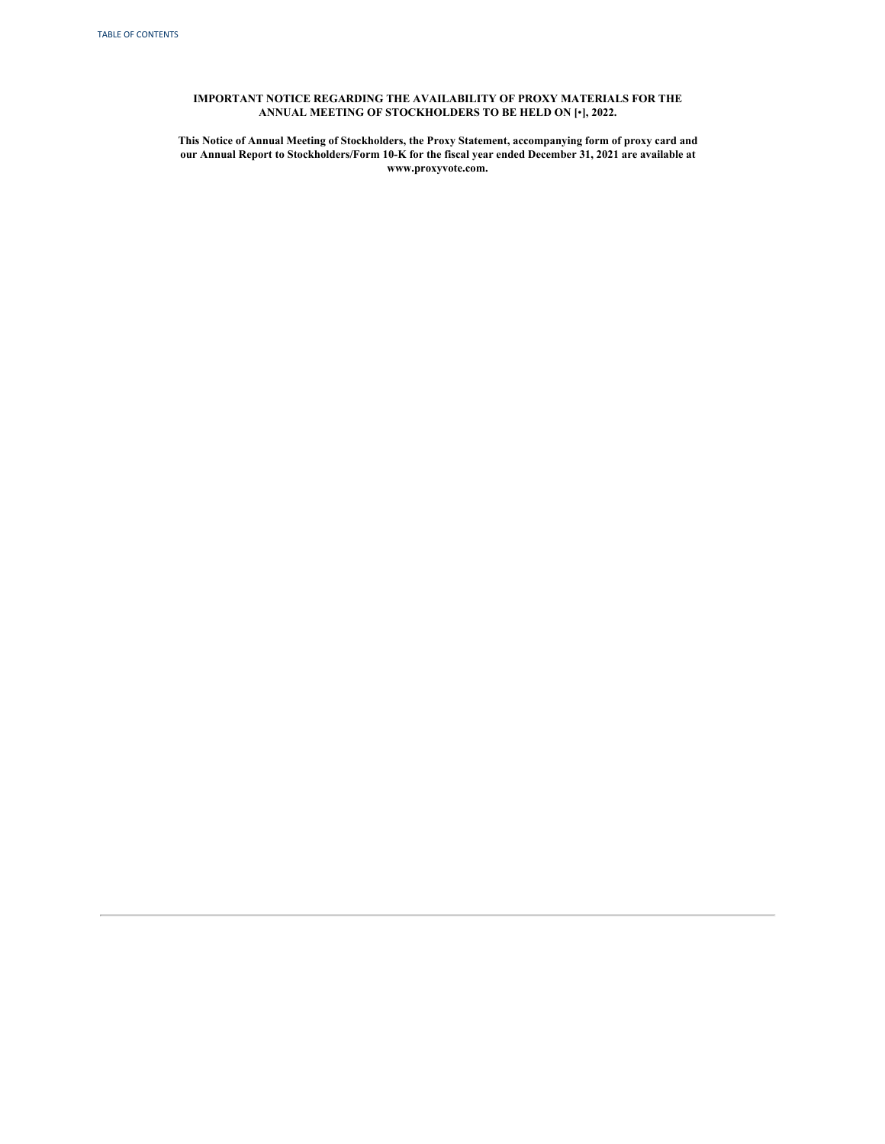## **IMPORTANT NOTICE REGARDING THE AVAILABILITY OF PROXY MATERIALS FOR THE ANNUAL MEETING OF STOCKHOLDERS TO BE HELD ON [**•**], 2022.**

**This Notice of Annual Meeting of Stockholders, the Proxy Statement, accompanying form of proxy card and our Annual Report to Stockholders/Form 10-K for the fiscal year ended December 31, 2021 are available at www.proxyvote.com.**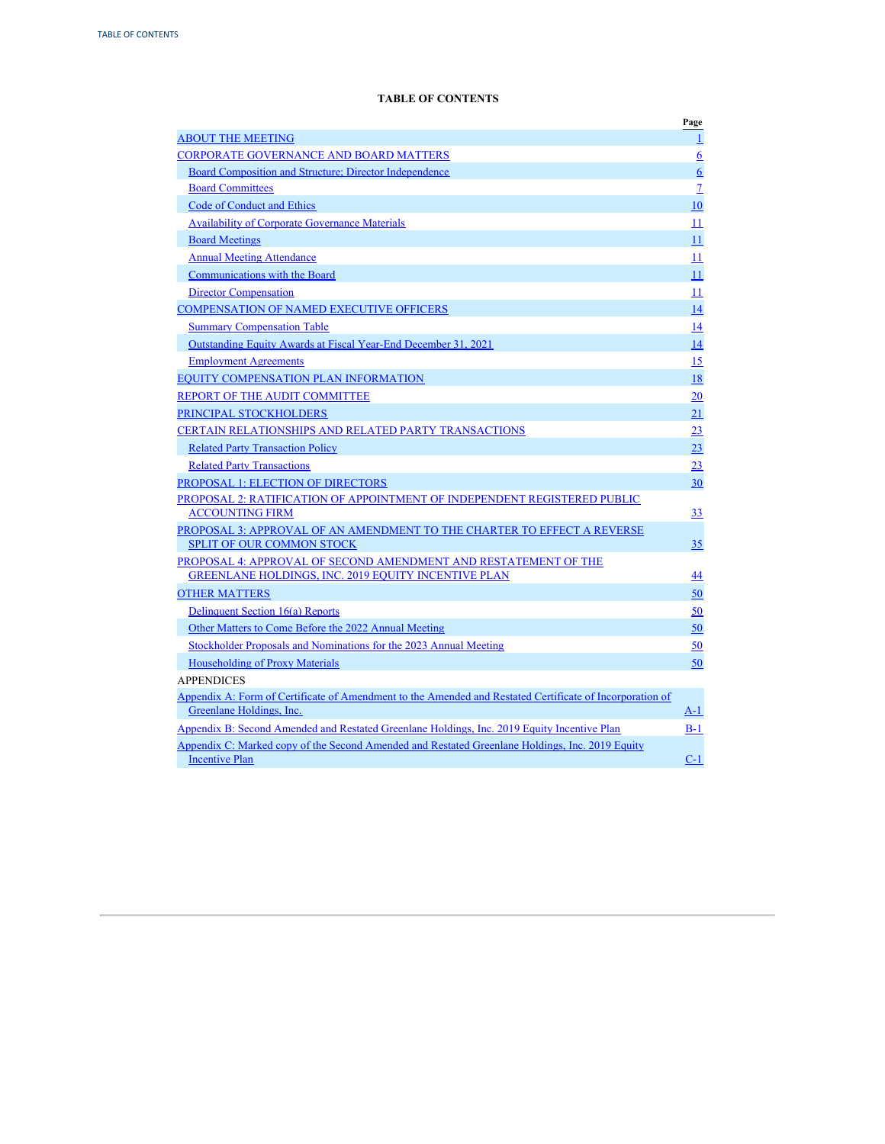## **TABLE OF CONTENTS**

<span id="page-4-0"></span>

|                                                                                                                                      | Page            |
|--------------------------------------------------------------------------------------------------------------------------------------|-----------------|
| <b>ABOUT THE MEETING</b>                                                                                                             | $\perp$         |
| <b>CORPORATE GOVERNANCE AND BOARD MATTERS</b>                                                                                        | $6\overline{6}$ |
| Board Composition and Structure; Director Independence                                                                               | $\underline{6}$ |
| <b>Board Committees</b>                                                                                                              | $\overline{1}$  |
| Code of Conduct and Ethics                                                                                                           | 10              |
| <b>Availability of Corporate Governance Materials</b>                                                                                | 11              |
| <b>Board Meetings</b>                                                                                                                | 11              |
| <b>Annual Meeting Attendance</b>                                                                                                     | 11              |
| Communications with the Board                                                                                                        | 11              |
| <b>Director Compensation</b>                                                                                                         | 11              |
| <b>COMPENSATION OF NAMED EXECUTIVE OFFICERS</b>                                                                                      | 14              |
| <b>Summary Compensation Table</b>                                                                                                    | 14              |
| Outstanding Equity Awards at Fiscal Year-End December 31, 2021                                                                       | 14              |
| <b>Employment Agreements</b>                                                                                                         | 15              |
| EQUITY COMPENSATION PLAN INFORMATION                                                                                                 | 18              |
| REPORT OF THE AUDIT COMMITTEE                                                                                                        | 20              |
| PRINCIPAL STOCKHOLDERS                                                                                                               | 21              |
| CERTAIN RELATIONSHIPS AND RELATED PARTY TRANSACTIONS                                                                                 | 23              |
| <b>Related Party Transaction Policy</b>                                                                                              | 23              |
| <b>Related Party Transactions</b>                                                                                                    | 23              |
| PROPOSAL 1: ELECTION OF DIRECTORS                                                                                                    | 30              |
| PROPOSAL 2: RATIFICATION OF APPOINTMENT OF INDEPENDENT REGISTERED PUBLIC                                                             |                 |
| <b>ACCOUNTING FIRM</b>                                                                                                               | 33              |
| PROPOSAL 3: APPROVAL OF AN AMENDMENT TO THE CHARTER TO EFFECT A REVERSE                                                              |                 |
| SPLIT OF OUR COMMON STOCK                                                                                                            | <u>35</u>       |
| PROPOSAL 4: APPROVAL OF SECOND AMENDMENT AND RESTATEMENT OF THE                                                                      |                 |
| <b>GREENLANE HOLDINGS, INC. 2019 EQUITY INCENTIVE PLAN</b>                                                                           | 44              |
| <b>OTHER MATTERS</b>                                                                                                                 | 50              |
| Delinquent Section 16(a) Reports                                                                                                     | 50              |
| Other Matters to Come Before the 2022 Annual Meeting                                                                                 | 50              |
| Stockholder Proposals and Nominations for the 2023 Annual Meeting                                                                    | 50              |
| <b>Householding of Proxy Materials</b>                                                                                               | 50              |
| <b>APPENDICES</b>                                                                                                                    |                 |
| Appendix A: Form of Certificate of Amendment to the Amended and Restated Certificate of Incorporation of<br>Greenlane Holdings, Inc. | $A-1$           |
| <u>Appendix B: Second Amended and Restated Greenlane Holdings, Inc. 2019 Equity Incentive Plan</u>                                   | $B-1$           |
| Appendix C: Marked copy of the Second Amended and Restated Greenlane Holdings, Inc. 2019 Equity                                      |                 |
| <b>Incentive Plan</b>                                                                                                                | $C-1$           |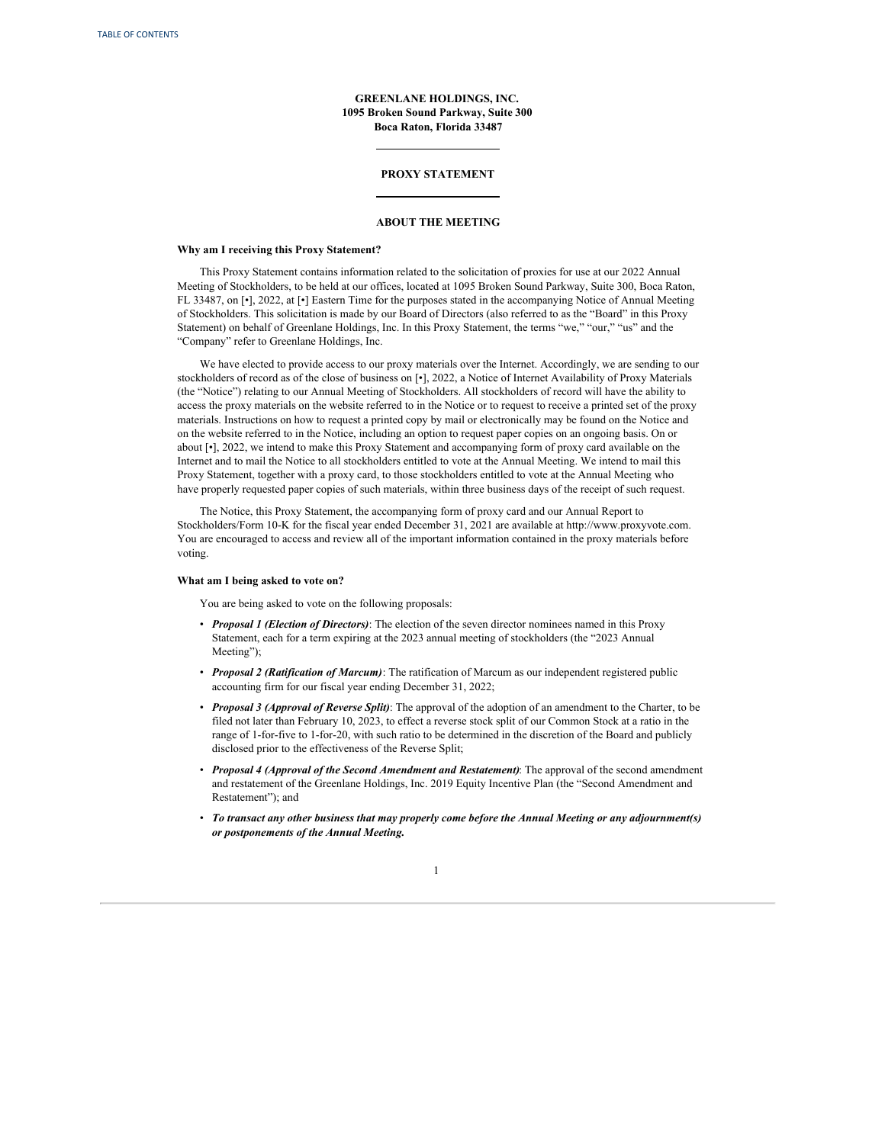<span id="page-5-0"></span>**GREENLANE HOLDINGS, INC. 1095 Broken Sound Parkway, Suite 300 Boca Raton, Florida 33487**

## **PROXY STATEMENT**

## **ABOUT THE MEETING**

#### **Why am I receiving this Proxy Statement?**

This Proxy Statement contains information related to the solicitation of proxies for use at our 2022 Annual Meeting of Stockholders, to be held at our offices, located at 1095 Broken Sound Parkway, Suite 300, Boca Raton, FL 33487, on [•], 2022, at [•] Eastern Time for the purposes stated in the accompanying Notice of Annual Meeting of Stockholders. This solicitation is made by our Board of Directors (also referred to as the "Board" in this Proxy Statement) on behalf of Greenlane Holdings, Inc. In this Proxy Statement, the terms "we," "our," "us" and the "Company" refer to Greenlane Holdings, Inc.

We have elected to provide access to our proxy materials over the Internet. Accordingly, we are sending to our stockholders of record as of the close of business on [•], 2022, a Notice of Internet Availability of Proxy Materials (the "Notice") relating to our Annual Meeting of Stockholders. All stockholders of record will have the ability to access the proxy materials on the website referred to in the Notice or to request to receive a printed set of the proxy materials. Instructions on how to request a printed copy by mail or electronically may be found on the Notice and on the website referred to in the Notice, including an option to request paper copies on an ongoing basis. On or about [•], 2022, we intend to make this Proxy Statement and accompanying form of proxy card available on the Internet and to mail the Notice to all stockholders entitled to vote at the Annual Meeting. We intend to mail this Proxy Statement, together with a proxy card, to those stockholders entitled to vote at the Annual Meeting who have properly requested paper copies of such materials, within three business days of the receipt of such request.

The Notice, this Proxy Statement, the accompanying form of proxy card and our Annual Report to Stockholders/Form 10-K for the fiscal year ended December 31, 2021 are available at http://www.proxyvote.com. You are encouraged to access and review all of the important information contained in the proxy materials before voting.

#### **What am I being asked to vote on?**

You are being asked to vote on the following proposals:

- *Proposal 1 (Election of Directors)*: The election of the seven director nominees named in this Proxy Statement, each for a term expiring at the 2023 annual meeting of stockholders (the "2023 Annual Meeting");
- *Proposal 2 (Ratification of Marcum)*: The ratification of Marcum as our independent registered public accounting firm for our fiscal year ending December 31, 2022;
- *Proposal 3 (Approval of Reverse Split)*: The approval of the adoption of an amendment to the Charter, to be filed not later than February 10, 2023, to effect a reverse stock split of our Common Stock at a ratio in the range of 1-for-five to 1-for-20, with such ratio to be determined in the discretion of the Board and publicly disclosed prior to the effectiveness of the Reverse Split;
- *Proposal 4 (Approval of the Second Amendment and Restatement)*: The approval of the second amendment and restatement of the Greenlane Holdings, Inc. 2019 Equity Incentive Plan (the "Second Amendment and Restatement"); and
- *To transact any other business that may properly come before the Annual Meeting or any adjournment(s) or postponements of the Annual Meeting.*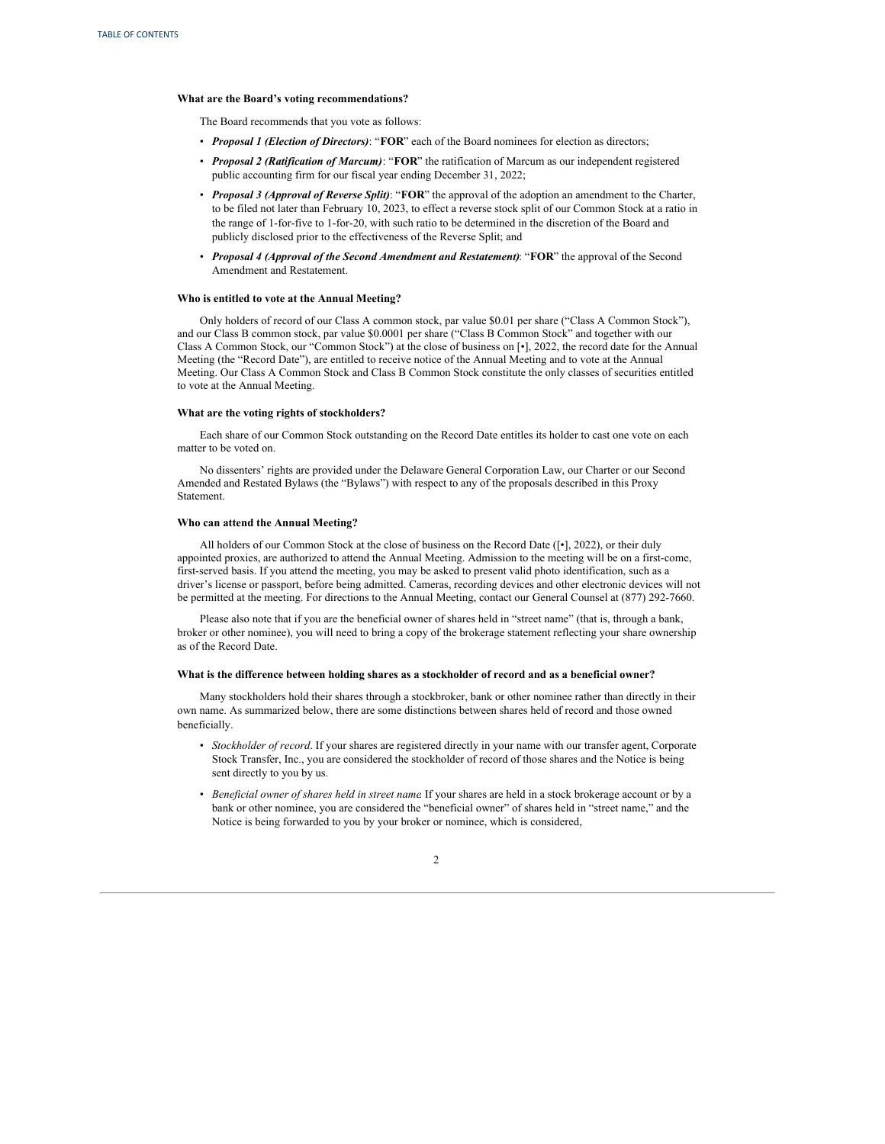## **What are the Board's voting recommendations?**

The Board recommends that you vote as follows:

- *Proposal 1 (Election of Directors)*: "**FOR**" each of the Board nominees for election as directors;
- *Proposal 2 (Ratification of Marcum)*: "**FOR**" the ratification of Marcum as our independent registered public accounting firm for our fiscal year ending December 31, 2022;
- *Proposal 3 (Approval of Reverse Split)*: "**FOR**" the approval of the adoption an amendment to the Charter, to be filed not later than February 10, 2023, to effect a reverse stock split of our Common Stock at a ratio in the range of 1-for-five to 1-for-20, with such ratio to be determined in the discretion of the Board and publicly disclosed prior to the effectiveness of the Reverse Split; and
- *Proposal 4 (Approval of the Second Amendment and Restatement)*: "**FOR**" the approval of the Second Amendment and Restatement.

#### **Who is entitled to vote at the Annual Meeting?**

Only holders of record of our Class A common stock, par value \$0.01 per share ("Class A Common Stock"), and our Class B common stock, par value \$0.0001 per share ("Class B Common Stock" and together with our Class A Common Stock, our "Common Stock") at the close of business on [•], 2022, the record date for the Annual Meeting (the "Record Date"), are entitled to receive notice of the Annual Meeting and to vote at the Annual Meeting. Our Class A Common Stock and Class B Common Stock constitute the only classes of securities entitled to vote at the Annual Meeting.

#### **What are the voting rights of stockholders?**

Each share of our Common Stock outstanding on the Record Date entitles its holder to cast one vote on each matter to be voted on.

No dissenters' rights are provided under the Delaware General Corporation Law, our Charter or our Second Amended and Restated Bylaws (the "Bylaws") with respect to any of the proposals described in this Proxy Statement.

## **Who can attend the Annual Meeting?**

All holders of our Common Stock at the close of business on the Record Date ([•], 2022), or their duly appointed proxies, are authorized to attend the Annual Meeting. Admission to the meeting will be on a first-come, first-served basis. If you attend the meeting, you may be asked to present valid photo identification, such as a driver's license or passport, before being admitted. Cameras, recording devices and other electronic devices will not be permitted at the meeting. For directions to the Annual Meeting, contact our General Counsel at (877) 292-7660.

Please also note that if you are the beneficial owner of shares held in "street name" (that is, through a bank, broker or other nominee), you will need to bring a copy of the brokerage statement reflecting your share ownership as of the Record Date.

## **What is the difference between holding shares as a stockholder of record and as a beneficial owner?**

Many stockholders hold their shares through a stockbroker, bank or other nominee rather than directly in their own name. As summarized below, there are some distinctions between shares held of record and those owned beneficially.

- *Stockholder of record*. If your shares are registered directly in your name with our transfer agent, Corporate Stock Transfer, Inc., you are considered the stockholder of record of those shares and the Notice is being sent directly to you by us.
- *Beneficial owner of shares held in street name*. If your shares are held in a stock brokerage account or by a bank or other nominee, you are considered the "beneficial owner" of shares held in "street name," and the Notice is being forwarded to you by your broker or nominee, which is considered,

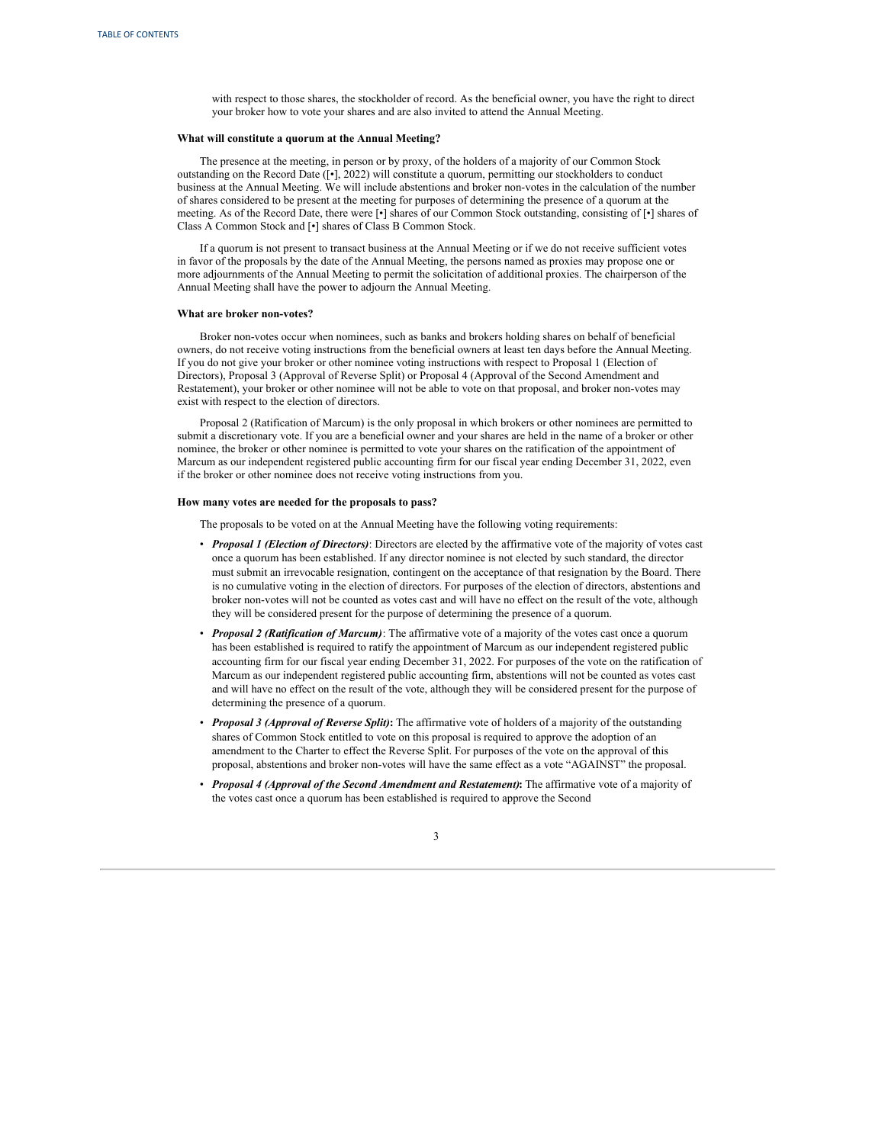with respect to those shares, the stockholder of record. As the beneficial owner, you have the right to direct your broker how to vote your shares and are also invited to attend the Annual Meeting.

#### **What will constitute a quorum at the Annual Meeting?**

The presence at the meeting, in person or by proxy, of the holders of a majority of our Common Stock outstanding on the Record Date ([•], 2022) will constitute a quorum, permitting our stockholders to conduct business at the Annual Meeting. We will include abstentions and broker non-votes in the calculation of the number of shares considered to be present at the meeting for purposes of determining the presence of a quorum at the meeting. As of the Record Date, there were [•] shares of our Common Stock outstanding, consisting of [•] shares of Class A Common Stock and [•] shares of Class B Common Stock.

If a quorum is not present to transact business at the Annual Meeting or if we do not receive sufficient votes in favor of the proposals by the date of the Annual Meeting, the persons named as proxies may propose one or more adjournments of the Annual Meeting to permit the solicitation of additional proxies. The chairperson of the Annual Meeting shall have the power to adjourn the Annual Meeting.

#### **What are broker non-votes?**

Broker non-votes occur when nominees, such as banks and brokers holding shares on behalf of beneficial owners, do not receive voting instructions from the beneficial owners at least ten days before the Annual Meeting. If you do not give your broker or other nominee voting instructions with respect to Proposal 1 (Election of Directors), Proposal 3 (Approval of Reverse Split) or Proposal 4 (Approval of the Second Amendment and Restatement), your broker or other nominee will not be able to vote on that proposal, and broker non-votes may exist with respect to the election of directors.

Proposal 2 (Ratification of Marcum) is the only proposal in which brokers or other nominees are permitted to submit a discretionary vote. If you are a beneficial owner and your shares are held in the name of a broker or other nominee, the broker or other nominee is permitted to vote your shares on the ratification of the appointment of Marcum as our independent registered public accounting firm for our fiscal year ending December 31, 2022, even if the broker or other nominee does not receive voting instructions from you.

## **How many votes are needed for the proposals to pass?**

The proposals to be voted on at the Annual Meeting have the following voting requirements:

- *Proposal 1 (Election of Directors)*: Directors are elected by the affirmative vote of the majority of votes cast once a quorum has been established. If any director nominee is not elected by such standard, the director must submit an irrevocable resignation, contingent on the acceptance of that resignation by the Board. There is no cumulative voting in the election of directors. For purposes of the election of directors, abstentions and broker non-votes will not be counted as votes cast and will have no effect on the result of the vote, although they will be considered present for the purpose of determining the presence of a quorum.
- *Proposal 2 (Ratification of Marcum)*: The affirmative vote of a majority of the votes cast once a quorum has been established is required to ratify the appointment of Marcum as our independent registered public accounting firm for our fiscal year ending December 31, 2022. For purposes of the vote on the ratification of Marcum as our independent registered public accounting firm, abstentions will not be counted as votes cast and will have no effect on the result of the vote, although they will be considered present for the purpose of determining the presence of a quorum.
- *Proposal 3 (Approval of Reverse Split)***:** The affirmative vote of holders of a majority of the outstanding shares of Common Stock entitled to vote on this proposal is required to approve the adoption of an amendment to the Charter to effect the Reverse Split. For purposes of the vote on the approval of this proposal, abstentions and broker non-votes will have the same effect as a vote "AGAINST" the proposal.
- *Proposal 4 (Approval of the Second Amendment and Restatement)***:** The affirmative vote of a majority of the votes cast once a quorum has been established is required to approve the Second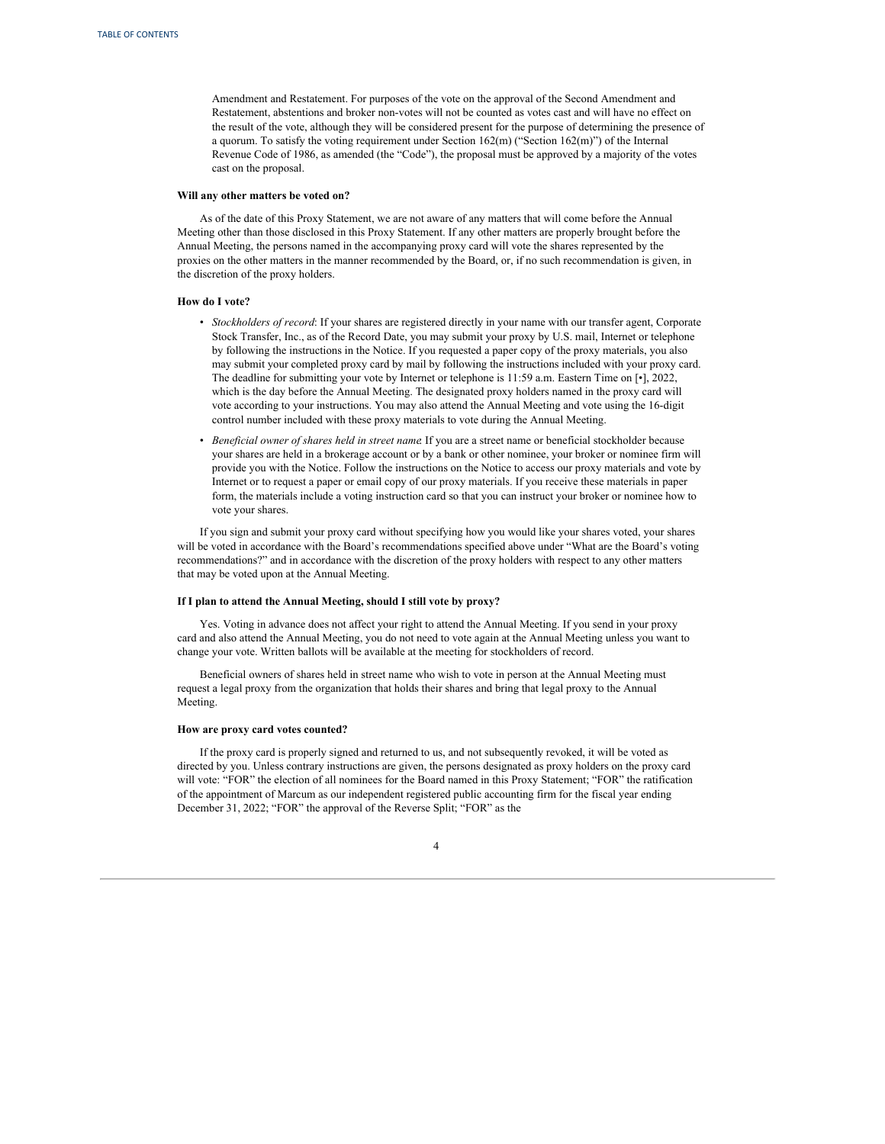Amendment and Restatement. For purposes of the vote on the approval of the Second Amendment and Restatement, abstentions and broker non-votes will not be counted as votes cast and will have no effect on the result of the vote, although they will be considered present for the purpose of determining the presence of a quorum. To satisfy the voting requirement under Section 162(m) ("Section 162(m)") of the Internal Revenue Code of 1986, as amended (the "Code"), the proposal must be approved by a majority of the votes cast on the proposal.

#### **Will any other matters be voted on?**

As of the date of this Proxy Statement, we are not aware of any matters that will come before the Annual Meeting other than those disclosed in this Proxy Statement. If any other matters are properly brought before the Annual Meeting, the persons named in the accompanying proxy card will vote the shares represented by the proxies on the other matters in the manner recommended by the Board, or, if no such recommendation is given, in the discretion of the proxy holders.

#### **How do I vote?**

- *Stockholders of record*: If your shares are registered directly in your name with our transfer agent, Corporate Stock Transfer, Inc., as of the Record Date, you may submit your proxy by U.S. mail, Internet or telephone by following the instructions in the Notice. If you requested a paper copy of the proxy materials, you also may submit your completed proxy card by mail by following the instructions included with your proxy card. The deadline for submitting your vote by Internet or telephone is 11:59 a.m. Eastern Time on [•], 2022, which is the day before the Annual Meeting. The designated proxy holders named in the proxy card will vote according to your instructions. You may also attend the Annual Meeting and vote using the 16-digit control number included with these proxy materials to vote during the Annual Meeting.
- *Beneficial owner of shares held in street name*: If you are a street name or beneficial stockholder because your shares are held in a brokerage account or by a bank or other nominee, your broker or nominee firm will provide you with the Notice. Follow the instructions on the Notice to access our proxy materials and vote by Internet or to request a paper or email copy of our proxy materials. If you receive these materials in paper form, the materials include a voting instruction card so that you can instruct your broker or nominee how to vote your shares.

If you sign and submit your proxy card without specifying how you would like your shares voted, your shares will be voted in accordance with the Board's recommendations specified above under "What are the Board's voting recommendations?" and in accordance with the discretion of the proxy holders with respect to any other matters that may be voted upon at the Annual Meeting.

## **If I plan to attend the Annual Meeting, should I still vote by proxy?**

Yes. Voting in advance does not affect your right to attend the Annual Meeting. If you send in your proxy card and also attend the Annual Meeting, you do not need to vote again at the Annual Meeting unless you want to change your vote. Written ballots will be available at the meeting for stockholders of record.

Beneficial owners of shares held in street name who wish to vote in person at the Annual Meeting must request a legal proxy from the organization that holds their shares and bring that legal proxy to the Annual Meeting.

## **How are proxy card votes counted?**

If the proxy card is properly signed and returned to us, and not subsequently revoked, it will be voted as directed by you. Unless contrary instructions are given, the persons designated as proxy holders on the proxy card will vote: "FOR" the election of all nominees for the Board named in this Proxy Statement; "FOR" the ratification of the appointment of Marcum as our independent registered public accounting firm for the fiscal year ending December 31, 2022; "FOR" the approval of the Reverse Split; "FOR" as the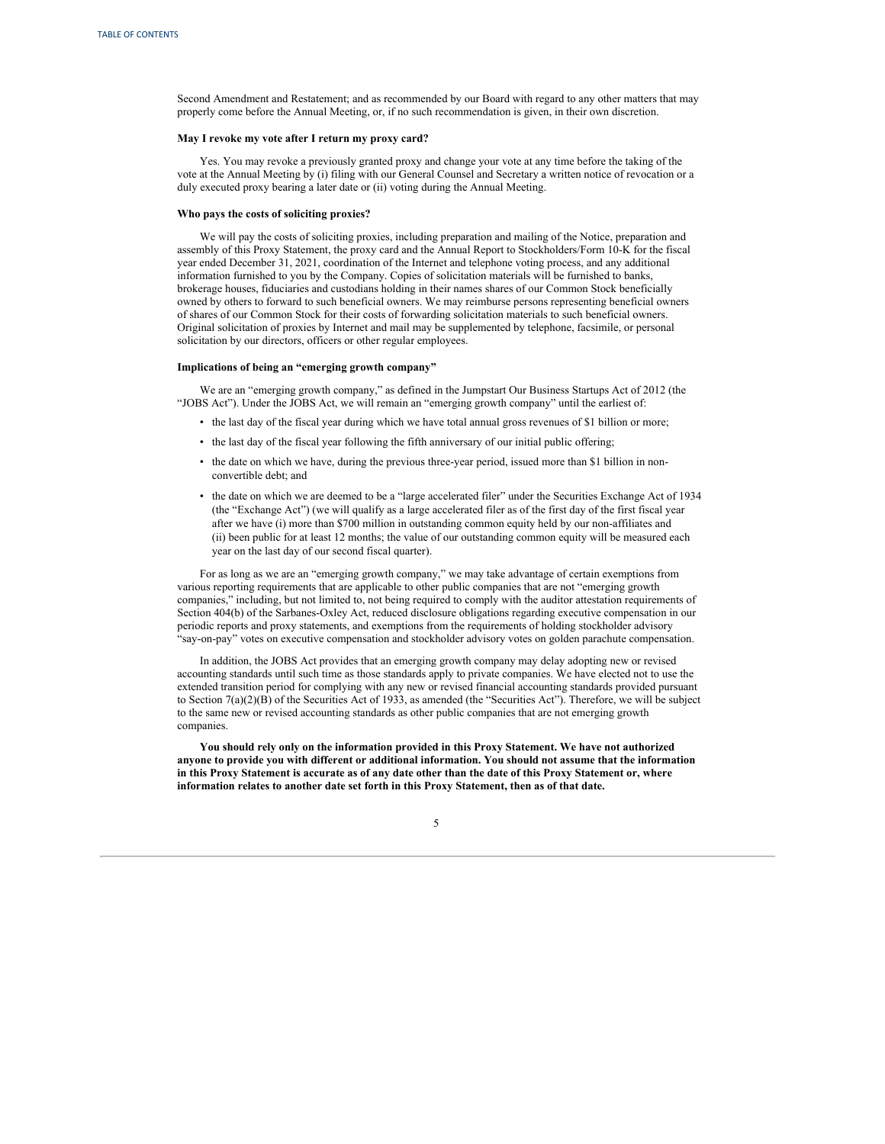Second Amendment and Restatement; and as recommended by our Board with regard to any other matters that may properly come before the Annual Meeting, or, if no such recommendation is given, in their own discretion.

#### **May I revoke my vote after I return my proxy card?**

Yes. You may revoke a previously granted proxy and change your vote at any time before the taking of the vote at the Annual Meeting by (i) filing with our General Counsel and Secretary a written notice of revocation or a duly executed proxy bearing a later date or (ii) voting during the Annual Meeting.

## **Who pays the costs of soliciting proxies?**

We will pay the costs of soliciting proxies, including preparation and mailing of the Notice, preparation and assembly of this Proxy Statement, the proxy card and the Annual Report to Stockholders/Form 10-K for the fiscal year ended December 31, 2021, coordination of the Internet and telephone voting process, and any additional information furnished to you by the Company. Copies of solicitation materials will be furnished to banks, brokerage houses, fiduciaries and custodians holding in their names shares of our Common Stock beneficially owned by others to forward to such beneficial owners. We may reimburse persons representing beneficial owners of shares of our Common Stock for their costs of forwarding solicitation materials to such beneficial owners. Original solicitation of proxies by Internet and mail may be supplemented by telephone, facsimile, or personal solicitation by our directors, officers or other regular employees.

#### **Implications of being an "emerging growth company"**

We are an "emerging growth company," as defined in the Jumpstart Our Business Startups Act of 2012 (the "JOBS Act"). Under the JOBS Act, we will remain an "emerging growth company" until the earliest of:

- the last day of the fiscal year during which we have total annual gross revenues of \$1 billion or more;
- the last day of the fiscal year following the fifth anniversary of our initial public offering;
- the date on which we have, during the previous three-year period, issued more than \$1 billion in nonconvertible debt; and
- the date on which we are deemed to be a "large accelerated filer" under the Securities Exchange Act of 1934 (the "Exchange Act") (we will qualify as a large accelerated filer as of the first day of the first fiscal year after we have (i) more than \$700 million in outstanding common equity held by our non-affiliates and (ii) been public for at least 12 months; the value of our outstanding common equity will be measured each year on the last day of our second fiscal quarter).

For as long as we are an "emerging growth company," we may take advantage of certain exemptions from various reporting requirements that are applicable to other public companies that are not "emerging growth companies," including, but not limited to, not being required to comply with the auditor attestation requirements of Section 404(b) of the Sarbanes-Oxley Act, reduced disclosure obligations regarding executive compensation in our periodic reports and proxy statements, and exemptions from the requirements of holding stockholder advisory "say-on-pay" votes on executive compensation and stockholder advisory votes on golden parachute compensation.

In addition, the JOBS Act provides that an emerging growth company may delay adopting new or revised accounting standards until such time as those standards apply to private companies. We have elected not to use the extended transition period for complying with any new or revised financial accounting standards provided pursuant to Section 7(a)(2)(B) of the Securities Act of 1933, as amended (the "Securities Act"). Therefore, we will be subject to the same new or revised accounting standards as other public companies that are not emerging growth companies.

**You should rely only on the information provided in this Proxy Statement. We have not authorized anyone to provide you with different or additional information. You should not assume that the information** in this Proxy Statement is accurate as of any date other than the date of this Proxy Statement or, where **information relates to another date set forth in this Proxy Statement, then as of that date.**

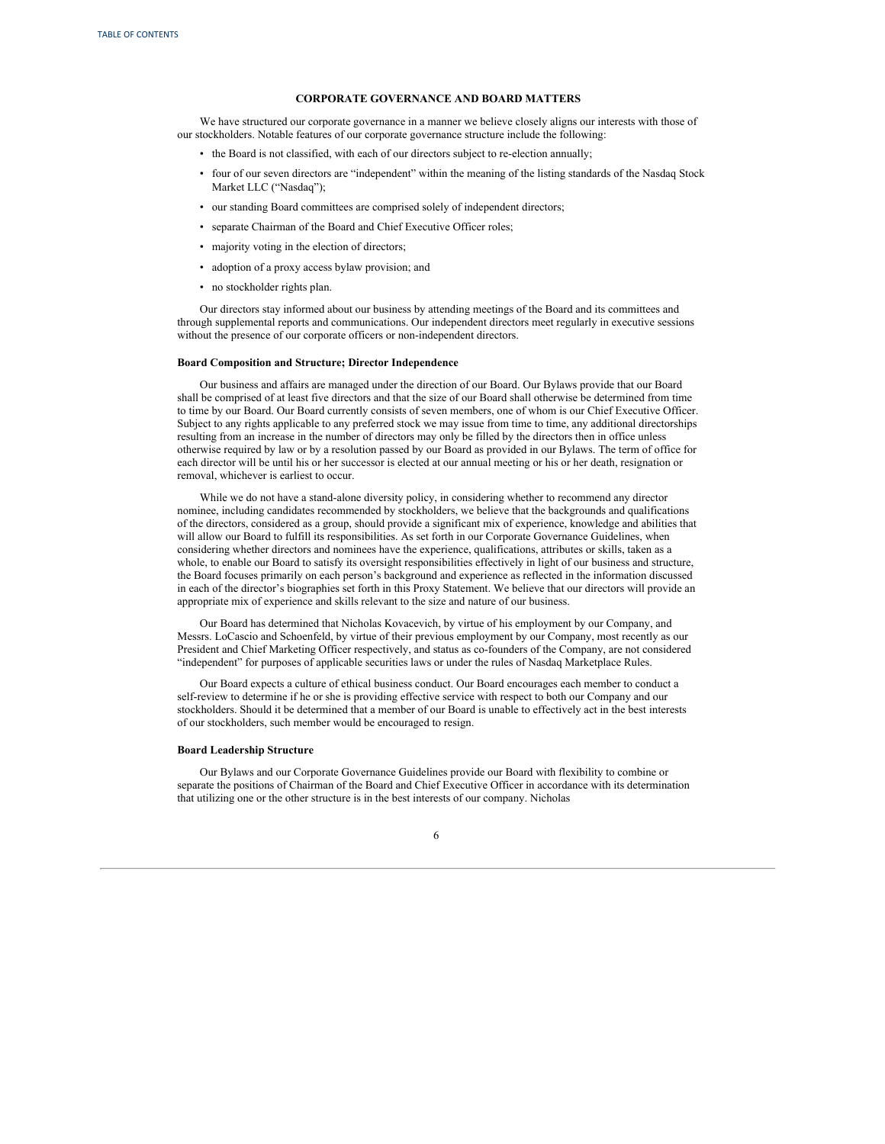## **CORPORATE GOVERNANCE AND BOARD MATTERS**

<span id="page-10-0"></span>We have structured our corporate governance in a manner we believe closely aligns our interests with those of our stockholders. Notable features of our corporate governance structure include the following:

- the Board is not classified, with each of our directors subject to re-election annually;
- four of our seven directors are "independent" within the meaning of the listing standards of the Nasdaq Stock Market LLC ("Nasdaq");
- our standing Board committees are comprised solely of independent directors;
- separate Chairman of the Board and Chief Executive Officer roles;
- majority voting in the election of directors;
- adoption of a proxy access bylaw provision; and
- no stockholder rights plan.

Our directors stay informed about our business by attending meetings of the Board and its committees and through supplemental reports and communications. Our independent directors meet regularly in executive sessions without the presence of our corporate officers or non-independent directors.

## **Board Composition and Structure; Director Independence**

Our business and affairs are managed under the direction of our Board. Our Bylaws provide that our Board shall be comprised of at least five directors and that the size of our Board shall otherwise be determined from time to time by our Board. Our Board currently consists of seven members, one of whom is our Chief Executive Officer. Subject to any rights applicable to any preferred stock we may issue from time to time, any additional directorships resulting from an increase in the number of directors may only be filled by the directors then in office unless otherwise required by law or by a resolution passed by our Board as provided in our Bylaws. The term of office for each director will be until his or her successor is elected at our annual meeting or his or her death, resignation or removal, whichever is earliest to occur.

While we do not have a stand-alone diversity policy, in considering whether to recommend any director nominee, including candidates recommended by stockholders, we believe that the backgrounds and qualifications of the directors, considered as a group, should provide a significant mix of experience, knowledge and abilities that will allow our Board to fulfill its responsibilities. As set forth in our Corporate Governance Guidelines, when considering whether directors and nominees have the experience, qualifications, attributes or skills, taken as a whole, to enable our Board to satisfy its oversight responsibilities effectively in light of our business and structure, the Board focuses primarily on each person's background and experience as reflected in the information discussed in each of the director's biographies set forth in this Proxy Statement. We believe that our directors will provide an appropriate mix of experience and skills relevant to the size and nature of our business.

Our Board has determined that Nicholas Kovacevich, by virtue of his employment by our Company, and Messrs. LoCascio and Schoenfeld, by virtue of their previous employment by our Company, most recently as our President and Chief Marketing Officer respectively, and status as co-founders of the Company, are not considered "independent" for purposes of applicable securities laws or under the rules of Nasdaq Marketplace Rules.

Our Board expects a culture of ethical business conduct. Our Board encourages each member to conduct a self-review to determine if he or she is providing effective service with respect to both our Company and our stockholders. Should it be determined that a member of our Board is unable to effectively act in the best interests of our stockholders, such member would be encouraged to resign.

#### **Board Leadership Structure**

Our Bylaws and our Corporate Governance Guidelines provide our Board with flexibility to combine or separate the positions of Chairman of the Board and Chief Executive Officer in accordance with its determination that utilizing one or the other structure is in the best interests of our company. Nicholas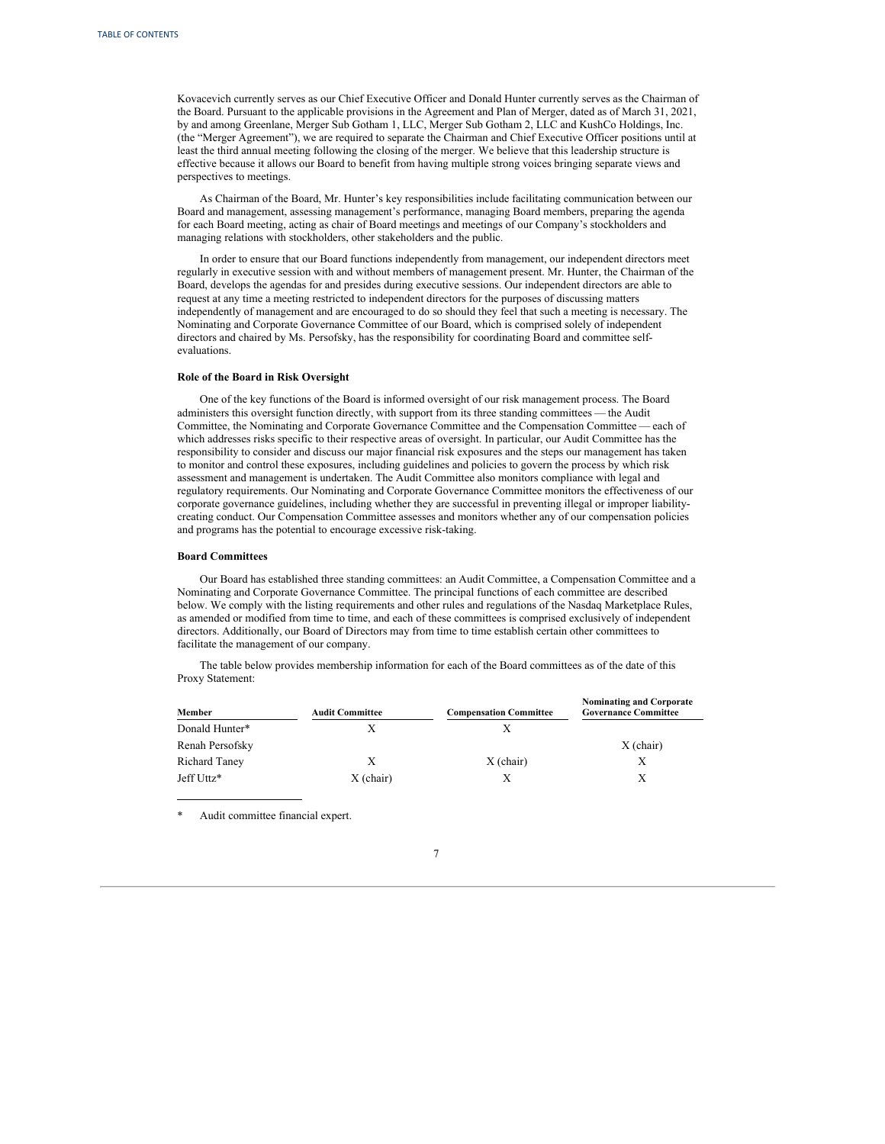<span id="page-11-0"></span>Kovacevich currently serves as our Chief Executive Officer and Donald Hunter currently serves as the Chairman of the Board. Pursuant to the applicable provisions in the Agreement and Plan of Merger, dated as of March 31, 2021, by and among Greenlane, Merger Sub Gotham 1, LLC, Merger Sub Gotham 2, LLC and KushCo Holdings, Inc. (the "Merger Agreement"), we are required to separate the Chairman and Chief Executive Officer positions until at least the third annual meeting following the closing of the merger. We believe that this leadership structure is effective because it allows our Board to benefit from having multiple strong voices bringing separate views and perspectives to meetings.

As Chairman of the Board, Mr. Hunter's key responsibilities include facilitating communication between our Board and management, assessing management's performance, managing Board members, preparing the agenda for each Board meeting, acting as chair of Board meetings and meetings of our Company's stockholders and managing relations with stockholders, other stakeholders and the public.

In order to ensure that our Board functions independently from management, our independent directors meet regularly in executive session with and without members of management present. Mr. Hunter, the Chairman of the Board, develops the agendas for and presides during executive sessions. Our independent directors are able to request at any time a meeting restricted to independent directors for the purposes of discussing matters independently of management and are encouraged to do so should they feel that such a meeting is necessary. The Nominating and Corporate Governance Committee of our Board, which is comprised solely of independent directors and chaired by Ms. Persofsky, has the responsibility for coordinating Board and committee selfevaluations.

#### **Role of the Board in Risk Oversight**

One of the key functions of the Board is informed oversight of our risk management process. The Board administers this oversight function directly, with support from its three standing committees — the Audit Committee, the Nominating and Corporate Governance Committee and the Compensation Committee — each of which addresses risks specific to their respective areas of oversight. In particular, our Audit Committee has the responsibility to consider and discuss our major financial risk exposures and the steps our management has taken to monitor and control these exposures, including guidelines and policies to govern the process by which risk assessment and management is undertaken. The Audit Committee also monitors compliance with legal and regulatory requirements. Our Nominating and Corporate Governance Committee monitors the effectiveness of our corporate governance guidelines, including whether they are successful in preventing illegal or improper liabilitycreating conduct. Our Compensation Committee assesses and monitors whether any of our compensation policies and programs has the potential to encourage excessive risk-taking.

## **Board Committees**

Our Board has established three standing committees: an Audit Committee, a Compensation Committee and a Nominating and Corporate Governance Committee. The principal functions of each committee are described below. We comply with the listing requirements and other rules and regulations of the Nasdaq Marketplace Rules, as amended or modified from time to time, and each of these committees is comprised exclusively of independent directors. Additionally, our Board of Directors may from time to time establish certain other committees to facilitate the management of our company.

The table below provides membership information for each of the Board committees as of the date of this Proxy Statement:

| Member          | <b>Audit Committee</b> | <b>Compensation Committee</b> | <b>Nominating and Corporate</b><br><b>Governance Committee</b> |
|-----------------|------------------------|-------------------------------|----------------------------------------------------------------|
| Donald Hunter*  |                        |                               |                                                                |
| Renah Persofsky |                        |                               | $X$ (chair)                                                    |
| Richard Taney   | X                      | $X$ (chair)                   |                                                                |
| Jeff Uttz*      | $X$ (chair)            |                               |                                                                |

\* Audit committee financial expert.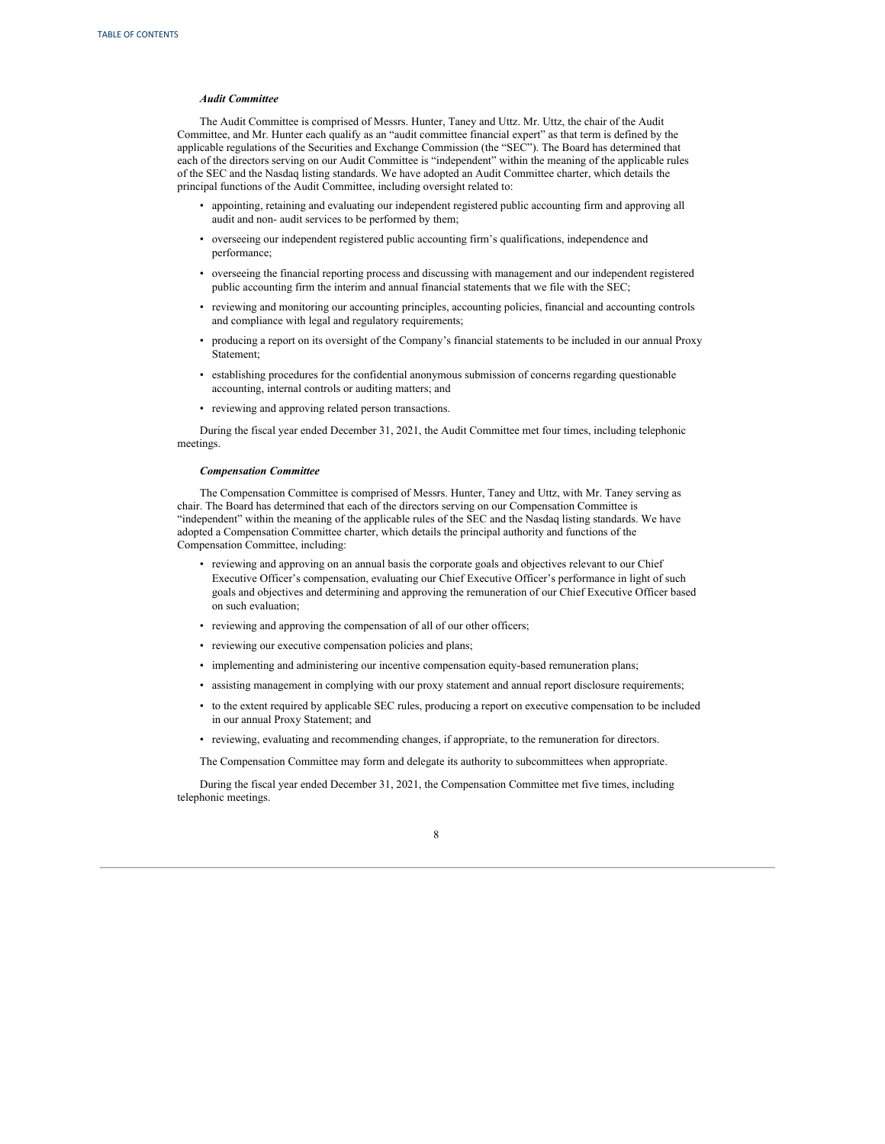#### *Audit Committee*

The Audit Committee is comprised of Messrs. Hunter, Taney and Uttz. Mr. Uttz, the chair of the Audit Committee, and Mr. Hunter each qualify as an "audit committee financial expert" as that term is defined by the applicable regulations of the Securities and Exchange Commission (the "SEC"). The Board has determined that each of the directors serving on our Audit Committee is "independent" within the meaning of the applicable rules of the SEC and the Nasdaq listing standards. We have adopted an Audit Committee charter, which details the principal functions of the Audit Committee, including oversight related to:

- appointing, retaining and evaluating our independent registered public accounting firm and approving all audit and non- audit services to be performed by them;
- overseeing our independent registered public accounting firm's qualifications, independence and performance;
- overseeing the financial reporting process and discussing with management and our independent registered public accounting firm the interim and annual financial statements that we file with the SEC;
- reviewing and monitoring our accounting principles, accounting policies, financial and accounting controls and compliance with legal and regulatory requirements;
- producing a report on its oversight of the Company's financial statements to be included in our annual Proxy Statement;
- establishing procedures for the confidential anonymous submission of concerns regarding questionable accounting, internal controls or auditing matters; and
- reviewing and approving related person transactions.

During the fiscal year ended December 31, 2021, the Audit Committee met four times, including telephonic meetings.

## *Compensation Committee*

The Compensation Committee is comprised of Messrs. Hunter, Taney and Uttz, with Mr. Taney serving as chair. The Board has determined that each of the directors serving on our Compensation Committee is "independent" within the meaning of the applicable rules of the SEC and the Nasdaq listing standards. We have adopted a Compensation Committee charter, which details the principal authority and functions of the Compensation Committee, including:

- reviewing and approving on an annual basis the corporate goals and objectives relevant to our Chief Executive Officer's compensation, evaluating our Chief Executive Officer's performance in light of such goals and objectives and determining and approving the remuneration of our Chief Executive Officer based on such evaluation;
- reviewing and approving the compensation of all of our other officers;
- reviewing our executive compensation policies and plans;
- implementing and administering our incentive compensation equity-based remuneration plans;
- assisting management in complying with our proxy statement and annual report disclosure requirements;
- to the extent required by applicable SEC rules, producing a report on executive compensation to be included in our annual Proxy Statement; and
- reviewing, evaluating and recommending changes, if appropriate, to the remuneration for directors.

The Compensation Committee may form and delegate its authority to subcommittees when appropriate.

During the fiscal year ended December 31, 2021, the Compensation Committee met five times, including telephonic meetings.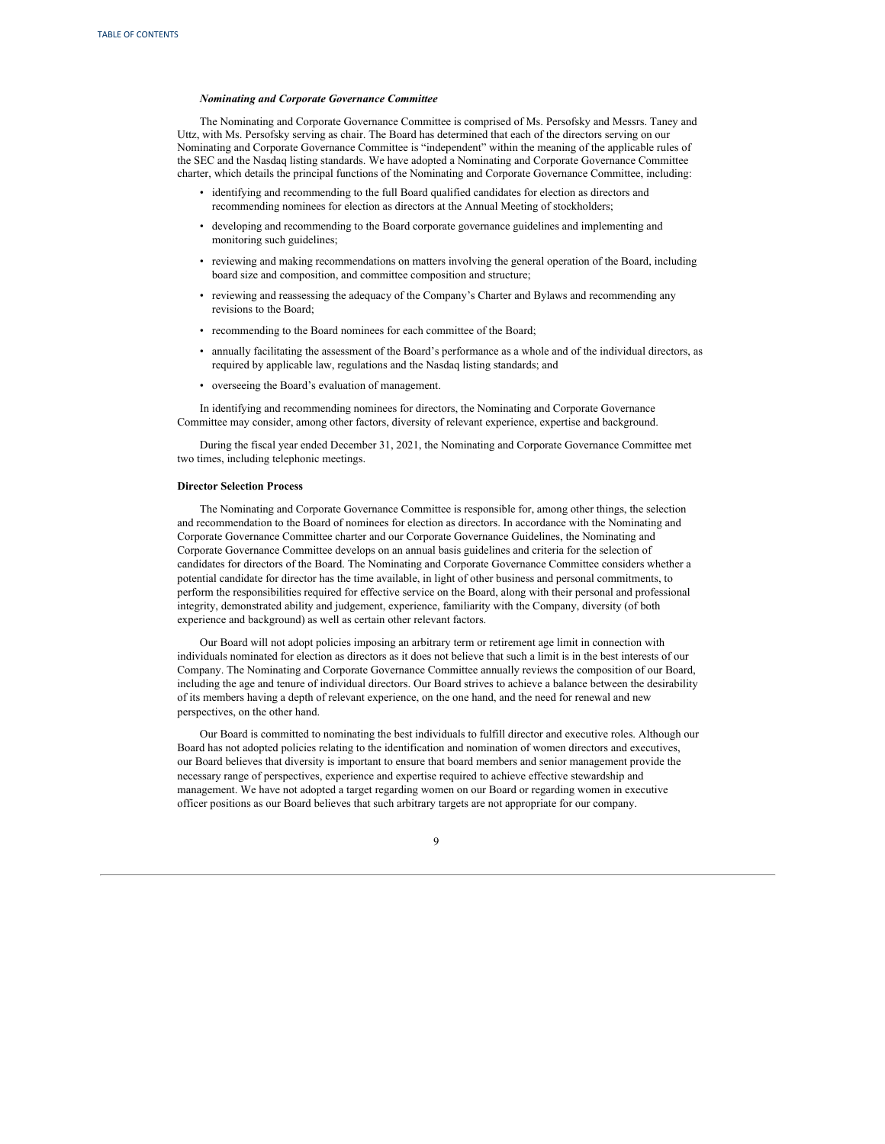#### *Nominating and Corporate Governance Committee*

The Nominating and Corporate Governance Committee is comprised of Ms. Persofsky and Messrs. Taney and Uttz, with Ms. Persofsky serving as chair. The Board has determined that each of the directors serving on our Nominating and Corporate Governance Committee is "independent" within the meaning of the applicable rules of the SEC and the Nasdaq listing standards. We have adopted a Nominating and Corporate Governance Committee charter, which details the principal functions of the Nominating and Corporate Governance Committee, including:

- identifying and recommending to the full Board qualified candidates for election as directors and recommending nominees for election as directors at the Annual Meeting of stockholders;
- developing and recommending to the Board corporate governance guidelines and implementing and monitoring such guidelines;
- reviewing and making recommendations on matters involving the general operation of the Board, including board size and composition, and committee composition and structure;
- reviewing and reassessing the adequacy of the Company's Charter and Bylaws and recommending any revisions to the Board;
- recommending to the Board nominees for each committee of the Board;
- annually facilitating the assessment of the Board's performance as a whole and of the individual directors, as required by applicable law, regulations and the Nasdaq listing standards; and
- overseeing the Board's evaluation of management.

In identifying and recommending nominees for directors, the Nominating and Corporate Governance Committee may consider, among other factors, diversity of relevant experience, expertise and background.

During the fiscal year ended December 31, 2021, the Nominating and Corporate Governance Committee met two times, including telephonic meetings.

#### **Director Selection Process**

The Nominating and Corporate Governance Committee is responsible for, among other things, the selection and recommendation to the Board of nominees for election as directors. In accordance with the Nominating and Corporate Governance Committee charter and our Corporate Governance Guidelines, the Nominating and Corporate Governance Committee develops on an annual basis guidelines and criteria for the selection of candidates for directors of the Board. The Nominating and Corporate Governance Committee considers whether a potential candidate for director has the time available, in light of other business and personal commitments, to perform the responsibilities required for effective service on the Board, along with their personal and professional integrity, demonstrated ability and judgement, experience, familiarity with the Company, diversity (of both experience and background) as well as certain other relevant factors.

Our Board will not adopt policies imposing an arbitrary term or retirement age limit in connection with individuals nominated for election as directors as it does not believe that such a limit is in the best interests of our Company. The Nominating and Corporate Governance Committee annually reviews the composition of our Board, including the age and tenure of individual directors. Our Board strives to achieve a balance between the desirability of its members having a depth of relevant experience, on the one hand, and the need for renewal and new perspectives, on the other hand.

Our Board is committed to nominating the best individuals to fulfill director and executive roles. Although our Board has not adopted policies relating to the identification and nomination of women directors and executives, our Board believes that diversity is important to ensure that board members and senior management provide the necessary range of perspectives, experience and expertise required to achieve effective stewardship and management. We have not adopted a target regarding women on our Board or regarding women in executive officer positions as our Board believes that such arbitrary targets are not appropriate for our company.

## $\overline{Q}$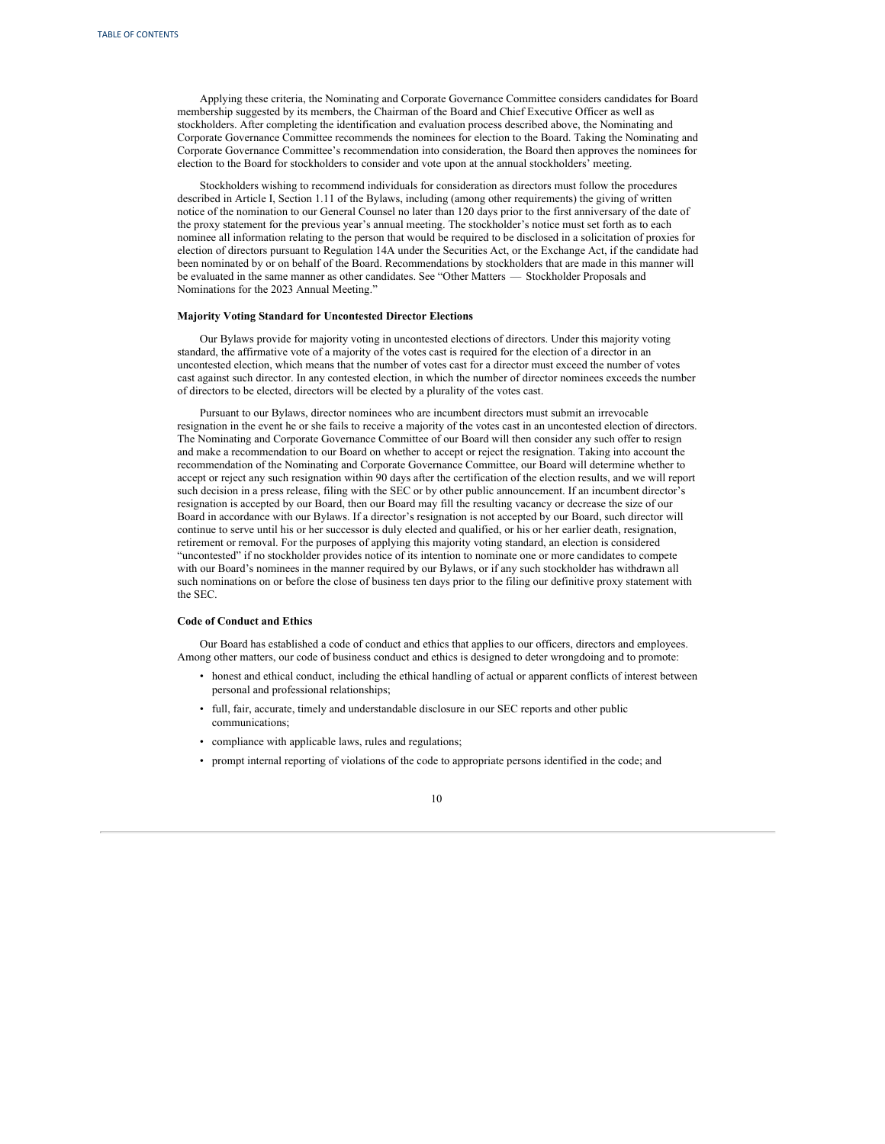<span id="page-14-0"></span>Applying these criteria, the Nominating and Corporate Governance Committee considers candidates for Board membership suggested by its members, the Chairman of the Board and Chief Executive Officer as well as stockholders. After completing the identification and evaluation process described above, the Nominating and Corporate Governance Committee recommends the nominees for election to the Board. Taking the Nominating and Corporate Governance Committee's recommendation into consideration, the Board then approves the nominees for election to the Board for stockholders to consider and vote upon at the annual stockholders' meeting.

Stockholders wishing to recommend individuals for consideration as directors must follow the procedures described in Article I, Section 1.11 of the Bylaws, including (among other requirements) the giving of written notice of the nomination to our General Counsel no later than 120 days prior to the first anniversary of the date of the proxy statement for the previous year's annual meeting. The stockholder's notice must set forth as to each nominee all information relating to the person that would be required to be disclosed in a solicitation of proxies for election of directors pursuant to Regulation 14A under the Securities Act, or the Exchange Act, if the candidate had been nominated by or on behalf of the Board. Recommendations by stockholders that are made in this manner will be evaluated in the same manner as other candidates. See "Other Matters — Stockholder Proposals and Nominations for the 2023 Annual Meeting."

## **Majority Voting Standard for Uncontested Director Elections**

Our Bylaws provide for majority voting in uncontested elections of directors. Under this majority voting standard, the affirmative vote of a majority of the votes cast is required for the election of a director in an uncontested election, which means that the number of votes cast for a director must exceed the number of votes cast against such director. In any contested election, in which the number of director nominees exceeds the number of directors to be elected, directors will be elected by a plurality of the votes cast.

Pursuant to our Bylaws, director nominees who are incumbent directors must submit an irrevocable resignation in the event he or she fails to receive a majority of the votes cast in an uncontested election of directors. The Nominating and Corporate Governance Committee of our Board will then consider any such offer to resign and make a recommendation to our Board on whether to accept or reject the resignation. Taking into account the recommendation of the Nominating and Corporate Governance Committee, our Board will determine whether to accept or reject any such resignation within 90 days after the certification of the election results, and we will report such decision in a press release, filing with the SEC or by other public announcement. If an incumbent director's resignation is accepted by our Board, then our Board may fill the resulting vacancy or decrease the size of our Board in accordance with our Bylaws. If a director's resignation is not accepted by our Board, such director will continue to serve until his or her successor is duly elected and qualified, or his or her earlier death, resignation, retirement or removal. For the purposes of applying this majority voting standard, an election is considered "uncontested" if no stockholder provides notice of its intention to nominate one or more candidates to compete with our Board's nominees in the manner required by our Bylaws, or if any such stockholder has withdrawn all such nominations on or before the close of business ten days prior to the filing our definitive proxy statement with the SEC.

## **Code of Conduct and Ethics**

Our Board has established a code of conduct and ethics that applies to our officers, directors and employees. Among other matters, our code of business conduct and ethics is designed to deter wrongdoing and to promote:

- honest and ethical conduct, including the ethical handling of actual or apparent conflicts of interest between personal and professional relationships;
- full, fair, accurate, timely and understandable disclosure in our SEC reports and other public communications;
- compliance with applicable laws, rules and regulations;
- prompt internal reporting of violations of the code to appropriate persons identified in the code; and

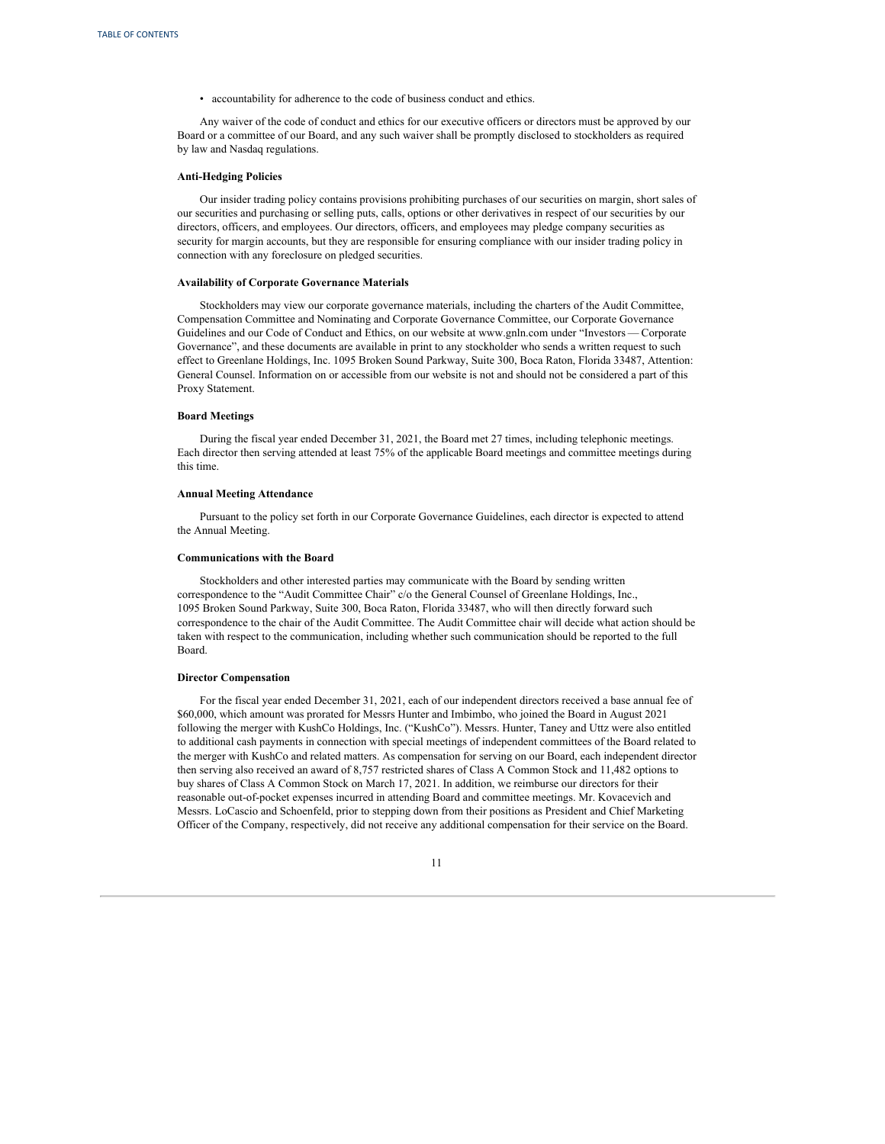<span id="page-15-0"></span>• accountability for adherence to the code of business conduct and ethics.

Any waiver of the code of conduct and ethics for our executive officers or directors must be approved by our Board or a committee of our Board, and any such waiver shall be promptly disclosed to stockholders as required by law and Nasdaq regulations.

#### **Anti-Hedging Policies**

Our insider trading policy contains provisions prohibiting purchases of our securities on margin, short sales of our securities and purchasing or selling puts, calls, options or other derivatives in respect of our securities by our directors, officers, and employees. Our directors, officers, and employees may pledge company securities as security for margin accounts, but they are responsible for ensuring compliance with our insider trading policy in connection with any foreclosure on pledged securities.

#### **Availability of Corporate Governance Materials**

Stockholders may view our corporate governance materials, including the charters of the Audit Committee, Compensation Committee and Nominating and Corporate Governance Committee, our Corporate Governance Guidelines and our Code of Conduct and Ethics, on our website at www.gnln.com under "Investors — Corporate Governance", and these documents are available in print to any stockholder who sends a written request to such effect to Greenlane Holdings, Inc. 1095 Broken Sound Parkway, Suite 300, Boca Raton, Florida 33487, Attention: General Counsel. Information on or accessible from our website is not and should not be considered a part of this Proxy Statement.

## **Board Meetings**

During the fiscal year ended December 31, 2021, the Board met 27 times, including telephonic meetings. Each director then serving attended at least 75% of the applicable Board meetings and committee meetings during this time.

#### **Annual Meeting Attendance**

Pursuant to the policy set forth in our Corporate Governance Guidelines, each director is expected to attend the Annual Meeting.

## **Communications with the Board**

Stockholders and other interested parties may communicate with the Board by sending written correspondence to the "Audit Committee Chair" c/o the General Counsel of Greenlane Holdings, Inc., 1095 Broken Sound Parkway, Suite 300, Boca Raton, Florida 33487, who will then directly forward such correspondence to the chair of the Audit Committee. The Audit Committee chair will decide what action should be taken with respect to the communication, including whether such communication should be reported to the full Board.

#### **Director Compensation**

For the fiscal year ended December 31, 2021, each of our independent directors received a base annual fee of \$60,000, which amount was prorated for Messrs Hunter and Imbimbo, who joined the Board in August 2021 following the merger with KushCo Holdings, Inc. ("KushCo"). Messrs. Hunter, Taney and Uttz were also entitled to additional cash payments in connection with special meetings of independent committees of the Board related to the merger with KushCo and related matters. As compensation for serving on our Board, each independent director then serving also received an award of 8,757 restricted shares of Class A Common Stock and 11,482 options to buy shares of Class A Common Stock on March 17, 2021. In addition, we reimburse our directors for their reasonable out-of-pocket expenses incurred in attending Board and committee meetings. Mr. Kovacevich and Messrs. LoCascio and Schoenfeld, prior to stepping down from their positions as President and Chief Marketing Officer of the Company, respectively, did not receive any additional compensation for their service on the Board.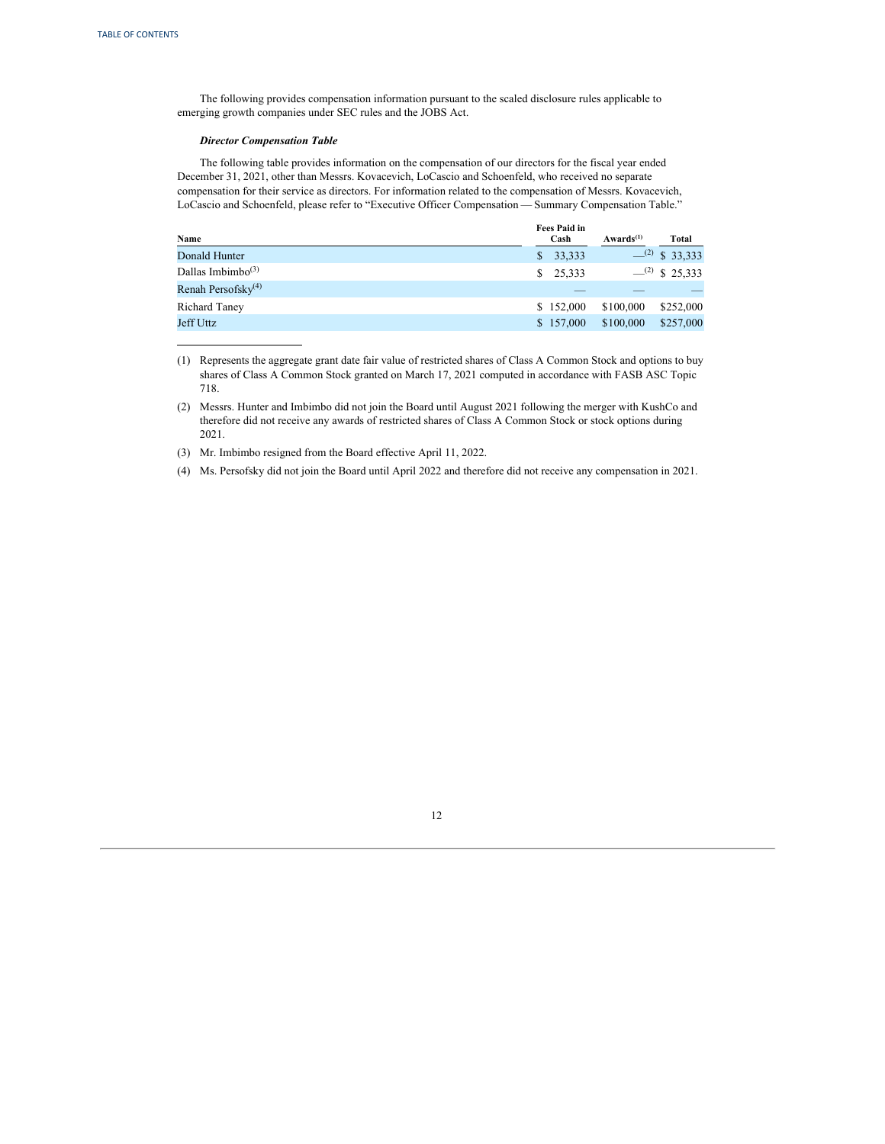The following provides compensation information pursuant to the scaled disclosure rules applicable to emerging growth companies under SEC rules and the JOBS Act.

## *Director Compensation Table*

The following table provides information on the compensation of our directors for the fiscal year ended December 31, 2021, other than Messrs. Kovacevich, LoCascio and Schoenfeld, who received no separate compensation for their service as directors. For information related to the compensation of Messrs. Kovacevich, LoCascio and Schoenfeld, please refer to "Executive Officer Compensation — Summary Compensation Table."

| Name                  | <b>Fees Paid in</b><br>Cash | $Awards^{(1)}$ | Total                        |
|-----------------------|-----------------------------|----------------|------------------------------|
| <b>Donald Hunter</b>  | \$33,333                    |                | $-$ <sup>(2)</sup> \$ 33,333 |
| Dallas Imbimbo $(3)$  | \$25,333                    |                | $-$ <sup>(2)</sup> \$ 25.333 |
| Renah Persofsky $(4)$ |                             |                |                              |
| <b>Richard Taney</b>  | \$152,000                   | \$100,000      | \$252,000                    |
| Jeff Uttz             | \$157,000                   | \$100,000      | \$257,000                    |

(1) Represents the aggregate grant date fair value of restricted shares of Class A Common Stock and options to buy shares of Class A Common Stock granted on March 17, 2021 computed in accordance with FASB ASC Topic 718.

(2) Messrs. Hunter and Imbimbo did not join the Board until August 2021 following the merger with KushCo and therefore did not receive any awards of restricted shares of Class A Common Stock or stock options during 2021.

(3) Mr. Imbimbo resigned from the Board effective April 11, 2022.

(4) Ms. Persofsky did not join the Board until April 2022 and therefore did not receive any compensation in 2021.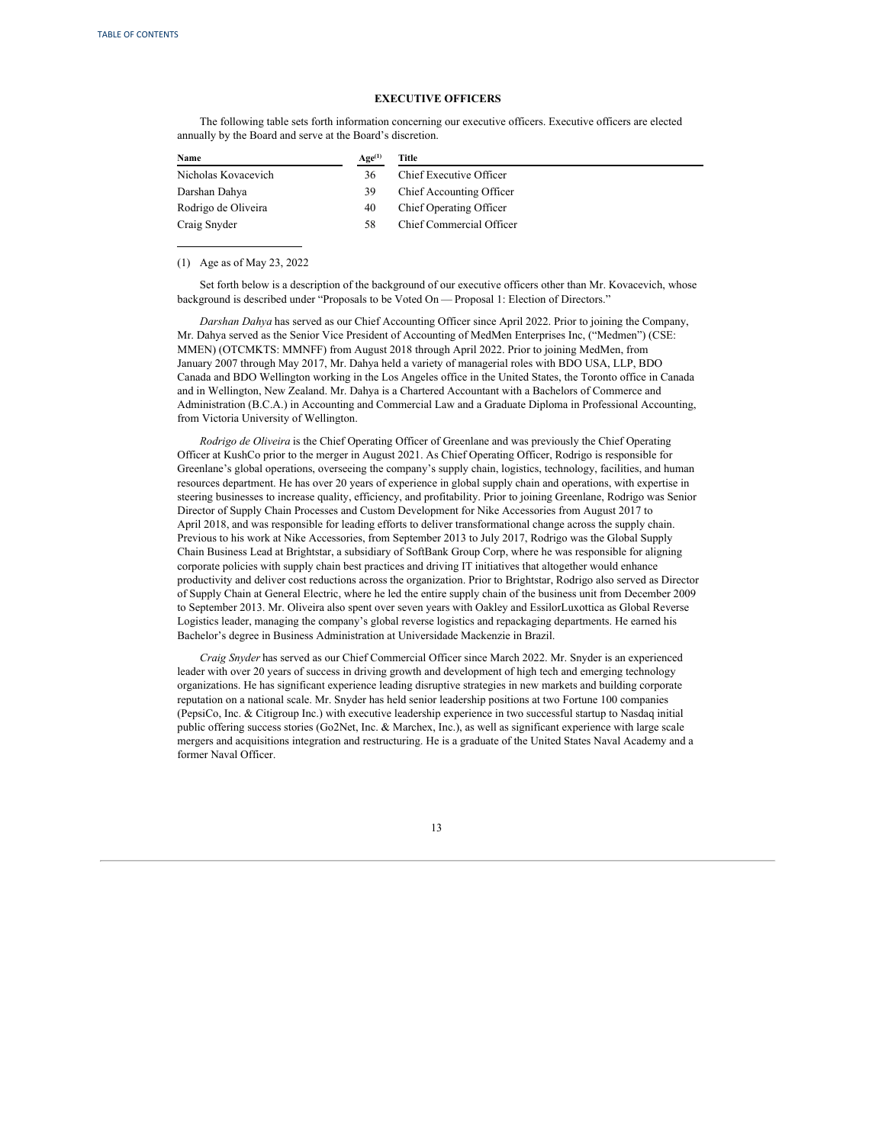## **EXECUTIVE OFFICERS**

The following table sets forth information concerning our executive officers. Executive officers are elected annually by the Board and serve at the Board's discretion.

| Name                | Age <sup>(1)</sup> | Title                    |
|---------------------|--------------------|--------------------------|
| Nicholas Kovacevich | 36                 | Chief Executive Officer  |
| Darshan Dahya       | 39                 | Chief Accounting Officer |
| Rodrigo de Oliveira | 40                 | Chief Operating Officer  |
| Craig Snyder        | 58                 | Chief Commercial Officer |

(1) Age as of May 23, 2022

Set forth below is a description of the background of our executive officers other than Mr. Kovacevich, whose background is described under "Proposals to be Voted On — Proposal 1: Election of Directors."

*Darshan Dahya* has served as our Chief Accounting Officer since April 2022. Prior to joining the Company, Mr. Dahya served as the Senior Vice President of Accounting of MedMen Enterprises Inc, ("Medmen") (CSE: MMEN) (OTCMKTS: MMNFF) from August 2018 through April 2022. Prior to joining MedMen, from January 2007 through May 2017, Mr. Dahya held a variety of managerial roles with BDO USA, LLP, BDO Canada and BDO Wellington working in the Los Angeles office in the United States, the Toronto office in Canada and in Wellington, New Zealand. Mr. Dahya is a Chartered Accountant with a Bachelors of Commerce and Administration (B.C.A.) in Accounting and Commercial Law and a Graduate Diploma in Professional Accounting, from Victoria University of Wellington.

*Rodrigo de Oliveira* is the Chief Operating Officer of Greenlane and was previously the Chief Operating Officer at KushCo prior to the merger in August 2021. As Chief Operating Officer, Rodrigo is responsible for Greenlane's global operations, overseeing the company's supply chain, logistics, technology, facilities, and human resources department. He has over 20 years of experience in global supply chain and operations, with expertise in steering businesses to increase quality, efficiency, and profitability. Prior to joining Greenlane, Rodrigo was Senior Director of Supply Chain Processes and Custom Development for Nike Accessories from August 2017 to April 2018, and was responsible for leading efforts to deliver transformational change across the supply chain. Previous to his work at Nike Accessories, from September 2013 to July 2017, Rodrigo was the Global Supply Chain Business Lead at Brightstar, a subsidiary of SoftBank Group Corp, where he was responsible for aligning corporate policies with supply chain best practices and driving IT initiatives that altogether would enhance productivity and deliver cost reductions across the organization. Prior to Brightstar, Rodrigo also served as Director of Supply Chain at General Electric, where he led the entire supply chain of the business unit from December 2009 to September 2013. Mr. Oliveira also spent over seven years with Oakley and EssilorLuxottica as Global Reverse Logistics leader, managing the company's global reverse logistics and repackaging departments. He earned his Bachelor's degree in Business Administration at Universidade Mackenzie in Brazil.

*Craig Snyder* has served as our Chief Commercial Officer since March 2022. Mr. Snyder is an experienced leader with over 20 years of success in driving growth and development of high tech and emerging technology organizations. He has significant experience leading disruptive strategies in new markets and building corporate reputation on a national scale. Mr. Snyder has held senior leadership positions at two Fortune 100 companies (PepsiCo, Inc. & Citigroup Inc.) with executive leadership experience in two successful startup to Nasdaq initial public offering success stories (Go2Net, Inc. & Marchex, Inc.), as well as significant experience with large scale mergers and acquisitions integration and restructuring. He is a graduate of the United States Naval Academy and a former Naval Officer.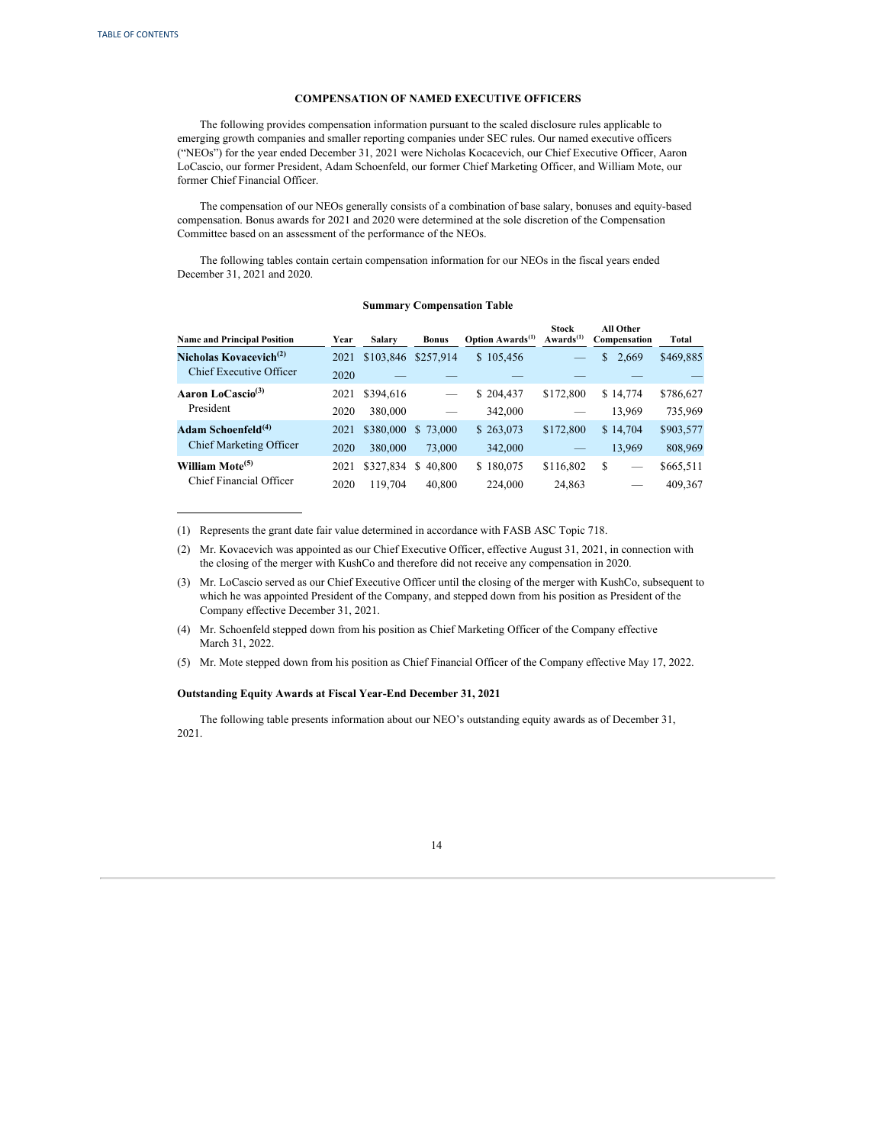## **COMPENSATION OF NAMED EXECUTIVE OFFICERS**

<span id="page-18-0"></span>The following provides compensation information pursuant to the scaled disclosure rules applicable to emerging growth companies and smaller reporting companies under SEC rules. Our named executive officers ("NEOs") for the year ended December 31, 2021 were Nicholas Kocacevich, our Chief Executive Officer, Aaron LoCascio, our former President, Adam Schoenfeld, our former Chief Marketing Officer, and William Mote, our former Chief Financial Officer.

The compensation of our NEOs generally consists of a combination of base salary, bonuses and equity-based compensation. Bonus awards for 2021 and 2020 were determined at the sole discretion of the Compensation Committee based on an assessment of the performance of the NEOs.

The following tables contain certain compensation information for our NEOs in the fiscal years ended December 31, 2021 and 2020.

## **Summary Compensation Table**

| <b>Name and Principal Position</b> | Year | Salary    | <b>Bonus</b> | <b>Option Awards</b> <sup>(1)</sup> | <b>Stock</b><br>Awards $(1)$ | All Other<br>Compensation | Total     |
|------------------------------------|------|-----------|--------------|-------------------------------------|------------------------------|---------------------------|-----------|
| Nicholas Kovacevich <sup>(2)</sup> | 2021 | \$103,846 | \$257,914    | \$105,456                           |                              | \$<br>2,669               | \$469,885 |
| Chief Executive Officer            | 2020 |           |              |                                     |                              |                           |           |
| Aaron LoCascio $(3)$               | 2021 | \$394,616 |              | \$204,437                           | \$172,800                    | \$14,774                  | \$786,627 |
| President                          | 2020 | 380,000   |              | 342,000                             |                              | 13,969                    | 735,969   |
| Adam Schoenfeld <sup>(4)</sup>     | 2021 | \$380,000 | \$73,000     | \$263,073                           | \$172,800                    | \$14,704                  | \$903,577 |
| <b>Chief Marketing Officer</b>     | 2020 | 380,000   | 73,000       | 342,000                             |                              | 13,969                    | 808,969   |
| William Mote <sup>(5)</sup>        | 2021 | \$327,834 | 40,800<br>S. | \$180,075                           | \$116,802                    | S<br>-                    | \$665,511 |
| Chief Financial Officer            | 2020 | 119.704   | 40,800       | 224,000                             | 24,863                       |                           | 409,367   |

(1) Represents the grant date fair value determined in accordance with FASB ASC Topic 718.

(2) Mr. Kovacevich was appointed as our Chief Executive Officer, effective August 31, 2021, in connection with the closing of the merger with KushCo and therefore did not receive any compensation in 2020.

(3) Mr. LoCascio served as our Chief Executive Officer until the closing of the merger with KushCo, subsequent to which he was appointed President of the Company, and stepped down from his position as President of the Company effective December 31, 2021.

(4) Mr. Schoenfeld stepped down from his position as Chief Marketing Officer of the Company effective March 31, 2022.

(5) Mr. Mote stepped down from his position as Chief Financial Officer of the Company effective May 17, 2022.

## **Outstanding Equity Awards at Fiscal Year-End December 31, 2021**

The following table presents information about our NEO's outstanding equity awards as of December 31, 2021.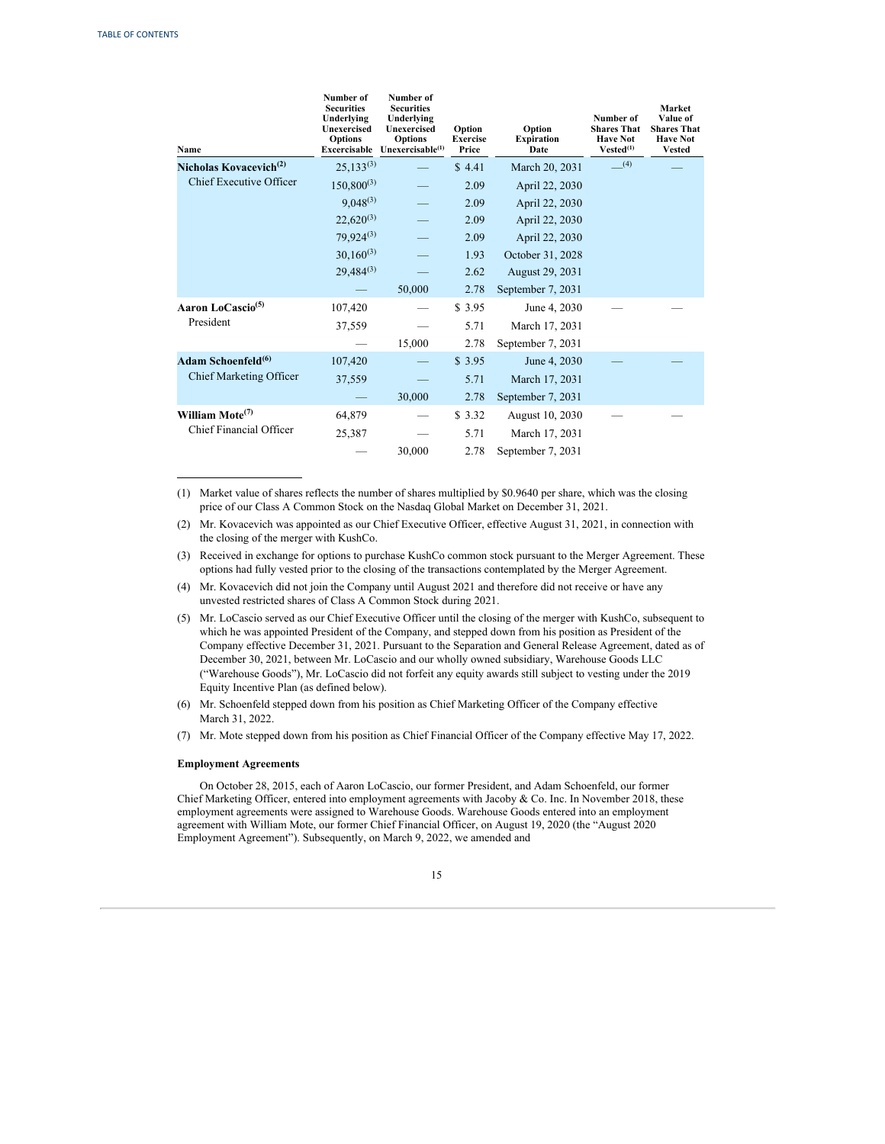<span id="page-19-0"></span>

| Name                               | Number of<br><b>Securities</b><br>Underlying<br>Unexercised<br><b>Options</b> | Number of<br><b>Securities</b><br>Underlying<br><b>Unexercised</b><br><b>Options</b><br>$Exerciseable$ Unexercisable <sup><math>(1)</math></sup> | Option<br><b>Exercise</b><br>Price | Option<br><b>Expiration</b><br>Date | Number of<br><b>Shares That</b><br><b>Have Not</b><br>$Vested^{(1)}$ | Market<br>Value of<br><b>Shares That</b><br><b>Have Not</b><br><b>Vested</b> |
|------------------------------------|-------------------------------------------------------------------------------|--------------------------------------------------------------------------------------------------------------------------------------------------|------------------------------------|-------------------------------------|----------------------------------------------------------------------|------------------------------------------------------------------------------|
| Nicholas Kovacevich <sup>(2)</sup> | $25,133^{(3)}$                                                                |                                                                                                                                                  | \$4.41                             | March 20, 2031                      | (4)                                                                  |                                                                              |
| <b>Chief Executive Officer</b>     | $150,800^{(3)}$                                                               |                                                                                                                                                  | 2.09                               | April 22, 2030                      |                                                                      |                                                                              |
|                                    | $9,048^{(3)}$                                                                 |                                                                                                                                                  | 2.09                               | April 22, 2030                      |                                                                      |                                                                              |
|                                    | $22,620^{(3)}$                                                                |                                                                                                                                                  | 2.09                               | April 22, 2030                      |                                                                      |                                                                              |
|                                    | $79,924^{(3)}$                                                                |                                                                                                                                                  | 2.09                               | April 22, 2030                      |                                                                      |                                                                              |
|                                    | $30,160^{(3)}$                                                                |                                                                                                                                                  | 1.93                               | October 31, 2028                    |                                                                      |                                                                              |
|                                    | $29,484^{(3)}$                                                                |                                                                                                                                                  | 2.62                               | August 29, 2031                     |                                                                      |                                                                              |
|                                    |                                                                               | 50,000                                                                                                                                           | 2.78                               | September 7, 2031                   |                                                                      |                                                                              |
| Aaron LoCascio <sup>(5)</sup>      | 107,420                                                                       |                                                                                                                                                  | \$3.95                             | June 4, 2030                        |                                                                      |                                                                              |
| President                          | 37,559                                                                        |                                                                                                                                                  | 5.71                               | March 17, 2031                      |                                                                      |                                                                              |
|                                    |                                                                               | 15,000                                                                                                                                           | 2.78                               | September 7, 2031                   |                                                                      |                                                                              |
| Adam Schoenfeld <sup>(6)</sup>     | 107,420                                                                       |                                                                                                                                                  | \$3.95                             | June 4, 2030                        |                                                                      |                                                                              |
| <b>Chief Marketing Officer</b>     | 37,559                                                                        |                                                                                                                                                  | 5.71                               | March 17, 2031                      |                                                                      |                                                                              |
|                                    |                                                                               | 30,000                                                                                                                                           | 2.78                               | September 7, 2031                   |                                                                      |                                                                              |
| William Mote <sup>(7)</sup>        | 64,879                                                                        |                                                                                                                                                  | \$3.32                             | August 10, 2030                     |                                                                      |                                                                              |
| Chief Financial Officer            | 25,387                                                                        |                                                                                                                                                  | 5.71                               | March 17, 2031                      |                                                                      |                                                                              |
|                                    |                                                                               | 30,000                                                                                                                                           | 2.78                               | September 7, 2031                   |                                                                      |                                                                              |
|                                    |                                                                               |                                                                                                                                                  |                                    |                                     |                                                                      |                                                                              |

(1) Market value of shares reflects the number of shares multiplied by \$0.9640 per share, which was the closing price of our Class A Common Stock on the Nasdaq Global Market on December 31, 2021.

(2) Mr. Kovacevich was appointed as our Chief Executive Officer, effective August 31, 2021, in connection with the closing of the merger with KushCo.

(3) Received in exchange for options to purchase KushCo common stock pursuant to the Merger Agreement. These options had fully vested prior to the closing of the transactions contemplated by the Merger Agreement.

(4) Mr. Kovacevich did not join the Company until August 2021 and therefore did not receive or have any unvested restricted shares of Class A Common Stock during 2021.

(5) Mr. LoCascio served as our Chief Executive Officer until the closing of the merger with KushCo, subsequent to which he was appointed President of the Company, and stepped down from his position as President of the Company effective December 31, 2021. Pursuant to the Separation and General Release Agreement, dated as of December 30, 2021, between Mr. LoCascio and our wholly owned subsidiary, Warehouse Goods LLC ("Warehouse Goods"), Mr. LoCascio did not forfeit any equity awards still subject to vesting under the 2019 Equity Incentive Plan (as defined below).

- (6) Mr. Schoenfeld stepped down from his position as Chief Marketing Officer of the Company effective March 31, 2022.
- (7) Mr. Mote stepped down from his position as Chief Financial Officer of the Company effective May 17, 2022.

## **Employment Agreements**

On October 28, 2015, each of Aaron LoCascio, our former President, and Adam Schoenfeld, our former Chief Marketing Officer, entered into employment agreements with Jacoby & Co. Inc. In November 2018, these employment agreements were assigned to Warehouse Goods. Warehouse Goods entered into an employment agreement with William Mote, our former Chief Financial Officer, on August 19, 2020 (the "August 2020 Employment Agreement"). Subsequently, on March 9, 2022, we amended and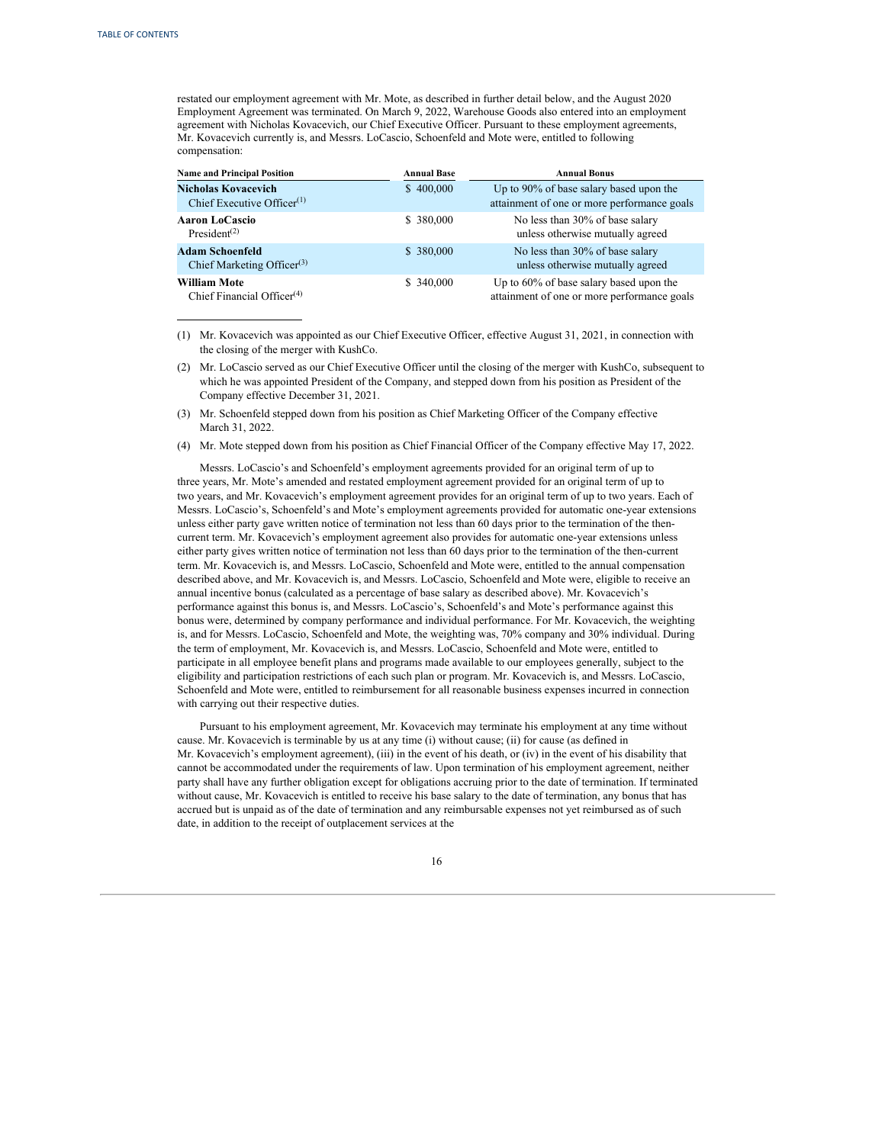restated our employment agreement with Mr. Mote, as described in further detail below, and the August 2020 Employment Agreement was terminated. On March 9, 2022, Warehouse Goods also entered into an employment agreement with Nicholas Kovacevich, our Chief Executive Officer. Pursuant to these employment agreements, Mr. Kovacevich currently is, and Messrs. LoCascio, Schoenfeld and Mote were, entitled to following compensation:

| <b>Name and Principal Position</b>                               | <b>Annual Base</b> | <b>Annual Bonus</b>                                                                    |
|------------------------------------------------------------------|--------------------|----------------------------------------------------------------------------------------|
| <b>Nicholas Kovacevich</b><br>Chief Executive Officer $(1)$      | \$400,000          | Up to 90% of base salary based upon the<br>attainment of one or more performance goals |
| Aaron LoCascio<br>President <sup><math>(2)</math></sup>          | \$ 380,000         | No less than 30% of base salary<br>unless otherwise mutually agreed                    |
| <b>Adam Schoenfeld</b><br>Chief Marketing Officer <sup>(3)</sup> | \$ 380,000         | No less than 30% of base salary<br>unless otherwise mutually agreed                    |
| <b>William Mote</b><br>Chief Financial Officer <sup>(4)</sup>    | \$ 340,000         | Up to 60% of base salary based upon the<br>attainment of one or more performance goals |

(1) Mr. Kovacevich was appointed as our Chief Executive Officer, effective August 31, 2021, in connection with the closing of the merger with KushCo.

(2) Mr. LoCascio served as our Chief Executive Officer until the closing of the merger with KushCo, subsequent to which he was appointed President of the Company, and stepped down from his position as President of the Company effective December 31, 2021.

(3) Mr. Schoenfeld stepped down from his position as Chief Marketing Officer of the Company effective March 31, 2022.

(4) Mr. Mote stepped down from his position as Chief Financial Officer of the Company effective May 17, 2022.

Messrs. LoCascio's and Schoenfeld's employment agreements provided for an original term of up to three years, Mr. Mote's amended and restated employment agreement provided for an original term of up to two years, and Mr. Kovacevich's employment agreement provides for an original term of up to two years. Each of Messrs. LoCascio's, Schoenfeld's and Mote's employment agreements provided for automatic one-year extensions unless either party gave written notice of termination not less than 60 days prior to the termination of the thencurrent term. Mr. Kovacevich's employment agreement also provides for automatic one-year extensions unless either party gives written notice of termination not less than 60 days prior to the termination of the then-current term. Mr. Kovacevich is, and Messrs. LoCascio, Schoenfeld and Mote were, entitled to the annual compensation described above, and Mr. Kovacevich is, and Messrs. LoCascio, Schoenfeld and Mote were, eligible to receive an annual incentive bonus (calculated as a percentage of base salary as described above). Mr. Kovacevich's performance against this bonus is, and Messrs. LoCascio's, Schoenfeld's and Mote's performance against this bonus were, determined by company performance and individual performance. For Mr. Kovacevich, the weighting is, and for Messrs. LoCascio, Schoenfeld and Mote, the weighting was, 70% company and 30% individual. During the term of employment, Mr. Kovacevich is, and Messrs. LoCascio, Schoenfeld and Mote were, entitled to participate in all employee benefit plans and programs made available to our employees generally, subject to the eligibility and participation restrictions of each such plan or program. Mr. Kovacevich is, and Messrs. LoCascio, Schoenfeld and Mote were, entitled to reimbursement for all reasonable business expenses incurred in connection with carrying out their respective duties.

Pursuant to his employment agreement, Mr. Kovacevich may terminate his employment at any time without cause. Mr. Kovacevich is terminable by us at any time (i) without cause; (ii) for cause (as defined in Mr. Kovacevich's employment agreement), (iii) in the event of his death, or (iv) in the event of his disability that cannot be accommodated under the requirements of law. Upon termination of his employment agreement, neither party shall have any further obligation except for obligations accruing prior to the date of termination. If terminated without cause, Mr. Kovacevich is entitled to receive his base salary to the date of termination, any bonus that has accrued but is unpaid as of the date of termination and any reimbursable expenses not yet reimbursed as of such date, in addition to the receipt of outplacement services at the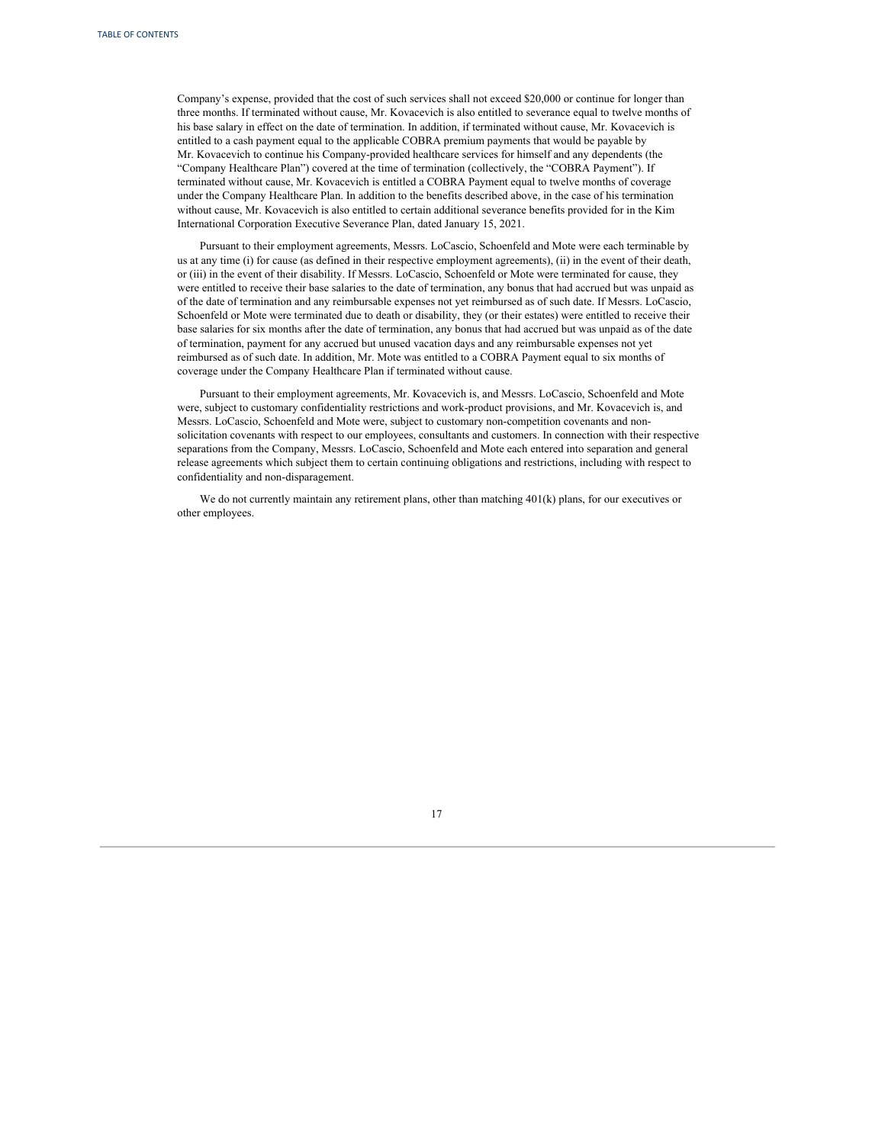Company's expense, provided that the cost of such services shall not exceed \$20,000 or continue for longer than three months. If terminated without cause, Mr. Kovacevich is also entitled to severance equal to twelve months of his base salary in effect on the date of termination. In addition, if terminated without cause, Mr. Kovacevich is entitled to a cash payment equal to the applicable COBRA premium payments that would be payable by Mr. Kovacevich to continue his Company-provided healthcare services for himself and any dependents (the "Company Healthcare Plan") covered at the time of termination (collectively, the "COBRA Payment"). If terminated without cause, Mr. Kovacevich is entitled a COBRA Payment equal to twelve months of coverage under the Company Healthcare Plan. In addition to the benefits described above, in the case of his termination without cause, Mr. Kovacevich is also entitled to certain additional severance benefits provided for in the Kim International Corporation Executive Severance Plan, dated January 15, 2021.

Pursuant to their employment agreements, Messrs. LoCascio, Schoenfeld and Mote were each terminable by us at any time (i) for cause (as defined in their respective employment agreements), (ii) in the event of their death, or (iii) in the event of their disability. If Messrs. LoCascio, Schoenfeld or Mote were terminated for cause, they were entitled to receive their base salaries to the date of termination, any bonus that had accrued but was unpaid as of the date of termination and any reimbursable expenses not yet reimbursed as of such date. If Messrs. LoCascio, Schoenfeld or Mote were terminated due to death or disability, they (or their estates) were entitled to receive their base salaries for six months after the date of termination, any bonus that had accrued but was unpaid as of the date of termination, payment for any accrued but unused vacation days and any reimbursable expenses not yet reimbursed as of such date. In addition, Mr. Mote was entitled to a COBRA Payment equal to six months of coverage under the Company Healthcare Plan if terminated without cause.

Pursuant to their employment agreements, Mr. Kovacevich is, and Messrs. LoCascio, Schoenfeld and Mote were, subject to customary confidentiality restrictions and work-product provisions, and Mr. Kovacevich is, and Messrs. LoCascio, Schoenfeld and Mote were, subject to customary non-competition covenants and nonsolicitation covenants with respect to our employees, consultants and customers. In connection with their respective separations from the Company, Messrs. LoCascio, Schoenfeld and Mote each entered into separation and general release agreements which subject them to certain continuing obligations and restrictions, including with respect to confidentiality and non-disparagement.

We do not currently maintain any retirement plans, other than matching 401(k) plans, for our executives or other employees.

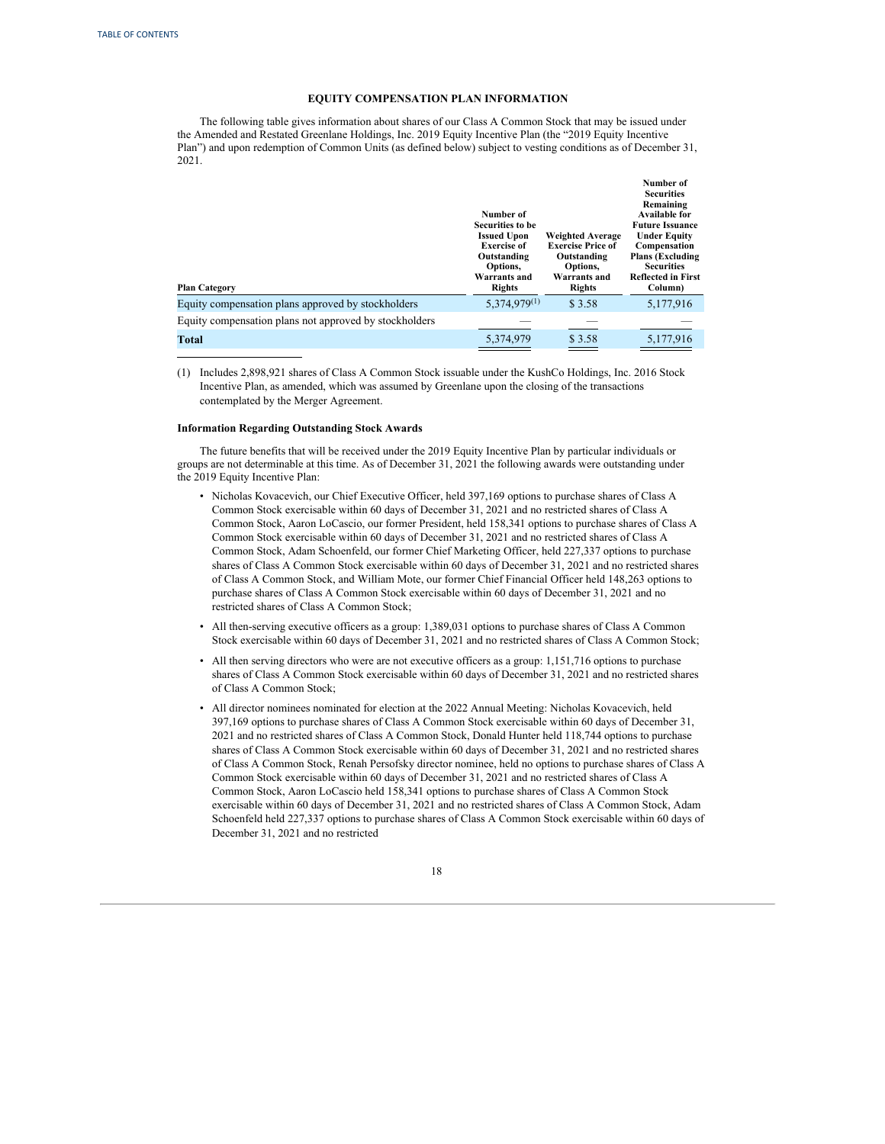## **EQUITY COMPENSATION PLAN INFORMATION**

<span id="page-22-0"></span>The following table gives information about shares of our Class A Common Stock that may be issued under the Amended and Restated Greenlane Holdings, Inc. 2019 Equity Incentive Plan (the "2019 Equity Incentive Plan") and upon redemption of Common Units (as defined below) subject to vesting conditions as of December 31, 2021.

| <b>Plan Category</b>                                   | Number of<br><b>Securities to be</b><br><b>Issued Upon</b><br><b>Exercise of</b><br>Outstanding<br>Options,<br>Warrants and<br><b>Rights</b> | <b>Weighted Average</b><br><b>Exercise Price of</b><br>Outstanding<br>Options,<br>Warrants and<br><b>Rights</b> | Number of<br><b>Securities</b><br>Remaining<br>Available for<br><b>Future Issuance</b><br><b>Under Equity</b><br>Compensation<br><b>Plans (Excluding</b><br><b>Securities</b><br><b>Reflected in First</b><br>Column) |
|--------------------------------------------------------|----------------------------------------------------------------------------------------------------------------------------------------------|-----------------------------------------------------------------------------------------------------------------|-----------------------------------------------------------------------------------------------------------------------------------------------------------------------------------------------------------------------|
| Equity compensation plans approved by stockholders     | $5.374.979^{(1)}$                                                                                                                            | \$3.58                                                                                                          | 5,177,916                                                                                                                                                                                                             |
| Equity compensation plans not approved by stockholders |                                                                                                                                              |                                                                                                                 |                                                                                                                                                                                                                       |
| <b>Total</b>                                           | 5,374,979                                                                                                                                    | \$3.58                                                                                                          | 5,177,916                                                                                                                                                                                                             |
|                                                        |                                                                                                                                              |                                                                                                                 |                                                                                                                                                                                                                       |

(1) Includes 2,898,921 shares of Class A Common Stock issuable under the KushCo Holdings, Inc. 2016 Stock Incentive Plan, as amended, which was assumed by Greenlane upon the closing of the transactions contemplated by the Merger Agreement.

#### **Information Regarding Outstanding Stock Awards**

The future benefits that will be received under the 2019 Equity Incentive Plan by particular individuals or groups are not determinable at this time. As of December 31, 2021 the following awards were outstanding under the 2019 Equity Incentive Plan:

- Nicholas Kovacevich, our Chief Executive Officer, held 397,169 options to purchase shares of Class A Common Stock exercisable within 60 days of December 31, 2021 and no restricted shares of Class A Common Stock, Aaron LoCascio, our former President, held 158,341 options to purchase shares of Class A Common Stock exercisable within 60 days of December 31, 2021 and no restricted shares of Class A Common Stock, Adam Schoenfeld, our former Chief Marketing Officer, held 227,337 options to purchase shares of Class A Common Stock exercisable within 60 days of December 31, 2021 and no restricted shares of Class A Common Stock, and William Mote, our former Chief Financial Officer held 148,263 options to purchase shares of Class A Common Stock exercisable within 60 days of December 31, 2021 and no restricted shares of Class A Common Stock;
- All then-serving executive officers as a group: 1,389,031 options to purchase shares of Class A Common Stock exercisable within 60 days of December 31, 2021 and no restricted shares of Class A Common Stock;
- All then serving directors who were are not executive officers as a group: 1,151,716 options to purchase shares of Class A Common Stock exercisable within 60 days of December 31, 2021 and no restricted shares of Class A Common Stock;
- All director nominees nominated for election at the 2022 Annual Meeting: Nicholas Kovacevich, held 397,169 options to purchase shares of Class A Common Stock exercisable within 60 days of December 31, 2021 and no restricted shares of Class A Common Stock, Donald Hunter held 118,744 options to purchase shares of Class A Common Stock exercisable within 60 days of December 31, 2021 and no restricted shares of Class A Common Stock, Renah Persofsky director nominee, held no options to purchase shares of Class A Common Stock exercisable within 60 days of December 31, 2021 and no restricted shares of Class A Common Stock, Aaron LoCascio held 158,341 options to purchase shares of Class A Common Stock exercisable within 60 days of December 31, 2021 and no restricted shares of Class A Common Stock, Adam Schoenfeld held 227,337 options to purchase shares of Class A Common Stock exercisable within 60 days of December 31, 2021 and no restricted

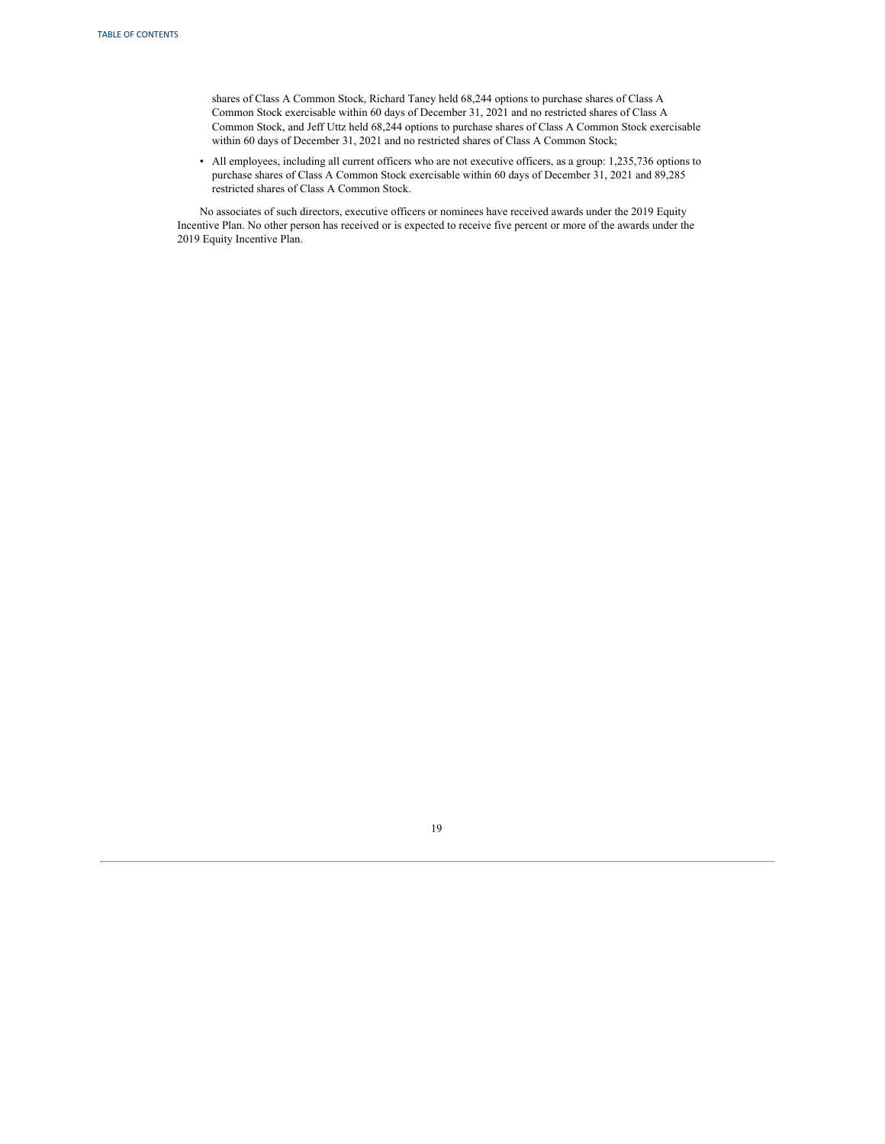shares of Class A Common Stock, Richard Taney held 68,244 options to purchase shares of Class A Common Stock exercisable within 60 days of December 31, 2021 and no restricted shares of Class A Common Stock, and Jeff Uttz held 68,244 options to purchase shares of Class A Common Stock exercisable within 60 days of December 31, 2021 and no restricted shares of Class A Common Stock;

• All employees, including all current officers who are not executive officers, as a group: 1,235,736 options to purchase shares of Class A Common Stock exercisable within 60 days of December 31, 2021 and 89,285 restricted shares of Class A Common Stock.

No associates of such directors, executive officers or nominees have received awards under the 2019 Equity Incentive Plan. No other person has received or is expected to receive five percent or more of the awards under the 2019 Equity Incentive Plan.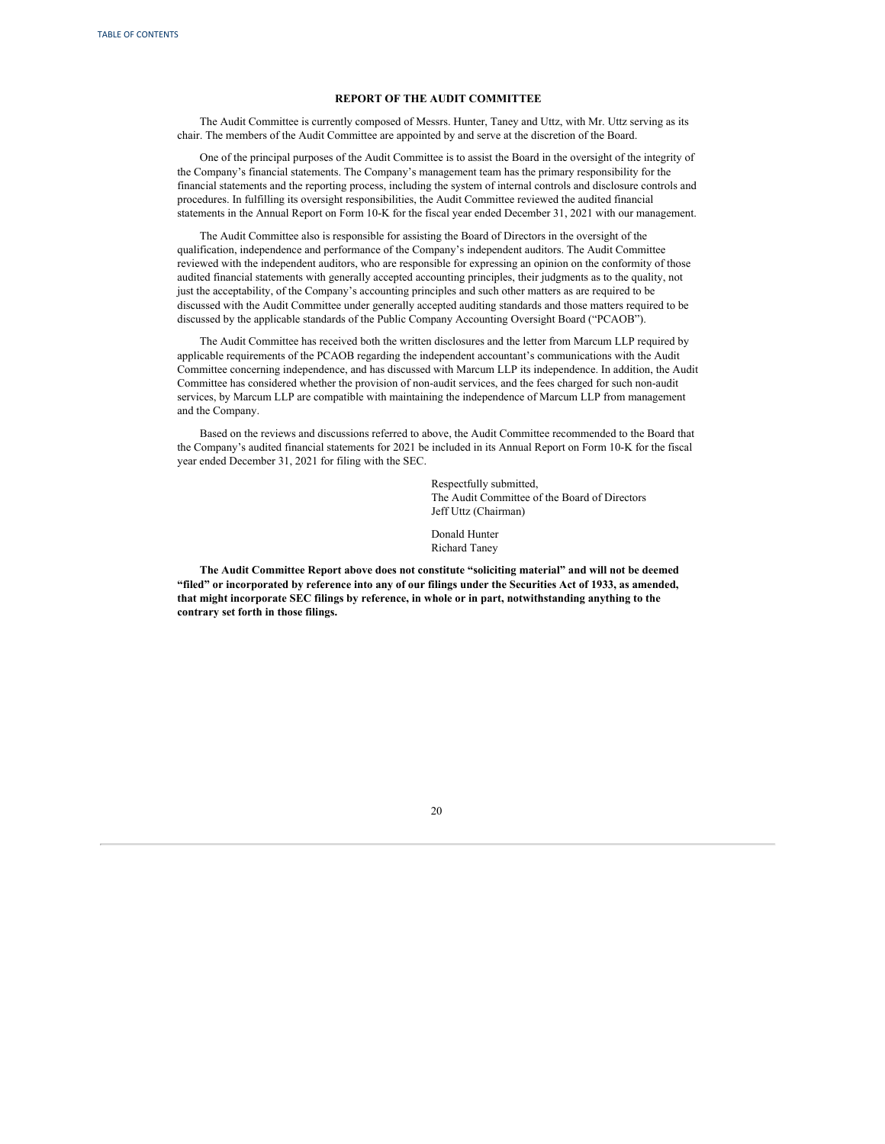## **REPORT OF THE AUDIT COMMITTEE**

<span id="page-24-0"></span>The Audit Committee is currently composed of Messrs. Hunter, Taney and Uttz, with Mr. Uttz serving as its chair. The members of the Audit Committee are appointed by and serve at the discretion of the Board.

One of the principal purposes of the Audit Committee is to assist the Board in the oversight of the integrity of the Company's financial statements. The Company's management team has the primary responsibility for the financial statements and the reporting process, including the system of internal controls and disclosure controls and procedures. In fulfilling its oversight responsibilities, the Audit Committee reviewed the audited financial statements in the Annual Report on Form 10-K for the fiscal year ended December 31, 2021 with our management.

The Audit Committee also is responsible for assisting the Board of Directors in the oversight of the qualification, independence and performance of the Company's independent auditors. The Audit Committee reviewed with the independent auditors, who are responsible for expressing an opinion on the conformity of those audited financial statements with generally accepted accounting principles, their judgments as to the quality, not just the acceptability, of the Company's accounting principles and such other matters as are required to be discussed with the Audit Committee under generally accepted auditing standards and those matters required to be discussed by the applicable standards of the Public Company Accounting Oversight Board ("PCAOB").

The Audit Committee has received both the written disclosures and the letter from Marcum LLP required by applicable requirements of the PCAOB regarding the independent accountant's communications with the Audit Committee concerning independence, and has discussed with Marcum LLP its independence. In addition, the Audit Committee has considered whether the provision of non-audit services, and the fees charged for such non-audit services, by Marcum LLP are compatible with maintaining the independence of Marcum LLP from management and the Company.

Based on the reviews and discussions referred to above, the Audit Committee recommended to the Board that the Company's audited financial statements for 2021 be included in its Annual Report on Form 10-K for the fiscal year ended December 31, 2021 for filing with the SEC.

> Respectfully submitted, The Audit Committee of the Board of Directors Jeff Uttz (Chairman)

Donald Hunter Richard Taney

**The Audit Committee Report above does not constitute "soliciting material" and will not be deemed** "filed" or incorporated by reference into any of our filings under the Securities Act of 1933, as amended, **that might incorporate SEC filings by reference, in whole or in part, notwithstanding anything to the contrary set forth in those filings.**

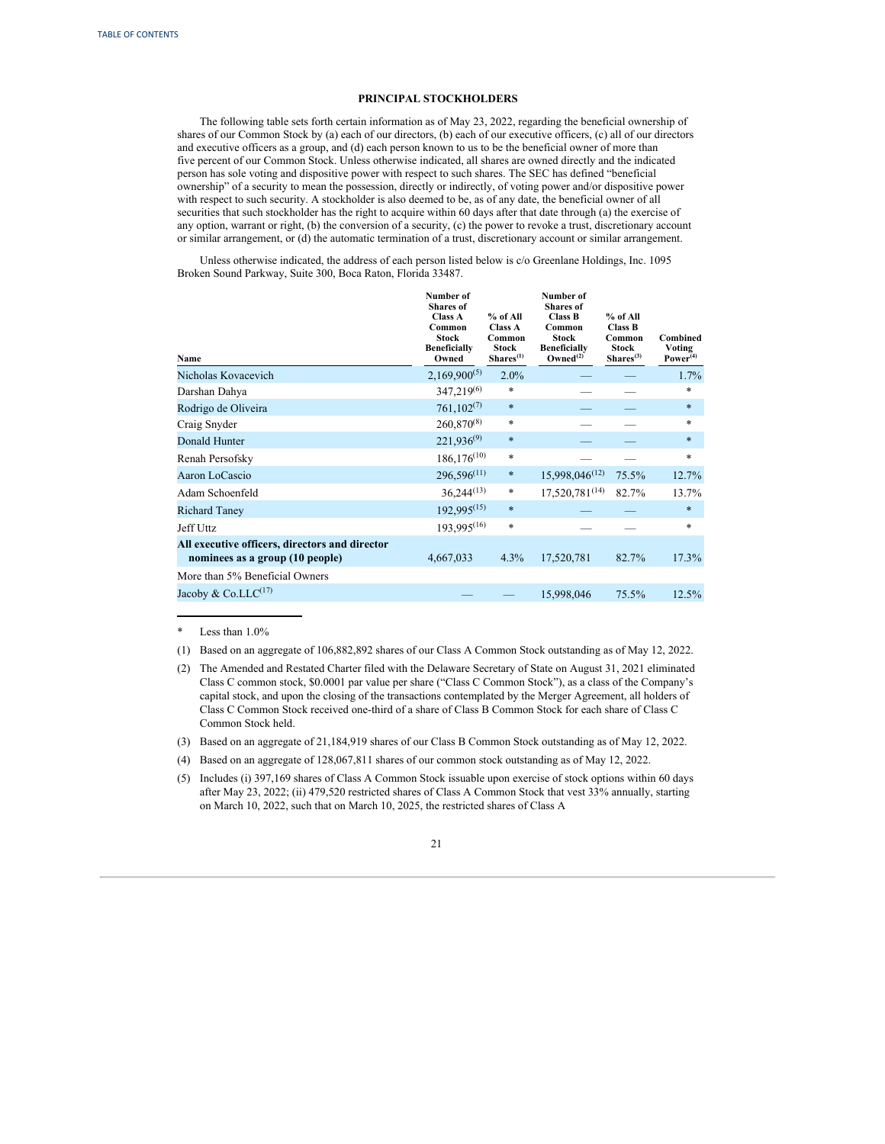## **PRINCIPAL STOCKHOLDERS**

<span id="page-25-0"></span>The following table sets forth certain information as of May 23, 2022, regarding the beneficial ownership of shares of our Common Stock by (a) each of our directors, (b) each of our executive officers, (c) all of our directors and executive officers as a group, and (d) each person known to us to be the beneficial owner of more than five percent of our Common Stock. Unless otherwise indicated, all shares are owned directly and the indicated person has sole voting and dispositive power with respect to such shares. The SEC has defined "beneficial ownership" of a security to mean the possession, directly or indirectly, of voting power and/or dispositive power with respect to such security. A stockholder is also deemed to be, as of any date, the beneficial owner of all securities that such stockholder has the right to acquire within 60 days after that date through (a) the exercise of any option, warrant or right, (b) the conversion of a security, (c) the power to revoke a trust, discretionary account or similar arrangement, or (d) the automatic termination of a trust, discretionary account or similar arrangement.

Unless otherwise indicated, the address of each person listed below is c/o Greenlane Holdings, Inc. 1095 Broken Sound Parkway, Suite 300, Boca Raton, Florida 33487.

| Name                                                                              | Number of<br><b>Shares</b> of<br><b>Class A</b><br>Common<br><b>Stock</b><br><b>Beneficially</b><br>Owned | % of All<br>Class A<br>Common<br><b>Stock</b><br>Shares <sup>(1)</sup> | Number of<br><b>Shares</b> of<br><b>Class B</b><br>Common<br><b>Stock</b><br><b>Beneficially</b><br>Owned <sup>(2)</sup> | $%$ of All<br><b>Class B</b><br>Common<br><b>Stock</b><br>Shares <sup>(3)</sup> | Combined<br>Voting<br>Power <sup>(4)</sup> |
|-----------------------------------------------------------------------------------|-----------------------------------------------------------------------------------------------------------|------------------------------------------------------------------------|--------------------------------------------------------------------------------------------------------------------------|---------------------------------------------------------------------------------|--------------------------------------------|
| Nicholas Kovacevich                                                               | $2,169,900^{(5)}$                                                                                         | $2.0\%$                                                                |                                                                                                                          |                                                                                 | 1.7%                                       |
| Darshan Dahya                                                                     | 347,219 <sup>(6)</sup>                                                                                    | $\ast$                                                                 |                                                                                                                          |                                                                                 | $\ast$                                     |
| Rodrigo de Oliveira                                                               | $761,102^{(7)}$                                                                                           | $\ast$                                                                 |                                                                                                                          |                                                                                 | $\ast$                                     |
| Craig Snyder                                                                      | $260,870^{(8)}$                                                                                           | *                                                                      |                                                                                                                          |                                                                                 | *                                          |
| Donald Hunter                                                                     | $221,936^{(9)}$                                                                                           | $\ast$                                                                 |                                                                                                                          |                                                                                 | $\ast$                                     |
| Renah Persofsky                                                                   | $186, 176^{(10)}$                                                                                         | $\ast$                                                                 |                                                                                                                          |                                                                                 | $\ast$                                     |
| Aaron LoCascio                                                                    | $296,596^{(11)}$                                                                                          | $\ast$                                                                 | $15,998,046^{(12)}$                                                                                                      | 75.5%                                                                           | 12.7%                                      |
| Adam Schoenfeld                                                                   | $36,244^{(13)}$                                                                                           | $\ast$                                                                 | $17,520,781^{(14)}$                                                                                                      | 82.7%                                                                           | 13.7%                                      |
| <b>Richard Taney</b>                                                              | $192,995^{(15)}$                                                                                          | $\ast$                                                                 |                                                                                                                          |                                                                                 | $\ast$                                     |
| Jeff Uttz                                                                         | 193,995(16)                                                                                               | *                                                                      |                                                                                                                          |                                                                                 | *                                          |
| All executive officers, directors and director<br>nominees as a group (10 people) | 4,667,033                                                                                                 | 4.3%                                                                   | 17,520,781                                                                                                               | 82.7%                                                                           | $17.3\%$                                   |
| More than 5% Beneficial Owners                                                    |                                                                                                           |                                                                        |                                                                                                                          |                                                                                 |                                            |
| Jacoby & Co.LLC $^{(17)}$                                                         |                                                                                                           |                                                                        | 15,998,046                                                                                                               | 75.5%                                                                           | 12.5%                                      |

\* Less than 1.0%

(1) Based on an aggregate of 106,882,892 shares of our Class A Common Stock outstanding as of May 12, 2022.

(2) The Amended and Restated Charter filed with the Delaware Secretary of State on August 31, 2021 eliminated Class C common stock, \$0.0001 par value per share ("Class C Common Stock"), as a class of the Company's capital stock, and upon the closing of the transactions contemplated by the Merger Agreement, all holders of Class C Common Stock received one-third of a share of Class B Common Stock for each share of Class C Common Stock held.

(3) Based on an aggregate of 21,184,919 shares of our Class B Common Stock outstanding as of May 12, 2022.

(4) Based on an aggregate of 128,067,811 shares of our common stock outstanding as of May 12, 2022.

(5) Includes (i) 397,169 shares of Class A Common Stock issuable upon exercise of stock options within 60 days after May 23, 2022; (ii) 479,520 restricted shares of Class A Common Stock that vest 33% annually, starting on March 10, 2022, such that on March 10, 2025, the restricted shares of Class A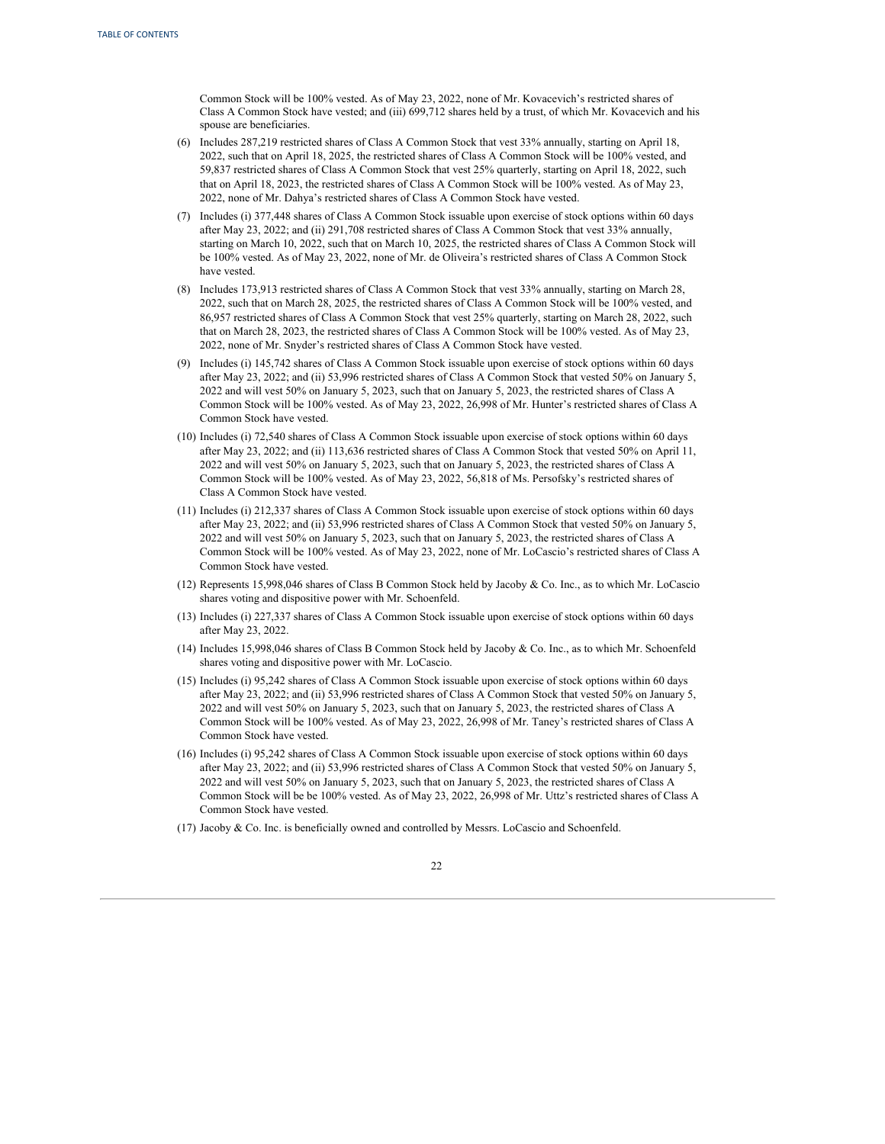Common Stock will be 100% vested. As of May 23, 2022, none of Mr. Kovacevich's restricted shares of Class A Common Stock have vested; and (iii) 699,712 shares held by a trust, of which Mr. Kovacevich and his spouse are beneficiaries.

- (6) Includes 287,219 restricted shares of Class A Common Stock that vest 33% annually, starting on April 18, 2022, such that on April 18, 2025, the restricted shares of Class A Common Stock will be 100% vested, and 59,837 restricted shares of Class A Common Stock that vest 25% quarterly, starting on April 18, 2022, such that on April 18, 2023, the restricted shares of Class A Common Stock will be 100% vested. As of May 23, 2022, none of Mr. Dahya's restricted shares of Class A Common Stock have vested.
- (7) Includes (i) 377,448 shares of Class A Common Stock issuable upon exercise of stock options within 60 days after May 23, 2022; and (ii) 291,708 restricted shares of Class A Common Stock that vest 33% annually, starting on March 10, 2022, such that on March 10, 2025, the restricted shares of Class A Common Stock will be 100% vested. As of May 23, 2022, none of Mr. de Oliveira's restricted shares of Class A Common Stock have vested.
- (8) Includes 173,913 restricted shares of Class A Common Stock that vest 33% annually, starting on March 28, 2022, such that on March 28, 2025, the restricted shares of Class A Common Stock will be 100% vested, and 86,957 restricted shares of Class A Common Stock that vest 25% quarterly, starting on March 28, 2022, such that on March 28, 2023, the restricted shares of Class A Common Stock will be 100% vested. As of May 23, 2022, none of Mr. Snyder's restricted shares of Class A Common Stock have vested.
- (9) Includes (i) 145,742 shares of Class A Common Stock issuable upon exercise of stock options within 60 days after May 23, 2022; and (ii) 53,996 restricted shares of Class A Common Stock that vested 50% on January 5, 2022 and will vest 50% on January 5, 2023, such that on January 5, 2023, the restricted shares of Class A Common Stock will be 100% vested. As of May 23, 2022, 26,998 of Mr. Hunter's restricted shares of Class A Common Stock have vested.
- (10) Includes (i) 72,540 shares of Class A Common Stock issuable upon exercise of stock options within 60 days after May 23, 2022; and (ii) 113,636 restricted shares of Class A Common Stock that vested 50% on April 11, 2022 and will vest 50% on January 5, 2023, such that on January 5, 2023, the restricted shares of Class A Common Stock will be 100% vested. As of May 23, 2022, 56,818 of Ms. Persofsky's restricted shares of Class A Common Stock have vested.
- (11) Includes (i) 212,337 shares of Class A Common Stock issuable upon exercise of stock options within 60 days after May 23, 2022; and (ii) 53,996 restricted shares of Class A Common Stock that vested 50% on January 5, 2022 and will vest 50% on January 5, 2023, such that on January 5, 2023, the restricted shares of Class A Common Stock will be 100% vested. As of May 23, 2022, none of Mr. LoCascio's restricted shares of Class A Common Stock have vested.
- (12) Represents 15,998,046 shares of Class B Common Stock held by Jacoby & Co. Inc., as to which Mr. LoCascio shares voting and dispositive power with Mr. Schoenfeld.
- (13) Includes (i) 227,337 shares of Class A Common Stock issuable upon exercise of stock options within 60 days after May 23, 2022.
- (14) Includes 15,998,046 shares of Class B Common Stock held by Jacoby & Co. Inc., as to which Mr. Schoenfeld shares voting and dispositive power with Mr. LoCascio.
- (15) Includes (i) 95,242 shares of Class A Common Stock issuable upon exercise of stock options within 60 days after May 23, 2022; and (ii) 53,996 restricted shares of Class A Common Stock that vested 50% on January 5, 2022 and will vest 50% on January 5, 2023, such that on January 5, 2023, the restricted shares of Class A Common Stock will be 100% vested. As of May 23, 2022, 26,998 of Mr. Taney's restricted shares of Class A Common Stock have vested.
- (16) Includes (i) 95,242 shares of Class A Common Stock issuable upon exercise of stock options within 60 days after May 23, 2022; and (ii) 53,996 restricted shares of Class A Common Stock that vested 50% on January 5, 2022 and will vest 50% on January 5, 2023, such that on January 5, 2023, the restricted shares of Class A Common Stock will be be 100% vested. As of May 23, 2022, 26,998 of Mr. Uttz's restricted shares of Class A Common Stock have vested.
- (17) Jacoby & Co. Inc. is beneficially owned and controlled by Messrs. LoCascio and Schoenfeld.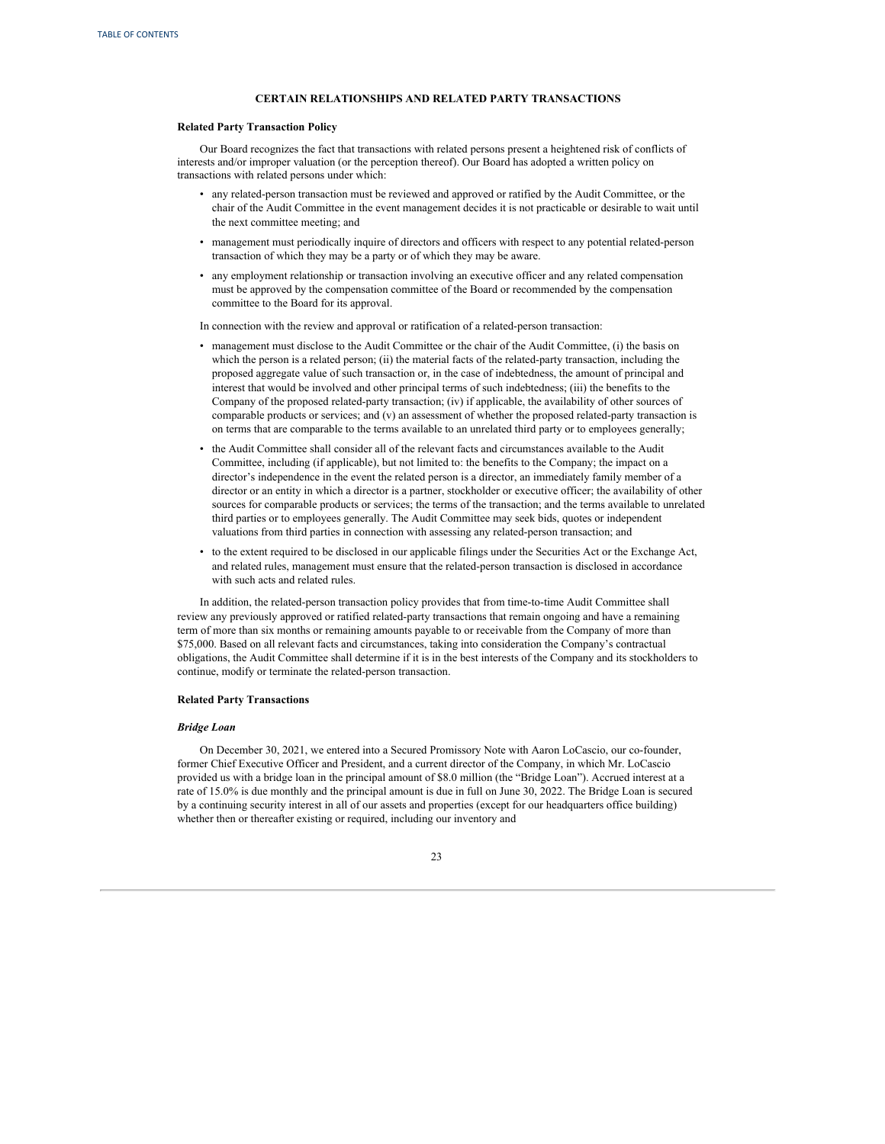## **CERTAIN RELATIONSHIPS AND RELATED PARTY TRANSACTIONS**

## <span id="page-27-0"></span>**Related Party Transaction Policy**

Our Board recognizes the fact that transactions with related persons present a heightened risk of conflicts of interests and/or improper valuation (or the perception thereof). Our Board has adopted a written policy on transactions with related persons under which:

- any related-person transaction must be reviewed and approved or ratified by the Audit Committee, or the chair of the Audit Committee in the event management decides it is not practicable or desirable to wait until the next committee meeting; and
- management must periodically inquire of directors and officers with respect to any potential related-person transaction of which they may be a party or of which they may be aware.
- any employment relationship or transaction involving an executive officer and any related compensation must be approved by the compensation committee of the Board or recommended by the compensation committee to the Board for its approval.

In connection with the review and approval or ratification of a related-person transaction:

- management must disclose to the Audit Committee or the chair of the Audit Committee, (i) the basis on which the person is a related person; (ii) the material facts of the related-party transaction, including the proposed aggregate value of such transaction or, in the case of indebtedness, the amount of principal and interest that would be involved and other principal terms of such indebtedness; (iii) the benefits to the Company of the proposed related-party transaction; (iv) if applicable, the availability of other sources of comparable products or services; and (v) an assessment of whether the proposed related-party transaction is on terms that are comparable to the terms available to an unrelated third party or to employees generally;
- the Audit Committee shall consider all of the relevant facts and circumstances available to the Audit Committee, including (if applicable), but not limited to: the benefits to the Company; the impact on a director's independence in the event the related person is a director, an immediately family member of a director or an entity in which a director is a partner, stockholder or executive officer; the availability of other sources for comparable products or services; the terms of the transaction; and the terms available to unrelated third parties or to employees generally. The Audit Committee may seek bids, quotes or independent valuations from third parties in connection with assessing any related-person transaction; and
- to the extent required to be disclosed in our applicable filings under the Securities Act or the Exchange Act, and related rules, management must ensure that the related-person transaction is disclosed in accordance with such acts and related rules.

In addition, the related-person transaction policy provides that from time-to-time Audit Committee shall review any previously approved or ratified related-party transactions that remain ongoing and have a remaining term of more than six months or remaining amounts payable to or receivable from the Company of more than \$75,000. Based on all relevant facts and circumstances, taking into consideration the Company's contractual obligations, the Audit Committee shall determine if it is in the best interests of the Company and its stockholders to continue, modify or terminate the related-person transaction.

#### **Related Party Transactions**

#### *Bridge Loan*

On December 30, 2021, we entered into a Secured Promissory Note with Aaron LoCascio, our co-founder, former Chief Executive Officer and President, and a current director of the Company, in which Mr. LoCascio provided us with a bridge loan in the principal amount of \$8.0 million (the "Bridge Loan"). Accrued interest at a rate of 15.0% is due monthly and the principal amount is due in full on June 30, 2022. The Bridge Loan is secured by a continuing security interest in all of our assets and properties (except for our headquarters office building) whether then or thereafter existing or required, including our inventory and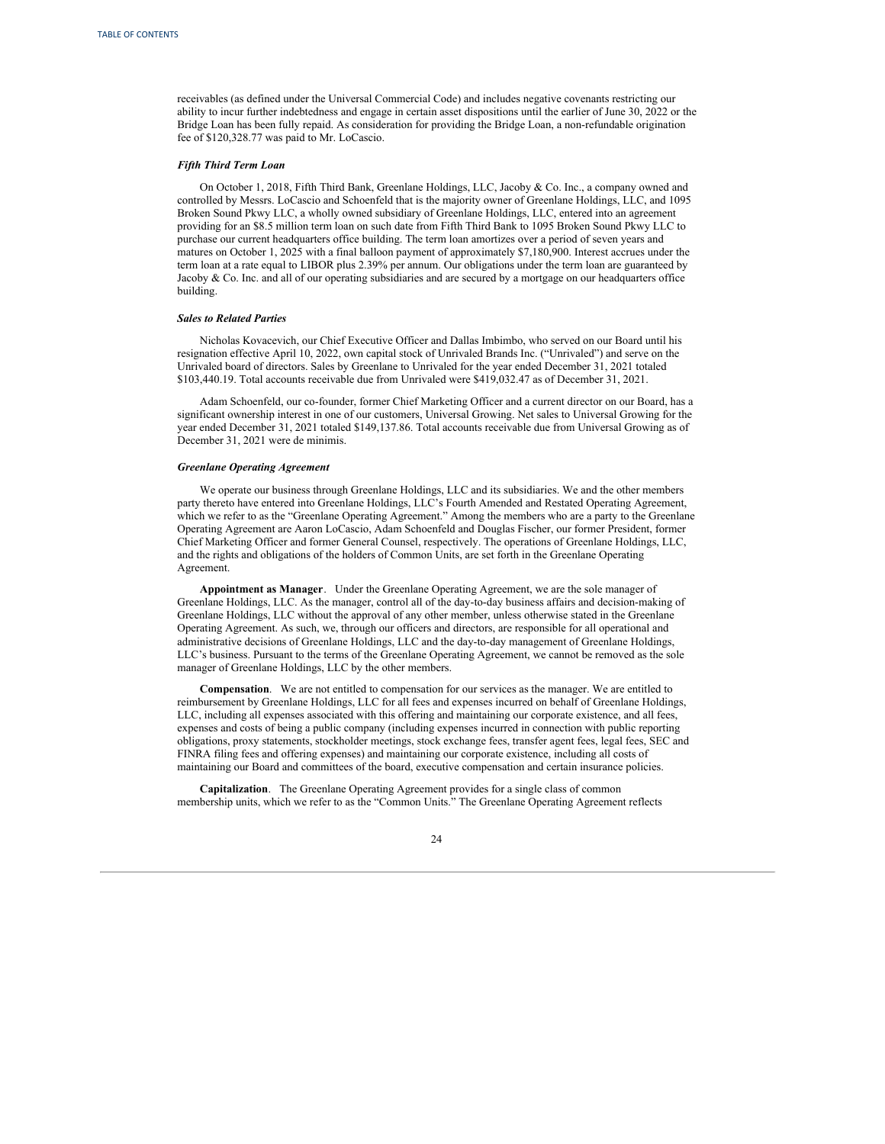receivables (as defined under the Universal Commercial Code) and includes negative covenants restricting our ability to incur further indebtedness and engage in certain asset dispositions until the earlier of June 30, 2022 or the Bridge Loan has been fully repaid. As consideration for providing the Bridge Loan, a non-refundable origination fee of \$120,328.77 was paid to Mr. LoCascio.

## *Fifth Third Term Loan*

On October 1, 2018, Fifth Third Bank, Greenlane Holdings, LLC, Jacoby & Co. Inc., a company owned and controlled by Messrs. LoCascio and Schoenfeld that is the majority owner of Greenlane Holdings, LLC, and 1095 Broken Sound Pkwy LLC, a wholly owned subsidiary of Greenlane Holdings, LLC, entered into an agreement providing for an \$8.5 million term loan on such date from Fifth Third Bank to 1095 Broken Sound Pkwy LLC to purchase our current headquarters office building. The term loan amortizes over a period of seven years and matures on October 1, 2025 with a final balloon payment of approximately \$7,180,900. Interest accrues under the term loan at a rate equal to LIBOR plus 2.39% per annum. Our obligations under the term loan are guaranteed by Jacoby & Co. Inc. and all of our operating subsidiaries and are secured by a mortgage on our headquarters office building.

#### *Sales to Related Parties*

Nicholas Kovacevich, our Chief Executive Officer and Dallas Imbimbo, who served on our Board until his resignation effective April 10, 2022, own capital stock of Unrivaled Brands Inc. ("Unrivaled") and serve on the Unrivaled board of directors. Sales by Greenlane to Unrivaled for the year ended December 31, 2021 totaled \$103,440.19. Total accounts receivable due from Unrivaled were \$419,032.47 as of December 31, 2021.

Adam Schoenfeld, our co-founder, former Chief Marketing Officer and a current director on our Board, has a significant ownership interest in one of our customers, Universal Growing. Net sales to Universal Growing for the year ended December 31, 2021 totaled \$149,137.86. Total accounts receivable due from Universal Growing as of December 31, 2021 were de minimis.

#### *Greenlane Operating Agreement*

We operate our business through Greenlane Holdings, LLC and its subsidiaries. We and the other members party thereto have entered into Greenlane Holdings, LLC's Fourth Amended and Restated Operating Agreement, which we refer to as the "Greenlane Operating Agreement." Among the members who are a party to the Greenlane Operating Agreement are Aaron LoCascio, Adam Schoenfeld and Douglas Fischer, our former President, former Chief Marketing Officer and former General Counsel, respectively. The operations of Greenlane Holdings, LLC, and the rights and obligations of the holders of Common Units, are set forth in the Greenlane Operating Agreement.

**Appointment as Manager**. Under the Greenlane Operating Agreement, we are the sole manager of Greenlane Holdings, LLC. As the manager, control all of the day-to-day business affairs and decision-making of Greenlane Holdings, LLC without the approval of any other member, unless otherwise stated in the Greenlane Operating Agreement. As such, we, through our officers and directors, are responsible for all operational and administrative decisions of Greenlane Holdings, LLC and the day-to-day management of Greenlane Holdings, LLC's business. Pursuant to the terms of the Greenlane Operating Agreement, we cannot be removed as the sole manager of Greenlane Holdings, LLC by the other members.

**Compensation**. We are not entitled to compensation for our services as the manager. We are entitled to reimbursement by Greenlane Holdings, LLC for all fees and expenses incurred on behalf of Greenlane Holdings, LLC, including all expenses associated with this offering and maintaining our corporate existence, and all fees, expenses and costs of being a public company (including expenses incurred in connection with public reporting obligations, proxy statements, stockholder meetings, stock exchange fees, transfer agent fees, legal fees, SEC and FINRA filing fees and offering expenses) and maintaining our corporate existence, including all costs of maintaining our Board and committees of the board, executive compensation and certain insurance policies.

**Capitalization**. The Greenlane Operating Agreement provides for a single class of common membership units, which we refer to as the "Common Units." The Greenlane Operating Agreement reflects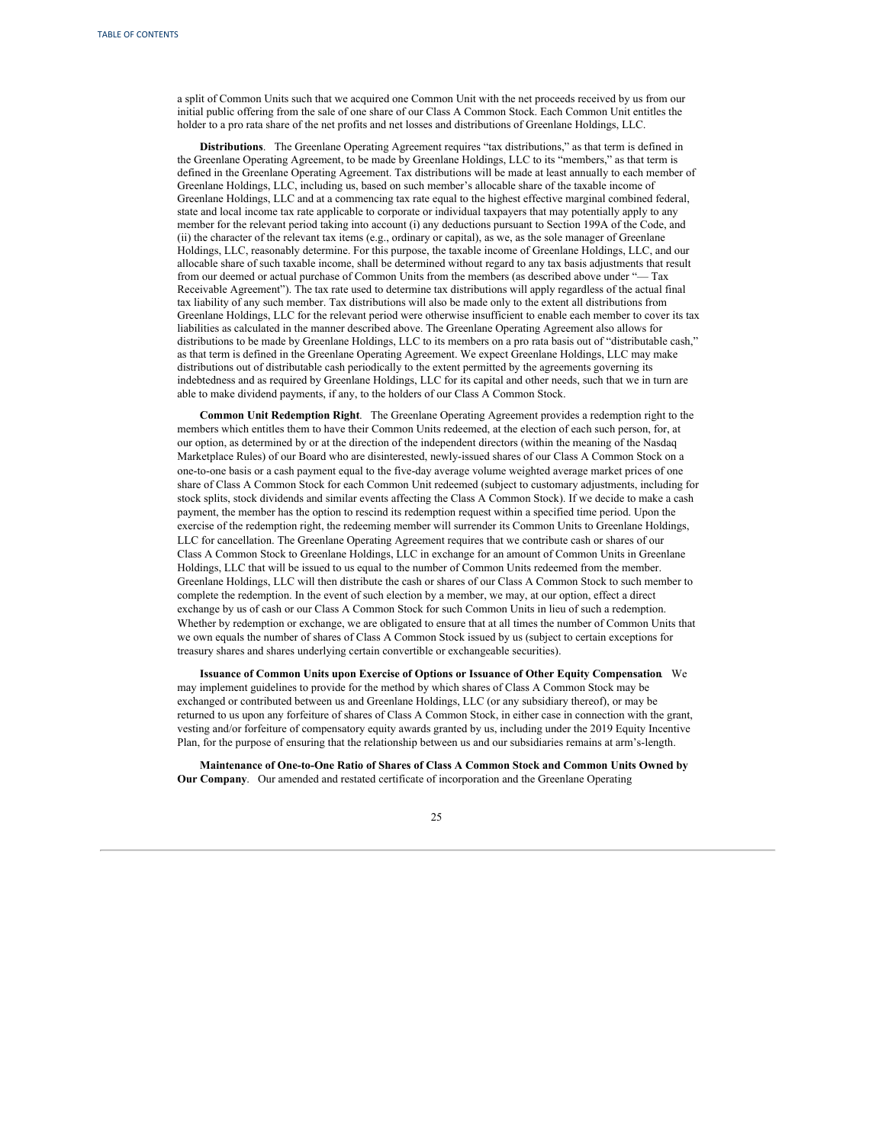a split of Common Units such that we acquired one Common Unit with the net proceeds received by us from our initial public offering from the sale of one share of our Class A Common Stock. Each Common Unit entitles the holder to a pro rata share of the net profits and net losses and distributions of Greenlane Holdings, LLC.

**Distributions**. The Greenlane Operating Agreement requires "tax distributions," as that term is defined in the Greenlane Operating Agreement, to be made by Greenlane Holdings, LLC to its "members," as that term is defined in the Greenlane Operating Agreement. Tax distributions will be made at least annually to each member of Greenlane Holdings, LLC, including us, based on such member's allocable share of the taxable income of Greenlane Holdings, LLC and at a commencing tax rate equal to the highest effective marginal combined federal, state and local income tax rate applicable to corporate or individual taxpayers that may potentially apply to any member for the relevant period taking into account (i) any deductions pursuant to Section 199A of the Code, and (ii) the character of the relevant tax items (e.g., ordinary or capital), as we, as the sole manager of Greenlane Holdings, LLC, reasonably determine. For this purpose, the taxable income of Greenlane Holdings, LLC, and our allocable share of such taxable income, shall be determined without regard to any tax basis adjustments that result from our deemed or actual purchase of Common Units from the members (as described above under "— Tax Receivable Agreement"). The tax rate used to determine tax distributions will apply regardless of the actual final tax liability of any such member. Tax distributions will also be made only to the extent all distributions from Greenlane Holdings, LLC for the relevant period were otherwise insufficient to enable each member to cover its tax liabilities as calculated in the manner described above. The Greenlane Operating Agreement also allows for distributions to be made by Greenlane Holdings, LLC to its members on a pro rata basis out of "distributable cash," as that term is defined in the Greenlane Operating Agreement. We expect Greenlane Holdings, LLC may make distributions out of distributable cash periodically to the extent permitted by the agreements governing its indebtedness and as required by Greenlane Holdings, LLC for its capital and other needs, such that we in turn are able to make dividend payments, if any, to the holders of our Class A Common Stock.

**Common Unit Redemption Right**. The Greenlane Operating Agreement provides a redemption right to the members which entitles them to have their Common Units redeemed, at the election of each such person, for, at our option, as determined by or at the direction of the independent directors (within the meaning of the Nasdaq Marketplace Rules) of our Board who are disinterested, newly-issued shares of our Class A Common Stock on a one-to-one basis or a cash payment equal to the five-day average volume weighted average market prices of one share of Class A Common Stock for each Common Unit redeemed (subject to customary adjustments, including for stock splits, stock dividends and similar events affecting the Class A Common Stock). If we decide to make a cash payment, the member has the option to rescind its redemption request within a specified time period. Upon the exercise of the redemption right, the redeeming member will surrender its Common Units to Greenlane Holdings, LLC for cancellation. The Greenlane Operating Agreement requires that we contribute cash or shares of our Class A Common Stock to Greenlane Holdings, LLC in exchange for an amount of Common Units in Greenlane Holdings, LLC that will be issued to us equal to the number of Common Units redeemed from the member. Greenlane Holdings, LLC will then distribute the cash or shares of our Class A Common Stock to such member to complete the redemption. In the event of such election by a member, we may, at our option, effect a direct exchange by us of cash or our Class A Common Stock for such Common Units in lieu of such a redemption. Whether by redemption or exchange, we are obligated to ensure that at all times the number of Common Units that we own equals the number of shares of Class A Common Stock issued by us (subject to certain exceptions for treasury shares and shares underlying certain convertible or exchangeable securities).

**Issuance of Common Units upon Exercise of Options or Issuance of Other Equity Compensation**. We may implement guidelines to provide for the method by which shares of Class A Common Stock may be exchanged or contributed between us and Greenlane Holdings, LLC (or any subsidiary thereof), or may be returned to us upon any forfeiture of shares of Class A Common Stock, in either case in connection with the grant, vesting and/or forfeiture of compensatory equity awards granted by us, including under the 2019 Equity Incentive Plan, for the purpose of ensuring that the relationship between us and our subsidiaries remains at arm's-length.

**Maintenance of One-to-One Ratio of Shares of Class A Common Stock and Common Units Owned by Our Company**. Our amended and restated certificate of incorporation and the Greenlane Operating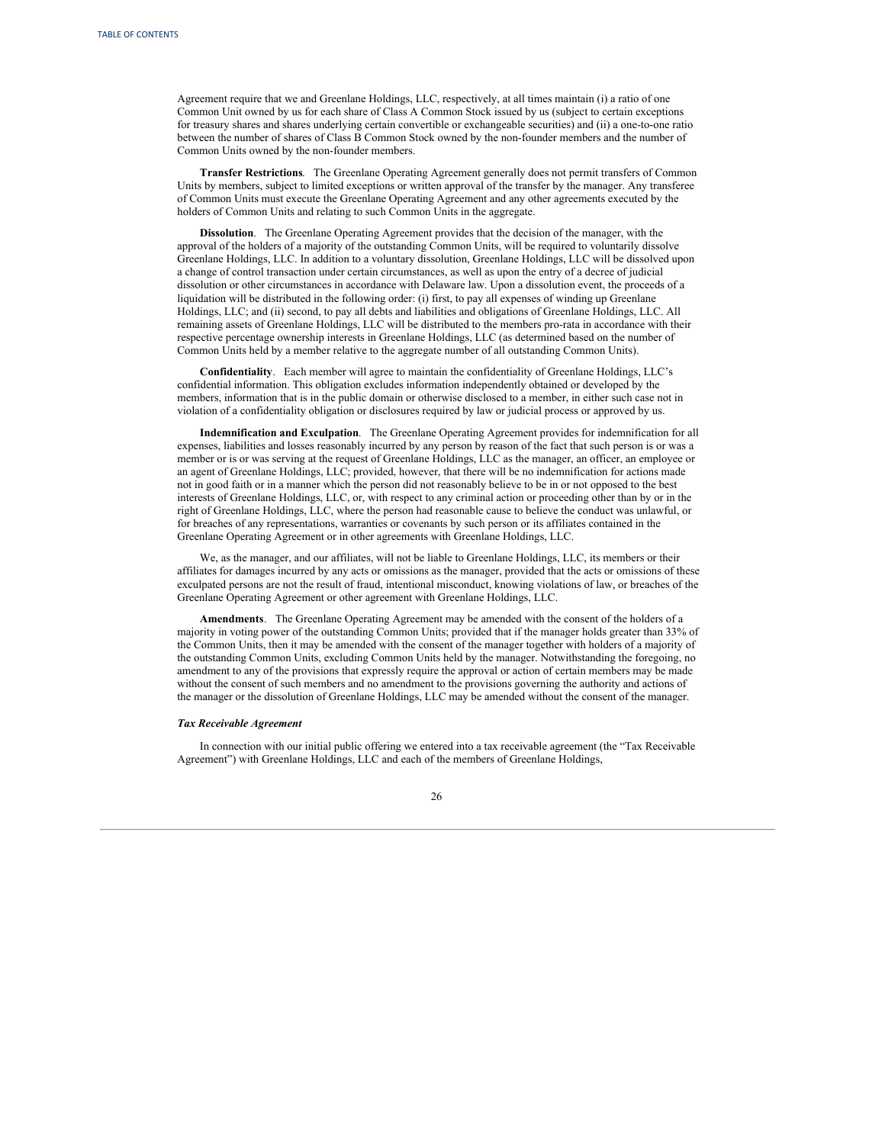Agreement require that we and Greenlane Holdings, LLC, respectively, at all times maintain (i) a ratio of one Common Unit owned by us for each share of Class A Common Stock issued by us (subject to certain exceptions for treasury shares and shares underlying certain convertible or exchangeable securities) and (ii) a one-to-one ratio between the number of shares of Class B Common Stock owned by the non-founder members and the number of Common Units owned by the non-founder members.

**Transfer Restrictions**. The Greenlane Operating Agreement generally does not permit transfers of Common Units by members, subject to limited exceptions or written approval of the transfer by the manager. Any transferee of Common Units must execute the Greenlane Operating Agreement and any other agreements executed by the holders of Common Units and relating to such Common Units in the aggregate.

**Dissolution**. The Greenlane Operating Agreement provides that the decision of the manager, with the approval of the holders of a majority of the outstanding Common Units, will be required to voluntarily dissolve Greenlane Holdings, LLC. In addition to a voluntary dissolution, Greenlane Holdings, LLC will be dissolved upon a change of control transaction under certain circumstances, as well as upon the entry of a decree of judicial dissolution or other circumstances in accordance with Delaware law. Upon a dissolution event, the proceeds of a liquidation will be distributed in the following order: (i) first, to pay all expenses of winding up Greenlane Holdings, LLC; and (ii) second, to pay all debts and liabilities and obligations of Greenlane Holdings, LLC. All remaining assets of Greenlane Holdings, LLC will be distributed to the members pro-rata in accordance with their respective percentage ownership interests in Greenlane Holdings, LLC (as determined based on the number of Common Units held by a member relative to the aggregate number of all outstanding Common Units).

**Confidentiality**. Each member will agree to maintain the confidentiality of Greenlane Holdings, LLC's confidential information. This obligation excludes information independently obtained or developed by the members, information that is in the public domain or otherwise disclosed to a member, in either such case not in violation of a confidentiality obligation or disclosures required by law or judicial process or approved by us.

**Indemnification and Exculpation**. The Greenlane Operating Agreement provides for indemnification for all expenses, liabilities and losses reasonably incurred by any person by reason of the fact that such person is or was a member or is or was serving at the request of Greenlane Holdings, LLC as the manager, an officer, an employee or an agent of Greenlane Holdings, LLC; provided, however, that there will be no indemnification for actions made not in good faith or in a manner which the person did not reasonably believe to be in or not opposed to the best interests of Greenlane Holdings, LLC, or, with respect to any criminal action or proceeding other than by or in the right of Greenlane Holdings, LLC, where the person had reasonable cause to believe the conduct was unlawful, or for breaches of any representations, warranties or covenants by such person or its affiliates contained in the Greenlane Operating Agreement or in other agreements with Greenlane Holdings, LLC.

We, as the manager, and our affiliates, will not be liable to Greenlane Holdings, LLC, its members or their affiliates for damages incurred by any acts or omissions as the manager, provided that the acts or omissions of these exculpated persons are not the result of fraud, intentional misconduct, knowing violations of law, or breaches of the Greenlane Operating Agreement or other agreement with Greenlane Holdings, LLC.

**Amendments**. The Greenlane Operating Agreement may be amended with the consent of the holders of a majority in voting power of the outstanding Common Units; provided that if the manager holds greater than 33% of the Common Units, then it may be amended with the consent of the manager together with holders of a majority of the outstanding Common Units, excluding Common Units held by the manager. Notwithstanding the foregoing, no amendment to any of the provisions that expressly require the approval or action of certain members may be made without the consent of such members and no amendment to the provisions governing the authority and actions of the manager or the dissolution of Greenlane Holdings, LLC may be amended without the consent of the manager.

#### *Tax Receivable Agreement*

In connection with our initial public offering we entered into a tax receivable agreement (the "Tax Receivable Agreement") with Greenlane Holdings, LLC and each of the members of Greenlane Holdings,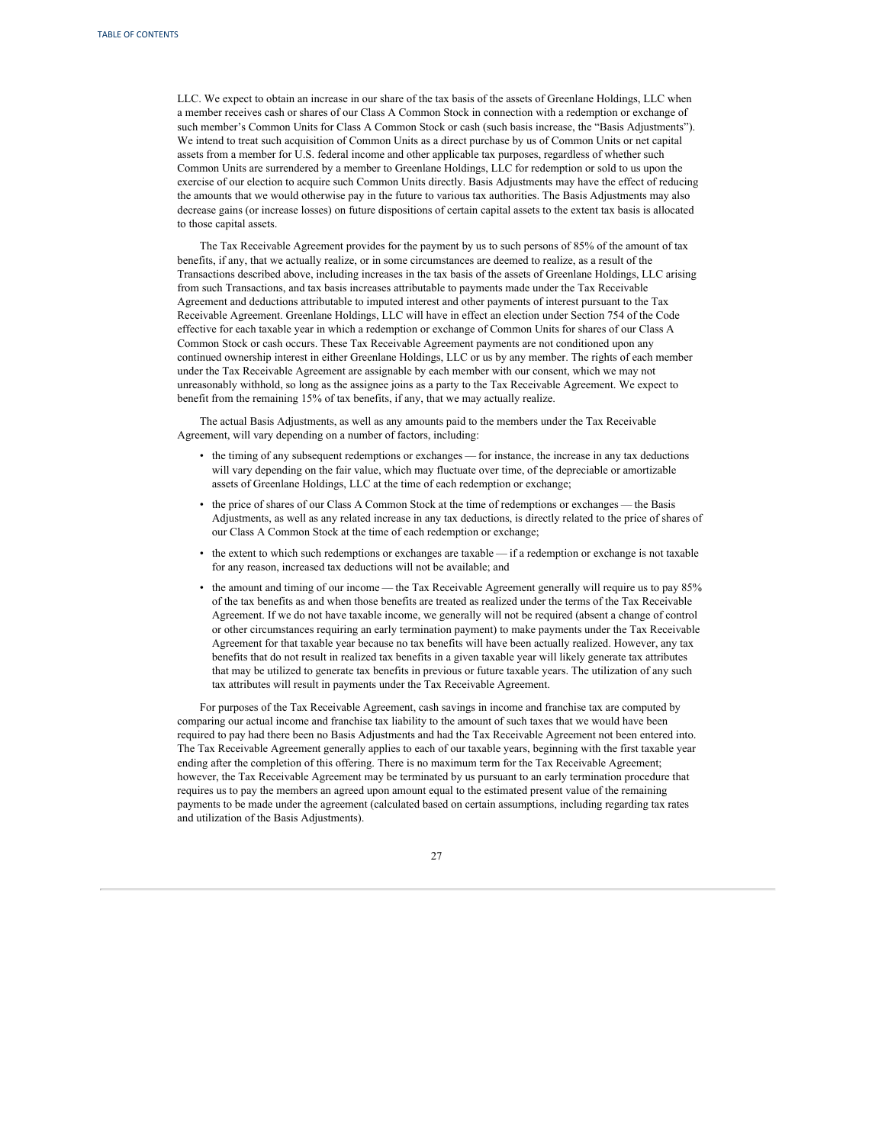LLC. We expect to obtain an increase in our share of the tax basis of the assets of Greenlane Holdings, LLC when a member receives cash or shares of our Class A Common Stock in connection with a redemption or exchange of such member's Common Units for Class A Common Stock or cash (such basis increase, the "Basis Adjustments"). We intend to treat such acquisition of Common Units as a direct purchase by us of Common Units or net capital assets from a member for U.S. federal income and other applicable tax purposes, regardless of whether such Common Units are surrendered by a member to Greenlane Holdings, LLC for redemption or sold to us upon the exercise of our election to acquire such Common Units directly. Basis Adjustments may have the effect of reducing the amounts that we would otherwise pay in the future to various tax authorities. The Basis Adjustments may also decrease gains (or increase losses) on future dispositions of certain capital assets to the extent tax basis is allocated to those capital assets.

The Tax Receivable Agreement provides for the payment by us to such persons of 85% of the amount of tax benefits, if any, that we actually realize, or in some circumstances are deemed to realize, as a result of the Transactions described above, including increases in the tax basis of the assets of Greenlane Holdings, LLC arising from such Transactions, and tax basis increases attributable to payments made under the Tax Receivable Agreement and deductions attributable to imputed interest and other payments of interest pursuant to the Tax Receivable Agreement. Greenlane Holdings, LLC will have in effect an election under Section 754 of the Code effective for each taxable year in which a redemption or exchange of Common Units for shares of our Class A Common Stock or cash occurs. These Tax Receivable Agreement payments are not conditioned upon any continued ownership interest in either Greenlane Holdings, LLC or us by any member. The rights of each member under the Tax Receivable Agreement are assignable by each member with our consent, which we may not unreasonably withhold, so long as the assignee joins as a party to the Tax Receivable Agreement. We expect to benefit from the remaining 15% of tax benefits, if any, that we may actually realize.

The actual Basis Adjustments, as well as any amounts paid to the members under the Tax Receivable Agreement, will vary depending on a number of factors, including:

- the timing of any subsequent redemptions or exchanges for instance, the increase in any tax deductions will vary depending on the fair value, which may fluctuate over time, of the depreciable or amortizable assets of Greenlane Holdings, LLC at the time of each redemption or exchange;
- the price of shares of our Class A Common Stock at the time of redemptions or exchanges the Basis Adjustments, as well as any related increase in any tax deductions, is directly related to the price of shares of our Class A Common Stock at the time of each redemption or exchange;
- the extent to which such redemptions or exchanges are taxable if a redemption or exchange is not taxable for any reason, increased tax deductions will not be available; and
- the amount and timing of our income the Tax Receivable Agreement generally will require us to pay 85% of the tax benefits as and when those benefits are treated as realized under the terms of the Tax Receivable Agreement. If we do not have taxable income, we generally will not be required (absent a change of control or other circumstances requiring an early termination payment) to make payments under the Tax Receivable Agreement for that taxable year because no tax benefits will have been actually realized. However, any tax benefits that do not result in realized tax benefits in a given taxable year will likely generate tax attributes that may be utilized to generate tax benefits in previous or future taxable years. The utilization of any such tax attributes will result in payments under the Tax Receivable Agreement.

For purposes of the Tax Receivable Agreement, cash savings in income and franchise tax are computed by comparing our actual income and franchise tax liability to the amount of such taxes that we would have been required to pay had there been no Basis Adjustments and had the Tax Receivable Agreement not been entered into. The Tax Receivable Agreement generally applies to each of our taxable years, beginning with the first taxable year ending after the completion of this offering. There is no maximum term for the Tax Receivable Agreement; however, the Tax Receivable Agreement may be terminated by us pursuant to an early termination procedure that requires us to pay the members an agreed upon amount equal to the estimated present value of the remaining payments to be made under the agreement (calculated based on certain assumptions, including regarding tax rates and utilization of the Basis Adjustments).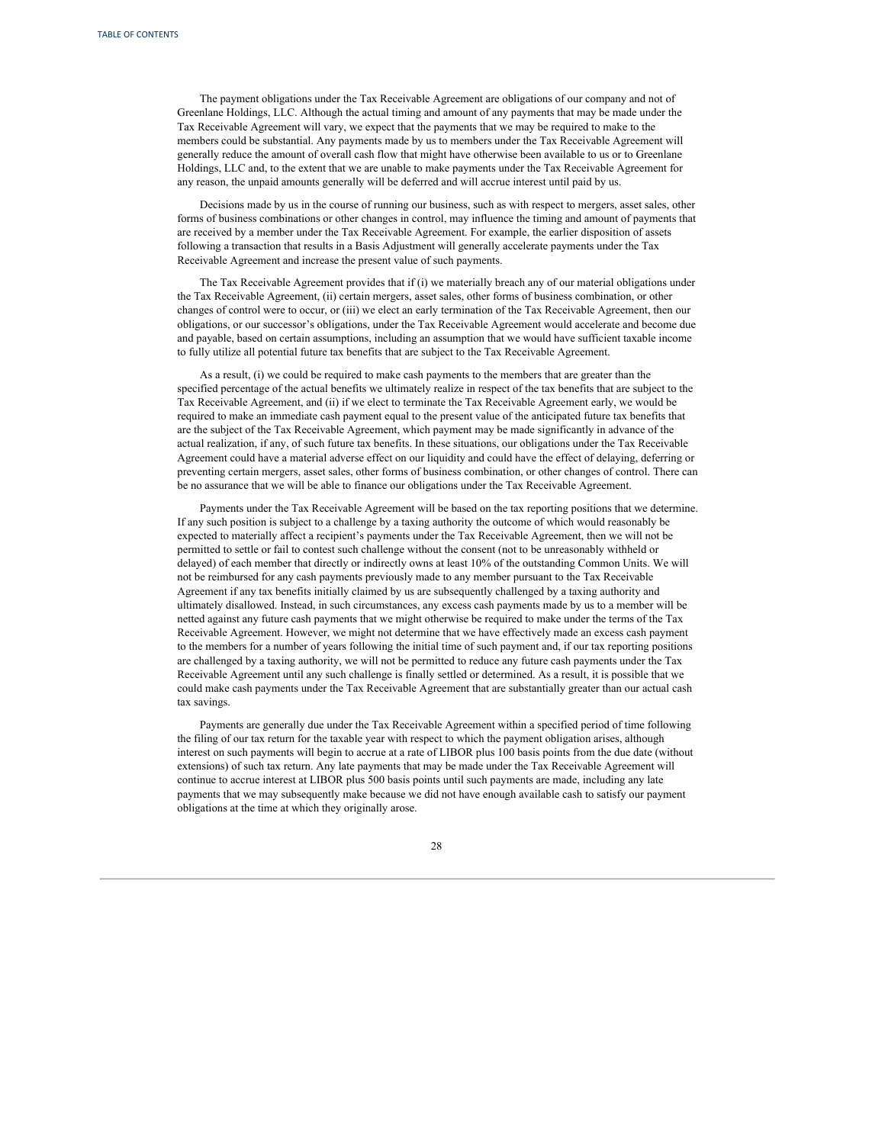The payment obligations under the Tax Receivable Agreement are obligations of our company and not of Greenlane Holdings, LLC. Although the actual timing and amount of any payments that may be made under the Tax Receivable Agreement will vary, we expect that the payments that we may be required to make to the members could be substantial. Any payments made by us to members under the Tax Receivable Agreement will generally reduce the amount of overall cash flow that might have otherwise been available to us or to Greenlane Holdings, LLC and, to the extent that we are unable to make payments under the Tax Receivable Agreement for any reason, the unpaid amounts generally will be deferred and will accrue interest until paid by us.

Decisions made by us in the course of running our business, such as with respect to mergers, asset sales, other forms of business combinations or other changes in control, may influence the timing and amount of payments that are received by a member under the Tax Receivable Agreement. For example, the earlier disposition of assets following a transaction that results in a Basis Adjustment will generally accelerate payments under the Tax Receivable Agreement and increase the present value of such payments.

The Tax Receivable Agreement provides that if (i) we materially breach any of our material obligations under the Tax Receivable Agreement, (ii) certain mergers, asset sales, other forms of business combination, or other changes of control were to occur, or (iii) we elect an early termination of the Tax Receivable Agreement, then our obligations, or our successor's obligations, under the Tax Receivable Agreement would accelerate and become due and payable, based on certain assumptions, including an assumption that we would have sufficient taxable income to fully utilize all potential future tax benefits that are subject to the Tax Receivable Agreement.

As a result, (i) we could be required to make cash payments to the members that are greater than the specified percentage of the actual benefits we ultimately realize in respect of the tax benefits that are subject to the Tax Receivable Agreement, and (ii) if we elect to terminate the Tax Receivable Agreement early, we would be required to make an immediate cash payment equal to the present value of the anticipated future tax benefits that are the subject of the Tax Receivable Agreement, which payment may be made significantly in advance of the actual realization, if any, of such future tax benefits. In these situations, our obligations under the Tax Receivable Agreement could have a material adverse effect on our liquidity and could have the effect of delaying, deferring or preventing certain mergers, asset sales, other forms of business combination, or other changes of control. There can be no assurance that we will be able to finance our obligations under the Tax Receivable Agreement.

Payments under the Tax Receivable Agreement will be based on the tax reporting positions that we determine. If any such position is subject to a challenge by a taxing authority the outcome of which would reasonably be expected to materially affect a recipient's payments under the Tax Receivable Agreement, then we will not be permitted to settle or fail to contest such challenge without the consent (not to be unreasonably withheld or delayed) of each member that directly or indirectly owns at least 10% of the outstanding Common Units. We will not be reimbursed for any cash payments previously made to any member pursuant to the Tax Receivable Agreement if any tax benefits initially claimed by us are subsequently challenged by a taxing authority and ultimately disallowed. Instead, in such circumstances, any excess cash payments made by us to a member will be netted against any future cash payments that we might otherwise be required to make under the terms of the Tax Receivable Agreement. However, we might not determine that we have effectively made an excess cash payment to the members for a number of years following the initial time of such payment and, if our tax reporting positions are challenged by a taxing authority, we will not be permitted to reduce any future cash payments under the Tax Receivable Agreement until any such challenge is finally settled or determined. As a result, it is possible that we could make cash payments under the Tax Receivable Agreement that are substantially greater than our actual cash tax savings.

Payments are generally due under the Tax Receivable Agreement within a specified period of time following the filing of our tax return for the taxable year with respect to which the payment obligation arises, although interest on such payments will begin to accrue at a rate of LIBOR plus 100 basis points from the due date (without extensions) of such tax return. Any late payments that may be made under the Tax Receivable Agreement will continue to accrue interest at LIBOR plus 500 basis points until such payments are made, including any late payments that we may subsequently make because we did not have enough available cash to satisfy our payment obligations at the time at which they originally arose.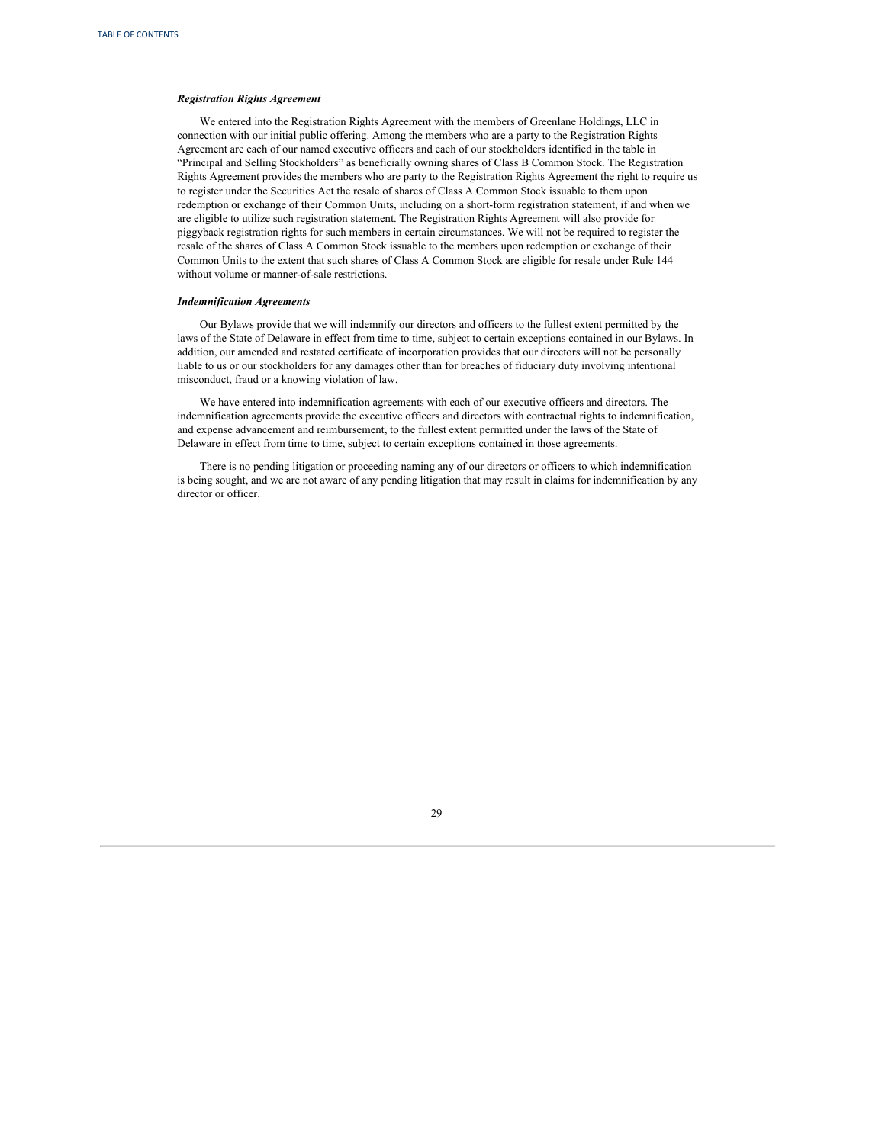## *Registration Rights Agreement*

We entered into the Registration Rights Agreement with the members of Greenlane Holdings, LLC in connection with our initial public offering. Among the members who are a party to the Registration Rights Agreement are each of our named executive officers and each of our stockholders identified in the table in "Principal and Selling Stockholders" as beneficially owning shares of Class B Common Stock. The Registration Rights Agreement provides the members who are party to the Registration Rights Agreement the right to require us to register under the Securities Act the resale of shares of Class A Common Stock issuable to them upon redemption or exchange of their Common Units, including on a short-form registration statement, if and when we are eligible to utilize such registration statement. The Registration Rights Agreement will also provide for piggyback registration rights for such members in certain circumstances. We will not be required to register the resale of the shares of Class A Common Stock issuable to the members upon redemption or exchange of their Common Units to the extent that such shares of Class A Common Stock are eligible for resale under Rule 144 without volume or manner-of-sale restrictions.

## *Indemnification Agreements*

Our Bylaws provide that we will indemnify our directors and officers to the fullest extent permitted by the laws of the State of Delaware in effect from time to time, subject to certain exceptions contained in our Bylaws. In addition, our amended and restated certificate of incorporation provides that our directors will not be personally liable to us or our stockholders for any damages other than for breaches of fiduciary duty involving intentional misconduct, fraud or a knowing violation of law.

We have entered into indemnification agreements with each of our executive officers and directors. The indemnification agreements provide the executive officers and directors with contractual rights to indemnification, and expense advancement and reimbursement, to the fullest extent permitted under the laws of the State of Delaware in effect from time to time, subject to certain exceptions contained in those agreements.

There is no pending litigation or proceeding naming any of our directors or officers to which indemnification is being sought, and we are not aware of any pending litigation that may result in claims for indemnification by any director or officer.

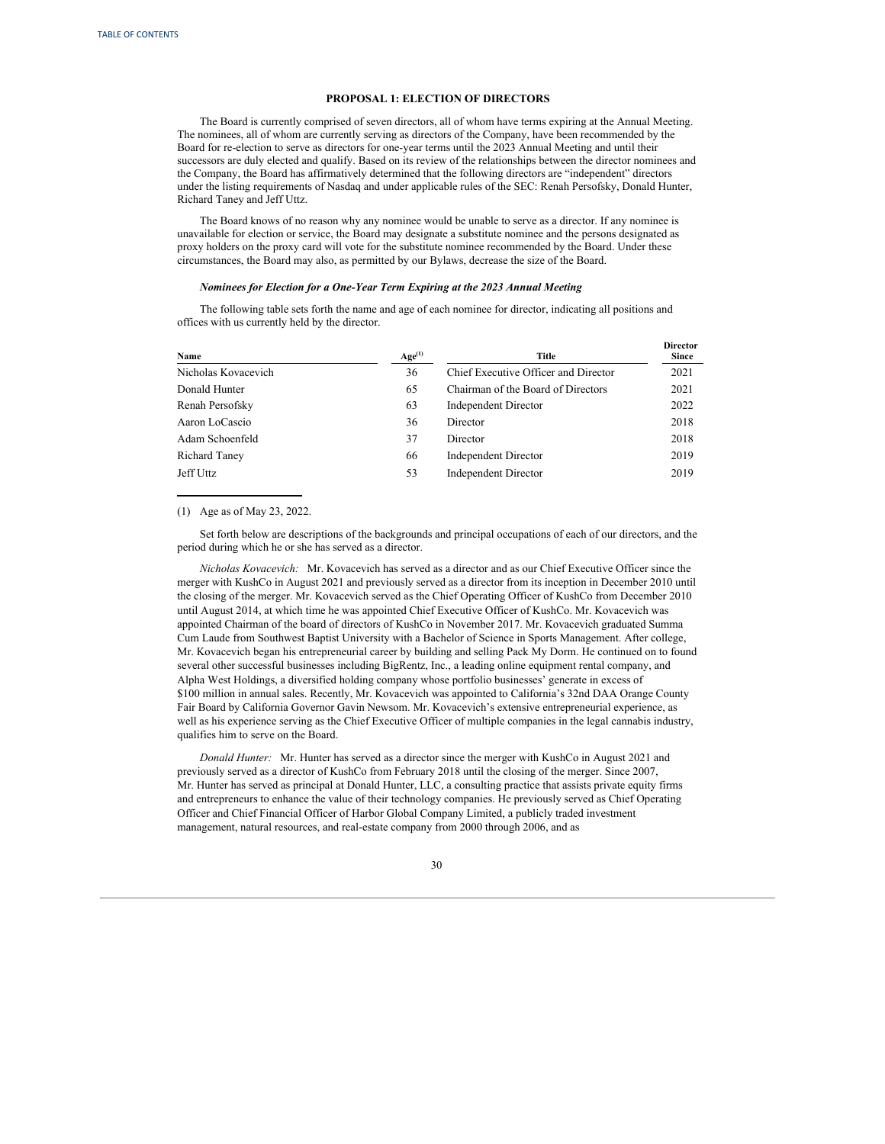## **PROPOSAL 1: ELECTION OF DIRECTORS**

<span id="page-34-0"></span>The Board is currently comprised of seven directors, all of whom have terms expiring at the Annual Meeting. The nominees, all of whom are currently serving as directors of the Company, have been recommended by the Board for re-election to serve as directors for one-year terms until the 2023 Annual Meeting and until their successors are duly elected and qualify. Based on its review of the relationships between the director nominees and the Company, the Board has affirmatively determined that the following directors are "independent" directors under the listing requirements of Nasdaq and under applicable rules of the SEC: Renah Persofsky, Donald Hunter, Richard Taney and Jeff Uttz.

The Board knows of no reason why any nominee would be unable to serve as a director. If any nominee is unavailable for election or service, the Board may designate a substitute nominee and the persons designated as proxy holders on the proxy card will vote for the substitute nominee recommended by the Board. Under these circumstances, the Board may also, as permitted by our Bylaws, decrease the size of the Board.

## *Nominees for Election for a One-Year Term Expiring at the 2023 Annual Meeting*

The following table sets forth the name and age of each nominee for director, indicating all positions and offices with us currently held by the director.

| Name                 | Age <sup>(1)</sup> | Title                                | <b>Director</b><br><b>Since</b> |
|----------------------|--------------------|--------------------------------------|---------------------------------|
| Nicholas Kovacevich  | 36                 | Chief Executive Officer and Director | 2021                            |
| Donald Hunter        | 65                 | Chairman of the Board of Directors   | 2021                            |
| Renah Persofsky      | 63                 | <b>Independent Director</b>          | 2022                            |
| Aaron LoCascio       | 36                 | Director                             | 2018                            |
| Adam Schoenfeld      | 37                 | Director                             | 2018                            |
| <b>Richard Taney</b> | 66                 | <b>Independent Director</b>          | 2019                            |
| Jeff Uttz            | 53                 | <b>Independent Director</b>          | 2019                            |

#### (1) Age as of May 23, 2022.

Set forth below are descriptions of the backgrounds and principal occupations of each of our directors, and the period during which he or she has served as a director.

*Nicholas Kovacevich:* Mr. Kovacevich has served as a director and as our Chief Executive Officer since the merger with KushCo in August 2021 and previously served as a director from its inception in December 2010 until the closing of the merger. Mr. Kovacevich served as the Chief Operating Officer of KushCo from December 2010 until August 2014, at which time he was appointed Chief Executive Officer of KushCo. Mr. Kovacevich was appointed Chairman of the board of directors of KushCo in November 2017. Mr. Kovacevich graduated Summa Cum Laude from Southwest Baptist University with a Bachelor of Science in Sports Management. After college, Mr. Kovacevich began his entrepreneurial career by building and selling Pack My Dorm. He continued on to found several other successful businesses including BigRentz, Inc., a leading online equipment rental company, and Alpha West Holdings, a diversified holding company whose portfolio businesses' generate in excess of \$100 million in annual sales. Recently, Mr. Kovacevich was appointed to California's 32nd DAA Orange County Fair Board by California Governor Gavin Newsom. Mr. Kovacevich's extensive entrepreneurial experience, as well as his experience serving as the Chief Executive Officer of multiple companies in the legal cannabis industry, qualifies him to serve on the Board.

*Donald Hunter:* Mr. Hunter has served as a director since the merger with KushCo in August 2021 and previously served as a director of KushCo from February 2018 until the closing of the merger. Since 2007, Mr. Hunter has served as principal at Donald Hunter, LLC, a consulting practice that assists private equity firms and entrepreneurs to enhance the value of their technology companies. He previously served as Chief Operating Officer and Chief Financial Officer of Harbor Global Company Limited, a publicly traded investment management, natural resources, and real-estate company from 2000 through 2006, and as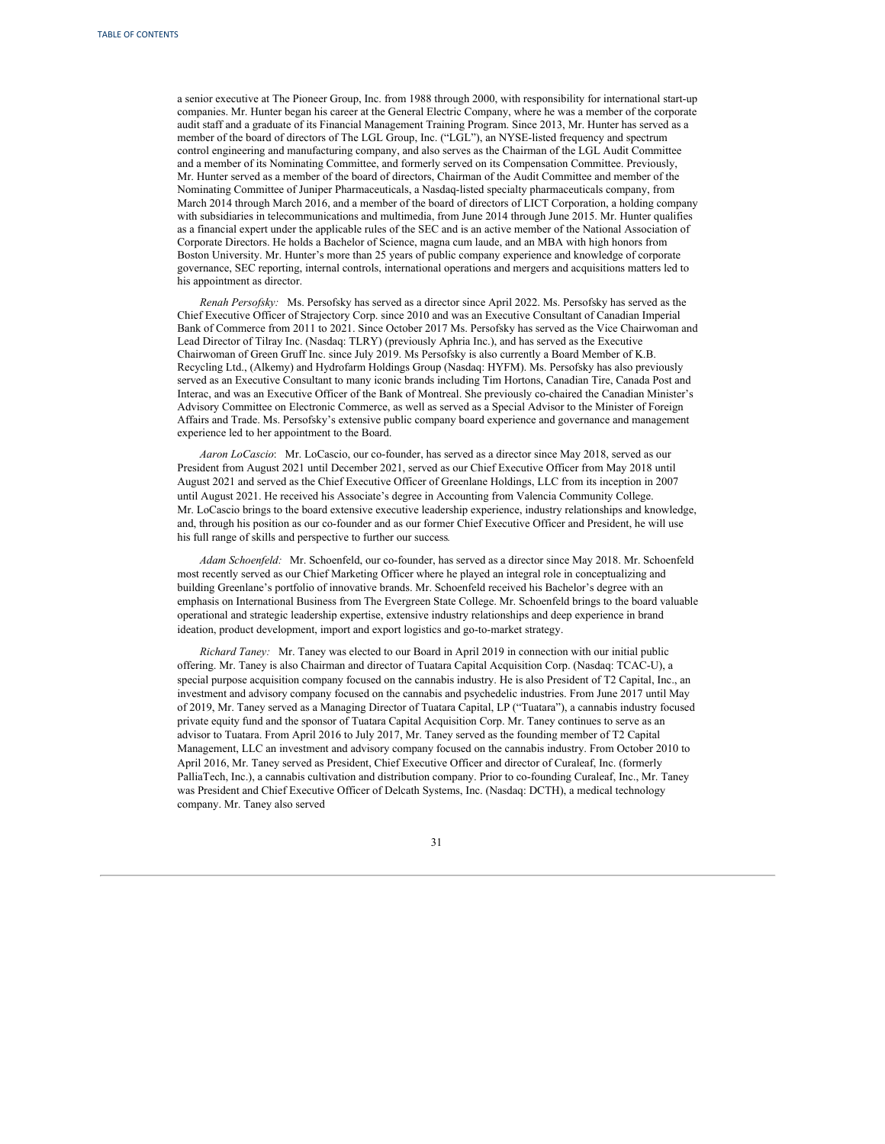a senior executive at The Pioneer Group, Inc. from 1988 through 2000, with responsibility for international start-up companies. Mr. Hunter began his career at the General Electric Company, where he was a member of the corporate audit staff and a graduate of its Financial Management Training Program. Since 2013, Mr. Hunter has served as a member of the board of directors of The LGL Group, Inc. ("LGL"), an NYSE-listed frequency and spectrum control engineering and manufacturing company, and also serves as the Chairman of the LGL Audit Committee and a member of its Nominating Committee, and formerly served on its Compensation Committee. Previously, Mr. Hunter served as a member of the board of directors, Chairman of the Audit Committee and member of the Nominating Committee of Juniper Pharmaceuticals, a Nasdaq-listed specialty pharmaceuticals company, from March 2014 through March 2016, and a member of the board of directors of LICT Corporation, a holding company with subsidiaries in telecommunications and multimedia, from June 2014 through June 2015. Mr. Hunter qualifies as a financial expert under the applicable rules of the SEC and is an active member of the National Association of Corporate Directors. He holds a Bachelor of Science, magna cum laude, and an MBA with high honors from Boston University. Mr. Hunter's more than 25 years of public company experience and knowledge of corporate governance, SEC reporting, internal controls, international operations and mergers and acquisitions matters led to his appointment as director.

*Renah Persofsky:* Ms. Persofsky has served as a director since April 2022. Ms. Persofsky has served as the Chief Executive Officer of Strajectory Corp. since 2010 and was an Executive Consultant of Canadian Imperial Bank of Commerce from 2011 to 2021. Since October 2017 Ms. Persofsky has served as the Vice Chairwoman and Lead Director of Tilray Inc. (Nasdaq: TLRY) (previously Aphria Inc.), and has served as the Executive Chairwoman of Green Gruff Inc. since July 2019. Ms Persofsky is also currently a Board Member of K.B. Recycling Ltd., (Alkemy) and Hydrofarm Holdings Group (Nasdaq: HYFM). Ms. Persofsky has also previously served as an Executive Consultant to many iconic brands including Tim Hortons, Canadian Tire, Canada Post and Interac, and was an Executive Officer of the Bank of Montreal. She previously co-chaired the Canadian Minister's Advisory Committee on Electronic Commerce, as well as served as a Special Advisor to the Minister of Foreign Affairs and Trade. Ms. Persofsky's extensive public company board experience and governance and management experience led to her appointment to the Board.

*Aaron LoCascio*: Mr. LoCascio, our co-founder, has served as a director since May 2018, served as our President from August 2021 until December 2021, served as our Chief Executive Officer from May 2018 until August 2021 and served as the Chief Executive Officer of Greenlane Holdings, LLC from its inception in 2007 until August 2021. He received his Associate's degree in Accounting from Valencia Community College. Mr. LoCascio brings to the board extensive executive leadership experience, industry relationships and knowledge, and, through his position as our co-founder and as our former Chief Executive Officer and President, he will use his full range of skills and perspective to further our success*.*

*Adam Schoenfeld:* Mr. Schoenfeld, our co-founder, has served as a director since May 2018. Mr. Schoenfeld most recently served as our Chief Marketing Officer where he played an integral role in conceptualizing and building Greenlane's portfolio of innovative brands. Mr. Schoenfeld received his Bachelor's degree with an emphasis on International Business from The Evergreen State College. Mr. Schoenfeld brings to the board valuable operational and strategic leadership expertise, extensive industry relationships and deep experience in brand ideation, product development, import and export logistics and go-to-market strategy.

*Richard Taney:* Mr. Taney was elected to our Board in April 2019 in connection with our initial public offering. Mr. Taney is also Chairman and director of Tuatara Capital Acquisition Corp. (Nasdaq: TCAC-U), a special purpose acquisition company focused on the cannabis industry. He is also President of T2 Capital, Inc., an investment and advisory company focused on the cannabis and psychedelic industries. From June 2017 until May of 2019, Mr. Taney served as a Managing Director of Tuatara Capital, LP ("Tuatara"), a cannabis industry focused private equity fund and the sponsor of Tuatara Capital Acquisition Corp. Mr. Taney continues to serve as an advisor to Tuatara. From April 2016 to July 2017, Mr. Taney served as the founding member of T2 Capital Management, LLC an investment and advisory company focused on the cannabis industry. From October 2010 to April 2016, Mr. Taney served as President, Chief Executive Officer and director of Curaleaf, Inc. (formerly PalliaTech, Inc.), a cannabis cultivation and distribution company. Prior to co-founding Curaleaf, Inc., Mr. Taney was President and Chief Executive Officer of Delcath Systems, Inc. (Nasdaq: DCTH), a medical technology company. Mr. Taney also served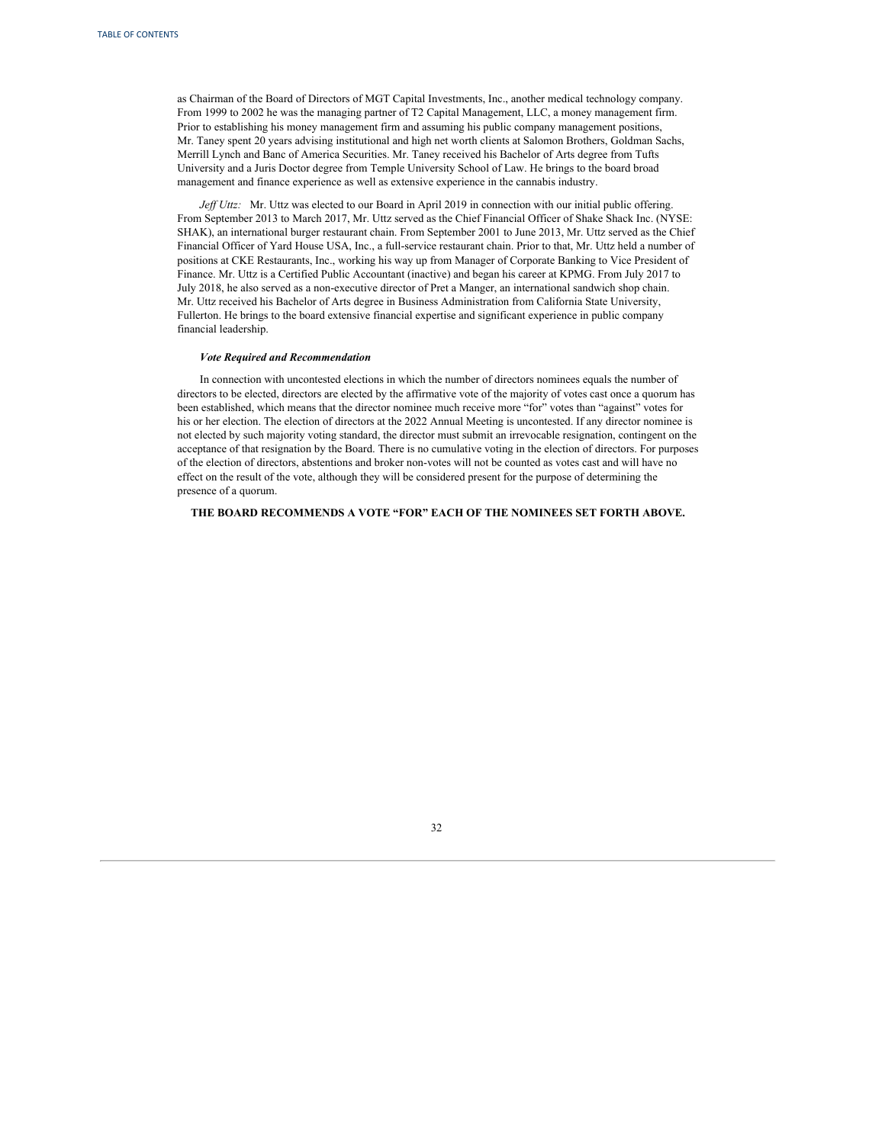as Chairman of the Board of Directors of MGT Capital Investments, Inc., another medical technology company. From 1999 to 2002 he was the managing partner of T2 Capital Management, LLC, a money management firm. Prior to establishing his money management firm and assuming his public company management positions, Mr. Taney spent 20 years advising institutional and high net worth clients at Salomon Brothers, Goldman Sachs, Merrill Lynch and Banc of America Securities. Mr. Taney received his Bachelor of Arts degree from Tufts University and a Juris Doctor degree from Temple University School of Law. He brings to the board broad management and finance experience as well as extensive experience in the cannabis industry.

*Jef Uttz:* Mr. Uttz was elected to our Board in April 2019 in connection with our initial public offering. From September 2013 to March 2017, Mr. Uttz served as the Chief Financial Officer of Shake Shack Inc. (NYSE: SHAK), an international burger restaurant chain. From September 2001 to June 2013, Mr. Uttz served as the Chief Financial Officer of Yard House USA, Inc., a full-service restaurant chain. Prior to that, Mr. Uttz held a number of positions at CKE Restaurants, Inc., working his way up from Manager of Corporate Banking to Vice President of Finance. Mr. Uttz is a Certified Public Accountant (inactive) and began his career at KPMG. From July 2017 to July 2018, he also served as a non-executive director of Pret a Manger, an international sandwich shop chain. Mr. Uttz received his Bachelor of Arts degree in Business Administration from California State University, Fullerton. He brings to the board extensive financial expertise and significant experience in public company financial leadership.

#### *Vote Required and Recommendation*

In connection with uncontested elections in which the number of directors nominees equals the number of directors to be elected, directors are elected by the affirmative vote of the majority of votes cast once a quorum has been established, which means that the director nominee much receive more "for" votes than "against" votes for his or her election. The election of directors at the 2022 Annual Meeting is uncontested. If any director nominee is not elected by such majority voting standard, the director must submit an irrevocable resignation, contingent on the acceptance of that resignation by the Board. There is no cumulative voting in the election of directors. For purposes of the election of directors, abstentions and broker non-votes will not be counted as votes cast and will have no effect on the result of the vote, although they will be considered present for the purpose of determining the presence of a quorum.

**THE BOARD RECOMMENDS A VOTE "FOR" EACH OF THE NOMINEES SET FORTH ABOVE.**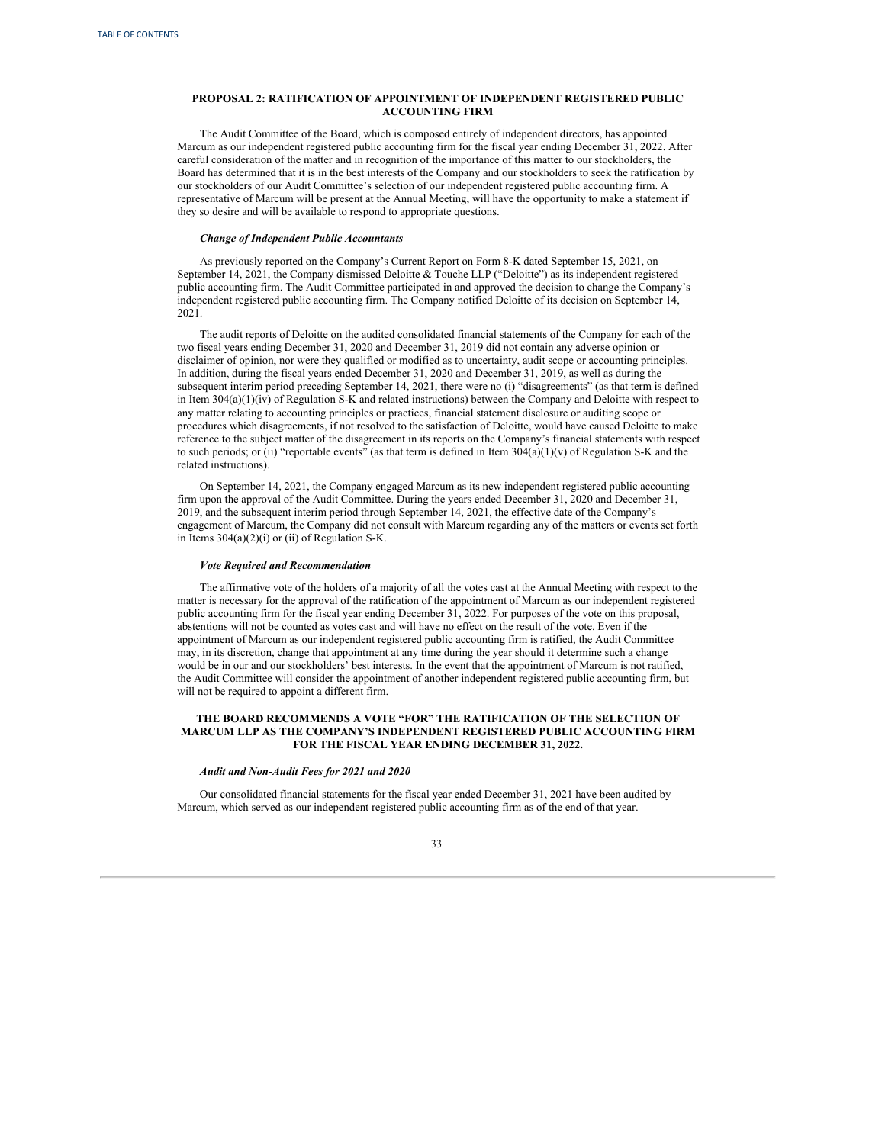## **PROPOSAL 2: RATIFICATION OF APPOINTMENT OF INDEPENDENT REGISTERED PUBLIC ACCOUNTING FIRM**

The Audit Committee of the Board, which is composed entirely of independent directors, has appointed Marcum as our independent registered public accounting firm for the fiscal year ending December 31, 2022. After careful consideration of the matter and in recognition of the importance of this matter to our stockholders, the Board has determined that it is in the best interests of the Company and our stockholders to seek the ratification by our stockholders of our Audit Committee's selection of our independent registered public accounting firm. A representative of Marcum will be present at the Annual Meeting, will have the opportunity to make a statement if they so desire and will be available to respond to appropriate questions.

#### *Change of Independent Public Accountants*

As previously reported on the Company's Current Report on Form 8-K dated September 15, 2021, on September 14, 2021, the Company dismissed Deloitte & Touche LLP ("Deloitte") as its independent registered public accounting firm. The Audit Committee participated in and approved the decision to change the Company's independent registered public accounting firm. The Company notified Deloitte of its decision on September 14, 2021.

The audit reports of Deloitte on the audited consolidated financial statements of the Company for each of the two fiscal years ending December 31, 2020 and December 31, 2019 did not contain any adverse opinion or disclaimer of opinion, nor were they qualified or modified as to uncertainty, audit scope or accounting principles. In addition, during the fiscal years ended December 31, 2020 and December 31, 2019, as well as during the subsequent interim period preceding September 14, 2021, there were no (i) "disagreements" (as that term is defined in Item 304(a)(1)(iv) of Regulation S-K and related instructions) between the Company and Deloitte with respect to any matter relating to accounting principles or practices, financial statement disclosure or auditing scope or procedures which disagreements, if not resolved to the satisfaction of Deloitte, would have caused Deloitte to make reference to the subject matter of the disagreement in its reports on the Company's financial statements with respect to such periods; or (ii) "reportable events" (as that term is defined in Item  $304(a)(1)(v)$  of Regulation S-K and the related instructions).

On September 14, 2021, the Company engaged Marcum as its new independent registered public accounting firm upon the approval of the Audit Committee. During the years ended December 31, 2020 and December 31, 2019, and the subsequent interim period through September 14, 2021, the effective date of the Company's engagement of Marcum, the Company did not consult with Marcum regarding any of the matters or events set forth in Items  $304(a)(2)(i)$  or (ii) of Regulation S-K.

## *Vote Required and Recommendation*

The affirmative vote of the holders of a majority of all the votes cast at the Annual Meeting with respect to the matter is necessary for the approval of the ratification of the appointment of Marcum as our independent registered public accounting firm for the fiscal year ending December 31, 2022. For purposes of the vote on this proposal, abstentions will not be counted as votes cast and will have no effect on the result of the vote. Even if the appointment of Marcum as our independent registered public accounting firm is ratified, the Audit Committee may, in its discretion, change that appointment at any time during the year should it determine such a change would be in our and our stockholders' best interests. In the event that the appointment of Marcum is not ratified, the Audit Committee will consider the appointment of another independent registered public accounting firm, but will not be required to appoint a different firm.

## **THE BOARD RECOMMENDS A VOTE "FOR" THE RATIFICATION OF THE SELECTION OF MARCUM LLP AS THE COMPANY'S INDEPENDENT REGISTERED PUBLIC ACCOUNTING FIRM FOR THE FISCAL YEAR ENDING DECEMBER 31, 2022.**

## *Audit and Non-Audit Fees for 2021 and 2020*

Our consolidated financial statements for the fiscal year ended December 31, 2021 have been audited by Marcum, which served as our independent registered public accounting firm as of the end of that year.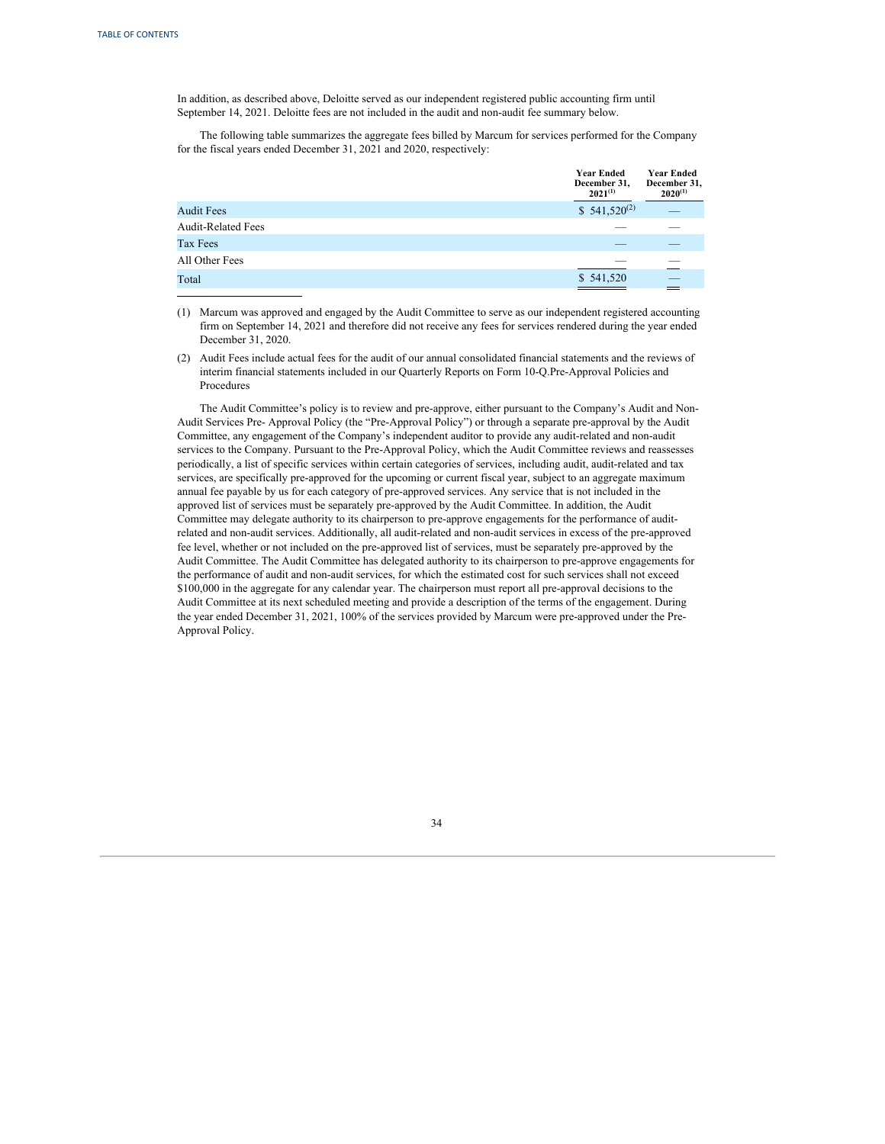In addition, as described above, Deloitte served as our independent registered public accounting firm until September 14, 2021. Deloitte fees are not included in the audit and non-audit fee summary below.

The following table summarizes the aggregate fees billed by Marcum for services performed for the Company for the fiscal years ended December 31, 2021 and 2020, respectively:

|                           | <b>Year Ended</b><br>December 31,<br>$2021^{(1)}$ | <b>Year Ended</b><br>December 31,<br>$2020^{(1)}$ |  |
|---------------------------|---------------------------------------------------|---------------------------------------------------|--|
| <b>Audit Fees</b>         | $$541,520^{(2)}$$                                 | _                                                 |  |
| <b>Audit-Related Fees</b> |                                                   |                                                   |  |
| Tax Fees                  |                                                   |                                                   |  |
| All Other Fees            |                                                   |                                                   |  |
| Total                     | \$541,520                                         | -                                                 |  |
|                           |                                                   |                                                   |  |

(1) Marcum was approved and engaged by the Audit Committee to serve as our independent registered accounting firm on September 14, 2021 and therefore did not receive any fees for services rendered during the year ended December 31, 2020.

(2) Audit Fees include actual fees for the audit of our annual consolidated financial statements and the reviews of interim financial statements included in our Quarterly Reports on Form 10-Q.Pre-Approval Policies and Procedures

The Audit Committee's policy is to review and pre-approve, either pursuant to the Company's Audit and Non-Audit Services Pre- Approval Policy (the "Pre-Approval Policy") or through a separate pre-approval by the Audit Committee, any engagement of the Company's independent auditor to provide any audit-related and non-audit services to the Company. Pursuant to the Pre-Approval Policy, which the Audit Committee reviews and reassesses periodically, a list of specific services within certain categories of services, including audit, audit-related and tax services, are specifically pre-approved for the upcoming or current fiscal year, subject to an aggregate maximum annual fee payable by us for each category of pre-approved services. Any service that is not included in the approved list of services must be separately pre-approved by the Audit Committee. In addition, the Audit Committee may delegate authority to its chairperson to pre-approve engagements for the performance of auditrelated and non-audit services. Additionally, all audit-related and non-audit services in excess of the pre-approved fee level, whether or not included on the pre-approved list of services, must be separately pre-approved by the Audit Committee. The Audit Committee has delegated authority to its chairperson to pre-approve engagements for the performance of audit and non-audit services, for which the estimated cost for such services shall not exceed \$100,000 in the aggregate for any calendar year. The chairperson must report all pre-approval decisions to the Audit Committee at its next scheduled meeting and provide a description of the terms of the engagement. During the year ended December 31, 2021, 100% of the services provided by Marcum were pre-approved under the Pre-Approval Policy.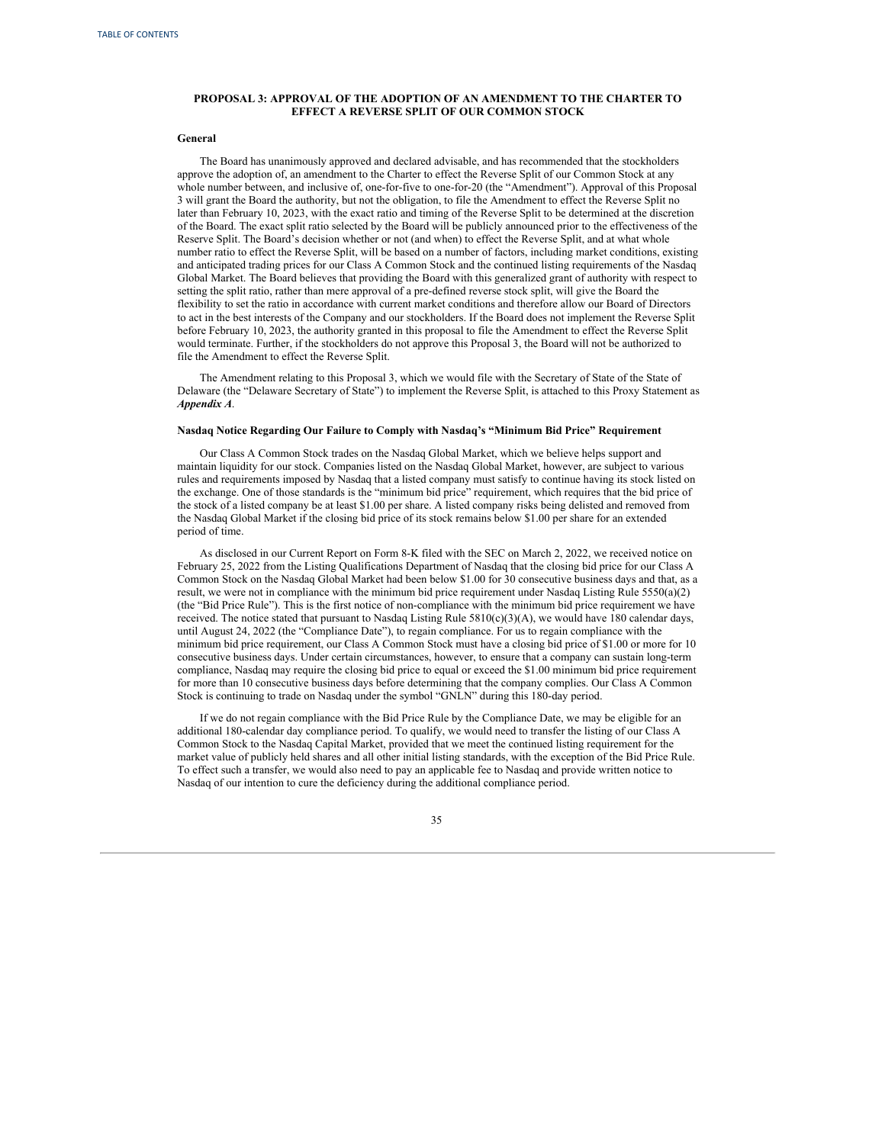## **PROPOSAL 3: APPROVAL OF THE ADOPTION OF AN AMENDMENT TO THE CHARTER TO EFFECT A REVERSE SPLIT OF OUR COMMON STOCK**

## **General**

The Board has unanimously approved and declared advisable, and has recommended that the stockholders approve the adoption of, an amendment to the Charter to effect the Reverse Split of our Common Stock at any whole number between, and inclusive of, one-for-five to one-for-20 (the "Amendment"). Approval of this Proposal 3 will grant the Board the authority, but not the obligation, to file the Amendment to effect the Reverse Split no later than February 10, 2023, with the exact ratio and timing of the Reverse Split to be determined at the discretion of the Board. The exact split ratio selected by the Board will be publicly announced prior to the effectiveness of the Reserve Split. The Board's decision whether or not (and when) to effect the Reverse Split, and at what whole number ratio to effect the Reverse Split, will be based on a number of factors, including market conditions, existing and anticipated trading prices for our Class A Common Stock and the continued listing requirements of the Nasdaq Global Market. The Board believes that providing the Board with this generalized grant of authority with respect to setting the split ratio, rather than mere approval of a pre-defined reverse stock split, will give the Board the flexibility to set the ratio in accordance with current market conditions and therefore allow our Board of Directors to act in the best interests of the Company and our stockholders. If the Board does not implement the Reverse Split before February 10, 2023, the authority granted in this proposal to file the Amendment to effect the Reverse Split would terminate. Further, if the stockholders do not approve this Proposal 3, the Board will not be authorized to file the Amendment to effect the Reverse Split.

The Amendment relating to this Proposal 3, which we would file with the Secretary of State of the State of Delaware (the "Delaware Secretary of State") to implement the Reverse Split, is attached to this Proxy Statement as *Appendix A*.

## **Nasdaq Notice Regarding Our Failure to Comply with Nasdaq's "Minimum Bid Price" Requirement**

Our Class A Common Stock trades on the Nasdaq Global Market, which we believe helps support and maintain liquidity for our stock. Companies listed on the Nasdaq Global Market, however, are subject to various rules and requirements imposed by Nasdaq that a listed company must satisfy to continue having its stock listed on the exchange. One of those standards is the "minimum bid price" requirement, which requires that the bid price of the stock of a listed company be at least \$1.00 per share. A listed company risks being delisted and removed from the Nasdaq Global Market if the closing bid price of its stock remains below \$1.00 per share for an extended period of time.

As disclosed in our Current Report on Form 8-K filed with the SEC on March 2, 2022, we received notice on February 25, 2022 from the Listing Qualifications Department of Nasdaq that the closing bid price for our Class A Common Stock on the Nasdaq Global Market had been below \$1.00 for 30 consecutive business days and that, as a result, we were not in compliance with the minimum bid price requirement under Nasdaq Listing Rule 5550(a)(2) (the "Bid Price Rule"). This is the first notice of non-compliance with the minimum bid price requirement we have received. The notice stated that pursuant to Nasdaq Listing Rule  $5810(c)(3)(A)$ , we would have 180 calendar days, until August 24, 2022 (the "Compliance Date"), to regain compliance. For us to regain compliance with the minimum bid price requirement, our Class A Common Stock must have a closing bid price of \$1.00 or more for 10 consecutive business days. Under certain circumstances, however, to ensure that a company can sustain long-term compliance, Nasdaq may require the closing bid price to equal or exceed the \$1.00 minimum bid price requirement for more than 10 consecutive business days before determining that the company complies. Our Class A Common Stock is continuing to trade on Nasdaq under the symbol "GNLN" during this 180-day period.

If we do not regain compliance with the Bid Price Rule by the Compliance Date, we may be eligible for an additional 180-calendar day compliance period. To qualify, we would need to transfer the listing of our Class A Common Stock to the Nasdaq Capital Market, provided that we meet the continued listing requirement for the market value of publicly held shares and all other initial listing standards, with the exception of the Bid Price Rule. To effect such a transfer, we would also need to pay an applicable fee to Nasdaq and provide written notice to Nasdaq of our intention to cure the deficiency during the additional compliance period.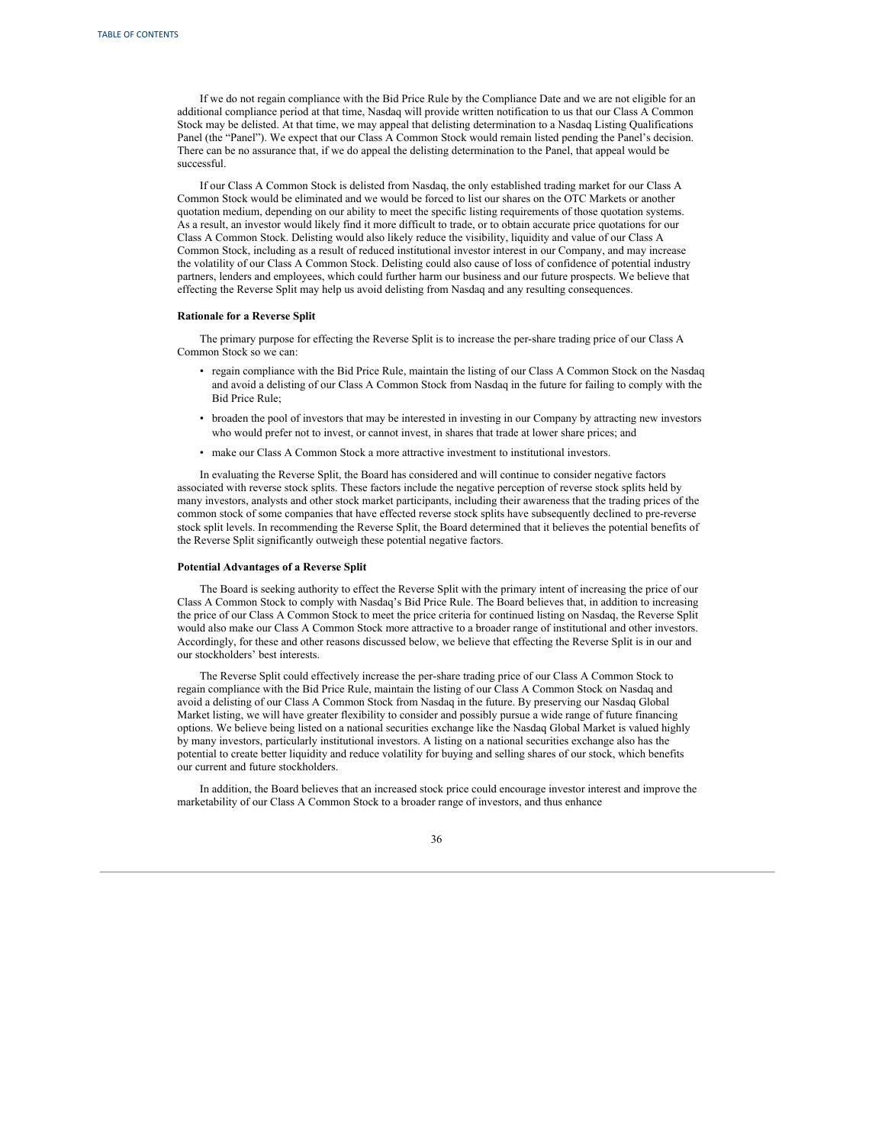If we do not regain compliance with the Bid Price Rule by the Compliance Date and we are not eligible for an additional compliance period at that time, Nasdaq will provide written notification to us that our Class A Common Stock may be delisted. At that time, we may appeal that delisting determination to a Nasdaq Listing Qualifications Panel (the "Panel"). We expect that our Class A Common Stock would remain listed pending the Panel's decision. There can be no assurance that, if we do appeal the delisting determination to the Panel, that appeal would be successful.

If our Class A Common Stock is delisted from Nasdaq, the only established trading market for our Class A Common Stock would be eliminated and we would be forced to list our shares on the OTC Markets or another quotation medium, depending on our ability to meet the specific listing requirements of those quotation systems. As a result, an investor would likely find it more difficult to trade, or to obtain accurate price quotations for our Class A Common Stock. Delisting would also likely reduce the visibility, liquidity and value of our Class A Common Stock, including as a result of reduced institutional investor interest in our Company, and may increase the volatility of our Class A Common Stock. Delisting could also cause of loss of confidence of potential industry partners, lenders and employees, which could further harm our business and our future prospects. We believe that effecting the Reverse Split may help us avoid delisting from Nasdaq and any resulting consequences.

## **Rationale for a Reverse Split**

The primary purpose for effecting the Reverse Split is to increase the per-share trading price of our Class A Common Stock so we can:

- regain compliance with the Bid Price Rule, maintain the listing of our Class A Common Stock on the Nasdaq and avoid a delisting of our Class A Common Stock from Nasdaq in the future for failing to comply with the Bid Price Rule;
- broaden the pool of investors that may be interested in investing in our Company by attracting new investors who would prefer not to invest, or cannot invest, in shares that trade at lower share prices; and
- make our Class A Common Stock a more attractive investment to institutional investors.

In evaluating the Reverse Split, the Board has considered and will continue to consider negative factors associated with reverse stock splits. These factors include the negative perception of reverse stock splits held by many investors, analysts and other stock market participants, including their awareness that the trading prices of the common stock of some companies that have effected reverse stock splits have subsequently declined to pre-reverse stock split levels. In recommending the Reverse Split, the Board determined that it believes the potential benefits of the Reverse Split significantly outweigh these potential negative factors.

#### **Potential Advantages of a Reverse Split**

The Board is seeking authority to effect the Reverse Split with the primary intent of increasing the price of our Class A Common Stock to comply with Nasdaq's Bid Price Rule. The Board believes that, in addition to increasing the price of our Class A Common Stock to meet the price criteria for continued listing on Nasdaq, the Reverse Split would also make our Class A Common Stock more attractive to a broader range of institutional and other investors. Accordingly, for these and other reasons discussed below, we believe that effecting the Reverse Split is in our and our stockholders' best interests.

The Reverse Split could effectively increase the per-share trading price of our Class A Common Stock to regain compliance with the Bid Price Rule, maintain the listing of our Class A Common Stock on Nasdaq and avoid a delisting of our Class A Common Stock from Nasdaq in the future. By preserving our Nasdaq Global Market listing, we will have greater flexibility to consider and possibly pursue a wide range of future financing options. We believe being listed on a national securities exchange like the Nasdaq Global Market is valued highly by many investors, particularly institutional investors. A listing on a national securities exchange also has the potential to create better liquidity and reduce volatility for buying and selling shares of our stock, which benefits our current and future stockholders.

In addition, the Board believes that an increased stock price could encourage investor interest and improve the marketability of our Class A Common Stock to a broader range of investors, and thus enhance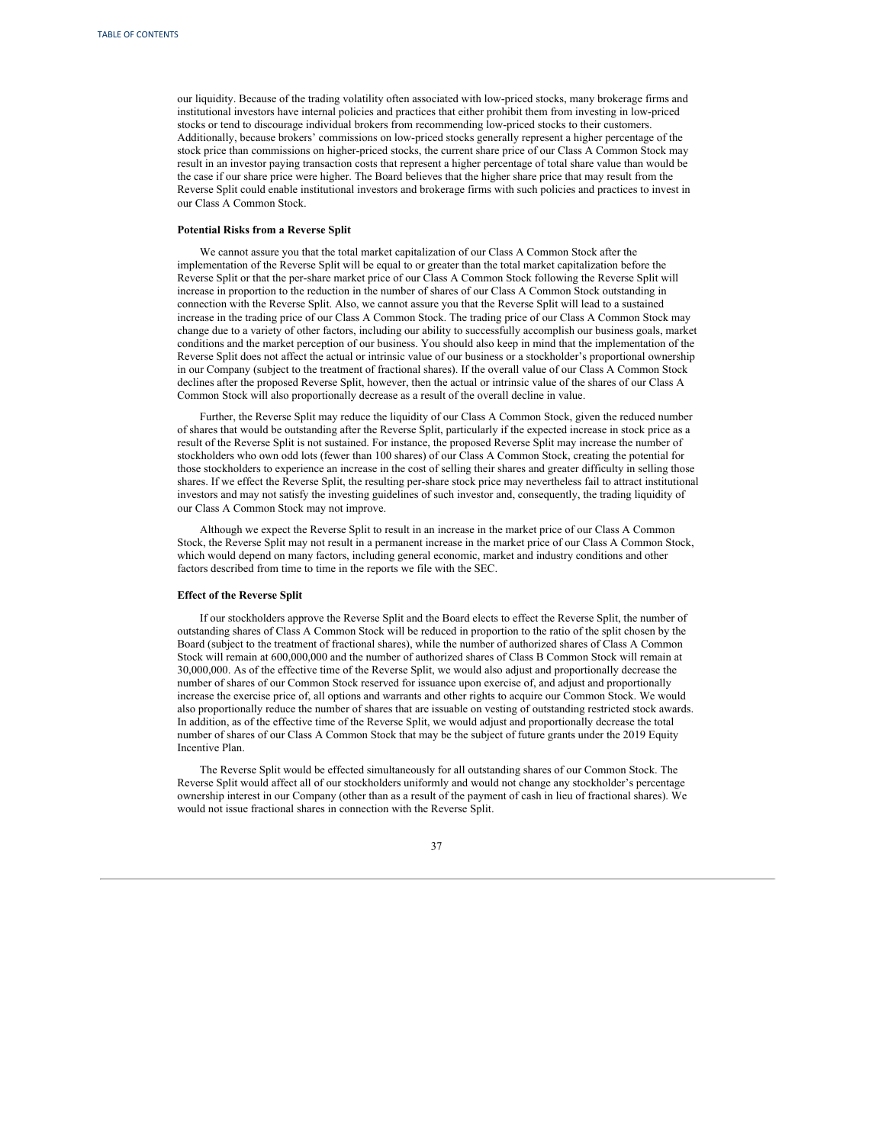our liquidity. Because of the trading volatility often associated with low-priced stocks, many brokerage firms and institutional investors have internal policies and practices that either prohibit them from investing in low-priced stocks or tend to discourage individual brokers from recommending low-priced stocks to their customers. Additionally, because brokers' commissions on low-priced stocks generally represent a higher percentage of the stock price than commissions on higher-priced stocks, the current share price of our Class A Common Stock may result in an investor paying transaction costs that represent a higher percentage of total share value than would be the case if our share price were higher. The Board believes that the higher share price that may result from the Reverse Split could enable institutional investors and brokerage firms with such policies and practices to invest in our Class A Common Stock.

#### **Potential Risks from a Reverse Split**

We cannot assure you that the total market capitalization of our Class A Common Stock after the implementation of the Reverse Split will be equal to or greater than the total market capitalization before the Reverse Split or that the per-share market price of our Class A Common Stock following the Reverse Split will increase in proportion to the reduction in the number of shares of our Class A Common Stock outstanding in connection with the Reverse Split. Also, we cannot assure you that the Reverse Split will lead to a sustained increase in the trading price of our Class A Common Stock. The trading price of our Class A Common Stock may change due to a variety of other factors, including our ability to successfully accomplish our business goals, market conditions and the market perception of our business. You should also keep in mind that the implementation of the Reverse Split does not affect the actual or intrinsic value of our business or a stockholder's proportional ownership in our Company (subject to the treatment of fractional shares). If the overall value of our Class A Common Stock declines after the proposed Reverse Split, however, then the actual or intrinsic value of the shares of our Class A Common Stock will also proportionally decrease as a result of the overall decline in value.

Further, the Reverse Split may reduce the liquidity of our Class A Common Stock, given the reduced number of shares that would be outstanding after the Reverse Split, particularly if the expected increase in stock price as a result of the Reverse Split is not sustained. For instance, the proposed Reverse Split may increase the number of stockholders who own odd lots (fewer than 100 shares) of our Class A Common Stock, creating the potential for those stockholders to experience an increase in the cost of selling their shares and greater difficulty in selling those shares. If we effect the Reverse Split, the resulting per-share stock price may nevertheless fail to attract institutional investors and may not satisfy the investing guidelines of such investor and, consequently, the trading liquidity of our Class A Common Stock may not improve.

Although we expect the Reverse Split to result in an increase in the market price of our Class A Common Stock, the Reverse Split may not result in a permanent increase in the market price of our Class A Common Stock, which would depend on many factors, including general economic, market and industry conditions and other factors described from time to time in the reports we file with the SEC.

#### **Effect of the Reverse Split**

If our stockholders approve the Reverse Split and the Board elects to effect the Reverse Split, the number of outstanding shares of Class A Common Stock will be reduced in proportion to the ratio of the split chosen by the Board (subject to the treatment of fractional shares), while the number of authorized shares of Class A Common Stock will remain at 600,000,000 and the number of authorized shares of Class B Common Stock will remain at 30,000,000. As of the effective time of the Reverse Split, we would also adjust and proportionally decrease the number of shares of our Common Stock reserved for issuance upon exercise of, and adjust and proportionally increase the exercise price of, all options and warrants and other rights to acquire our Common Stock. We would also proportionally reduce the number of shares that are issuable on vesting of outstanding restricted stock awards. In addition, as of the effective time of the Reverse Split, we would adjust and proportionally decrease the total number of shares of our Class A Common Stock that may be the subject of future grants under the 2019 Equity Incentive Plan.

The Reverse Split would be effected simultaneously for all outstanding shares of our Common Stock. The Reverse Split would affect all of our stockholders uniformly and would not change any stockholder's percentage ownership interest in our Company (other than as a result of the payment of cash in lieu of fractional shares). We would not issue fractional shares in connection with the Reverse Split.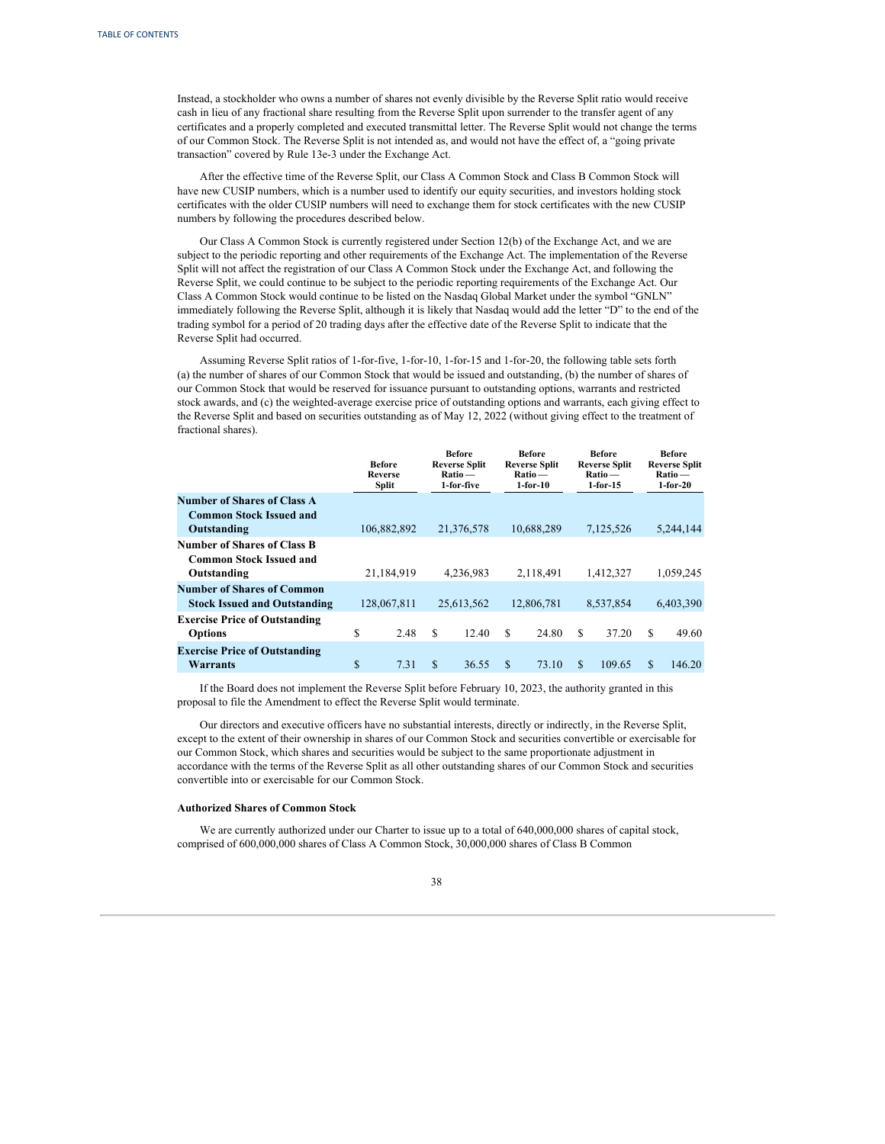Instead, a stockholder who owns a number of shares not evenly divisible by the Reverse Split ratio would receive cash in lieu of any fractional share resulting from the Reverse Split upon surrender to the transfer agent of any certificates and a properly completed and executed transmittal letter. The Reverse Split would not change the terms of our Common Stock. The Reverse Split is not intended as, and would not have the effect of, a "going private transaction" covered by Rule 13e-3 under the Exchange Act.

After the effective time of the Reverse Split, our Class A Common Stock and Class B Common Stock will have new CUSIP numbers, which is a number used to identify our equity securities, and investors holding stock certificates with the older CUSIP numbers will need to exchange them for stock certificates with the new CUSIP numbers by following the procedures described below.

Our Class A Common Stock is currently registered under Section 12(b) of the Exchange Act, and we are subject to the periodic reporting and other requirements of the Exchange Act. The implementation of the Reverse Split will not affect the registration of our Class A Common Stock under the Exchange Act, and following the Reverse Split, we could continue to be subject to the periodic reporting requirements of the Exchange Act. Our Class A Common Stock would continue to be listed on the Nasdaq Global Market under the symbol "GNLN" immediately following the Reverse Split, although it is likely that Nasdaq would add the letter "D" to the end of the trading symbol for a period of 20 trading days after the effective date of the Reverse Split to indicate that the Reverse Split had occurred.

Assuming Reverse Split ratios of 1-for-five, 1-for-10, 1-for-15 and 1-for-20, the following table sets forth (a) the number of shares of our Common Stock that would be issued and outstanding, (b) the number of shares of our Common Stock that would be reserved for issuance pursuant to outstanding options, warrants and restricted stock awards, and (c) the weighted-average exercise price of outstanding options and warrants, each giving effect to the Reverse Split and based on securities outstanding as of May 12, 2022 (without giving effect to the treatment of fractional shares).

|                                                                                     | <b>Before</b><br>Reverse | <b>Split</b> |     | <b>Before</b><br><b>Reverse Split</b><br>$Ratio -$<br>1-for-five |   | <b>Before</b><br><b>Reverse Split</b><br>$Ratio -$<br>$1$ -for- $10$ |     | <b>Before</b><br><b>Reverse Split</b><br>$Ratio -$<br>$1$ -for- $15$ |   | <b>Before</b><br><b>Reverse Split</b><br>$Ratio -$<br>$1$ -for-20 |
|-------------------------------------------------------------------------------------|--------------------------|--------------|-----|------------------------------------------------------------------|---|----------------------------------------------------------------------|-----|----------------------------------------------------------------------|---|-------------------------------------------------------------------|
| <b>Number of Shares of Class A</b><br><b>Common Stock Issued and</b><br>Outstanding |                          | 106,882,892  |     | 21,376,578                                                       |   | 10,688,289                                                           |     | 7,125,526                                                            |   | 5,244,144                                                         |
| <b>Number of Shares of Class B</b><br><b>Common Stock Issued and</b><br>Outstanding |                          | 21,184,919   |     | 4,236,983                                                        |   | 2,118,491                                                            |     | 1,412,327                                                            |   | 1,059,245                                                         |
| <b>Number of Shares of Common</b><br><b>Stock Issued and Outstanding</b>            |                          | 128,067,811  |     | 25,613,562                                                       |   | 12,806,781                                                           |     | 8,537,854                                                            |   | 6,403,390                                                         |
| <b>Exercise Price of Outstanding</b><br><b>Options</b>                              | S                        | 2.48         | S   | 12.40                                                            | S | 24.80                                                                | S   | 37.20                                                                | S | 49.60                                                             |
| <b>Exercise Price of Outstanding</b><br>Warrants                                    | \$                       | 7.31         | \$. | 36.55                                                            | S | 73.10                                                                | \$. | 109.65                                                               | S | 146.20                                                            |

If the Board does not implement the Reverse Split before February 10, 2023, the authority granted in this proposal to file the Amendment to effect the Reverse Split would terminate.

Our directors and executive officers have no substantial interests, directly or indirectly, in the Reverse Split, except to the extent of their ownership in shares of our Common Stock and securities convertible or exercisable for our Common Stock, which shares and securities would be subject to the same proportionate adjustment in accordance with the terms of the Reverse Split as all other outstanding shares of our Common Stock and securities convertible into or exercisable for our Common Stock.

## **Authorized Shares of Common Stock**

We are currently authorized under our Charter to issue up to a total of 640,000,000 shares of capital stock, comprised of 600,000,000 shares of Class A Common Stock, 30,000,000 shares of Class B Common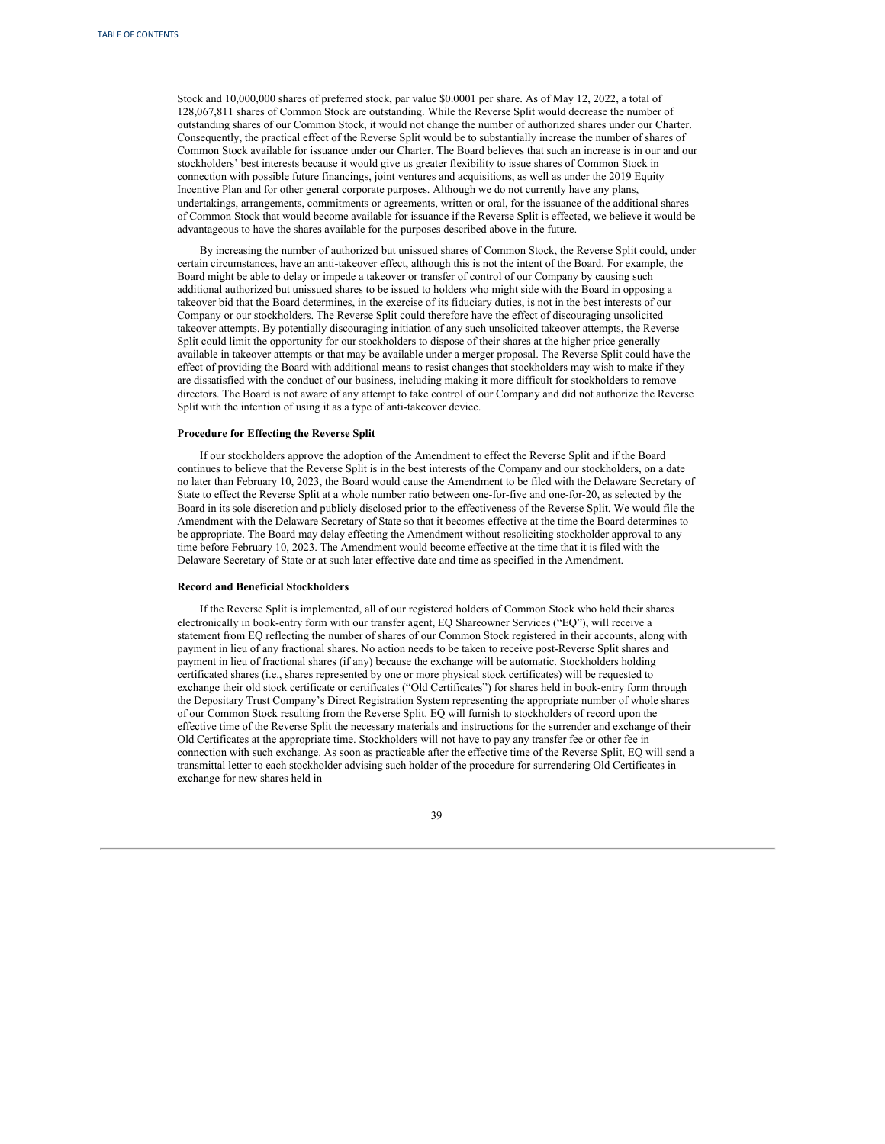Stock and 10,000,000 shares of preferred stock, par value \$0.0001 per share. As of May 12, 2022, a total of 128,067,811 shares of Common Stock are outstanding. While the Reverse Split would decrease the number of outstanding shares of our Common Stock, it would not change the number of authorized shares under our Charter. Consequently, the practical effect of the Reverse Split would be to substantially increase the number of shares of Common Stock available for issuance under our Charter. The Board believes that such an increase is in our and our stockholders' best interests because it would give us greater flexibility to issue shares of Common Stock in connection with possible future financings, joint ventures and acquisitions, as well as under the 2019 Equity Incentive Plan and for other general corporate purposes. Although we do not currently have any plans, undertakings, arrangements, commitments or agreements, written or oral, for the issuance of the additional shares of Common Stock that would become available for issuance if the Reverse Split is effected, we believe it would be advantageous to have the shares available for the purposes described above in the future.

By increasing the number of authorized but unissued shares of Common Stock, the Reverse Split could, under certain circumstances, have an anti-takeover effect, although this is not the intent of the Board. For example, the Board might be able to delay or impede a takeover or transfer of control of our Company by causing such additional authorized but unissued shares to be issued to holders who might side with the Board in opposing a takeover bid that the Board determines, in the exercise of its fiduciary duties, is not in the best interests of our Company or our stockholders. The Reverse Split could therefore have the effect of discouraging unsolicited takeover attempts. By potentially discouraging initiation of any such unsolicited takeover attempts, the Reverse Split could limit the opportunity for our stockholders to dispose of their shares at the higher price generally available in takeover attempts or that may be available under a merger proposal. The Reverse Split could have the effect of providing the Board with additional means to resist changes that stockholders may wish to make if they are dissatisfied with the conduct of our business, including making it more difficult for stockholders to remove directors. The Board is not aware of any attempt to take control of our Company and did not authorize the Reverse Split with the intention of using it as a type of anti-takeover device.

#### **Procedure for Effecting the Reverse Split**

If our stockholders approve the adoption of the Amendment to effect the Reverse Split and if the Board continues to believe that the Reverse Split is in the best interests of the Company and our stockholders, on a date no later than February 10, 2023, the Board would cause the Amendment to be filed with the Delaware Secretary of State to effect the Reverse Split at a whole number ratio between one-for-five and one-for-20, as selected by the Board in its sole discretion and publicly disclosed prior to the effectiveness of the Reverse Split. We would file the Amendment with the Delaware Secretary of State so that it becomes effective at the time the Board determines to be appropriate. The Board may delay effecting the Amendment without resoliciting stockholder approval to any time before February 10, 2023. The Amendment would become effective at the time that it is filed with the Delaware Secretary of State or at such later effective date and time as specified in the Amendment.

### **Record and Beneficial Stockholders**

If the Reverse Split is implemented, all of our registered holders of Common Stock who hold their shares electronically in book-entry form with our transfer agent, EQ Shareowner Services ("EQ"), will receive a statement from EQ reflecting the number of shares of our Common Stock registered in their accounts, along with payment in lieu of any fractional shares. No action needs to be taken to receive post-Reverse Split shares and payment in lieu of fractional shares (if any) because the exchange will be automatic. Stockholders holding certificated shares (i.e., shares represented by one or more physical stock certificates) will be requested to exchange their old stock certificate or certificates ("Old Certificates") for shares held in book-entry form through the Depositary Trust Company's Direct Registration System representing the appropriate number of whole shares of our Common Stock resulting from the Reverse Split. EQ will furnish to stockholders of record upon the effective time of the Reverse Split the necessary materials and instructions for the surrender and exchange of their Old Certificates at the appropriate time. Stockholders will not have to pay any transfer fee or other fee in connection with such exchange. As soon as practicable after the effective time of the Reverse Split, EQ will send a transmittal letter to each stockholder advising such holder of the procedure for surrendering Old Certificates in exchange for new shares held in

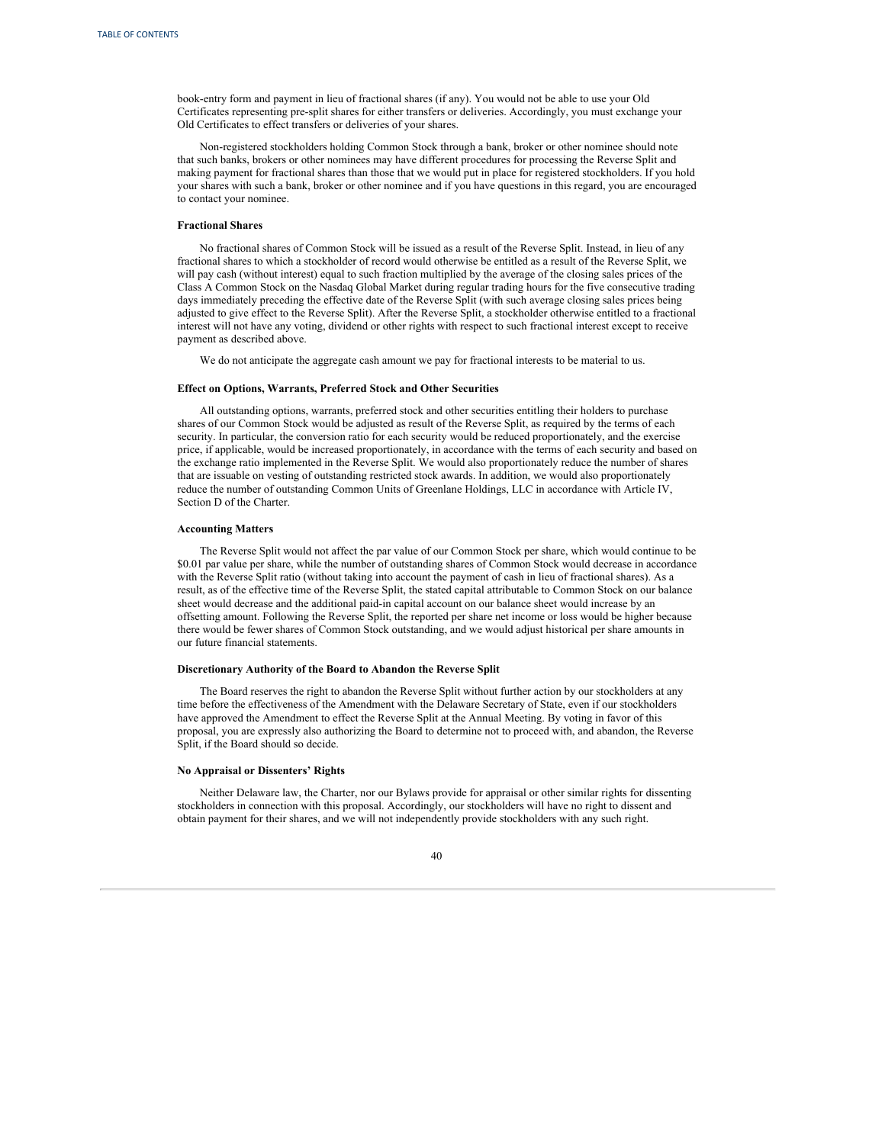book-entry form and payment in lieu of fractional shares (if any). You would not be able to use your Old Certificates representing pre-split shares for either transfers or deliveries. Accordingly, you must exchange your Old Certificates to effect transfers or deliveries of your shares.

Non-registered stockholders holding Common Stock through a bank, broker or other nominee should note that such banks, brokers or other nominees may have different procedures for processing the Reverse Split and making payment for fractional shares than those that we would put in place for registered stockholders. If you hold your shares with such a bank, broker or other nominee and if you have questions in this regard, you are encouraged to contact your nominee.

## **Fractional Shares**

No fractional shares of Common Stock will be issued as a result of the Reverse Split. Instead, in lieu of any fractional shares to which a stockholder of record would otherwise be entitled as a result of the Reverse Split, we will pay cash (without interest) equal to such fraction multiplied by the average of the closing sales prices of the Class A Common Stock on the Nasdaq Global Market during regular trading hours for the five consecutive trading days immediately preceding the effective date of the Reverse Split (with such average closing sales prices being adjusted to give effect to the Reverse Split). After the Reverse Split, a stockholder otherwise entitled to a fractional interest will not have any voting, dividend or other rights with respect to such fractional interest except to receive payment as described above.

We do not anticipate the aggregate cash amount we pay for fractional interests to be material to us.

## **Effect on Options, Warrants, Preferred Stock and Other Securities**

All outstanding options, warrants, preferred stock and other securities entitling their holders to purchase shares of our Common Stock would be adjusted as result of the Reverse Split, as required by the terms of each security. In particular, the conversion ratio for each security would be reduced proportionately, and the exercise price, if applicable, would be increased proportionately, in accordance with the terms of each security and based on the exchange ratio implemented in the Reverse Split. We would also proportionately reduce the number of shares that are issuable on vesting of outstanding restricted stock awards. In addition, we would also proportionately reduce the number of outstanding Common Units of Greenlane Holdings, LLC in accordance with Article IV, Section D of the Charter.

### **Accounting Matters**

The Reverse Split would not affect the par value of our Common Stock per share, which would continue to be \$0.01 par value per share, while the number of outstanding shares of Common Stock would decrease in accordance with the Reverse Split ratio (without taking into account the payment of cash in lieu of fractional shares). As a result, as of the effective time of the Reverse Split, the stated capital attributable to Common Stock on our balance sheet would decrease and the additional paid-in capital account on our balance sheet would increase by an offsetting amount. Following the Reverse Split, the reported per share net income or loss would be higher because there would be fewer shares of Common Stock outstanding, and we would adjust historical per share amounts in our future financial statements.

#### **Discretionary Authority of the Board to Abandon the Reverse Split**

The Board reserves the right to abandon the Reverse Split without further action by our stockholders at any time before the effectiveness of the Amendment with the Delaware Secretary of State, even if our stockholders have approved the Amendment to effect the Reverse Split at the Annual Meeting. By voting in favor of this proposal, you are expressly also authorizing the Board to determine not to proceed with, and abandon, the Reverse Split, if the Board should so decide.

## **No Appraisal or Dissenters' Rights**

Neither Delaware law, the Charter, nor our Bylaws provide for appraisal or other similar rights for dissenting stockholders in connection with this proposal. Accordingly, our stockholders will have no right to dissent and obtain payment for their shares, and we will not independently provide stockholders with any such right.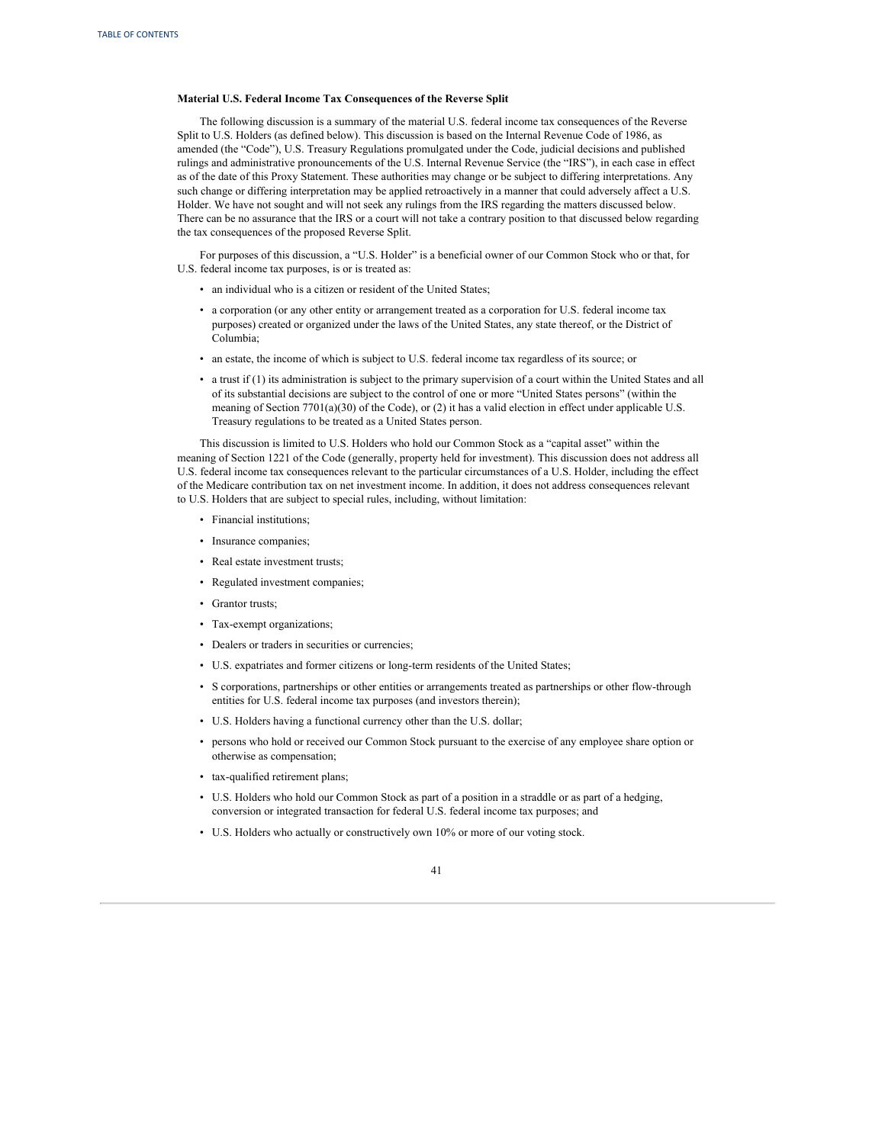### **Material U.S. Federal Income Tax Consequences of the Reverse Split**

The following discussion is a summary of the material U.S. federal income tax consequences of the Reverse Split to U.S. Holders (as defined below). This discussion is based on the Internal Revenue Code of 1986, as amended (the "Code"), U.S. Treasury Regulations promulgated under the Code, judicial decisions and published rulings and administrative pronouncements of the U.S. Internal Revenue Service (the "IRS"), in each case in effect as of the date of this Proxy Statement. These authorities may change or be subject to differing interpretations. Any such change or differing interpretation may be applied retroactively in a manner that could adversely affect a U.S. Holder. We have not sought and will not seek any rulings from the IRS regarding the matters discussed below. There can be no assurance that the IRS or a court will not take a contrary position to that discussed below regarding the tax consequences of the proposed Reverse Split.

For purposes of this discussion, a "U.S. Holder" is a beneficial owner of our Common Stock who or that, for U.S. federal income tax purposes, is or is treated as:

- an individual who is a citizen or resident of the United States;
- a corporation (or any other entity or arrangement treated as a corporation for U.S. federal income tax purposes) created or organized under the laws of the United States, any state thereof, or the District of Columbia;
- an estate, the income of which is subject to U.S. federal income tax regardless of its source; or
- a trust if (1) its administration is subject to the primary supervision of a court within the United States and all of its substantial decisions are subject to the control of one or more "United States persons" (within the meaning of Section 7701(a)(30) of the Code), or (2) it has a valid election in effect under applicable U.S. Treasury regulations to be treated as a United States person.

This discussion is limited to U.S. Holders who hold our Common Stock as a "capital asset" within the meaning of Section 1221 of the Code (generally, property held for investment). This discussion does not address all U.S. federal income tax consequences relevant to the particular circumstances of a U.S. Holder, including the effect of the Medicare contribution tax on net investment income. In addition, it does not address consequences relevant to U.S. Holders that are subject to special rules, including, without limitation:

- Financial institutions;
- Insurance companies;
- Real estate investment trusts;
- Regulated investment companies;
- Grantor trusts;
- Tax-exempt organizations;
- Dealers or traders in securities or currencies;
- U.S. expatriates and former citizens or long-term residents of the United States;
- S corporations, partnerships or other entities or arrangements treated as partnerships or other flow-through entities for U.S. federal income tax purposes (and investors therein);
- U.S. Holders having a functional currency other than the U.S. dollar;
- persons who hold or received our Common Stock pursuant to the exercise of any employee share option or otherwise as compensation;
- tax-qualified retirement plans;
- U.S. Holders who hold our Common Stock as part of a position in a straddle or as part of a hedging, conversion or integrated transaction for federal U.S. federal income tax purposes; and
- U.S. Holders who actually or constructively own 10% or more of our voting stock.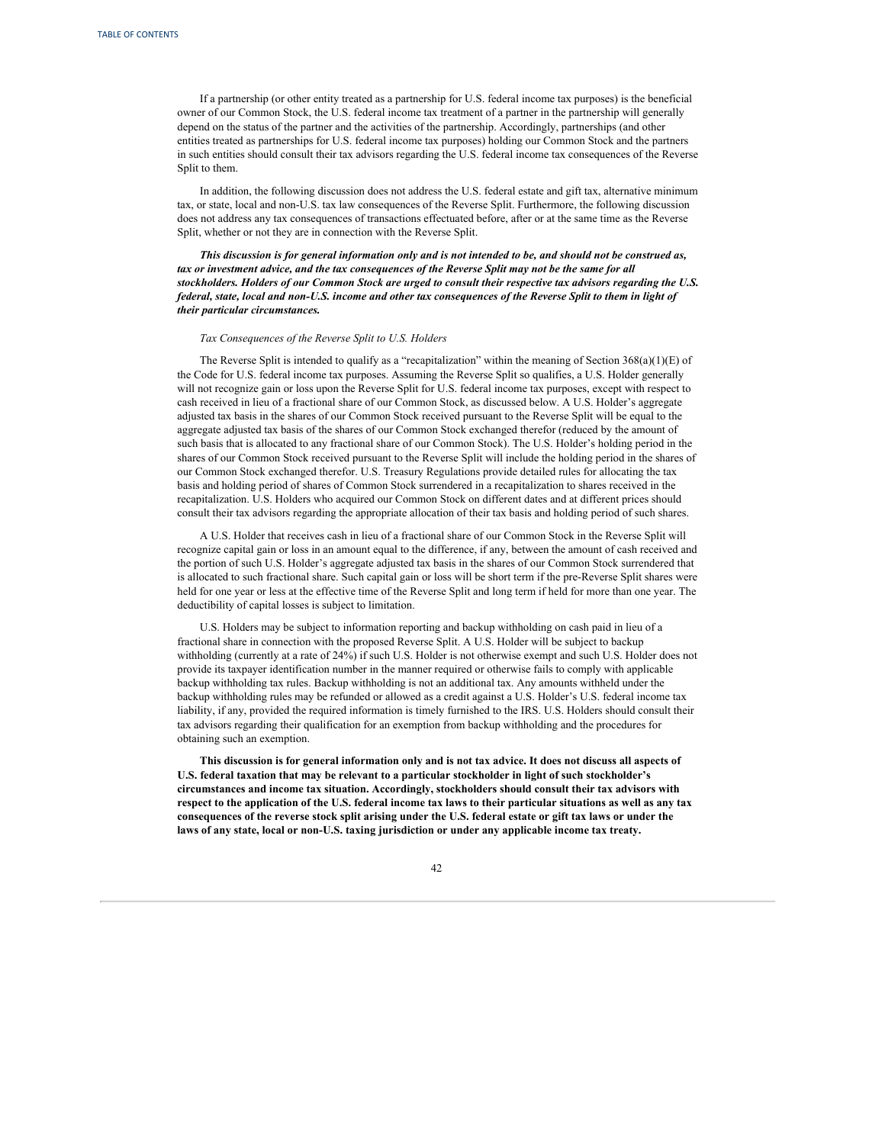If a partnership (or other entity treated as a partnership for U.S. federal income tax purposes) is the beneficial owner of our Common Stock, the U.S. federal income tax treatment of a partner in the partnership will generally depend on the status of the partner and the activities of the partnership. Accordingly, partnerships (and other entities treated as partnerships for U.S. federal income tax purposes) holding our Common Stock and the partners in such entities should consult their tax advisors regarding the U.S. federal income tax consequences of the Reverse Split to them.

In addition, the following discussion does not address the U.S. federal estate and gift tax, alternative minimum tax, or state, local and non-U.S. tax law consequences of the Reverse Split. Furthermore, the following discussion does not address any tax consequences of transactions effectuated before, after or at the same time as the Reverse Split, whether or not they are in connection with the Reverse Split.

This discussion is for general information only and is not intended to be, and should not be construed as, tax or investment advice, and the tax consequences of the Reverse Split may not be the same for all stockholders. Holders of our Common Stock are urged to consult their respective tax advisors regarding the U.S. federal, state, local and non-U.S. income and other tax consequences of the Reverse Split to them in light of *their particular circumstances.*

### *Tax Consequences of the Reverse Split to U.S. Holders*

The Reverse Split is intended to qualify as a "recapitalization" within the meaning of Section  $368(a)(1)(E)$  of the Code for U.S. federal income tax purposes. Assuming the Reverse Split so qualifies, a U.S. Holder generally will not recognize gain or loss upon the Reverse Split for U.S. federal income tax purposes, except with respect to cash received in lieu of a fractional share of our Common Stock, as discussed below. A U.S. Holder's aggregate adjusted tax basis in the shares of our Common Stock received pursuant to the Reverse Split will be equal to the aggregate adjusted tax basis of the shares of our Common Stock exchanged therefor (reduced by the amount of such basis that is allocated to any fractional share of our Common Stock). The U.S. Holder's holding period in the shares of our Common Stock received pursuant to the Reverse Split will include the holding period in the shares of our Common Stock exchanged therefor. U.S. Treasury Regulations provide detailed rules for allocating the tax basis and holding period of shares of Common Stock surrendered in a recapitalization to shares received in the recapitalization. U.S. Holders who acquired our Common Stock on different dates and at different prices should consult their tax advisors regarding the appropriate allocation of their tax basis and holding period of such shares.

A U.S. Holder that receives cash in lieu of a fractional share of our Common Stock in the Reverse Split will recognize capital gain or loss in an amount equal to the difference, if any, between the amount of cash received and the portion of such U.S. Holder's aggregate adjusted tax basis in the shares of our Common Stock surrendered that is allocated to such fractional share. Such capital gain or loss will be short term if the pre-Reverse Split shares were held for one year or less at the effective time of the Reverse Split and long term if held for more than one year. The deductibility of capital losses is subject to limitation.

U.S. Holders may be subject to information reporting and backup withholding on cash paid in lieu of a fractional share in connection with the proposed Reverse Split. A U.S. Holder will be subject to backup withholding (currently at a rate of 24%) if such U.S. Holder is not otherwise exempt and such U.S. Holder does not provide its taxpayer identification number in the manner required or otherwise fails to comply with applicable backup withholding tax rules. Backup withholding is not an additional tax. Any amounts withheld under the backup withholding rules may be refunded or allowed as a credit against a U.S. Holder's U.S. federal income tax liability, if any, provided the required information is timely furnished to the IRS. U.S. Holders should consult their tax advisors regarding their qualification for an exemption from backup withholding and the procedures for obtaining such an exemption.

This discussion is for general information only and is not tax advice. It does not discuss all aspects of **U.S. federal taxation that may be relevant to a particular stockholder in light of such stockholder's circumstances and income tax situation. Accordingly, stockholders should consult their tax advisors with** respect to the application of the U.S. federal income tax laws to their particular situations as well as any tax consequences of the reverse stock split arising under the U.S. federal estate or gift tax laws or under the **laws of any state, local or non-U.S. taxing jurisdiction or under any applicable income tax treaty.**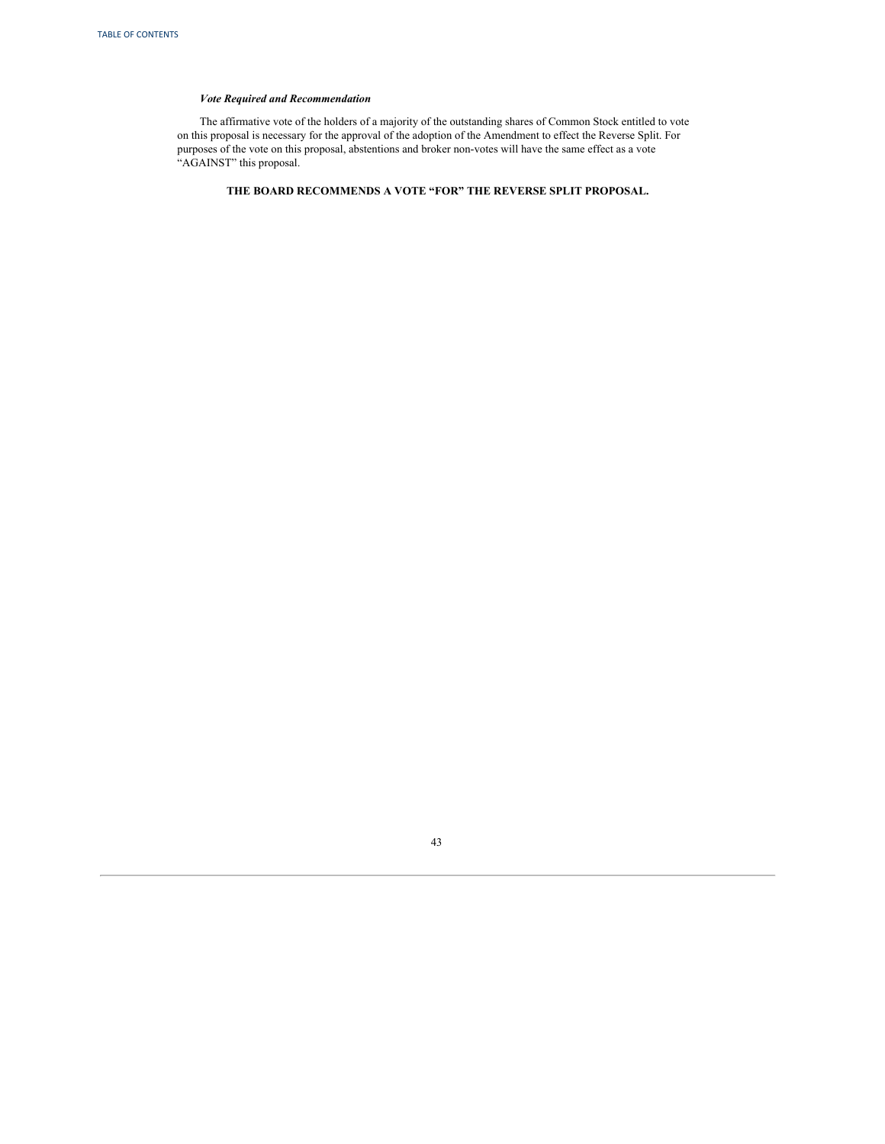## *Vote Required and Recommendation*

The affirmative vote of the holders of a majority of the outstanding shares of Common Stock entitled to vote on this proposal is necessary for the approval of the adoption of the Amendment to effect the Reverse Split. For purposes of the vote on this proposal, abstentions and broker non-votes will have the same effect as a vote "AGAINST" this proposal.

# **THE BOARD RECOMMENDS A VOTE "FOR" THE REVERSE SPLIT PROPOSAL.**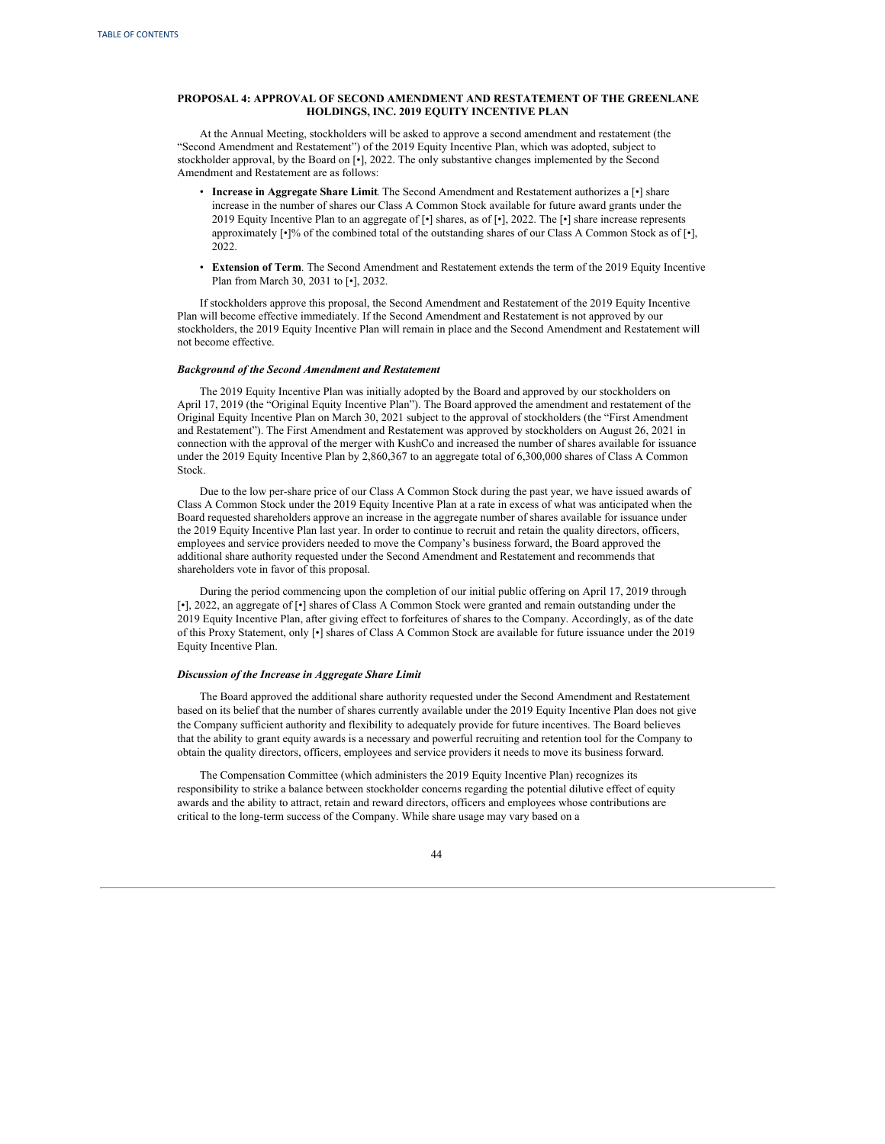## **PROPOSAL 4: APPROVAL OF SECOND AMENDMENT AND RESTATEMENT OF THE GREENLANE HOLDINGS, INC. 2019 EQUITY INCENTIVE PLAN**

At the Annual Meeting, stockholders will be asked to approve a second amendment and restatement (the "Second Amendment and Restatement") of the 2019 Equity Incentive Plan, which was adopted, subject to stockholder approval, by the Board on [•], 2022. The only substantive changes implemented by the Second Amendment and Restatement are as follows:

- **Increase in Aggregate Share Limit**. The Second Amendment and Restatement authorizes a [•] share increase in the number of shares our Class A Common Stock available for future award grants under the 2019 Equity Incentive Plan to an aggregate of [•] shares, as of [•], 2022. The [•] share increase represents approximately  $[\cdot]$ % of the combined total of the outstanding shares of our Class A Common Stock as of  $[\cdot]$ , 2022.
- **Extension of Term**. The Second Amendment and Restatement extends the term of the 2019 Equity Incentive Plan from March 30, 2031 to [•], 2032.

If stockholders approve this proposal, the Second Amendment and Restatement of the 2019 Equity Incentive Plan will become effective immediately. If the Second Amendment and Restatement is not approved by our stockholders, the 2019 Equity Incentive Plan will remain in place and the Second Amendment and Restatement will not become effective.

#### *Background of the Second Amendment and Restatement*

The 2019 Equity Incentive Plan was initially adopted by the Board and approved by our stockholders on April 17, 2019 (the "Original Equity Incentive Plan"). The Board approved the amendment and restatement of the Original Equity Incentive Plan on March 30, 2021 subject to the approval of stockholders (the "First Amendment and Restatement"). The First Amendment and Restatement was approved by stockholders on August 26, 2021 in connection with the approval of the merger with KushCo and increased the number of shares available for issuance under the 2019 Equity Incentive Plan by 2,860,367 to an aggregate total of 6,300,000 shares of Class A Common Stock.

Due to the low per-share price of our Class A Common Stock during the past year, we have issued awards of Class A Common Stock under the 2019 Equity Incentive Plan at a rate in excess of what was anticipated when the Board requested shareholders approve an increase in the aggregate number of shares available for issuance under the 2019 Equity Incentive Plan last year. In order to continue to recruit and retain the quality directors, officers, employees and service providers needed to move the Company's business forward, the Board approved the additional share authority requested under the Second Amendment and Restatement and recommends that shareholders vote in favor of this proposal.

During the period commencing upon the completion of our initial public offering on April 17, 2019 through [•], 2022, an aggregate of [•] shares of Class A Common Stock were granted and remain outstanding under the 2019 Equity Incentive Plan, after giving effect to forfeitures of shares to the Company. Accordingly, as of the date of this Proxy Statement, only [•] shares of Class A Common Stock are available for future issuance under the 2019 Equity Incentive Plan.

## *Discussion of the Increase in Aggregate Share Limit*

The Board approved the additional share authority requested under the Second Amendment and Restatement based on its belief that the number of shares currently available under the 2019 Equity Incentive Plan does not give the Company sufficient authority and flexibility to adequately provide for future incentives. The Board believes that the ability to grant equity awards is a necessary and powerful recruiting and retention tool for the Company to obtain the quality directors, officers, employees and service providers it needs to move its business forward.

The Compensation Committee (which administers the 2019 Equity Incentive Plan) recognizes its responsibility to strike a balance between stockholder concerns regarding the potential dilutive effect of equity awards and the ability to attract, retain and reward directors, officers and employees whose contributions are critical to the long-term success of the Company. While share usage may vary based on a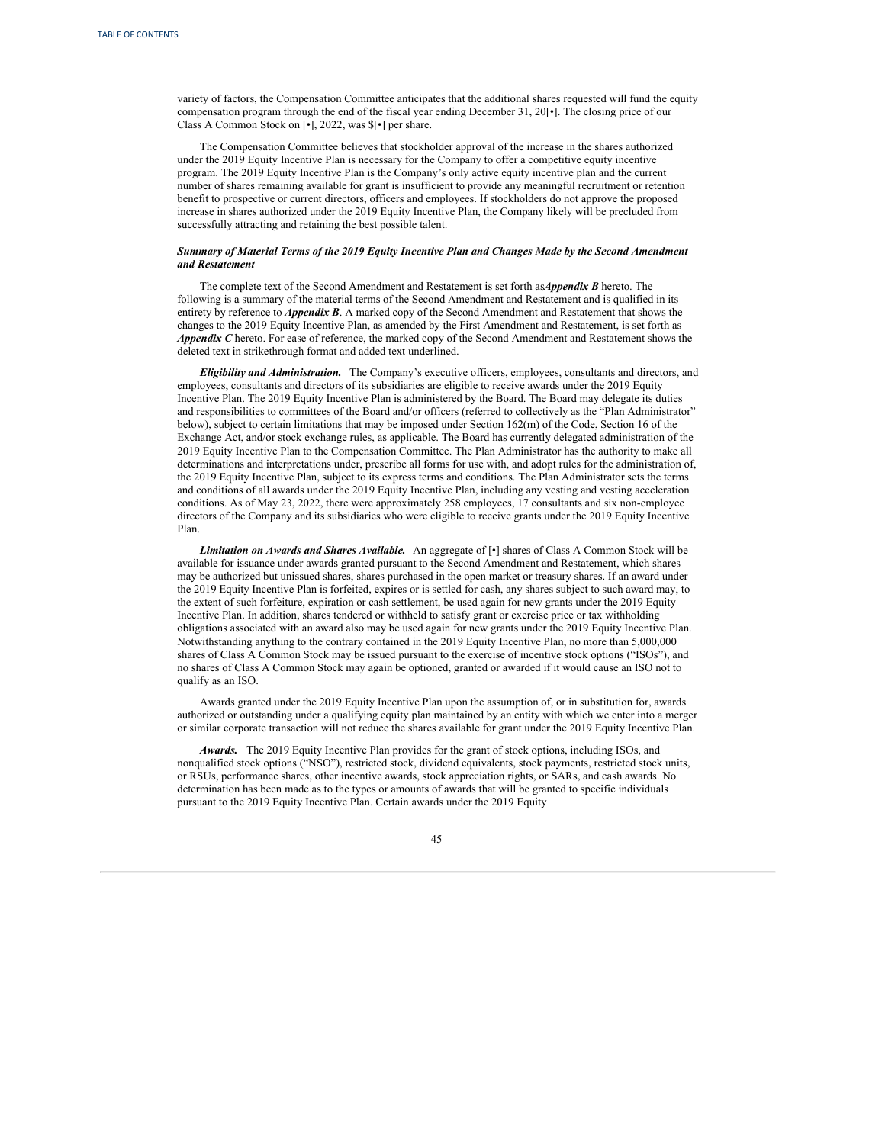variety of factors, the Compensation Committee anticipates that the additional shares requested will fund the equity compensation program through the end of the fiscal year ending December 31, 20[•]. The closing price of our Class A Common Stock on [•], 2022, was \$[•] per share.

The Compensation Committee believes that stockholder approval of the increase in the shares authorized under the 2019 Equity Incentive Plan is necessary for the Company to offer a competitive equity incentive program. The 2019 Equity Incentive Plan is the Company's only active equity incentive plan and the current number of shares remaining available for grant is insufficient to provide any meaningful recruitment or retention benefit to prospective or current directors, officers and employees. If stockholders do not approve the proposed increase in shares authorized under the 2019 Equity Incentive Plan, the Company likely will be precluded from successfully attracting and retaining the best possible talent.

## *Summary of Material Terms of the 2019 Equity Incentive Plan and Changes Made by the Second Amendment and Restatement*

The complete text of the Second Amendment and Restatement is set forth as*Appendix B* hereto. The following is a summary of the material terms of the Second Amendment and Restatement and is qualified in its entirety by reference to *Appendix B*. A marked copy of the Second Amendment and Restatement that shows the changes to the 2019 Equity Incentive Plan, as amended by the First Amendment and Restatement, is set forth as *Appendix C* hereto. For ease of reference, the marked copy of the Second Amendment and Restatement shows the deleted text in strikethrough format and added text underlined.

*Eligibility and Administration.* The Company's executive officers, employees, consultants and directors, and employees, consultants and directors of its subsidiaries are eligible to receive awards under the 2019 Equity Incentive Plan. The 2019 Equity Incentive Plan is administered by the Board. The Board may delegate its duties and responsibilities to committees of the Board and/or officers (referred to collectively as the "Plan Administrator" below), subject to certain limitations that may be imposed under Section 162(m) of the Code, Section 16 of the Exchange Act, and/or stock exchange rules, as applicable. The Board has currently delegated administration of the 2019 Equity Incentive Plan to the Compensation Committee. The Plan Administrator has the authority to make all determinations and interpretations under, prescribe all forms for use with, and adopt rules for the administration of, the 2019 Equity Incentive Plan, subject to its express terms and conditions. The Plan Administrator sets the terms and conditions of all awards under the 2019 Equity Incentive Plan, including any vesting and vesting acceleration conditions. As of May 23, 2022, there were approximately 258 employees, 17 consultants and six non-employee directors of the Company and its subsidiaries who were eligible to receive grants under the 2019 Equity Incentive Plan.

*Limitation on Awards and Shares Available.* An aggregate of [•] shares of Class A Common Stock will be available for issuance under awards granted pursuant to the Second Amendment and Restatement, which shares may be authorized but unissued shares, shares purchased in the open market or treasury shares. If an award under the 2019 Equity Incentive Plan is forfeited, expires or is settled for cash, any shares subject to such award may, to the extent of such forfeiture, expiration or cash settlement, be used again for new grants under the 2019 Equity Incentive Plan. In addition, shares tendered or withheld to satisfy grant or exercise price or tax withholding obligations associated with an award also may be used again for new grants under the 2019 Equity Incentive Plan. Notwithstanding anything to the contrary contained in the 2019 Equity Incentive Plan, no more than 5,000,000 shares of Class A Common Stock may be issued pursuant to the exercise of incentive stock options ("ISOs"), and no shares of Class A Common Stock may again be optioned, granted or awarded if it would cause an ISO not to qualify as an ISO.

Awards granted under the 2019 Equity Incentive Plan upon the assumption of, or in substitution for, awards authorized or outstanding under a qualifying equity plan maintained by an entity with which we enter into a merger or similar corporate transaction will not reduce the shares available for grant under the 2019 Equity Incentive Plan.

*Awards.* The 2019 Equity Incentive Plan provides for the grant of stock options, including ISOs, and nonqualified stock options ("NSO"), restricted stock, dividend equivalents, stock payments, restricted stock units, or RSUs, performance shares, other incentive awards, stock appreciation rights, or SARs, and cash awards. No determination has been made as to the types or amounts of awards that will be granted to specific individuals pursuant to the 2019 Equity Incentive Plan. Certain awards under the 2019 Equity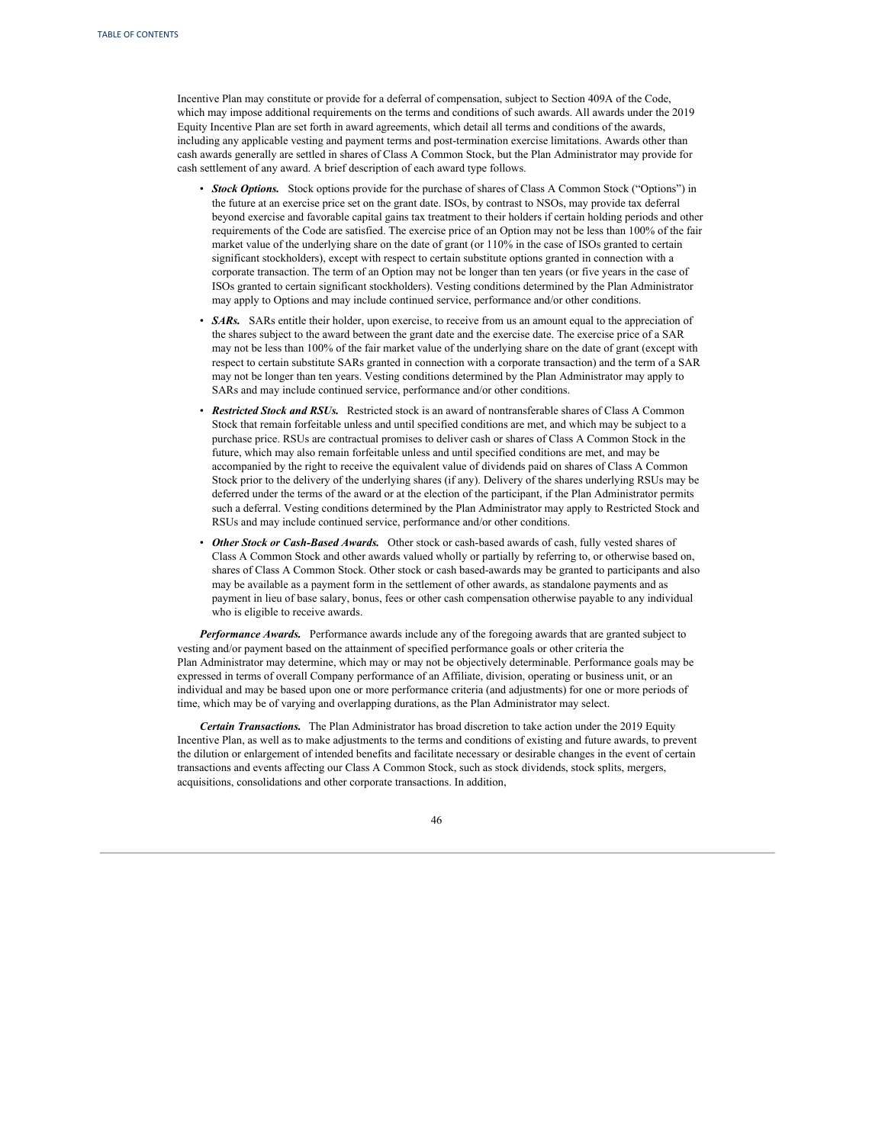Incentive Plan may constitute or provide for a deferral of compensation, subject to Section 409A of the Code, which may impose additional requirements on the terms and conditions of such awards. All awards under the 2019 Equity Incentive Plan are set forth in award agreements, which detail all terms and conditions of the awards, including any applicable vesting and payment terms and post-termination exercise limitations. Awards other than cash awards generally are settled in shares of Class A Common Stock, but the Plan Administrator may provide for cash settlement of any award. A brief description of each award type follows.

- *Stock Options.* Stock options provide for the purchase of shares of Class A Common Stock ("Options") in the future at an exercise price set on the grant date. ISOs, by contrast to NSOs, may provide tax deferral beyond exercise and favorable capital gains tax treatment to their holders if certain holding periods and other requirements of the Code are satisfied. The exercise price of an Option may not be less than 100% of the fair market value of the underlying share on the date of grant (or 110% in the case of ISOs granted to certain significant stockholders), except with respect to certain substitute options granted in connection with a corporate transaction. The term of an Option may not be longer than ten years (or five years in the case of ISOs granted to certain significant stockholders). Vesting conditions determined by the Plan Administrator may apply to Options and may include continued service, performance and/or other conditions.
- *SARs.* SARs entitle their holder, upon exercise, to receive from us an amount equal to the appreciation of the shares subject to the award between the grant date and the exercise date. The exercise price of a SAR may not be less than 100% of the fair market value of the underlying share on the date of grant (except with respect to certain substitute SARs granted in connection with a corporate transaction) and the term of a SAR may not be longer than ten years. Vesting conditions determined by the Plan Administrator may apply to SARs and may include continued service, performance and/or other conditions.
- *Restricted Stock and RSUs.* Restricted stock is an award of nontransferable shares of Class A Common Stock that remain forfeitable unless and until specified conditions are met, and which may be subject to a purchase price. RSUs are contractual promises to deliver cash or shares of Class A Common Stock in the future, which may also remain forfeitable unless and until specified conditions are met, and may be accompanied by the right to receive the equivalent value of dividends paid on shares of Class A Common Stock prior to the delivery of the underlying shares (if any). Delivery of the shares underlying RSUs may be deferred under the terms of the award or at the election of the participant, if the Plan Administrator permits such a deferral. Vesting conditions determined by the Plan Administrator may apply to Restricted Stock and RSUs and may include continued service, performance and/or other conditions.
- *Other Stock or Cash-Based Awards.* Other stock or cash-based awards of cash, fully vested shares of Class A Common Stock and other awards valued wholly or partially by referring to, or otherwise based on, shares of Class A Common Stock. Other stock or cash based-awards may be granted to participants and also may be available as a payment form in the settlement of other awards, as standalone payments and as payment in lieu of base salary, bonus, fees or other cash compensation otherwise payable to any individual who is eligible to receive awards.

*Performance Awards.* Performance awards include any of the foregoing awards that are granted subject to vesting and/or payment based on the attainment of specified performance goals or other criteria the Plan Administrator may determine, which may or may not be objectively determinable. Performance goals may be expressed in terms of overall Company performance of an Affiliate, division, operating or business unit, or an individual and may be based upon one or more performance criteria (and adjustments) for one or more periods of time, which may be of varying and overlapping durations, as the Plan Administrator may select.

*Certain Transactions.* The Plan Administrator has broad discretion to take action under the 2019 Equity Incentive Plan, as well as to make adjustments to the terms and conditions of existing and future awards, to prevent the dilution or enlargement of intended benefits and facilitate necessary or desirable changes in the event of certain transactions and events affecting our Class A Common Stock, such as stock dividends, stock splits, mergers, acquisitions, consolidations and other corporate transactions. In addition,

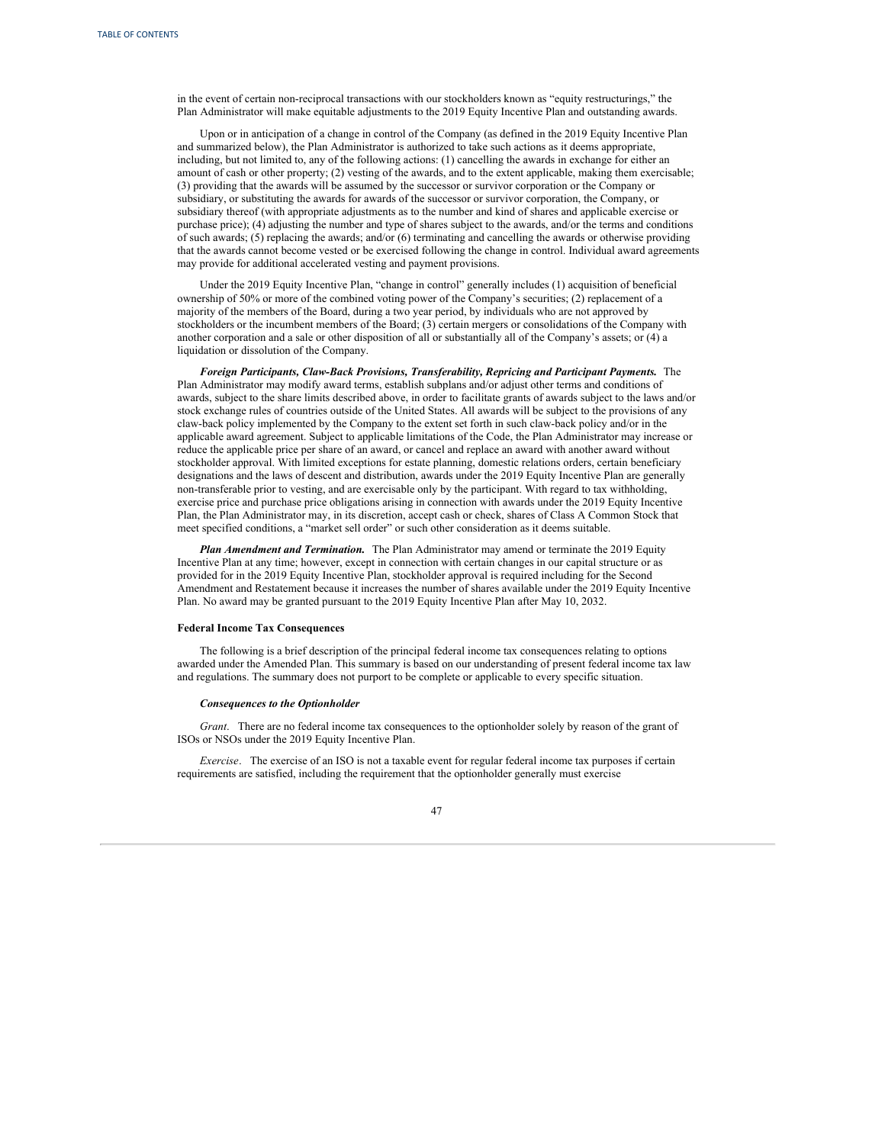in the event of certain non-reciprocal transactions with our stockholders known as "equity restructurings," the Plan Administrator will make equitable adjustments to the 2019 Equity Incentive Plan and outstanding awards.

Upon or in anticipation of a change in control of the Company (as defined in the 2019 Equity Incentive Plan and summarized below), the Plan Administrator is authorized to take such actions as it deems appropriate, including, but not limited to, any of the following actions: (1) cancelling the awards in exchange for either an amount of cash or other property; (2) vesting of the awards, and to the extent applicable, making them exercisable; (3) providing that the awards will be assumed by the successor or survivor corporation or the Company or subsidiary, or substituting the awards for awards of the successor or survivor corporation, the Company, or subsidiary thereof (with appropriate adjustments as to the number and kind of shares and applicable exercise or purchase price); (4) adjusting the number and type of shares subject to the awards, and/or the terms and conditions of such awards; (5) replacing the awards; and/or (6) terminating and cancelling the awards or otherwise providing that the awards cannot become vested or be exercised following the change in control. Individual award agreements may provide for additional accelerated vesting and payment provisions.

Under the 2019 Equity Incentive Plan, "change in control" generally includes (1) acquisition of beneficial ownership of 50% or more of the combined voting power of the Company's securities; (2) replacement of a majority of the members of the Board, during a two year period, by individuals who are not approved by stockholders or the incumbent members of the Board; (3) certain mergers or consolidations of the Company with another corporation and a sale or other disposition of all or substantially all of the Company's assets; or (4) a liquidation or dissolution of the Company.

*Foreign Participants, Claw-Back Provisions, Transferability, Repricing and Participant Payments.* The Plan Administrator may modify award terms, establish subplans and/or adjust other terms and conditions of awards, subject to the share limits described above, in order to facilitate grants of awards subject to the laws and/or stock exchange rules of countries outside of the United States. All awards will be subject to the provisions of any claw-back policy implemented by the Company to the extent set forth in such claw-back policy and/or in the applicable award agreement. Subject to applicable limitations of the Code, the Plan Administrator may increase or reduce the applicable price per share of an award, or cancel and replace an award with another award without stockholder approval. With limited exceptions for estate planning, domestic relations orders, certain beneficiary designations and the laws of descent and distribution, awards under the 2019 Equity Incentive Plan are generally non-transferable prior to vesting, and are exercisable only by the participant. With regard to tax withholding, exercise price and purchase price obligations arising in connection with awards under the 2019 Equity Incentive Plan, the Plan Administrator may, in its discretion, accept cash or check, shares of Class A Common Stock that meet specified conditions, a "market sell order" or such other consideration as it deems suitable.

*Plan Amendment and Termination.* The Plan Administrator may amend or terminate the 2019 Equity Incentive Plan at any time; however, except in connection with certain changes in our capital structure or as provided for in the 2019 Equity Incentive Plan, stockholder approval is required including for the Second Amendment and Restatement because it increases the number of shares available under the 2019 Equity Incentive Plan. No award may be granted pursuant to the 2019 Equity Incentive Plan after May 10, 2032.

#### **Federal Income Tax Consequences**

The following is a brief description of the principal federal income tax consequences relating to options awarded under the Amended Plan. This summary is based on our understanding of present federal income tax law and regulations. The summary does not purport to be complete or applicable to every specific situation.

#### *Consequences to the Optionholder*

*Grant*. There are no federal income tax consequences to the optionholder solely by reason of the grant of ISOs or NSOs under the 2019 Equity Incentive Plan.

*Exercise*. The exercise of an ISO is not a taxable event for regular federal income tax purposes if certain requirements are satisfied, including the requirement that the optionholder generally must exercise

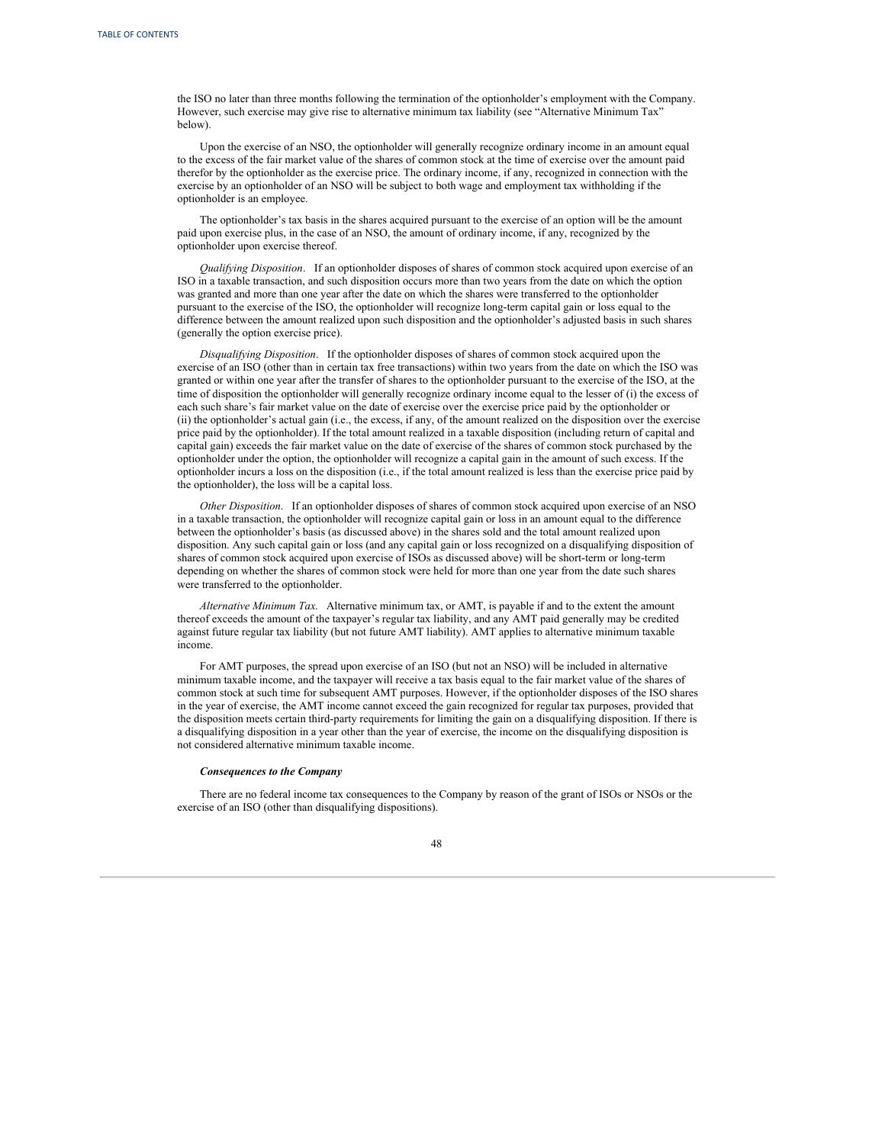the ISO no later than three months following the termination of the optionholder's employment with the Company. However, such exercise may give rise to alternative minimum tax liability (see "Alternative Minimum Tax" below).

Upon the exercise of an NSO, the optionholder will generally recognize ordinary income in an amount equal to the excess of the fair market value of the shares of common stock at the time of exercise over the amount paid therefor by the optionholder as the exercise price. The ordinary income, if any, recognized in connection with the exercise by an optionholder of an NSO will be subject to both wage and employment tax withholding if the optionholder is an employee.

The optionholder's tax basis in the shares acquired pursuant to the exercise of an option will be the amount paid upon exercise plus, in the case of an NSO, the amount of ordinary income, if any, recognized by the optionholder upon exercise thereof.

*Qualifying Disposition*. If an optionholder disposes of shares of common stock acquired upon exercise of an ISO in a taxable transaction, and such disposition occurs more than two years from the date on which the option was granted and more than one year after the date on which the shares were transferred to the optionholder pursuant to the exercise of the ISO, the optionholder will recognize long-term capital gain or loss equal to the difference between the amount realized upon such disposition and the optionholder's adjusted basis in such shares (generally the option exercise price).

*Disqualifying Disposition*. If the optionholder disposes of shares of common stock acquired upon the exercise of an ISO (other than in certain tax free transactions) within two years from the date on which the ISO was granted or within one year after the transfer of shares to the optionholder pursuant to the exercise of the ISO, at the time of disposition the optionholder will generally recognize ordinary income equal to the lesser of (i) the excess of each such share's fair market value on the date of exercise over the exercise price paid by the optionholder or (ii) the optionholder's actual gain (i.e., the excess, if any, of the amount realized on the disposition over the exercise price paid by the optionholder). If the total amount realized in a taxable disposition (including return of capital and capital gain) exceeds the fair market value on the date of exercise of the shares of common stock purchased by the optionholder under the option, the optionholder will recognize a capital gain in the amount of such excess. If the optionholder incurs a loss on the disposition (i.e., if the total amount realized is less than the exercise price paid by the optionholder), the loss will be a capital loss.

*Other Disposition*. If an optionholder disposes of shares of common stock acquired upon exercise of an NSO in a taxable transaction, the optionholder will recognize capital gain or loss in an amount equal to the difference between the optionholder's basis (as discussed above) in the shares sold and the total amount realized upon disposition. Any such capital gain or loss (and any capital gain or loss recognized on a disqualifying disposition of shares of common stock acquired upon exercise of ISOs as discussed above) will be short-term or long-term depending on whether the shares of common stock were held for more than one year from the date such shares were transferred to the optionholder.

*Alternative Minimum Tax*. Alternative minimum tax, or AMT, is payable if and to the extent the amount thereof exceeds the amount of the taxpayer's regular tax liability, and any AMT paid generally may be credited against future regular tax liability (but not future AMT liability). AMT applies to alternative minimum taxable income.

For AMT purposes, the spread upon exercise of an ISO (but not an NSO) will be included in alternative minimum taxable income, and the taxpayer will receive a tax basis equal to the fair market value of the shares of common stock at such time for subsequent AMT purposes. However, if the optionholder disposes of the ISO shares in the year of exercise, the AMT income cannot exceed the gain recognized for regular tax purposes, provided that the disposition meets certain third-party requirements for limiting the gain on a disqualifying disposition. If there is a disqualifying disposition in a year other than the year of exercise, the income on the disqualifying disposition is not considered alternative minimum taxable income.

#### *Consequences to the Company*

There are no federal income tax consequences to the Company by reason of the grant of ISOs or NSOs or the exercise of an ISO (other than disqualifying dispositions).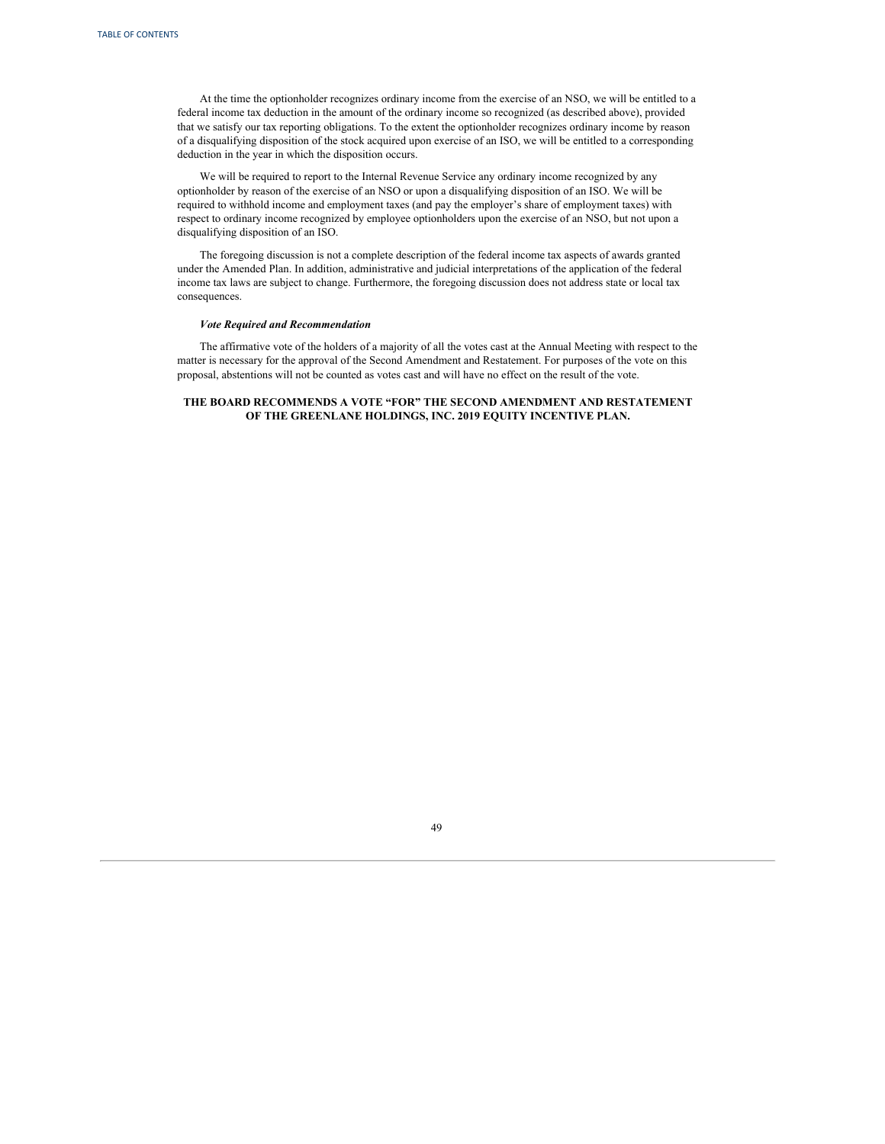At the time the optionholder recognizes ordinary income from the exercise of an NSO, we will be entitled to a federal income tax deduction in the amount of the ordinary income so recognized (as described above), provided that we satisfy our tax reporting obligations. To the extent the optionholder recognizes ordinary income by reason of a disqualifying disposition of the stock acquired upon exercise of an ISO, we will be entitled to a corresponding deduction in the year in which the disposition occurs.

We will be required to report to the Internal Revenue Service any ordinary income recognized by any optionholder by reason of the exercise of an NSO or upon a disqualifying disposition of an ISO. We will be required to withhold income and employment taxes (and pay the employer's share of employment taxes) with respect to ordinary income recognized by employee optionholders upon the exercise of an NSO, but not upon a disqualifying disposition of an ISO.

The foregoing discussion is not a complete description of the federal income tax aspects of awards granted under the Amended Plan. In addition, administrative and judicial interpretations of the application of the federal income tax laws are subject to change. Furthermore, the foregoing discussion does not address state or local tax consequences.

## *Vote Required and Recommendation*

The affirmative vote of the holders of a majority of all the votes cast at the Annual Meeting with respect to the matter is necessary for the approval of the Second Amendment and Restatement. For purposes of the vote on this proposal, abstentions will not be counted as votes cast and will have no effect on the result of the vote.

## **THE BOARD RECOMMENDS A VOTE "FOR" THE SECOND AMENDMENT AND RESTATEMENT OF THE GREENLANE HOLDINGS, INC. 2019 EQUITY INCENTIVE PLAN.**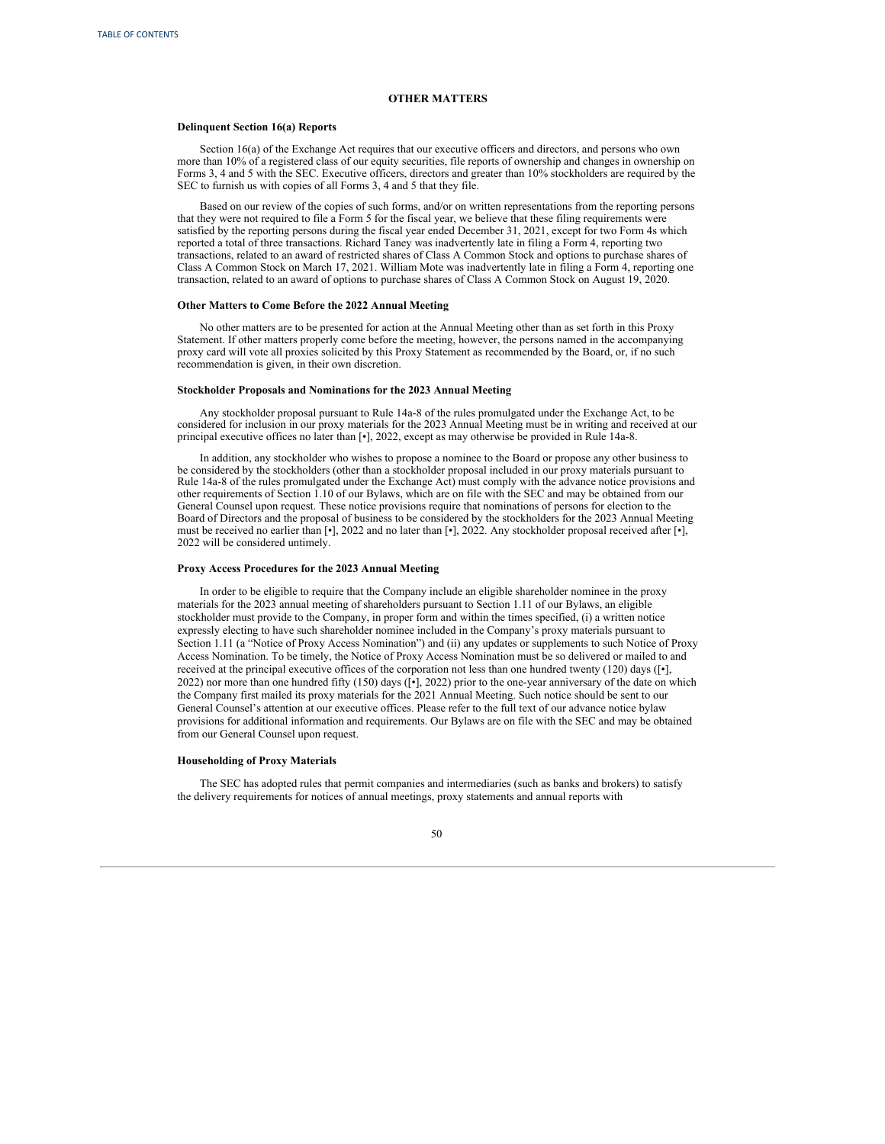### **OTHER MATTERS**

## **Delinquent Section 16(a) Reports**

Section 16(a) of the Exchange Act requires that our executive officers and directors, and persons who own more than 10% of a registered class of our equity securities, file reports of ownership and changes in ownership on Forms 3, 4 and 5 with the SEC. Executive officers, directors and greater than 10% stockholders are required by the SEC to furnish us with copies of all Forms 3, 4 and 5 that they file.

Based on our review of the copies of such forms, and/or on written representations from the reporting persons that they were not required to file a Form 5 for the fiscal year, we believe that these filing requirements were satisfied by the reporting persons during the fiscal year ended December 31, 2021, except for two Form 4s which reported a total of three transactions. Richard Taney was inadvertently late in filing a Form 4, reporting two transactions, related to an award of restricted shares of Class A Common Stock and options to purchase shares of Class A Common Stock on March 17, 2021. William Mote was inadvertently late in filing a Form 4, reporting one transaction, related to an award of options to purchase shares of Class A Common Stock on August 19, 2020.

#### **Other Matters to Come Before the 2022 Annual Meeting**

No other matters are to be presented for action at the Annual Meeting other than as set forth in this Proxy Statement. If other matters properly come before the meeting, however, the persons named in the accompanying proxy card will vote all proxies solicited by this Proxy Statement as recommended by the Board, or, if no such recommendation is given, in their own discretion.

#### **Stockholder Proposals and Nominations for the 2023 Annual Meeting**

Any stockholder proposal pursuant to Rule 14a-8 of the rules promulgated under the Exchange Act, to be considered for inclusion in our proxy materials for the 2023 Annual Meeting must be in writing and received at our principal executive offices no later than [•], 2022, except as may otherwise be provided in Rule 14a-8.

In addition, any stockholder who wishes to propose a nominee to the Board or propose any other business to be considered by the stockholders (other than a stockholder proposal included in our proxy materials pursuant to Rule 14a-8 of the rules promulgated under the Exchange Act) must comply with the advance notice provisions and other requirements of Section 1.10 of our Bylaws, which are on file with the SEC and may be obtained from our General Counsel upon request. These notice provisions require that nominations of persons for election to the Board of Directors and the proposal of business to be considered by the stockholders for the 2023 Annual Meeting must be received no earlier than [•], 2022 and no later than [•], 2022. Any stockholder proposal received after [•], 2022 will be considered untimely.

#### **Proxy Access Procedures for the 2023 Annual Meeting**

In order to be eligible to require that the Company include an eligible shareholder nominee in the proxy materials for the 2023 annual meeting of shareholders pursuant to Section 1.11 of our Bylaws, an eligible stockholder must provide to the Company, in proper form and within the times specified, (i) a written notice expressly electing to have such shareholder nominee included in the Company's proxy materials pursuant to Section 1.11 (a "Notice of Proxy Access Nomination") and (ii) any updates or supplements to such Notice of Proxy Access Nomination. To be timely, the Notice of Proxy Access Nomination must be so delivered or mailed to and received at the principal executive offices of the corporation not less than one hundred twenty (120) days ([•], 2022) nor more than one hundred fifty (150) days ( $\overline{[•]}$ , 2022) prior to the one-year anniversary of the date on which the Company first mailed its proxy materials for the 2021 Annual Meeting. Such notice should be sent to our General Counsel's attention at our executive offices. Please refer to the full text of our advance notice bylaw provisions for additional information and requirements. Our Bylaws are on file with the SEC and may be obtained from our General Counsel upon request.

## **Householding of Proxy Materials**

The SEC has adopted rules that permit companies and intermediaries (such as banks and brokers) to satisfy the delivery requirements for notices of annual meetings, proxy statements and annual reports with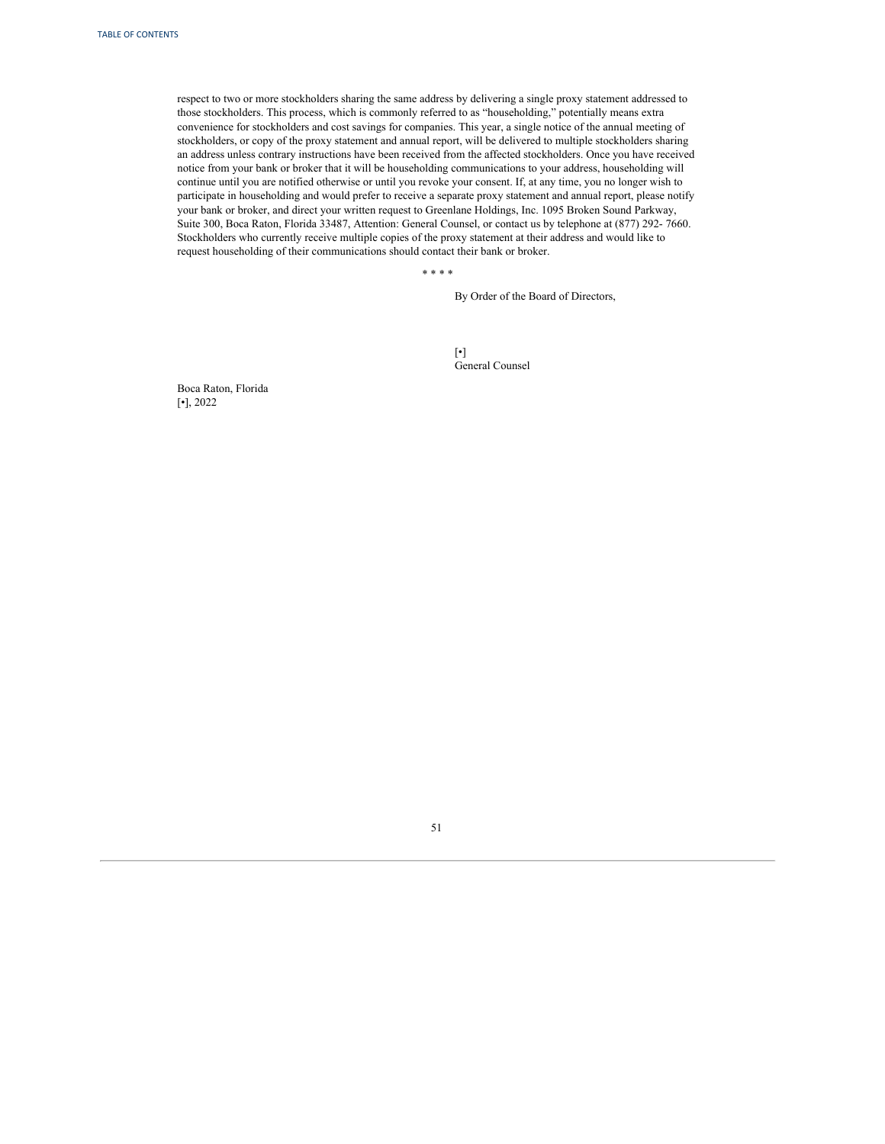respect to two or more stockholders sharing the same address by delivering a single proxy statement addressed to those stockholders. This process, which is commonly referred to as "householding," potentially means extra convenience for stockholders and cost savings for companies. This year, a single notice of the annual meeting of stockholders, or copy of the proxy statement and annual report, will be delivered to multiple stockholders sharing an address unless contrary instructions have been received from the affected stockholders. Once you have received notice from your bank or broker that it will be householding communications to your address, householding will continue until you are notified otherwise or until you revoke your consent. If, at any time, you no longer wish to participate in householding and would prefer to receive a separate proxy statement and annual report, please notify your bank or broker, and direct your written request to Greenlane Holdings, Inc. 1095 Broken Sound Parkway, Suite 300, Boca Raton, Florida 33487, Attention: General Counsel, or contact us by telephone at (877) 292- 7660. Stockholders who currently receive multiple copies of the proxy statement at their address and would like to request householding of their communications should contact their bank or broker.

\* \* \* \*

By Order of the Board of Directors,

[•] General Counsel

Boca Raton, Florida [•], 2022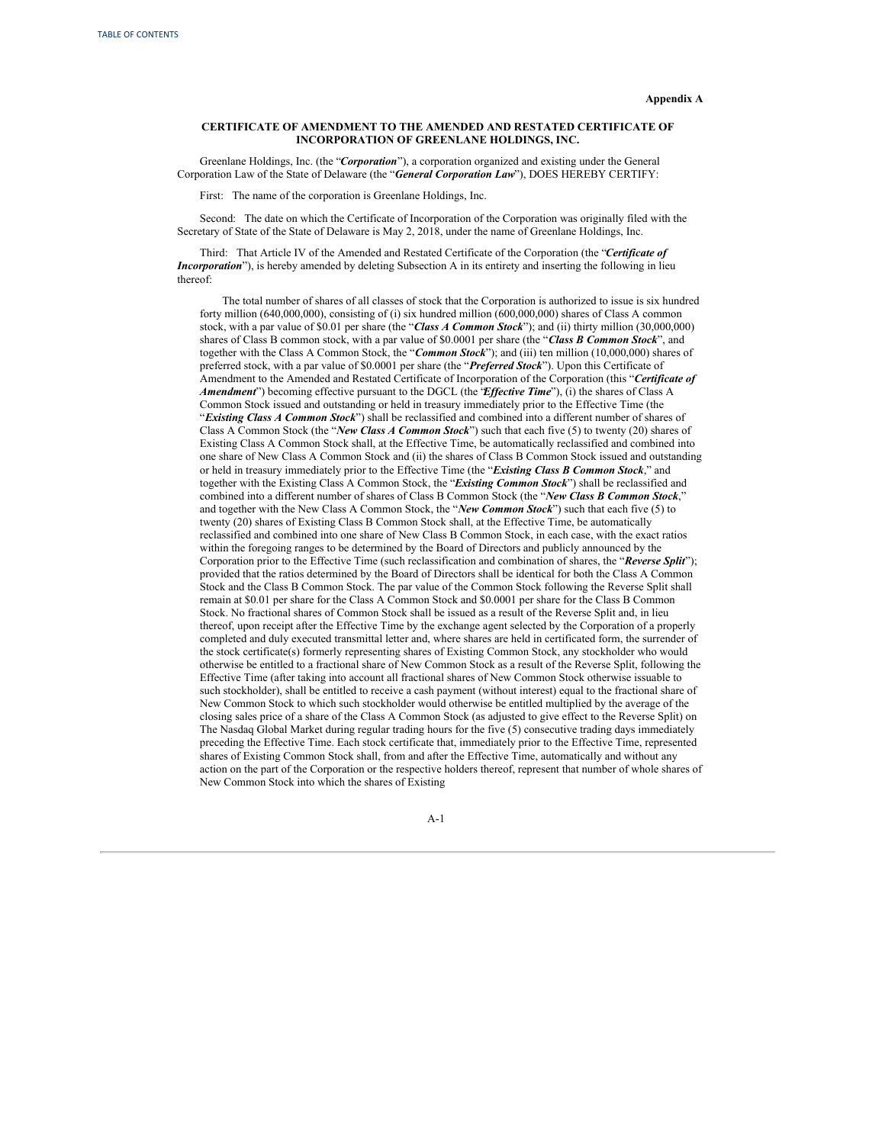## **CERTIFICATE OF AMENDMENT TO THE AMENDED AND RESTATED CERTIFICATE OF INCORPORATION OF GREENLANE HOLDINGS, INC.**

Greenlane Holdings, Inc. (the "*Corporation*"), a corporation organized and existing under the General Corporation Law of the State of Delaware (the "*General Corporation Law*"), DOES HEREBY CERTIFY:

First: The name of the corporation is Greenlane Holdings, Inc.

Second: The date on which the Certificate of Incorporation of the Corporation was originally filed with the Secretary of State of the State of Delaware is May 2, 2018, under the name of Greenlane Holdings, Inc.

Third: That Article IV of the Amended and Restated Certificate of the Corporation (the "*Certificate of Incorporation*"), is hereby amended by deleting Subsection A in its entirety and inserting the following in lieu thereof:

The total number of shares of all classes of stock that the Corporation is authorized to issue is six hundred forty million (640,000,000), consisting of (i) six hundred million (600,000,000) shares of Class A common stock, with a par value of \$0.01 per share (the "*Class A Common Stock*"); and (ii) thirty million (30,000,000) shares of Class B common stock, with a par value of \$0.0001 per share (the "*Class B Common Stock*", and together with the Class A Common Stock, the "*Common Stock*"); and (iii) ten million (10,000,000) shares of preferred stock, with a par value of \$0.0001 per share (the "*Preferred Stock*"). Upon this Certificate of Amendment to the Amended and Restated Certificate of Incorporation of the Corporation (this "*Certificate of Amendment*") becoming effective pursuant to the DGCL (the *'Effective Time*"), (i) the shares of Class A Common Stock issued and outstanding or held in treasury immediately prior to the Effective Time (the "*Existing Class A Common Stock*") shall be reclassified and combined into a different number of shares of Class A Common Stock (the "*New Class A Common Stock*") such that each five (5) to twenty (20) shares of Existing Class A Common Stock shall, at the Effective Time, be automatically reclassified and combined into one share of New Class A Common Stock and (ii) the shares of Class B Common Stock issued and outstanding or held in treasury immediately prior to the Effective Time (the "*Existing Class B Common Stock*," and together with the Existing Class A Common Stock, the "*Existing Common Stock*") shall be reclassified and combined into a different number of shares of Class B Common Stock (the "*New Class B Common Stock*," and together with the New Class A Common Stock, the "*New Common Stock*") such that each five (5) to twenty (20) shares of Existing Class B Common Stock shall, at the Effective Time, be automatically reclassified and combined into one share of New Class B Common Stock, in each case, with the exact ratios within the foregoing ranges to be determined by the Board of Directors and publicly announced by the Corporation prior to the Effective Time (such reclassification and combination of shares, the "*Reverse Split*"); provided that the ratios determined by the Board of Directors shall be identical for both the Class A Common Stock and the Class B Common Stock. The par value of the Common Stock following the Reverse Split shall remain at \$0.01 per share for the Class A Common Stock and \$0.0001 per share for the Class B Common Stock. No fractional shares of Common Stock shall be issued as a result of the Reverse Split and, in lieu thereof, upon receipt after the Effective Time by the exchange agent selected by the Corporation of a properly completed and duly executed transmittal letter and, where shares are held in certificated form, the surrender of the stock certificate(s) formerly representing shares of Existing Common Stock, any stockholder who would otherwise be entitled to a fractional share of New Common Stock as a result of the Reverse Split, following the Effective Time (after taking into account all fractional shares of New Common Stock otherwise issuable to such stockholder), shall be entitled to receive a cash payment (without interest) equal to the fractional share of New Common Stock to which such stockholder would otherwise be entitled multiplied by the average of the closing sales price of a share of the Class A Common Stock (as adjusted to give effect to the Reverse Split) on The Nasdaq Global Market during regular trading hours for the five (5) consecutive trading days immediately preceding the Effective Time. Each stock certificate that, immediately prior to the Effective Time, represented shares of Existing Common Stock shall, from and after the Effective Time, automatically and without any action on the part of the Corporation or the respective holders thereof, represent that number of whole shares of New Common Stock into which the shares of Existing

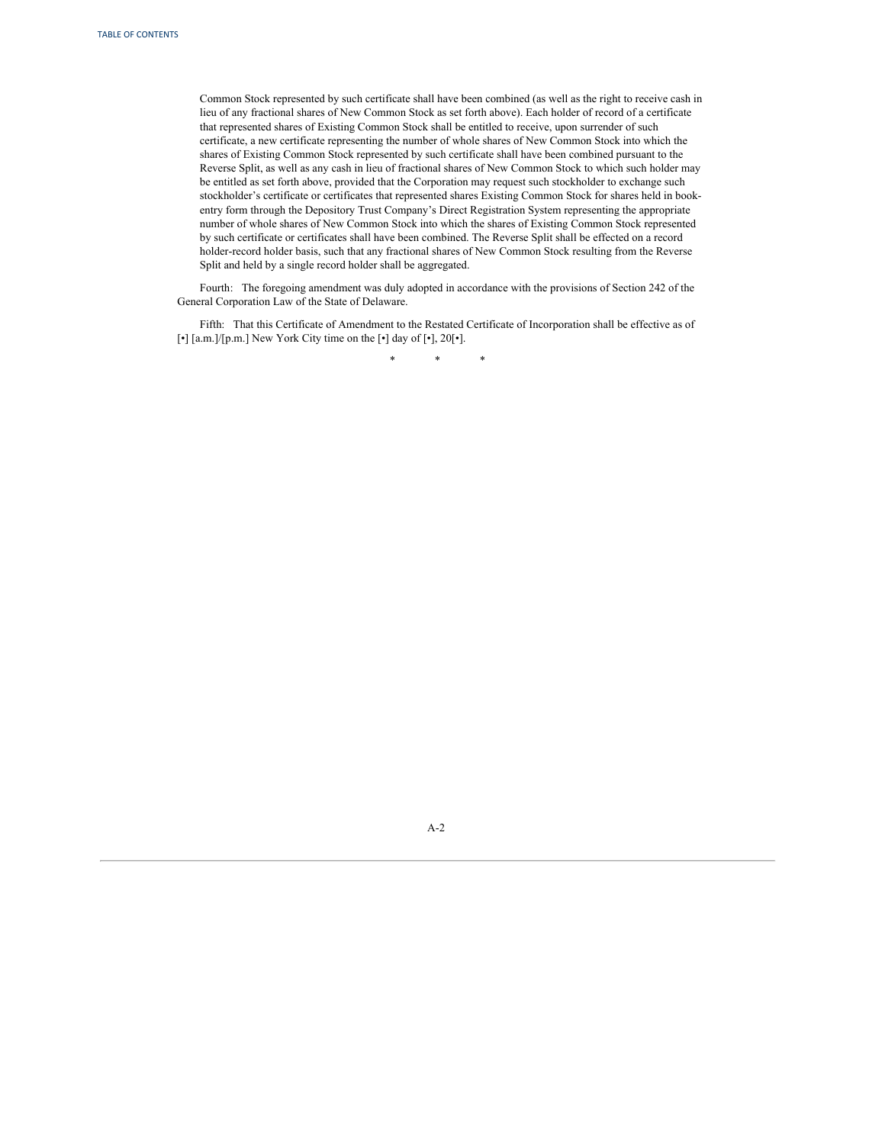Common Stock represented by such certificate shall have been combined (as well as the right to receive cash in lieu of any fractional shares of New Common Stock as set forth above). Each holder of record of a certificate that represented shares of Existing Common Stock shall be entitled to receive, upon surrender of such certificate, a new certificate representing the number of whole shares of New Common Stock into which the shares of Existing Common Stock represented by such certificate shall have been combined pursuant to the Reverse Split, as well as any cash in lieu of fractional shares of New Common Stock to which such holder may be entitled as set forth above, provided that the Corporation may request such stockholder to exchange such stockholder's certificate or certificates that represented shares Existing Common Stock for shares held in bookentry form through the Depository Trust Company's Direct Registration System representing the appropriate number of whole shares of New Common Stock into which the shares of Existing Common Stock represented by such certificate or certificates shall have been combined. The Reverse Split shall be effected on a record holder-record holder basis, such that any fractional shares of New Common Stock resulting from the Reverse Split and held by a single record holder shall be aggregated.

Fourth: The foregoing amendment was duly adopted in accordance with the provisions of Section 242 of the General Corporation Law of the State of Delaware.

Fifth: That this Certificate of Amendment to the Restated Certificate of Incorporation shall be effective as of [•] [a.m.]/[p.m.] New York City time on the [•] day of [•], 20[•].

\* \* \*

## A-2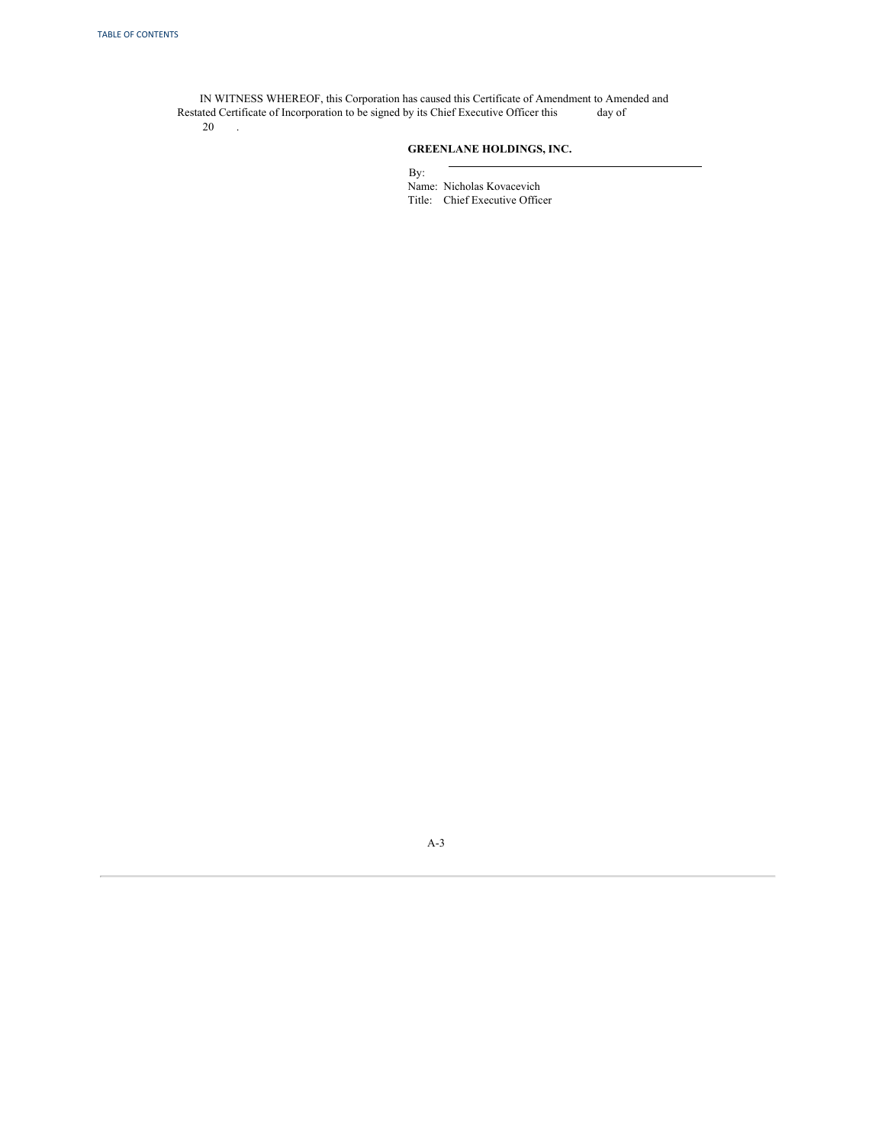IN WITNESS WHEREOF, this Corporation has caused this Certificate of Amendment to Amended and Restated Certificate of Incorporation to be signed by its Chief Executive Officer this day of 20 .

## **GREENLANE HOLDINGS, INC.**

By: Name: Nicholas Kovacevich Title: Chief Executive Officer

A-3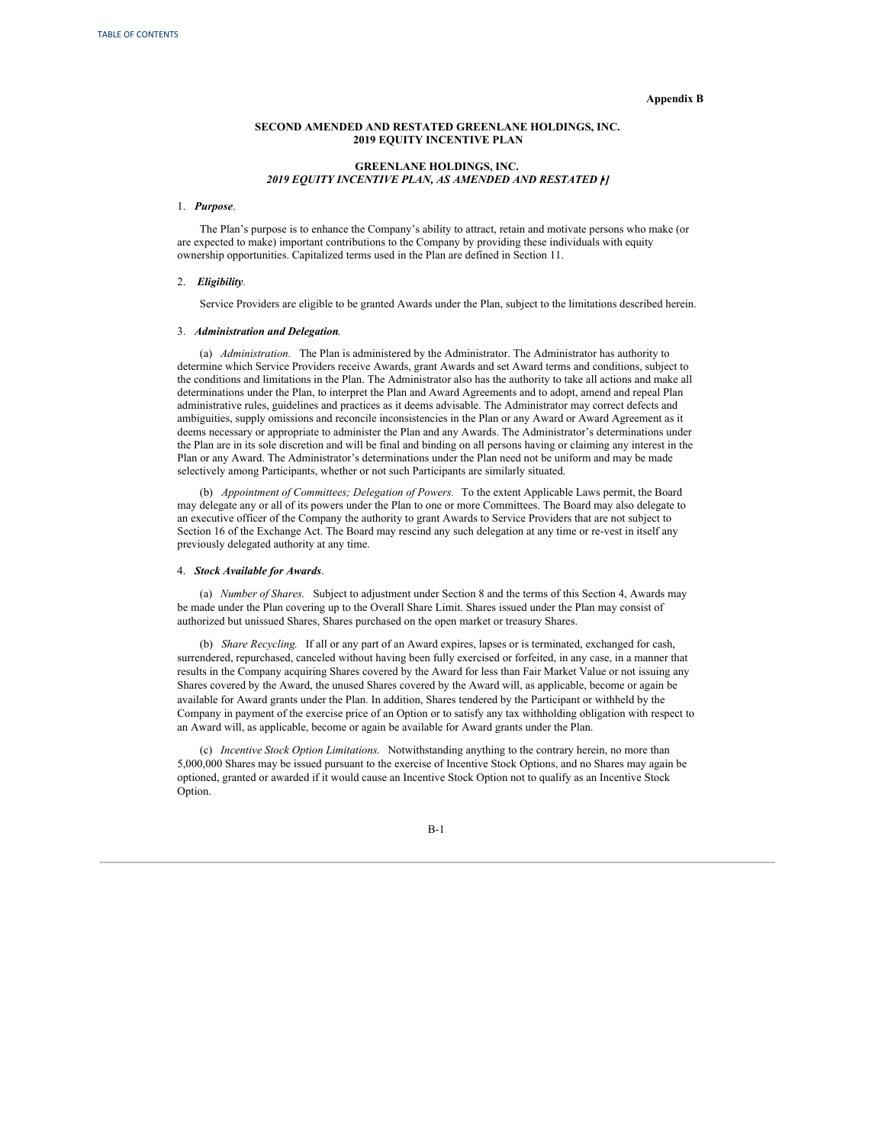### **Appendix B**

## **SECOND AMENDED AND RESTATED GREENLANE HOLDINGS, INC. 2019 EQUITY INCENTIVE PLAN**

## **GREENLANE HOLDINGS, INC.** *2019 EQUITY INCENTIVE PLAN, AS AMENDED AND RESTATED [***•***]*

## 1. *Purpose*.

The Plan's purpose is to enhance the Company's ability to attract, retain and motivate persons who make (or are expected to make) important contributions to the Company by providing these individuals with equity ownership opportunities. Capitalized terms used in the Plan are defined in Section 11.

#### 2. *Eligibility.*

Service Providers are eligible to be granted Awards under the Plan, subject to the limitations described herein.

## 3. *Administration and Delegation*.

(a) *Administration.* The Plan is administered by the Administrator. The Administrator has authority to determine which Service Providers receive Awards, grant Awards and set Award terms and conditions, subject to the conditions and limitations in the Plan. The Administrator also has the authority to take all actions and make all determinations under the Plan, to interpret the Plan and Award Agreements and to adopt, amend and repeal Plan administrative rules, guidelines and practices as it deems advisable. The Administrator may correct defects and ambiguities, supply omissions and reconcile inconsistencies in the Plan or any Award or Award Agreement as it deems necessary or appropriate to administer the Plan and any Awards. The Administrator's determinations under the Plan are in its sole discretion and will be final and binding on all persons having or claiming any interest in the Plan or any Award. The Administrator's determinations under the Plan need not be uniform and may be made selectively among Participants, whether or not such Participants are similarly situated.

(b) *Appointment of Committees; Delegation of Powers.* To the extent Applicable Laws permit, the Board may delegate any or all of its powers under the Plan to one or more Committees. The Board may also delegate to an executive officer of the Company the authority to grant Awards to Service Providers that are not subject to Section 16 of the Exchange Act. The Board may rescind any such delegation at any time or re-vest in itself any previously delegated authority at any time.

## 4. *Stock Available for Awards*.

(a) *Number of Shares.* Subject to adjustment under Section 8 and the terms of this Section 4, Awards may be made under the Plan covering up to the Overall Share Limit. Shares issued under the Plan may consist of authorized but unissued Shares, Shares purchased on the open market or treasury Shares.

(b) *Share Recycling*. If all or any part of an Award expires, lapses or is terminated, exchanged for cash, surrendered, repurchased, canceled without having been fully exercised or forfeited, in any case, in a manner that results in the Company acquiring Shares covered by the Award for less than Fair Market Value or not issuing any Shares covered by the Award, the unused Shares covered by the Award will, as applicable, become or again be available for Award grants under the Plan. In addition, Shares tendered by the Participant or withheld by the Company in payment of the exercise price of an Option or to satisfy any tax withholding obligation with respect to an Award will, as applicable, become or again be available for Award grants under the Plan.

(c) *Incentive Stock Option Limitations*. Notwithstanding anything to the contrary herein, no more than 5,000,000 Shares may be issued pursuant to the exercise of Incentive Stock Options, and no Shares may again be optioned, granted or awarded if it would cause an Incentive Stock Option not to qualify as an Incentive Stock Option.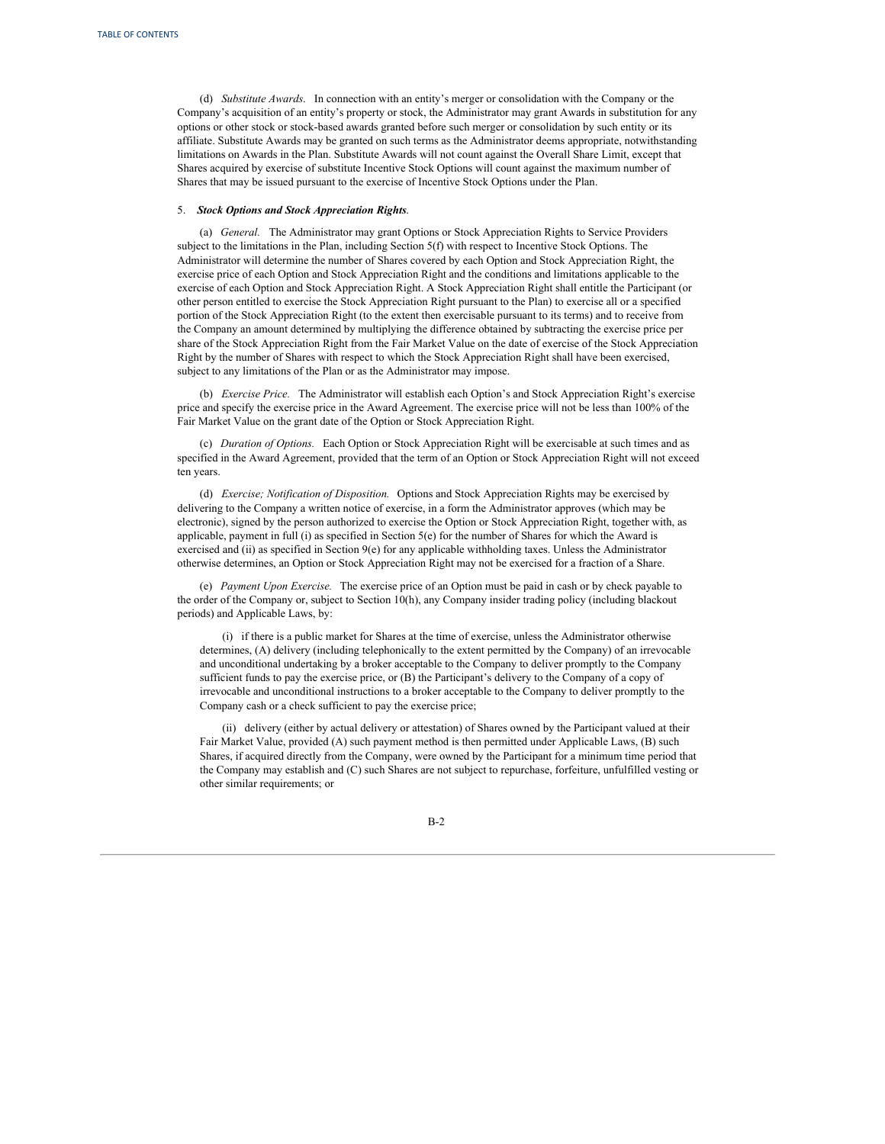(d) *Substitute Awards*. In connection with an entity's merger or consolidation with the Company or the Company's acquisition of an entity's property or stock, the Administrator may grant Awards in substitution for any options or other stock or stock-based awards granted before such merger or consolidation by such entity or its affiliate. Substitute Awards may be granted on such terms as the Administrator deems appropriate, notwithstanding limitations on Awards in the Plan. Substitute Awards will not count against the Overall Share Limit, except that Shares acquired by exercise of substitute Incentive Stock Options will count against the maximum number of Shares that may be issued pursuant to the exercise of Incentive Stock Options under the Plan.

#### 5. *Stock Options and Stock Appreciation Rights*.

(a) *General.* The Administrator may grant Options or Stock Appreciation Rights to Service Providers subject to the limitations in the Plan, including Section 5(f) with respect to Incentive Stock Options. The Administrator will determine the number of Shares covered by each Option and Stock Appreciation Right, the exercise price of each Option and Stock Appreciation Right and the conditions and limitations applicable to the exercise of each Option and Stock Appreciation Right. A Stock Appreciation Right shall entitle the Participant (or other person entitled to exercise the Stock Appreciation Right pursuant to the Plan) to exercise all or a specified portion of the Stock Appreciation Right (to the extent then exercisable pursuant to its terms) and to receive from the Company an amount determined by multiplying the difference obtained by subtracting the exercise price per share of the Stock Appreciation Right from the Fair Market Value on the date of exercise of the Stock Appreciation Right by the number of Shares with respect to which the Stock Appreciation Right shall have been exercised, subject to any limitations of the Plan or as the Administrator may impose.

(b) *Exercise Price.* The Administrator will establish each Option's and Stock Appreciation Right's exercise price and specify the exercise price in the Award Agreement. The exercise price will not be less than 100% of the Fair Market Value on the grant date of the Option or Stock Appreciation Right.

(c) *Duration of Options.* Each Option or Stock Appreciation Right will be exercisable at such times and as specified in the Award Agreement, provided that the term of an Option or Stock Appreciation Right will not exceed ten years.

(d) *Exercise; Notification of Disposition.* Options and Stock Appreciation Rights may be exercised by delivering to the Company a written notice of exercise, in a form the Administrator approves (which may be electronic), signed by the person authorized to exercise the Option or Stock Appreciation Right, together with, as applicable, payment in full (i) as specified in Section 5(e) for the number of Shares for which the Award is exercised and (ii) as specified in Section 9(e) for any applicable withholding taxes. Unless the Administrator otherwise determines, an Option or Stock Appreciation Right may not be exercised for a fraction of a Share.

(e) *Payment Upon Exercise.* The exercise price of an Option must be paid in cash or by check payable to the order of the Company or, subject to Section 10(h), any Company insider trading policy (including blackout periods) and Applicable Laws, by:

(i) if there is a public market for Shares at the time of exercise, unless the Administrator otherwise determines, (A) delivery (including telephonically to the extent permitted by the Company) of an irrevocable and unconditional undertaking by a broker acceptable to the Company to deliver promptly to the Company sufficient funds to pay the exercise price, or (B) the Participant's delivery to the Company of a copy of irrevocable and unconditional instructions to a broker acceptable to the Company to deliver promptly to the Company cash or a check sufficient to pay the exercise price;

(ii) delivery (either by actual delivery or attestation) of Shares owned by the Participant valued at their Fair Market Value, provided (A) such payment method is then permitted under Applicable Laws, (B) such Shares, if acquired directly from the Company, were owned by the Participant for a minimum time period that the Company may establish and (C) such Shares are not subject to repurchase, forfeiture, unfulfilled vesting or other similar requirements; or

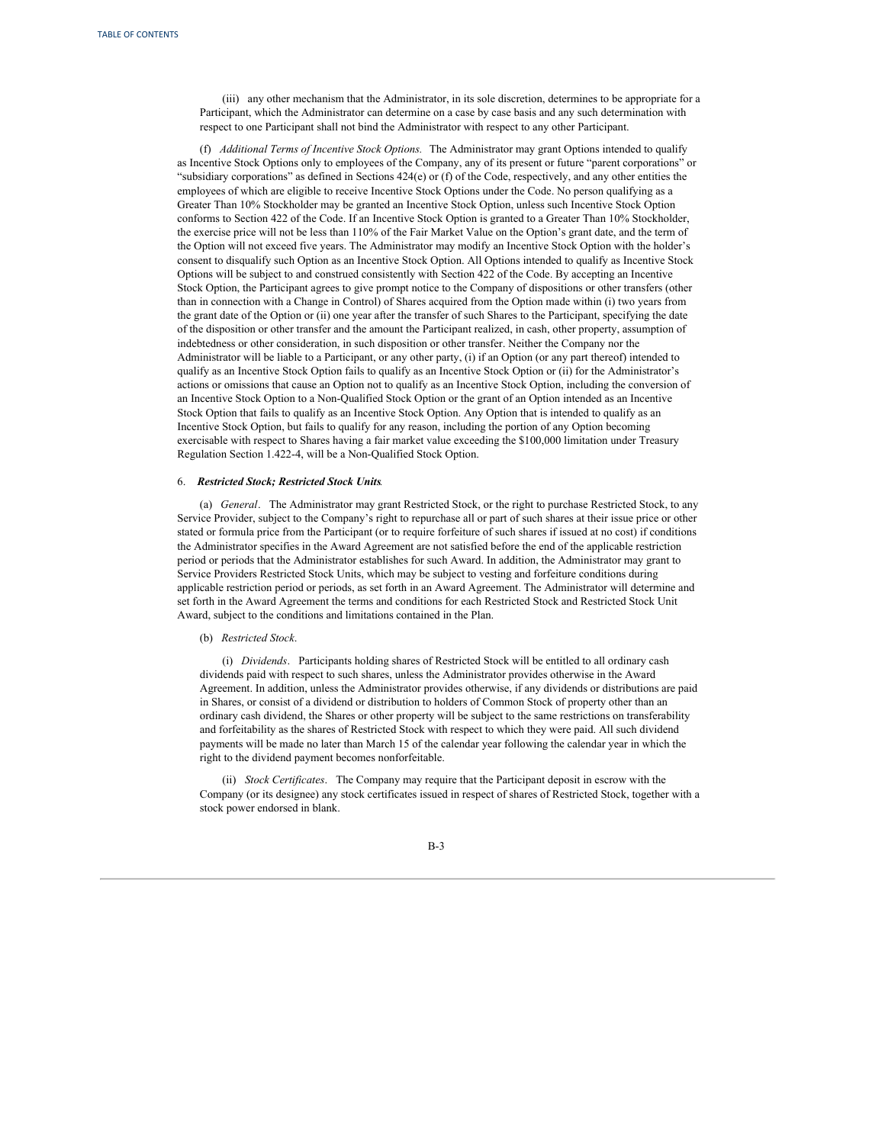(iii) any other mechanism that the Administrator, in its sole discretion, determines to be appropriate for a Participant, which the Administrator can determine on a case by case basis and any such determination with respect to one Participant shall not bind the Administrator with respect to any other Participant.

(f) *Additional Terms of Incentive Stock Options.* The Administrator may grant Options intended to qualify as Incentive Stock Options only to employees of the Company, any of its present or future "parent corporations" or "subsidiary corporations" as defined in Sections 424(e) or (f) of the Code, respectively, and any other entities the employees of which are eligible to receive Incentive Stock Options under the Code. No person qualifying as a Greater Than 10% Stockholder may be granted an Incentive Stock Option, unless such Incentive Stock Option conforms to Section 422 of the Code. If an Incentive Stock Option is granted to a Greater Than 10% Stockholder, the exercise price will not be less than 110% of the Fair Market Value on the Option's grant date, and the term of the Option will not exceed five years. The Administrator may modify an Incentive Stock Option with the holder's consent to disqualify such Option as an Incentive Stock Option. All Options intended to qualify as Incentive Stock Options will be subject to and construed consistently with Section 422 of the Code. By accepting an Incentive Stock Option, the Participant agrees to give prompt notice to the Company of dispositions or other transfers (other than in connection with a Change in Control) of Shares acquired from the Option made within (i) two years from the grant date of the Option or (ii) one year after the transfer of such Shares to the Participant, specifying the date of the disposition or other transfer and the amount the Participant realized, in cash, other property, assumption of indebtedness or other consideration, in such disposition or other transfer. Neither the Company nor the Administrator will be liable to a Participant, or any other party, (i) if an Option (or any part thereof) intended to qualify as an Incentive Stock Option fails to qualify as an Incentive Stock Option or (ii) for the Administrator's actions or omissions that cause an Option not to qualify as an Incentive Stock Option, including the conversion of an Incentive Stock Option to a Non-Qualified Stock Option or the grant of an Option intended as an Incentive Stock Option that fails to qualify as an Incentive Stock Option. Any Option that is intended to qualify as an Incentive Stock Option, but fails to qualify for any reason, including the portion of any Option becoming exercisable with respect to Shares having a fair market value exceeding the \$100,000 limitation under Treasury Regulation Section 1.422-4, will be a Non-Qualified Stock Option.

#### 6. *Restricted Stock; Restricted Stock Units.*

(a) *General*. The Administrator may grant Restricted Stock, or the right to purchase Restricted Stock, to any Service Provider, subject to the Company's right to repurchase all or part of such shares at their issue price or other stated or formula price from the Participant (or to require forfeiture of such shares if issued at no cost) if conditions the Administrator specifies in the Award Agreement are not satisfied before the end of the applicable restriction period or periods that the Administrator establishes for such Award. In addition, the Administrator may grant to Service Providers Restricted Stock Units, which may be subject to vesting and forfeiture conditions during applicable restriction period or periods, as set forth in an Award Agreement. The Administrator will determine and set forth in the Award Agreement the terms and conditions for each Restricted Stock and Restricted Stock Unit Award, subject to the conditions and limitations contained in the Plan.

## (b) *Restricted Stock*.

(i) *Dividends*. Participants holding shares of Restricted Stock will be entitled to all ordinary cash dividends paid with respect to such shares, unless the Administrator provides otherwise in the Award Agreement. In addition, unless the Administrator provides otherwise, if any dividends or distributions are paid in Shares, or consist of a dividend or distribution to holders of Common Stock of property other than an ordinary cash dividend, the Shares or other property will be subject to the same restrictions on transferability and forfeitability as the shares of Restricted Stock with respect to which they were paid. All such dividend payments will be made no later than March 15 of the calendar year following the calendar year in which the right to the dividend payment becomes nonforfeitable.

(ii) *Stock Certificates*. The Company may require that the Participant deposit in escrow with the Company (or its designee) any stock certificates issued in respect of shares of Restricted Stock, together with a stock power endorsed in blank.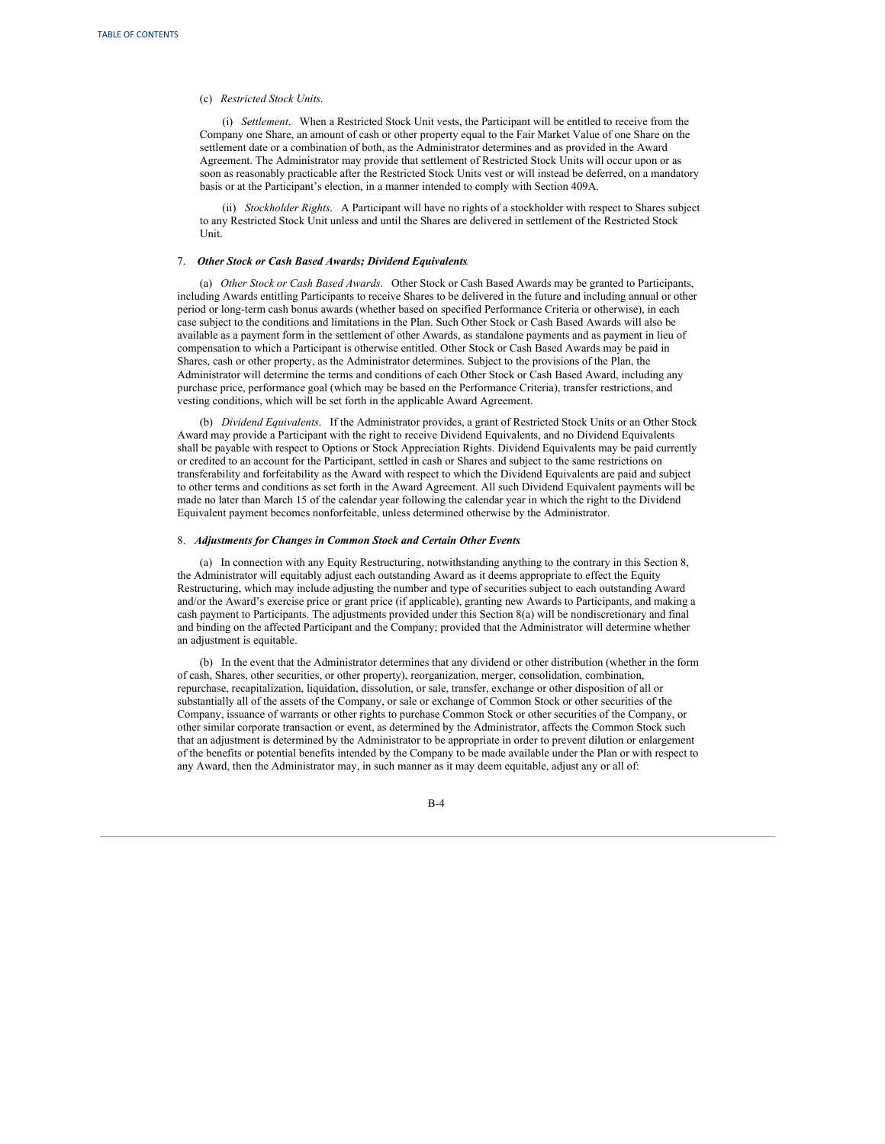### (c) *Restricted Stock Units*.

(i) *Settlement*. When a Restricted Stock Unit vests, the Participant will be entitled to receive from the Company one Share, an amount of cash or other property equal to the Fair Market Value of one Share on the settlement date or a combination of both, as the Administrator determines and as provided in the Award Agreement. The Administrator may provide that settlement of Restricted Stock Units will occur upon or as soon as reasonably practicable after the Restricted Stock Units vest or will instead be deferred, on a mandatory basis or at the Participant's election, in a manner intended to comply with Section 409A.

(ii) *Stockholder Rights*. A Participant will have no rights of a stockholder with respect to Shares subject to any Restricted Stock Unit unless and until the Shares are delivered in settlement of the Restricted Stock Unit.

### 7. *Other Stock or Cash Based Awards; Dividend Equivalents.*

(a) *Other Stock or Cash Based Awards*. Other Stock or Cash Based Awards may be granted to Participants, including Awards entitling Participants to receive Shares to be delivered in the future and including annual or other period or long-term cash bonus awards (whether based on specified Performance Criteria or otherwise), in each case subject to the conditions and limitations in the Plan. Such Other Stock or Cash Based Awards will also be available as a payment form in the settlement of other Awards, as standalone payments and as payment in lieu of compensation to which a Participant is otherwise entitled. Other Stock or Cash Based Awards may be paid in Shares, cash or other property, as the Administrator determines. Subject to the provisions of the Plan, the Administrator will determine the terms and conditions of each Other Stock or Cash Based Award, including any purchase price, performance goal (which may be based on the Performance Criteria), transfer restrictions, and vesting conditions, which will be set forth in the applicable Award Agreement.

(b) *Dividend Equivalents*. If the Administrator provides, a grant of Restricted Stock Units or an Other Stock Award may provide a Participant with the right to receive Dividend Equivalents, and no Dividend Equivalents shall be payable with respect to Options or Stock Appreciation Rights. Dividend Equivalents may be paid currently or credited to an account for the Participant, settled in cash or Shares and subject to the same restrictions on transferability and forfeitability as the Award with respect to which the Dividend Equivalents are paid and subject to other terms and conditions as set forth in the Award Agreement. All such Dividend Equivalent payments will be made no later than March 15 of the calendar year following the calendar year in which the right to the Dividend Equivalent payment becomes nonforfeitable, unless determined otherwise by the Administrator.

#### 8. *Adjustments for Changes in Common Stock and Certain Other Events.*

(a) In connection with any Equity Restructuring, notwithstanding anything to the contrary in this Section 8, the Administrator will equitably adjust each outstanding Award as it deems appropriate to effect the Equity Restructuring, which may include adjusting the number and type of securities subject to each outstanding Award and/or the Award's exercise price or grant price (if applicable), granting new Awards to Participants, and making a cash payment to Participants. The adjustments provided under this Section 8(a) will be nondiscretionary and final and binding on the affected Participant and the Company; provided that the Administrator will determine whether an adjustment is equitable.

(b) In the event that the Administrator determines that any dividend or other distribution (whether in the form of cash, Shares, other securities, or other property), reorganization, merger, consolidation, combination, repurchase, recapitalization, liquidation, dissolution, or sale, transfer, exchange or other disposition of all or substantially all of the assets of the Company, or sale or exchange of Common Stock or other securities of the Company, issuance of warrants or other rights to purchase Common Stock or other securities of the Company, or other similar corporate transaction or event, as determined by the Administrator, affects the Common Stock such that an adjustment is determined by the Administrator to be appropriate in order to prevent dilution or enlargement of the benefits or potential benefits intended by the Company to be made available under the Plan or with respect to any Award, then the Administrator may, in such manner as it may deem equitable, adjust any or all of: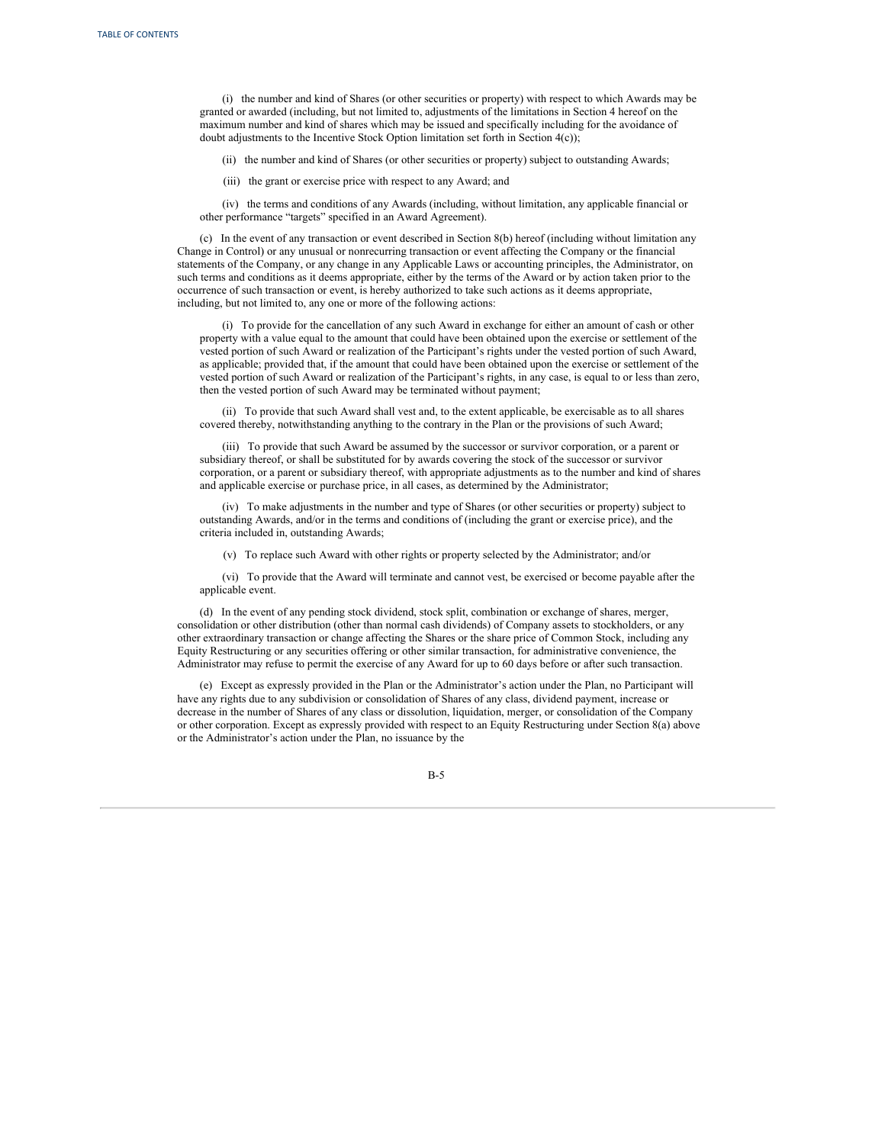(i) the number and kind of Shares (or other securities or property) with respect to which Awards may be granted or awarded (including, but not limited to, adjustments of the limitations in Section 4 hereof on the maximum number and kind of shares which may be issued and specifically including for the avoidance of doubt adjustments to the Incentive Stock Option limitation set forth in Section 4(c));

(ii) the number and kind of Shares (or other securities or property) subject to outstanding Awards;

(iii) the grant or exercise price with respect to any Award; and

(iv) the terms and conditions of any Awards (including, without limitation, any applicable financial or other performance "targets" specified in an Award Agreement).

(c) In the event of any transaction or event described in Section 8(b) hereof (including without limitation any Change in Control) or any unusual or nonrecurring transaction or event affecting the Company or the financial statements of the Company, or any change in any Applicable Laws or accounting principles, the Administrator, on such terms and conditions as it deems appropriate, either by the terms of the Award or by action taken prior to the occurrence of such transaction or event, is hereby authorized to take such actions as it deems appropriate, including, but not limited to, any one or more of the following actions:

(i) To provide for the cancellation of any such Award in exchange for either an amount of cash or other property with a value equal to the amount that could have been obtained upon the exercise or settlement of the vested portion of such Award or realization of the Participant's rights under the vested portion of such Award, as applicable; provided that, if the amount that could have been obtained upon the exercise or settlement of the vested portion of such Award or realization of the Participant's rights, in any case, is equal to or less than zero, then the vested portion of such Award may be terminated without payment;

(ii) To provide that such Award shall vest and, to the extent applicable, be exercisable as to all shares covered thereby, notwithstanding anything to the contrary in the Plan or the provisions of such Award;

(iii) To provide that such Award be assumed by the successor or survivor corporation, or a parent or subsidiary thereof, or shall be substituted for by awards covering the stock of the successor or survivor corporation, or a parent or subsidiary thereof, with appropriate adjustments as to the number and kind of shares and applicable exercise or purchase price, in all cases, as determined by the Administrator;

(iv) To make adjustments in the number and type of Shares (or other securities or property) subject to outstanding Awards, and/or in the terms and conditions of (including the grant or exercise price), and the criteria included in, outstanding Awards;

(v) To replace such Award with other rights or property selected by the Administrator; and/or

(vi) To provide that the Award will terminate and cannot vest, be exercised or become payable after the applicable event.

(d) In the event of any pending stock dividend, stock split, combination or exchange of shares, merger, consolidation or other distribution (other than normal cash dividends) of Company assets to stockholders, or any other extraordinary transaction or change affecting the Shares or the share price of Common Stock, including any Equity Restructuring or any securities offering or other similar transaction, for administrative convenience, the Administrator may refuse to permit the exercise of any Award for up to 60 days before or after such transaction.

(e) Except as expressly provided in the Plan or the Administrator's action under the Plan, no Participant will have any rights due to any subdivision or consolidation of Shares of any class, dividend payment, increase or decrease in the number of Shares of any class or dissolution, liquidation, merger, or consolidation of the Company or other corporation. Except as expressly provided with respect to an Equity Restructuring under Section 8(a) above or the Administrator's action under the Plan, no issuance by the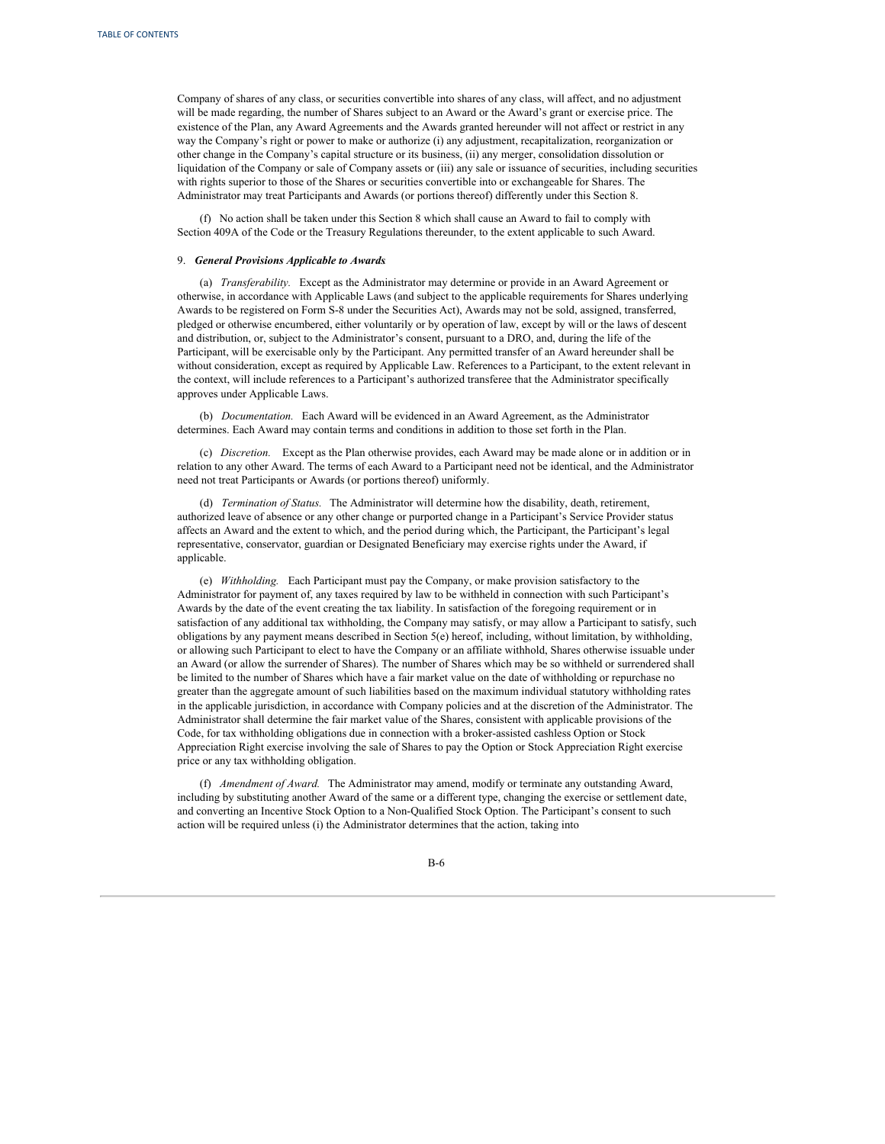Company of shares of any class, or securities convertible into shares of any class, will affect, and no adjustment will be made regarding, the number of Shares subject to an Award or the Award's grant or exercise price. The existence of the Plan, any Award Agreements and the Awards granted hereunder will not affect or restrict in any way the Company's right or power to make or authorize (i) any adjustment, recapitalization, reorganization or other change in the Company's capital structure or its business, (ii) any merger, consolidation dissolution or liquidation of the Company or sale of Company assets or (iii) any sale or issuance of securities, including securities with rights superior to those of the Shares or securities convertible into or exchangeable for Shares. The Administrator may treat Participants and Awards (or portions thereof) differently under this Section 8.

(f) No action shall be taken under this Section 8 which shall cause an Award to fail to comply with Section 409A of the Code or the Treasury Regulations thereunder, to the extent applicable to such Award.

#### 9. *General Provisions Applicable to Awards.*

(a) *Transferability.* Except as the Administrator may determine or provide in an Award Agreement or otherwise, in accordance with Applicable Laws (and subject to the applicable requirements for Shares underlying Awards to be registered on Form S-8 under the Securities Act), Awards may not be sold, assigned, transferred, pledged or otherwise encumbered, either voluntarily or by operation of law, except by will or the laws of descent and distribution, or, subject to the Administrator's consent, pursuant to a DRO, and, during the life of the Participant, will be exercisable only by the Participant. Any permitted transfer of an Award hereunder shall be without consideration, except as required by Applicable Law. References to a Participant, to the extent relevant in the context, will include references to a Participant's authorized transferee that the Administrator specifically approves under Applicable Laws.

(b) *Documentation.* Each Award will be evidenced in an Award Agreement, as the Administrator determines. Each Award may contain terms and conditions in addition to those set forth in the Plan.

(c) *Discretion.* Except as the Plan otherwise provides, each Award may be made alone or in addition or in relation to any other Award. The terms of each Award to a Participant need not be identical, and the Administrator need not treat Participants or Awards (or portions thereof) uniformly.

(d) *Termination of Status.* The Administrator will determine how the disability, death, retirement, authorized leave of absence or any other change or purported change in a Participant's Service Provider status affects an Award and the extent to which, and the period during which, the Participant, the Participant's legal representative, conservator, guardian or Designated Beneficiary may exercise rights under the Award, if applicable.

(e) *Withholding.* Each Participant must pay the Company, or make provision satisfactory to the Administrator for payment of, any taxes required by law to be withheld in connection with such Participant's Awards by the date of the event creating the tax liability. In satisfaction of the foregoing requirement or in satisfaction of any additional tax withholding, the Company may satisfy, or may allow a Participant to satisfy, such obligations by any payment means described in Section 5(e) hereof, including, without limitation, by withholding, or allowing such Participant to elect to have the Company or an affiliate withhold, Shares otherwise issuable under an Award (or allow the surrender of Shares). The number of Shares which may be so withheld or surrendered shall be limited to the number of Shares which have a fair market value on the date of withholding or repurchase no greater than the aggregate amount of such liabilities based on the maximum individual statutory withholding rates in the applicable jurisdiction, in accordance with Company policies and at the discretion of the Administrator. The Administrator shall determine the fair market value of the Shares, consistent with applicable provisions of the Code, for tax withholding obligations due in connection with a broker-assisted cashless Option or Stock Appreciation Right exercise involving the sale of Shares to pay the Option or Stock Appreciation Right exercise price or any tax withholding obligation.

(f) *Amendment of Award.* The Administrator may amend, modify or terminate any outstanding Award, including by substituting another Award of the same or a different type, changing the exercise or settlement date, and converting an Incentive Stock Option to a Non-Qualified Stock Option. The Participant's consent to such action will be required unless (i) the Administrator determines that the action, taking into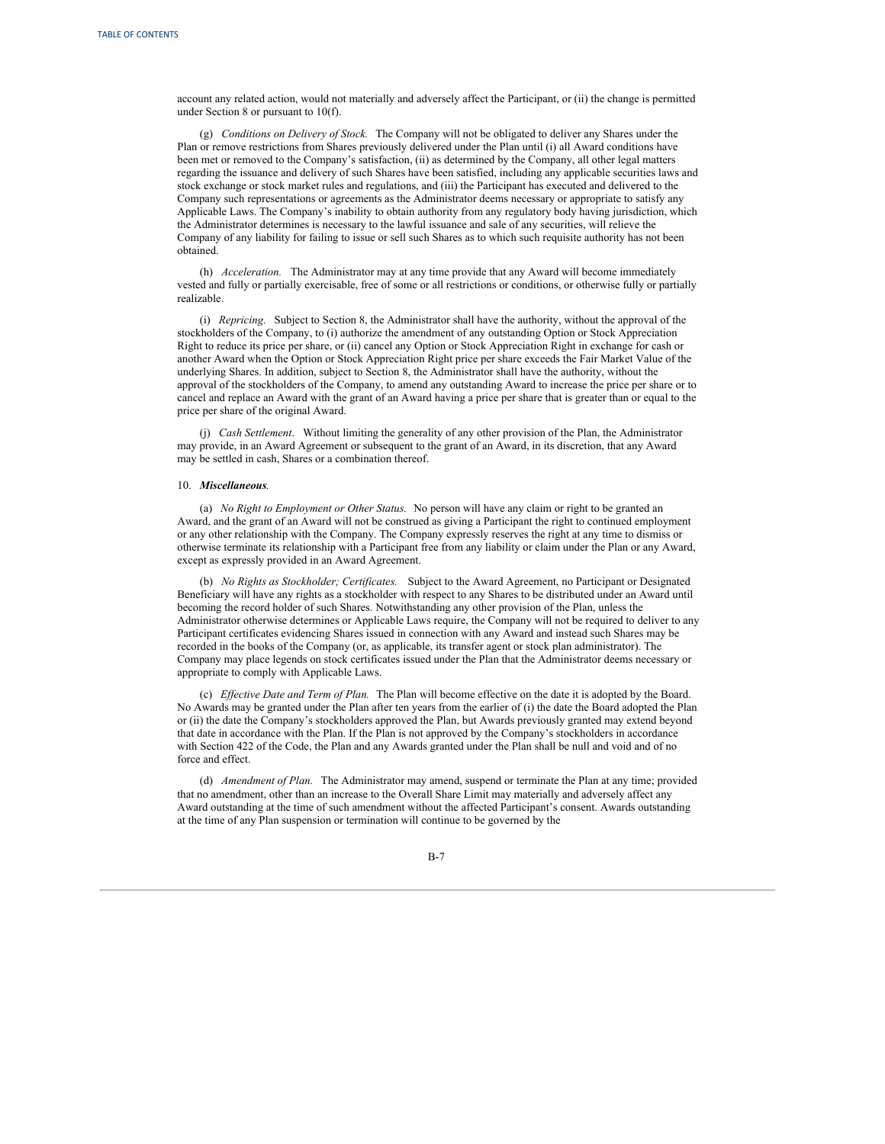account any related action, would not materially and adversely affect the Participant, or (ii) the change is permitted under Section 8 or pursuant to 10(f).

(g) *Conditions on Delivery of Stock.* The Company will not be obligated to deliver any Shares under the Plan or remove restrictions from Shares previously delivered under the Plan until (i) all Award conditions have been met or removed to the Company's satisfaction, (ii) as determined by the Company, all other legal matters regarding the issuance and delivery of such Shares have been satisfied, including any applicable securities laws and stock exchange or stock market rules and regulations, and (iii) the Participant has executed and delivered to the Company such representations or agreements as the Administrator deems necessary or appropriate to satisfy any Applicable Laws. The Company's inability to obtain authority from any regulatory body having jurisdiction, which the Administrator determines is necessary to the lawful issuance and sale of any securities, will relieve the Company of any liability for failing to issue or sell such Shares as to which such requisite authority has not been obtained.

(h) *Acceleration.* The Administrator may at any time provide that any Award will become immediately vested and fully or partially exercisable, free of some or all restrictions or conditions, or otherwise fully or partially realizable.

(i) *Repricing*. Subject to Section 8, the Administrator shall have the authority, without the approval of the stockholders of the Company, to (i) authorize the amendment of any outstanding Option or Stock Appreciation Right to reduce its price per share, or (ii) cancel any Option or Stock Appreciation Right in exchange for cash or another Award when the Option or Stock Appreciation Right price per share exceeds the Fair Market Value of the underlying Shares. In addition, subject to Section 8, the Administrator shall have the authority, without the approval of the stockholders of the Company, to amend any outstanding Award to increase the price per share or to cancel and replace an Award with the grant of an Award having a price per share that is greater than or equal to the price per share of the original Award.

(j) *Cash Settlement*. Without limiting the generality of any other provision of the Plan, the Administrator may provide, in an Award Agreement or subsequent to the grant of an Award, in its discretion, that any Award may be settled in cash, Shares or a combination thereof.

#### 10. *Miscellaneous.*

(a) *No Right to Employment or Other Status.* No person will have any claim or right to be granted an Award, and the grant of an Award will not be construed as giving a Participant the right to continued employment or any other relationship with the Company. The Company expressly reserves the right at any time to dismiss or otherwise terminate its relationship with a Participant free from any liability or claim under the Plan or any Award, except as expressly provided in an Award Agreement.

(b) *No Rights as Stockholder; Certificates.* Subject to the Award Agreement, no Participant or Designated Beneficiary will have any rights as a stockholder with respect to any Shares to be distributed under an Award until becoming the record holder of such Shares. Notwithstanding any other provision of the Plan, unless the Administrator otherwise determines or Applicable Laws require, the Company will not be required to deliver to any Participant certificates evidencing Shares issued in connection with any Award and instead such Shares may be recorded in the books of the Company (or, as applicable, its transfer agent or stock plan administrator). The Company may place legends on stock certificates issued under the Plan that the Administrator deems necessary or appropriate to comply with Applicable Laws.

(c) *Ef ective Date and Term of Plan.* The Plan will become effective on the date it is adopted by the Board. No Awards may be granted under the Plan after ten years from the earlier of (i) the date the Board adopted the Plan or (ii) the date the Company's stockholders approved the Plan, but Awards previously granted may extend beyond that date in accordance with the Plan. If the Plan is not approved by the Company's stockholders in accordance with Section 422 of the Code, the Plan and any Awards granted under the Plan shall be null and void and of no force and effect.

(d) *Amendment of Plan.* The Administrator may amend, suspend or terminate the Plan at any time; provided that no amendment, other than an increase to the Overall Share Limit may materially and adversely affect any Award outstanding at the time of such amendment without the affected Participant's consent. Awards outstanding at the time of any Plan suspension or termination will continue to be governed by the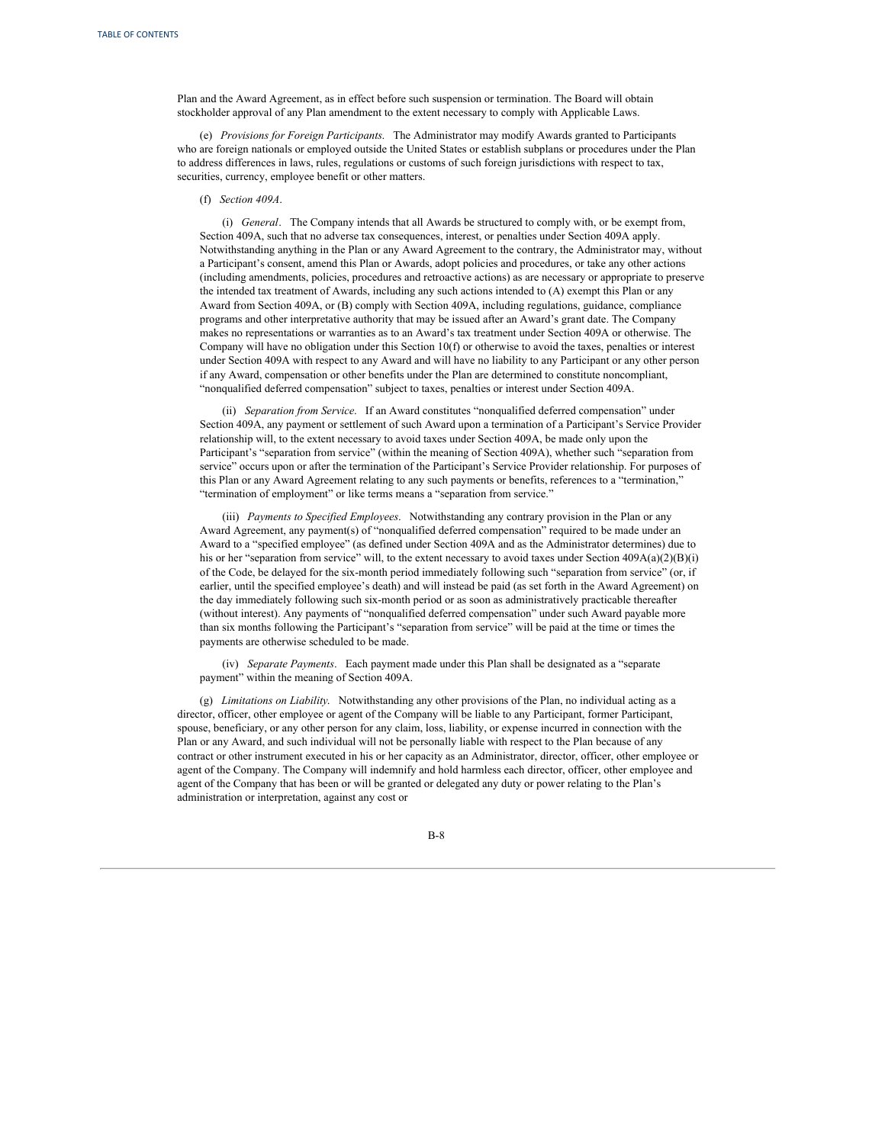Plan and the Award Agreement, as in effect before such suspension or termination. The Board will obtain stockholder approval of any Plan amendment to the extent necessary to comply with Applicable Laws.

(e) *Provisions for Foreign Participants*. The Administrator may modify Awards granted to Participants who are foreign nationals or employed outside the United States or establish subplans or procedures under the Plan to address differences in laws, rules, regulations or customs of such foreign jurisdictions with respect to tax, securities, currency, employee benefit or other matters.

## (f) *Section 409A*.

(i) *General*. The Company intends that all Awards be structured to comply with, or be exempt from, Section 409A, such that no adverse tax consequences, interest, or penalties under Section 409A apply. Notwithstanding anything in the Plan or any Award Agreement to the contrary, the Administrator may, without a Participant's consent, amend this Plan or Awards, adopt policies and procedures, or take any other actions (including amendments, policies, procedures and retroactive actions) as are necessary or appropriate to preserve the intended tax treatment of Awards, including any such actions intended to (A) exempt this Plan or any Award from Section 409A, or (B) comply with Section 409A, including regulations, guidance, compliance programs and other interpretative authority that may be issued after an Award's grant date. The Company makes no representations or warranties as to an Award's tax treatment under Section 409A or otherwise. The Company will have no obligation under this Section 10(f) or otherwise to avoid the taxes, penalties or interest under Section 409A with respect to any Award and will have no liability to any Participant or any other person if any Award, compensation or other benefits under the Plan are determined to constitute noncompliant, "nonqualified deferred compensation" subject to taxes, penalties or interest under Section 409A.

(ii) *Separation from Service*. If an Award constitutes "nonqualified deferred compensation" under Section 409A, any payment or settlement of such Award upon a termination of a Participant's Service Provider relationship will, to the extent necessary to avoid taxes under Section 409A, be made only upon the Participant's "separation from service" (within the meaning of Section 409A), whether such "separation from service" occurs upon or after the termination of the Participant's Service Provider relationship. For purposes of this Plan or any Award Agreement relating to any such payments or benefits, references to a "termination," "termination of employment" or like terms means a "separation from service."

(iii) *Payments to Specified Employees*. Notwithstanding any contrary provision in the Plan or any Award Agreement, any payment(s) of "nonqualified deferred compensation" required to be made under an Award to a "specified employee" (as defined under Section 409A and as the Administrator determines) due to his or her "separation from service" will, to the extent necessary to avoid taxes under Section 409A(a)(2)(B)(i) of the Code, be delayed for the six-month period immediately following such "separation from service" (or, if earlier, until the specified employee's death) and will instead be paid (as set forth in the Award Agreement) on the day immediately following such six-month period or as soon as administratively practicable thereafter (without interest). Any payments of "nonqualified deferred compensation" under such Award payable more than six months following the Participant's "separation from service" will be paid at the time or times the payments are otherwise scheduled to be made.

(iv) *Separate Payments*. Each payment made under this Plan shall be designated as a "separate payment" within the meaning of Section 409A.

(g) *Limitations on Liability*. Notwithstanding any other provisions of the Plan, no individual acting as a director, officer, other employee or agent of the Company will be liable to any Participant, former Participant, spouse, beneficiary, or any other person for any claim, loss, liability, or expense incurred in connection with the Plan or any Award, and such individual will not be personally liable with respect to the Plan because of any contract or other instrument executed in his or her capacity as an Administrator, director, officer, other employee or agent of the Company. The Company will indemnify and hold harmless each director, officer, other employee and agent of the Company that has been or will be granted or delegated any duty or power relating to the Plan's administration or interpretation, against any cost or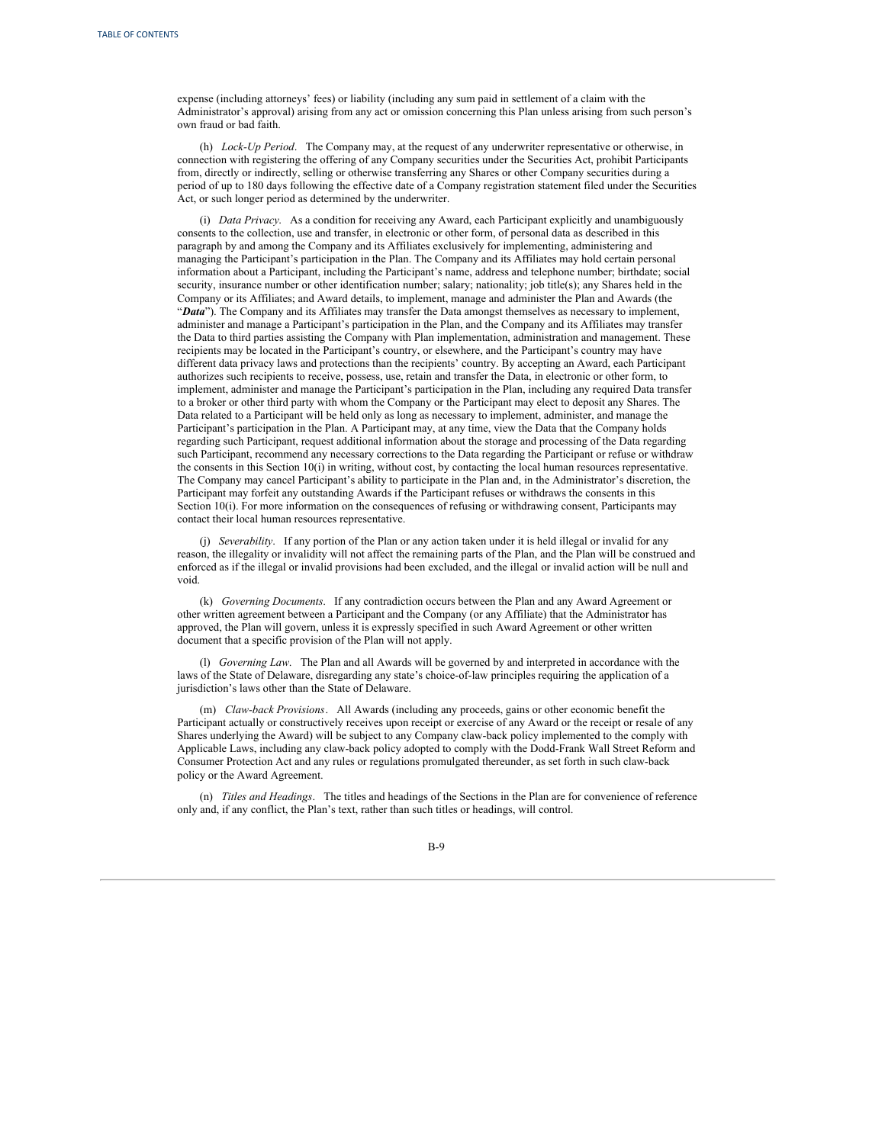expense (including attorneys' fees) or liability (including any sum paid in settlement of a claim with the Administrator's approval) arising from any act or omission concerning this Plan unless arising from such person's own fraud or bad faith.

(h) *Lock-Up Period*. The Company may, at the request of any underwriter representative or otherwise, in connection with registering the offering of any Company securities under the Securities Act, prohibit Participants from, directly or indirectly, selling or otherwise transferring any Shares or other Company securities during a period of up to 180 days following the effective date of a Company registration statement filed under the Securities Act, or such longer period as determined by the underwriter.

(i) *Data Privacy*. As a condition for receiving any Award, each Participant explicitly and unambiguously consents to the collection, use and transfer, in electronic or other form, of personal data as described in this paragraph by and among the Company and its Affiliates exclusively for implementing, administering and managing the Participant's participation in the Plan. The Company and its Affiliates may hold certain personal information about a Participant, including the Participant's name, address and telephone number; birthdate; social security, insurance number or other identification number; salary; nationality; job title(s); any Shares held in the Company or its Affiliates; and Award details, to implement, manage and administer the Plan and Awards (the "*Data*"). The Company and its Affiliates may transfer the Data amongst themselves as necessary to implement, administer and manage a Participant's participation in the Plan, and the Company and its Affiliates may transfer the Data to third parties assisting the Company with Plan implementation, administration and management. These recipients may be located in the Participant's country, or elsewhere, and the Participant's country may have different data privacy laws and protections than the recipients' country. By accepting an Award, each Participant authorizes such recipients to receive, possess, use, retain and transfer the Data, in electronic or other form, to implement, administer and manage the Participant's participation in the Plan, including any required Data transfer to a broker or other third party with whom the Company or the Participant may elect to deposit any Shares. The Data related to a Participant will be held only as long as necessary to implement, administer, and manage the Participant's participation in the Plan. A Participant may, at any time, view the Data that the Company holds regarding such Participant, request additional information about the storage and processing of the Data regarding such Participant, recommend any necessary corrections to the Data regarding the Participant or refuse or withdraw the consents in this Section 10(i) in writing, without cost, by contacting the local human resources representative. The Company may cancel Participant's ability to participate in the Plan and, in the Administrator's discretion, the Participant may forfeit any outstanding Awards if the Participant refuses or withdraws the consents in this Section 10(i). For more information on the consequences of refusing or withdrawing consent, Participants may contact their local human resources representative.

(j) *Severability*. If any portion of the Plan or any action taken under it is held illegal or invalid for any reason, the illegality or invalidity will not affect the remaining parts of the Plan, and the Plan will be construed and enforced as if the illegal or invalid provisions had been excluded, and the illegal or invalid action will be null and void.

(k) *Governing Documents*. If any contradiction occurs between the Plan and any Award Agreement or other written agreement between a Participant and the Company (or any Affiliate) that the Administrator has approved, the Plan will govern, unless it is expressly specified in such Award Agreement or other written document that a specific provision of the Plan will not apply.

(l) *Governing Law*. The Plan and all Awards will be governed by and interpreted in accordance with the laws of the State of Delaware, disregarding any state's choice-of-law principles requiring the application of a jurisdiction's laws other than the State of Delaware.

(m) *Claw-back Provisions*. All Awards (including any proceeds, gains or other economic benefit the Participant actually or constructively receives upon receipt or exercise of any Award or the receipt or resale of any Shares underlying the Award) will be subject to any Company claw-back policy implemented to the comply with Applicable Laws, including any claw-back policy adopted to comply with the Dodd-Frank Wall Street Reform and Consumer Protection Act and any rules or regulations promulgated thereunder, as set forth in such claw-back policy or the Award Agreement.

(n) *Titles and Headings*. The titles and headings of the Sections in the Plan are for convenience of reference only and, if any conflict, the Plan's text, rather than such titles or headings, will control.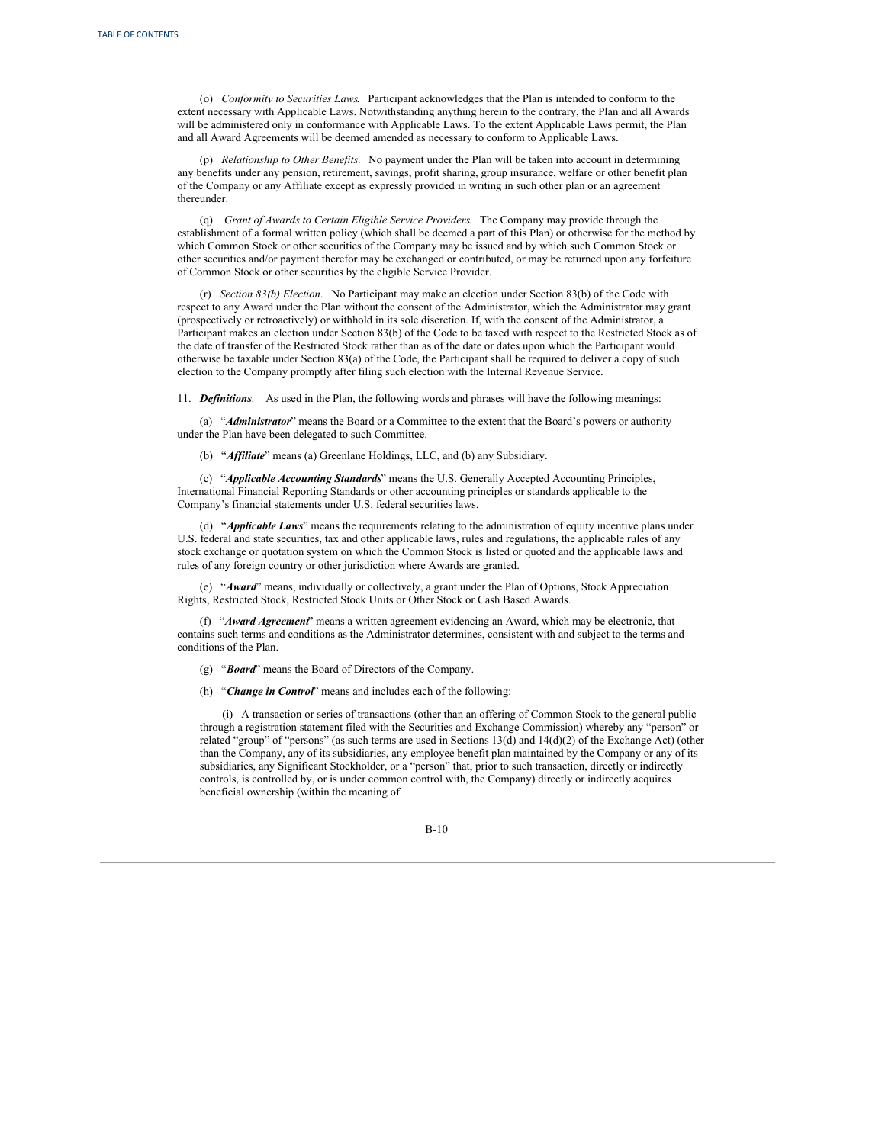(o) *Conformity to Securities Laws*. Participant acknowledges that the Plan is intended to conform to the extent necessary with Applicable Laws. Notwithstanding anything herein to the contrary, the Plan and all Awards will be administered only in conformance with Applicable Laws. To the extent Applicable Laws permit, the Plan and all Award Agreements will be deemed amended as necessary to conform to Applicable Laws.

(p) *Relationship to Other Benefits.* No payment under the Plan will be taken into account in determining any benefits under any pension, retirement, savings, profit sharing, group insurance, welfare or other benefit plan of the Company or any Affiliate except as expressly provided in writing in such other plan or an agreement thereunder.

(q) *Grant of Awards to Certain Eligible Service Providers*. The Company may provide through the establishment of a formal written policy (which shall be deemed a part of this Plan) or otherwise for the method by which Common Stock or other securities of the Company may be issued and by which such Common Stock or other securities and/or payment therefor may be exchanged or contributed, or may be returned upon any forfeiture of Common Stock or other securities by the eligible Service Provider.

(r) *Section 83(b) Election*. No Participant may make an election under Section 83(b) of the Code with respect to any Award under the Plan without the consent of the Administrator, which the Administrator may grant (prospectively or retroactively) or withhold in its sole discretion. If, with the consent of the Administrator, a Participant makes an election under Section 83(b) of the Code to be taxed with respect to the Restricted Stock as of the date of transfer of the Restricted Stock rather than as of the date or dates upon which the Participant would otherwise be taxable under Section 83(a) of the Code, the Participant shall be required to deliver a copy of such election to the Company promptly after filing such election with the Internal Revenue Service.

11. *Definitions.* As used in the Plan, the following words and phrases will have the following meanings:

(a) "*Administrator*" means the Board or a Committee to the extent that the Board's powers or authority under the Plan have been delegated to such Committee.

(b) "*Affiliate*" means (a) Greenlane Holdings, LLC, and (b) any Subsidiary.

(c) "*Applicable Accounting Standards*" means the U.S. Generally Accepted Accounting Principles, International Financial Reporting Standards or other accounting principles or standards applicable to the Company's financial statements under U.S. federal securities laws.

(d) "*Applicable Laws*" means the requirements relating to the administration of equity incentive plans under U.S. federal and state securities, tax and other applicable laws, rules and regulations, the applicable rules of any stock exchange or quotation system on which the Common Stock is listed or quoted and the applicable laws and rules of any foreign country or other jurisdiction where Awards are granted.

(e) "*Award*" means, individually or collectively, a grant under the Plan of Options, Stock Appreciation Rights, Restricted Stock, Restricted Stock Units or Other Stock or Cash Based Awards.

(f) "*Award Agreement*" means a written agreement evidencing an Award, which may be electronic, that contains such terms and conditions as the Administrator determines, consistent with and subject to the terms and conditions of the Plan.

(g) "*Board*" means the Board of Directors of the Company.

(h) "*Change in Control*" means and includes each of the following:

(i) A transaction or series of transactions (other than an offering of Common Stock to the general public through a registration statement filed with the Securities and Exchange Commission) whereby any "person" or related "group" of "persons" (as such terms are used in Sections 13(d) and 14(d)(2) of the Exchange Act) (other than the Company, any of its subsidiaries, any employee benefit plan maintained by the Company or any of its subsidiaries, any Significant Stockholder, or a "person" that, prior to such transaction, directly or indirectly controls, is controlled by, or is under common control with, the Company) directly or indirectly acquires beneficial ownership (within the meaning of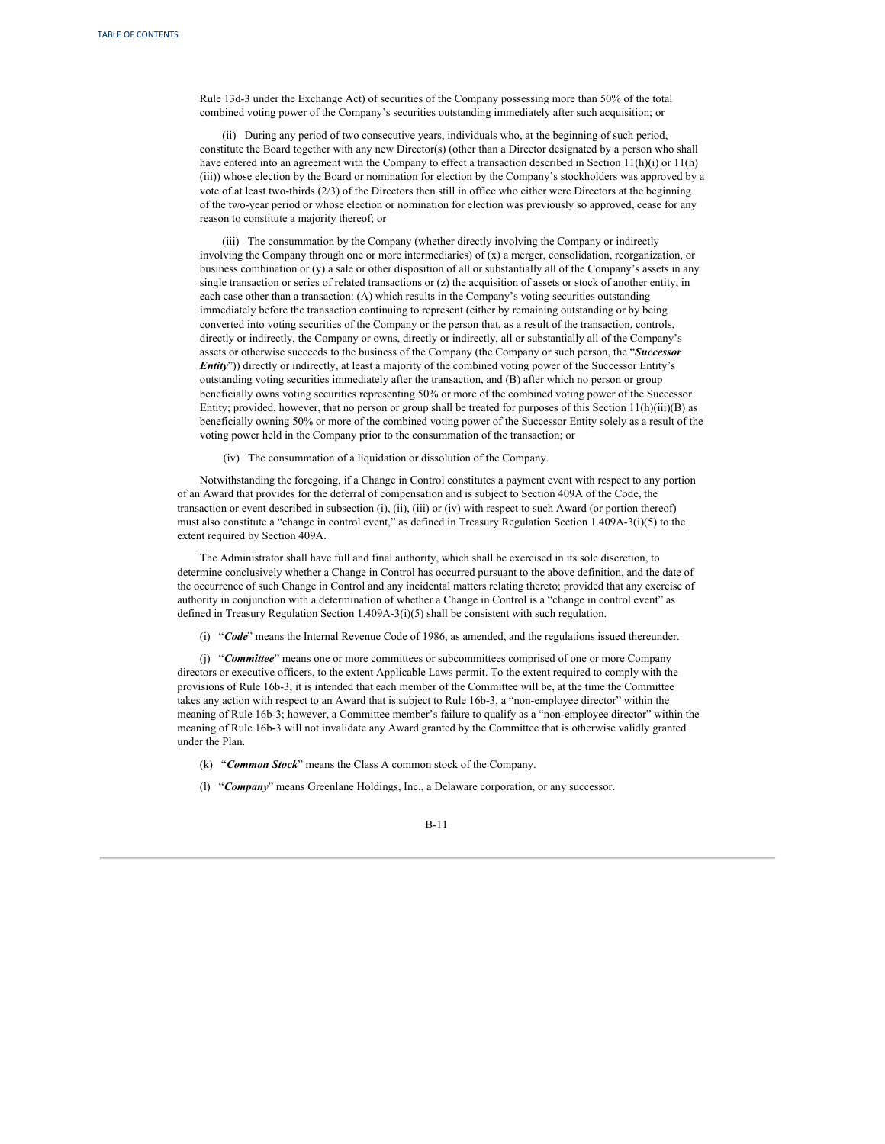Rule 13d-3 under the Exchange Act) of securities of the Company possessing more than 50% of the total combined voting power of the Company's securities outstanding immediately after such acquisition; or

(ii) During any period of two consecutive years, individuals who, at the beginning of such period, constitute the Board together with any new Director(s) (other than a Director designated by a person who shall have entered into an agreement with the Company to effect a transaction described in Section 11(h)(i) or 11(h) (iii)) whose election by the Board or nomination for election by the Company's stockholders was approved by a vote of at least two-thirds (2/3) of the Directors then still in office who either were Directors at the beginning of the two-year period or whose election or nomination for election was previously so approved, cease for any reason to constitute a majority thereof; or

(iii) The consummation by the Company (whether directly involving the Company or indirectly involving the Company through one or more intermediaries) of (x) a merger, consolidation, reorganization, or business combination or (y) a sale or other disposition of all or substantially all of the Company's assets in any single transaction or series of related transactions or (z) the acquisition of assets or stock of another entity, in each case other than a transaction: (A) which results in the Company's voting securities outstanding immediately before the transaction continuing to represent (either by remaining outstanding or by being converted into voting securities of the Company or the person that, as a result of the transaction, controls, directly or indirectly, the Company or owns, directly or indirectly, all or substantially all of the Company's assets or otherwise succeeds to the business of the Company (the Company or such person, the "*Successor Entity*")) directly or indirectly, at least a majority of the combined voting power of the Successor Entity's outstanding voting securities immediately after the transaction, and (B) after which no person or group beneficially owns voting securities representing 50% or more of the combined voting power of the Successor Entity; provided, however, that no person or group shall be treated for purposes of this Section 11(h)(iii)(B) as beneficially owning 50% or more of the combined voting power of the Successor Entity solely as a result of the voting power held in the Company prior to the consummation of the transaction; or

(iv) The consummation of a liquidation or dissolution of the Company.

Notwithstanding the foregoing, if a Change in Control constitutes a payment event with respect to any portion of an Award that provides for the deferral of compensation and is subject to Section 409A of the Code, the transaction or event described in subsection (i), (ii), (iii) or (iv) with respect to such Award (or portion thereof) must also constitute a "change in control event," as defined in Treasury Regulation Section 1.409A-3(i)(5) to the extent required by Section 409A.

The Administrator shall have full and final authority, which shall be exercised in its sole discretion, to determine conclusively whether a Change in Control has occurred pursuant to the above definition, and the date of the occurrence of such Change in Control and any incidental matters relating thereto; provided that any exercise of authority in conjunction with a determination of whether a Change in Control is a "change in control event" as defined in Treasury Regulation Section 1.409A-3(i)(5) shall be consistent with such regulation.

(i) "*Code*" means the Internal Revenue Code of 1986, as amended, and the regulations issued thereunder.

(j) "*Committee*" means one or more committees or subcommittees comprised of one or more Company directors or executive officers, to the extent Applicable Laws permit. To the extent required to comply with the provisions of Rule 16b-3, it is intended that each member of the Committee will be, at the time the Committee takes any action with respect to an Award that is subject to Rule 16b-3, a "non-employee director" within the meaning of Rule 16b-3; however, a Committee member's failure to qualify as a "non-employee director" within the meaning of Rule 16b-3 will not invalidate any Award granted by the Committee that is otherwise validly granted under the Plan.

(k) "*Common Stock*" means the Class A common stock of the Company.

(l) "*Company*" means Greenlane Holdings, Inc., a Delaware corporation, or any successor.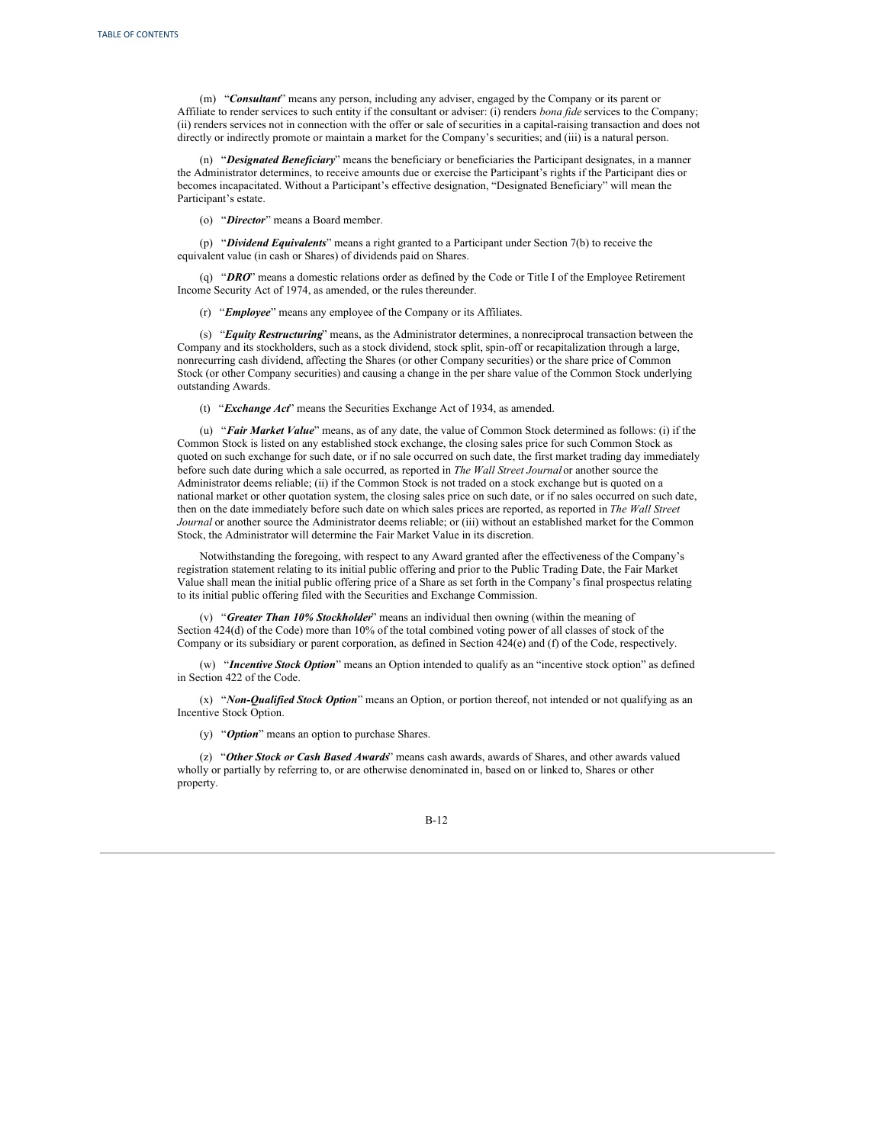(m) "*Consultant*" means any person, including any adviser, engaged by the Company or its parent or Affiliate to render services to such entity if the consultant or adviser: (i) renders *bona fide* services to the Company; (ii) renders services not in connection with the offer or sale of securities in a capital-raising transaction and does not directly or indirectly promote or maintain a market for the Company's securities; and (iii) is a natural person.

(n) "*Designated Beneficiary*" means the beneficiary or beneficiaries the Participant designates, in a manner the Administrator determines, to receive amounts due or exercise the Participant's rights if the Participant dies or becomes incapacitated. Without a Participant's effective designation, "Designated Beneficiary" will mean the Participant's estate.

(o) "*Director*" means a Board member.

(p) "*Dividend Equivalents*" means a right granted to a Participant under Section 7(b) to receive the equivalent value (in cash or Shares) of dividends paid on Shares.

(q) "*DRO*" means a domestic relations order as defined by the Code or Title I of the Employee Retirement Income Security Act of 1974, as amended, or the rules thereunder.

(r) "*Employee*" means any employee of the Company or its Affiliates.

(s) "*Equity Restructuring*" means, as the Administrator determines, a nonreciprocal transaction between the Company and its stockholders, such as a stock dividend, stock split, spin-off or recapitalization through a large, nonrecurring cash dividend, affecting the Shares (or other Company securities) or the share price of Common Stock (or other Company securities) and causing a change in the per share value of the Common Stock underlying outstanding Awards.

(t) "*Exchange Act*" means the Securities Exchange Act of 1934, as amended.

(u) "*Fair Market Value*" means, as of any date, the value of Common Stock determined as follows: (i) if the Common Stock is listed on any established stock exchange, the closing sales price for such Common Stock as quoted on such exchange for such date, or if no sale occurred on such date, the first market trading day immediately before such date during which a sale occurred, as reported in *The Wall Street Journal* or another source the Administrator deems reliable; (ii) if the Common Stock is not traded on a stock exchange but is quoted on a national market or other quotation system, the closing sales price on such date, or if no sales occurred on such date, then on the date immediately before such date on which sales prices are reported, as reported in *The Wall Street Journal* or another source the Administrator deems reliable; or (iii) without an established market for the Common Stock, the Administrator will determine the Fair Market Value in its discretion.

Notwithstanding the foregoing, with respect to any Award granted after the effectiveness of the Company's registration statement relating to its initial public offering and prior to the Public Trading Date, the Fair Market Value shall mean the initial public offering price of a Share as set forth in the Company's final prospectus relating to its initial public offering filed with the Securities and Exchange Commission.

(v) "*Greater Than 10% Stockholder*" means an individual then owning (within the meaning of Section 424(d) of the Code) more than 10% of the total combined voting power of all classes of stock of the Company or its subsidiary or parent corporation, as defined in Section 424(e) and (f) of the Code, respectively.

(w) "*Incentive Stock Option*" means an Option intended to qualify as an "incentive stock option" as defined in Section 422 of the Code.

(x) "*Non-Qualified Stock Option*" means an Option, or portion thereof, not intended or not qualifying as an Incentive Stock Option.

(y) "*Option*" means an option to purchase Shares.

(z) "*Other Stock or Cash Based Awards*" means cash awards, awards of Shares, and other awards valued wholly or partially by referring to, or are otherwise denominated in, based on or linked to, Shares or other property.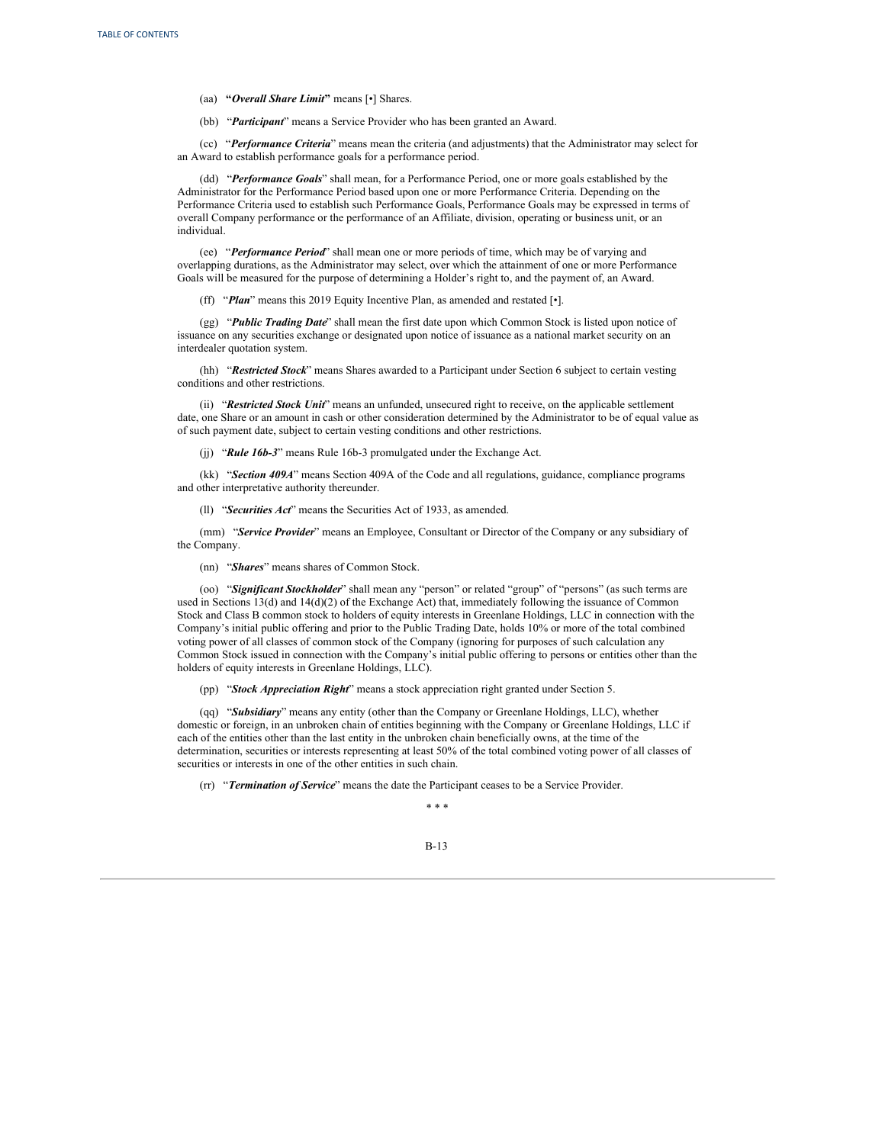(aa) **"***Overall Share Limit***"** means [•] Shares.

(bb) "*Participant*" means a Service Provider who has been granted an Award.

(cc) "*Performance Criteria*" means mean the criteria (and adjustments) that the Administrator may select for an Award to establish performance goals for a performance period.

(dd) "*Performance Goals*" shall mean, for a Performance Period, one or more goals established by the Administrator for the Performance Period based upon one or more Performance Criteria. Depending on the Performance Criteria used to establish such Performance Goals, Performance Goals may be expressed in terms of overall Company performance or the performance of an Affiliate, division, operating or business unit, or an individual.

(ee) "*Performance Period*" shall mean one or more periods of time, which may be of varying and overlapping durations, as the Administrator may select, over which the attainment of one or more Performance Goals will be measured for the purpose of determining a Holder's right to, and the payment of, an Award.

(ff) "*Plan*" means this 2019 Equity Incentive Plan, as amended and restated [•].

(gg) "*Public Trading Date*" shall mean the first date upon which Common Stock is listed upon notice of issuance on any securities exchange or designated upon notice of issuance as a national market security on an interdealer quotation system.

(hh) "*Restricted Stock*" means Shares awarded to a Participant under Section 6 subject to certain vesting conditions and other restrictions.

(ii) "*Restricted Stock Unit*" means an unfunded, unsecured right to receive, on the applicable settlement date, one Share or an amount in cash or other consideration determined by the Administrator to be of equal value as of such payment date, subject to certain vesting conditions and other restrictions.

(jj) "*Rule 16b-3*" means Rule 16b-3 promulgated under the Exchange Act.

(kk) "*Section 409A*" means Section 409A of the Code and all regulations, guidance, compliance programs and other interpretative authority thereunder.

(ll) "*Securities Act*" means the Securities Act of 1933, as amended.

(mm) "*Service Provider*" means an Employee, Consultant or Director of the Company or any subsidiary of the Company.

(nn) "*Shares*" means shares of Common Stock.

(oo) "*Significant Stockholder*" shall mean any "person" or related "group" of "persons" (as such terms are used in Sections 13(d) and 14(d)(2) of the Exchange Act) that, immediately following the issuance of Common Stock and Class B common stock to holders of equity interests in Greenlane Holdings, LLC in connection with the Company's initial public offering and prior to the Public Trading Date, holds 10% or more of the total combined voting power of all classes of common stock of the Company (ignoring for purposes of such calculation any Common Stock issued in connection with the Company's initial public offering to persons or entities other than the holders of equity interests in Greenlane Holdings, LLC).

(pp) "*Stock Appreciation Right*" means a stock appreciation right granted under Section 5.

(qq) "*Subsidiary*" means any entity (other than the Company or Greenlane Holdings, LLC), whether domestic or foreign, in an unbroken chain of entities beginning with the Company or Greenlane Holdings, LLC if each of the entities other than the last entity in the unbroken chain beneficially owns, at the time of the determination, securities or interests representing at least 50% of the total combined voting power of all classes of securities or interests in one of the other entities in such chain.

(rr) "*Termination of Service*" means the date the Participant ceases to be a Service Provider.

\* \* \*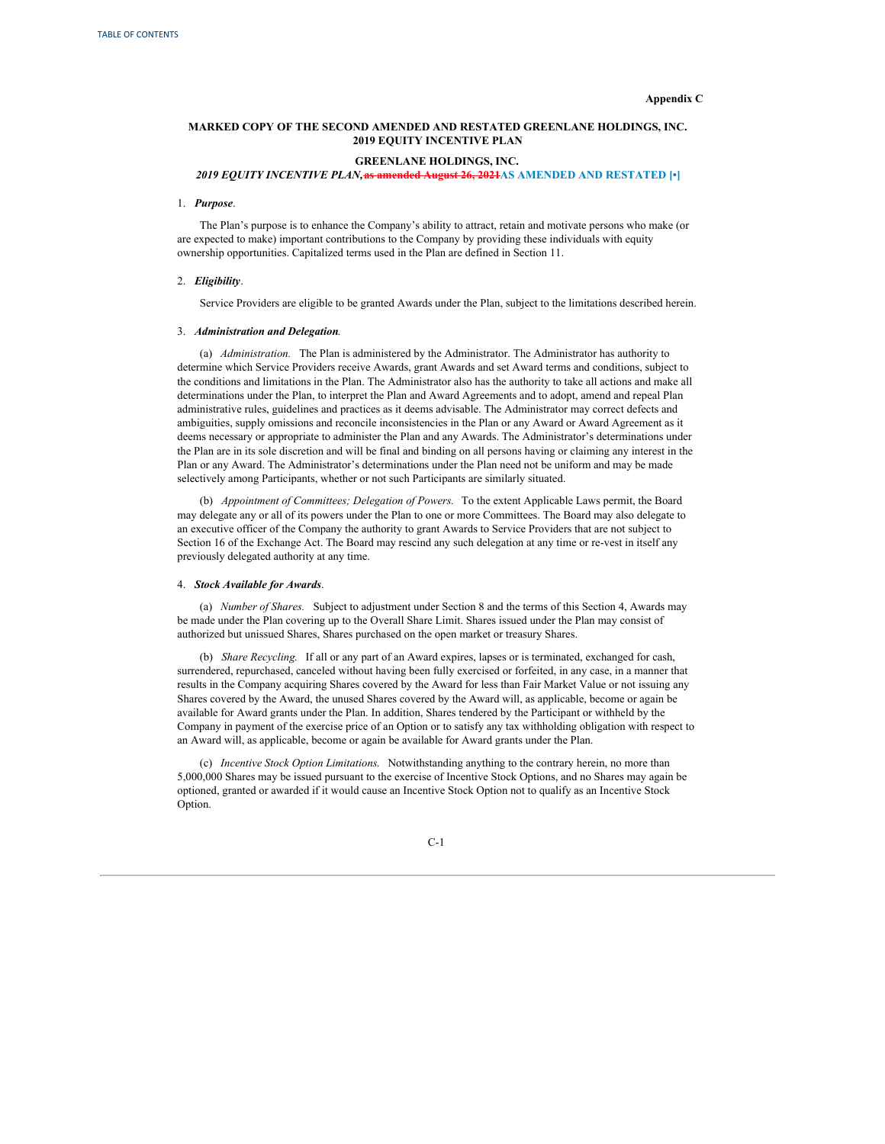#### **Appendix C**

# **MARKED COPY OF THE SECOND AMENDED AND RESTATED GREENLANE HOLDINGS, INC. 2019 EQUITY INCENTIVE PLAN**

# **GREENLANE HOLDINGS, INC.**

# *2019 EQUITY INCENTIVE PLAN,***as amended August 26, 2021AS AMENDED AND RESTATED [•]**

### 1. *Purpose*.

The Plan's purpose is to enhance the Company's ability to attract, retain and motivate persons who make (or are expected to make) important contributions to the Company by providing these individuals with equity ownership opportunities. Capitalized terms used in the Plan are defined in Section 11.

### 2. *Eligibility*.

Service Providers are eligible to be granted Awards under the Plan, subject to the limitations described herein.

# 3. *Administration and Delegation*.

(a) *Administration.* The Plan is administered by the Administrator. The Administrator has authority to determine which Service Providers receive Awards, grant Awards and set Award terms and conditions, subject to the conditions and limitations in the Plan. The Administrator also has the authority to take all actions and make all determinations under the Plan, to interpret the Plan and Award Agreements and to adopt, amend and repeal Plan administrative rules, guidelines and practices as it deems advisable. The Administrator may correct defects and ambiguities, supply omissions and reconcile inconsistencies in the Plan or any Award or Award Agreement as it deems necessary or appropriate to administer the Plan and any Awards. The Administrator's determinations under the Plan are in its sole discretion and will be final and binding on all persons having or claiming any interest in the Plan or any Award. The Administrator's determinations under the Plan need not be uniform and may be made selectively among Participants, whether or not such Participants are similarly situated.

(b) *Appointment of Committees; Delegation of Powers.* To the extent Applicable Laws permit, the Board may delegate any or all of its powers under the Plan to one or more Committees. The Board may also delegate to an executive officer of the Company the authority to grant Awards to Service Providers that are not subject to Section 16 of the Exchange Act. The Board may rescind any such delegation at any time or re-vest in itself any previously delegated authority at any time.

### 4. *Stock Available for Awards*.

(a) *Number of Shares.* Subject to adjustment under Section 8 and the terms of this Section 4, Awards may be made under the Plan covering up to the Overall Share Limit. Shares issued under the Plan may consist of authorized but unissued Shares, Shares purchased on the open market or treasury Shares.

(b) *Share Recycling*. If all or any part of an Award expires, lapses or is terminated, exchanged for cash, surrendered, repurchased, canceled without having been fully exercised or forfeited, in any case, in a manner that results in the Company acquiring Shares covered by the Award for less than Fair Market Value or not issuing any Shares covered by the Award, the unused Shares covered by the Award will, as applicable, become or again be available for Award grants under the Plan. In addition, Shares tendered by the Participant or withheld by the Company in payment of the exercise price of an Option or to satisfy any tax withholding obligation with respect to an Award will, as applicable, become or again be available for Award grants under the Plan.

(c) *Incentive Stock Option Limitations*. Notwithstanding anything to the contrary herein, no more than 5,000,000 Shares may be issued pursuant to the exercise of Incentive Stock Options, and no Shares may again be optioned, granted or awarded if it would cause an Incentive Stock Option not to qualify as an Incentive Stock Option.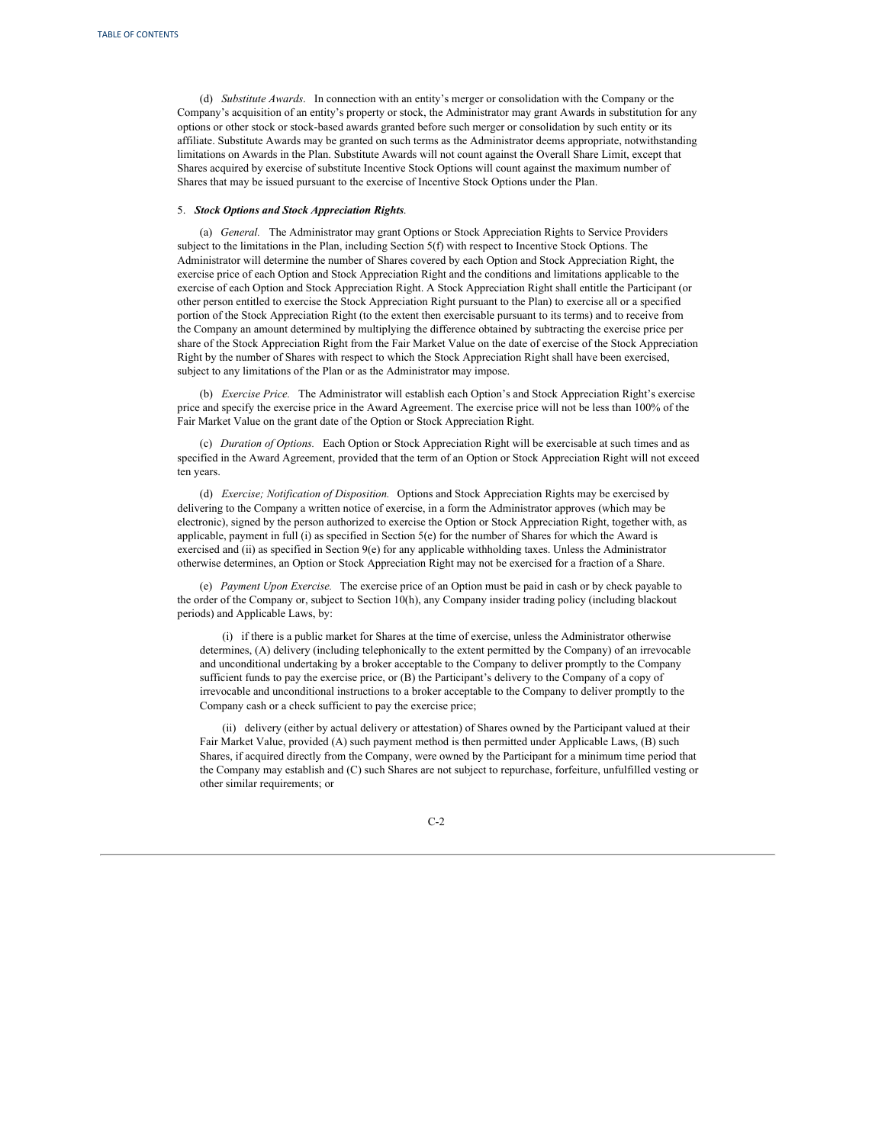(d) *Substitute Awards*. In connection with an entity's merger or consolidation with the Company or the Company's acquisition of an entity's property or stock, the Administrator may grant Awards in substitution for any options or other stock or stock-based awards granted before such merger or consolidation by such entity or its affiliate. Substitute Awards may be granted on such terms as the Administrator deems appropriate, notwithstanding limitations on Awards in the Plan. Substitute Awards will not count against the Overall Share Limit, except that Shares acquired by exercise of substitute Incentive Stock Options will count against the maximum number of Shares that may be issued pursuant to the exercise of Incentive Stock Options under the Plan.

### 5. *Stock Options and Stock Appreciation Rights*.

(a) *General.* The Administrator may grant Options or Stock Appreciation Rights to Service Providers subject to the limitations in the Plan, including Section 5(f) with respect to Incentive Stock Options. The Administrator will determine the number of Shares covered by each Option and Stock Appreciation Right, the exercise price of each Option and Stock Appreciation Right and the conditions and limitations applicable to the exercise of each Option and Stock Appreciation Right. A Stock Appreciation Right shall entitle the Participant (or other person entitled to exercise the Stock Appreciation Right pursuant to the Plan) to exercise all or a specified portion of the Stock Appreciation Right (to the extent then exercisable pursuant to its terms) and to receive from the Company an amount determined by multiplying the difference obtained by subtracting the exercise price per share of the Stock Appreciation Right from the Fair Market Value on the date of exercise of the Stock Appreciation Right by the number of Shares with respect to which the Stock Appreciation Right shall have been exercised, subject to any limitations of the Plan or as the Administrator may impose.

(b) *Exercise Price.* The Administrator will establish each Option's and Stock Appreciation Right's exercise price and specify the exercise price in the Award Agreement. The exercise price will not be less than 100% of the Fair Market Value on the grant date of the Option or Stock Appreciation Right.

(c) *Duration of Options.* Each Option or Stock Appreciation Right will be exercisable at such times and as specified in the Award Agreement, provided that the term of an Option or Stock Appreciation Right will not exceed ten years.

(d) *Exercise; Notification of Disposition.* Options and Stock Appreciation Rights may be exercised by delivering to the Company a written notice of exercise, in a form the Administrator approves (which may be electronic), signed by the person authorized to exercise the Option or Stock Appreciation Right, together with, as applicable, payment in full (i) as specified in Section 5(e) for the number of Shares for which the Award is exercised and (ii) as specified in Section 9(e) for any applicable withholding taxes. Unless the Administrator otherwise determines, an Option or Stock Appreciation Right may not be exercised for a fraction of a Share.

(e) *Payment Upon Exercise.* The exercise price of an Option must be paid in cash or by check payable to the order of the Company or, subject to Section 10(h), any Company insider trading policy (including blackout periods) and Applicable Laws, by:

(i) if there is a public market for Shares at the time of exercise, unless the Administrator otherwise determines, (A) delivery (including telephonically to the extent permitted by the Company) of an irrevocable and unconditional undertaking by a broker acceptable to the Company to deliver promptly to the Company sufficient funds to pay the exercise price, or (B) the Participant's delivery to the Company of a copy of irrevocable and unconditional instructions to a broker acceptable to the Company to deliver promptly to the Company cash or a check sufficient to pay the exercise price;

(ii) delivery (either by actual delivery or attestation) of Shares owned by the Participant valued at their Fair Market Value, provided (A) such payment method is then permitted under Applicable Laws, (B) such Shares, if acquired directly from the Company, were owned by the Participant for a minimum time period that the Company may establish and (C) such Shares are not subject to repurchase, forfeiture, unfulfilled vesting or other similar requirements; or

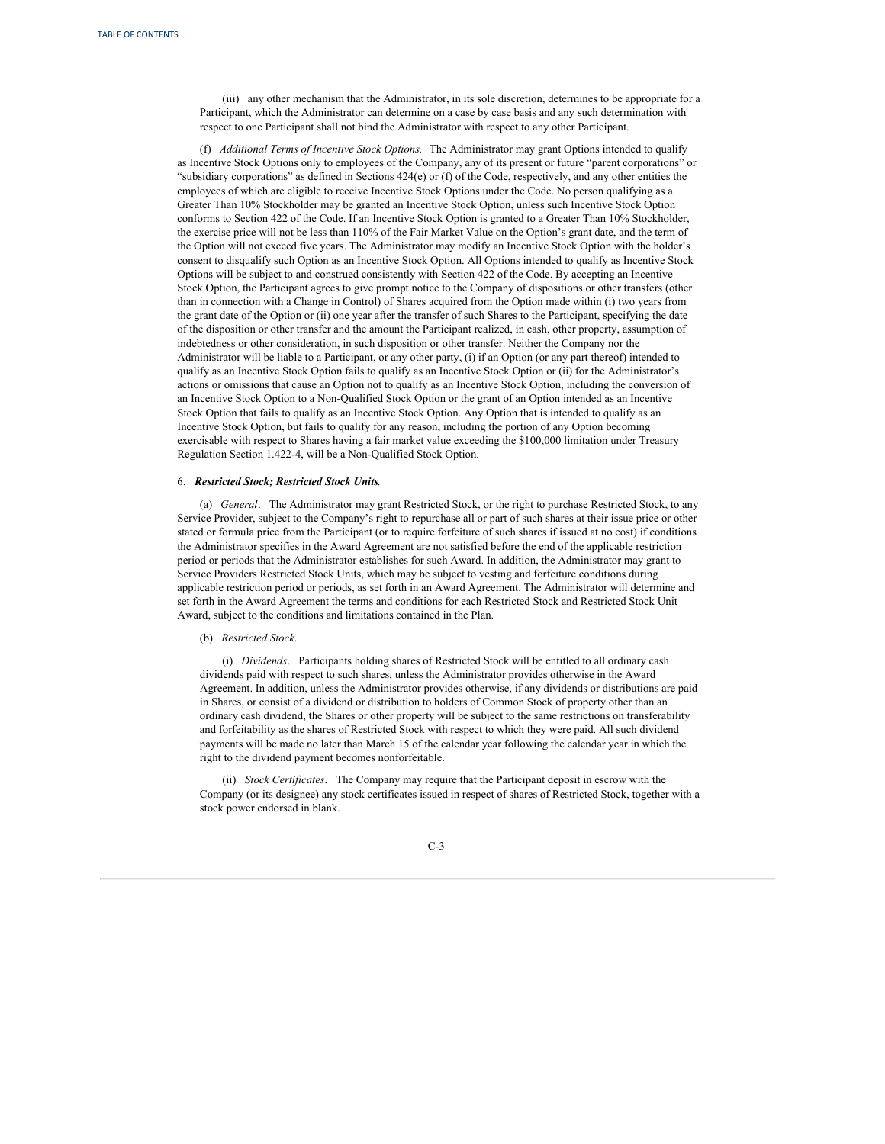(iii) any other mechanism that the Administrator, in its sole discretion, determines to be appropriate for a Participant, which the Administrator can determine on a case by case basis and any such determination with respect to one Participant shall not bind the Administrator with respect to any other Participant.

(f) *Additional Terms of Incentive Stock Options.* The Administrator may grant Options intended to qualify as Incentive Stock Options only to employees of the Company, any of its present or future "parent corporations" or "subsidiary corporations" as defined in Sections 424(e) or (f) of the Code, respectively, and any other entities the employees of which are eligible to receive Incentive Stock Options under the Code. No person qualifying as a Greater Than 10% Stockholder may be granted an Incentive Stock Option, unless such Incentive Stock Option conforms to Section 422 of the Code. If an Incentive Stock Option is granted to a Greater Than 10% Stockholder, the exercise price will not be less than 110% of the Fair Market Value on the Option's grant date, and the term of the Option will not exceed five years. The Administrator may modify an Incentive Stock Option with the holder's consent to disqualify such Option as an Incentive Stock Option. All Options intended to qualify as Incentive Stock Options will be subject to and construed consistently with Section 422 of the Code. By accepting an Incentive Stock Option, the Participant agrees to give prompt notice to the Company of dispositions or other transfers (other than in connection with a Change in Control) of Shares acquired from the Option made within (i) two years from the grant date of the Option or (ii) one year after the transfer of such Shares to the Participant, specifying the date of the disposition or other transfer and the amount the Participant realized, in cash, other property, assumption of indebtedness or other consideration, in such disposition or other transfer. Neither the Company nor the Administrator will be liable to a Participant, or any other party, (i) if an Option (or any part thereof) intended to qualify as an Incentive Stock Option fails to qualify as an Incentive Stock Option or (ii) for the Administrator's actions or omissions that cause an Option not to qualify as an Incentive Stock Option, including the conversion of an Incentive Stock Option to a Non-Qualified Stock Option or the grant of an Option intended as an Incentive Stock Option that fails to qualify as an Incentive Stock Option. Any Option that is intended to qualify as an Incentive Stock Option, but fails to qualify for any reason, including the portion of any Option becoming exercisable with respect to Shares having a fair market value exceeding the \$100,000 limitation under Treasury Regulation Section 1.422-4, will be a Non-Qualified Stock Option.

### 6. *Restricted Stock; Restricted Stock Units*.

(a) *General*. The Administrator may grant Restricted Stock, or the right to purchase Restricted Stock, to any Service Provider, subject to the Company's right to repurchase all or part of such shares at their issue price or other stated or formula price from the Participant (or to require forfeiture of such shares if issued at no cost) if conditions the Administrator specifies in the Award Agreement are not satisfied before the end of the applicable restriction period or periods that the Administrator establishes for such Award. In addition, the Administrator may grant to Service Providers Restricted Stock Units, which may be subject to vesting and forfeiture conditions during applicable restriction period or periods, as set forth in an Award Agreement. The Administrator will determine and set forth in the Award Agreement the terms and conditions for each Restricted Stock and Restricted Stock Unit Award, subject to the conditions and limitations contained in the Plan.

### (b) *Restricted Stock*.

(i) *Dividends*. Participants holding shares of Restricted Stock will be entitled to all ordinary cash dividends paid with respect to such shares, unless the Administrator provides otherwise in the Award Agreement. In addition, unless the Administrator provides otherwise, if any dividends or distributions are paid in Shares, or consist of a dividend or distribution to holders of Common Stock of property other than an ordinary cash dividend, the Shares or other property will be subject to the same restrictions on transferability and forfeitability as the shares of Restricted Stock with respect to which they were paid. All such dividend payments will be made no later than March 15 of the calendar year following the calendar year in which the right to the dividend payment becomes nonforfeitable.

(ii) *Stock Certificates*. The Company may require that the Participant deposit in escrow with the Company (or its designee) any stock certificates issued in respect of shares of Restricted Stock, together with a stock power endorsed in blank.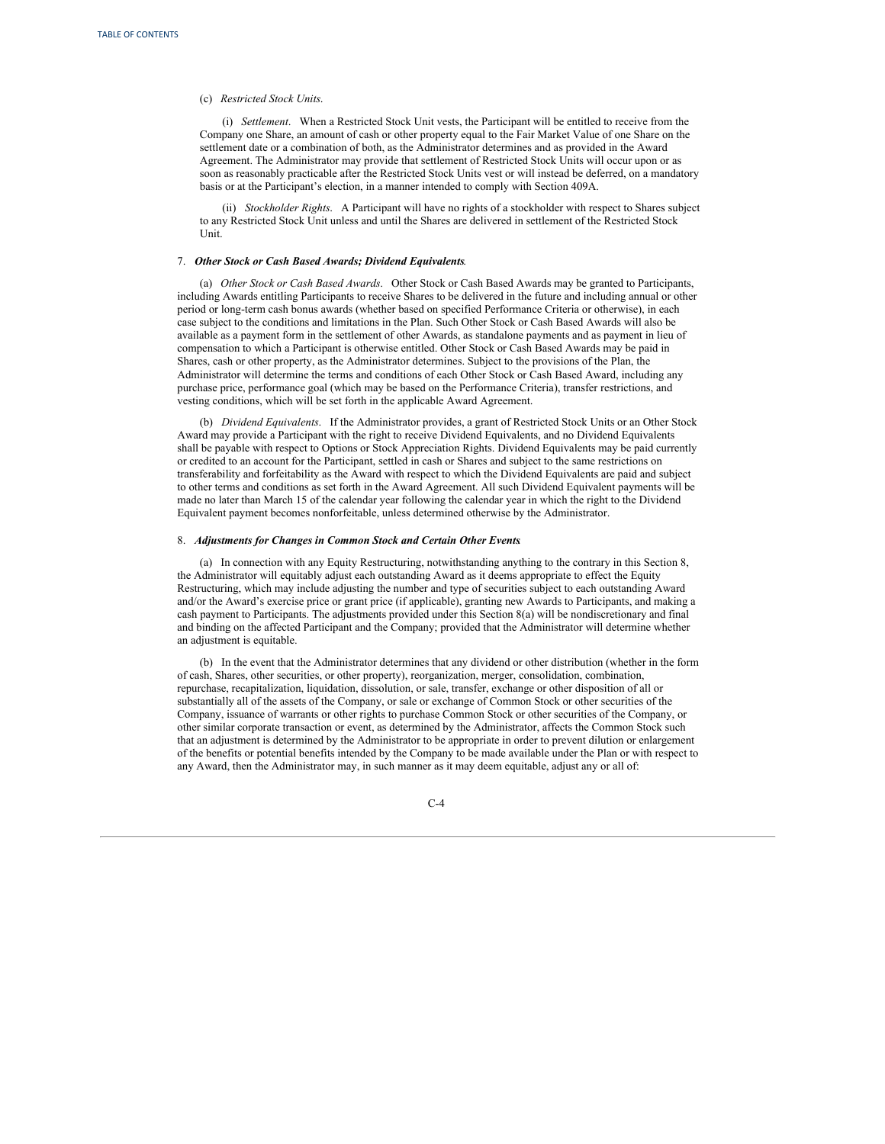### (c) *Restricted Stock Units*.

(i) *Settlement*. When a Restricted Stock Unit vests, the Participant will be entitled to receive from the Company one Share, an amount of cash or other property equal to the Fair Market Value of one Share on the settlement date or a combination of both, as the Administrator determines and as provided in the Award Agreement. The Administrator may provide that settlement of Restricted Stock Units will occur upon or as soon as reasonably practicable after the Restricted Stock Units vest or will instead be deferred, on a mandatory basis or at the Participant's election, in a manner intended to comply with Section 409A.

(ii) *Stockholder Rights*. A Participant will have no rights of a stockholder with respect to Shares subject to any Restricted Stock Unit unless and until the Shares are delivered in settlement of the Restricted Stock Unit.

### 7. *Other Stock or Cash Based Awards; Dividend Equivalents*.

(a) *Other Stock or Cash Based Awards*. Other Stock or Cash Based Awards may be granted to Participants, including Awards entitling Participants to receive Shares to be delivered in the future and including annual or other period or long-term cash bonus awards (whether based on specified Performance Criteria or otherwise), in each case subject to the conditions and limitations in the Plan. Such Other Stock or Cash Based Awards will also be available as a payment form in the settlement of other Awards, as standalone payments and as payment in lieu of compensation to which a Participant is otherwise entitled. Other Stock or Cash Based Awards may be paid in Shares, cash or other property, as the Administrator determines. Subject to the provisions of the Plan, the Administrator will determine the terms and conditions of each Other Stock or Cash Based Award, including any purchase price, performance goal (which may be based on the Performance Criteria), transfer restrictions, and vesting conditions, which will be set forth in the applicable Award Agreement.

(b) *Dividend Equivalents*. If the Administrator provides, a grant of Restricted Stock Units or an Other Stock Award may provide a Participant with the right to receive Dividend Equivalents, and no Dividend Equivalents shall be payable with respect to Options or Stock Appreciation Rights. Dividend Equivalents may be paid currently or credited to an account for the Participant, settled in cash or Shares and subject to the same restrictions on transferability and forfeitability as the Award with respect to which the Dividend Equivalents are paid and subject to other terms and conditions as set forth in the Award Agreement. All such Dividend Equivalent payments will be made no later than March 15 of the calendar year following the calendar year in which the right to the Dividend Equivalent payment becomes nonforfeitable, unless determined otherwise by the Administrator.

### 8. *Adjustments for Changes in Common Stock and Certain Other Events*.

(a) In connection with any Equity Restructuring, notwithstanding anything to the contrary in this Section 8, the Administrator will equitably adjust each outstanding Award as it deems appropriate to effect the Equity Restructuring, which may include adjusting the number and type of securities subject to each outstanding Award and/or the Award's exercise price or grant price (if applicable), granting new Awards to Participants, and making a cash payment to Participants. The adjustments provided under this Section 8(a) will be nondiscretionary and final and binding on the affected Participant and the Company; provided that the Administrator will determine whether an adjustment is equitable.

(b) In the event that the Administrator determines that any dividend or other distribution (whether in the form of cash, Shares, other securities, or other property), reorganization, merger, consolidation, combination, repurchase, recapitalization, liquidation, dissolution, or sale, transfer, exchange or other disposition of all or substantially all of the assets of the Company, or sale or exchange of Common Stock or other securities of the Company, issuance of warrants or other rights to purchase Common Stock or other securities of the Company, or other similar corporate transaction or event, as determined by the Administrator, affects the Common Stock such that an adjustment is determined by the Administrator to be appropriate in order to prevent dilution or enlargement of the benefits or potential benefits intended by the Company to be made available under the Plan or with respect to any Award, then the Administrator may, in such manner as it may deem equitable, adjust any or all of: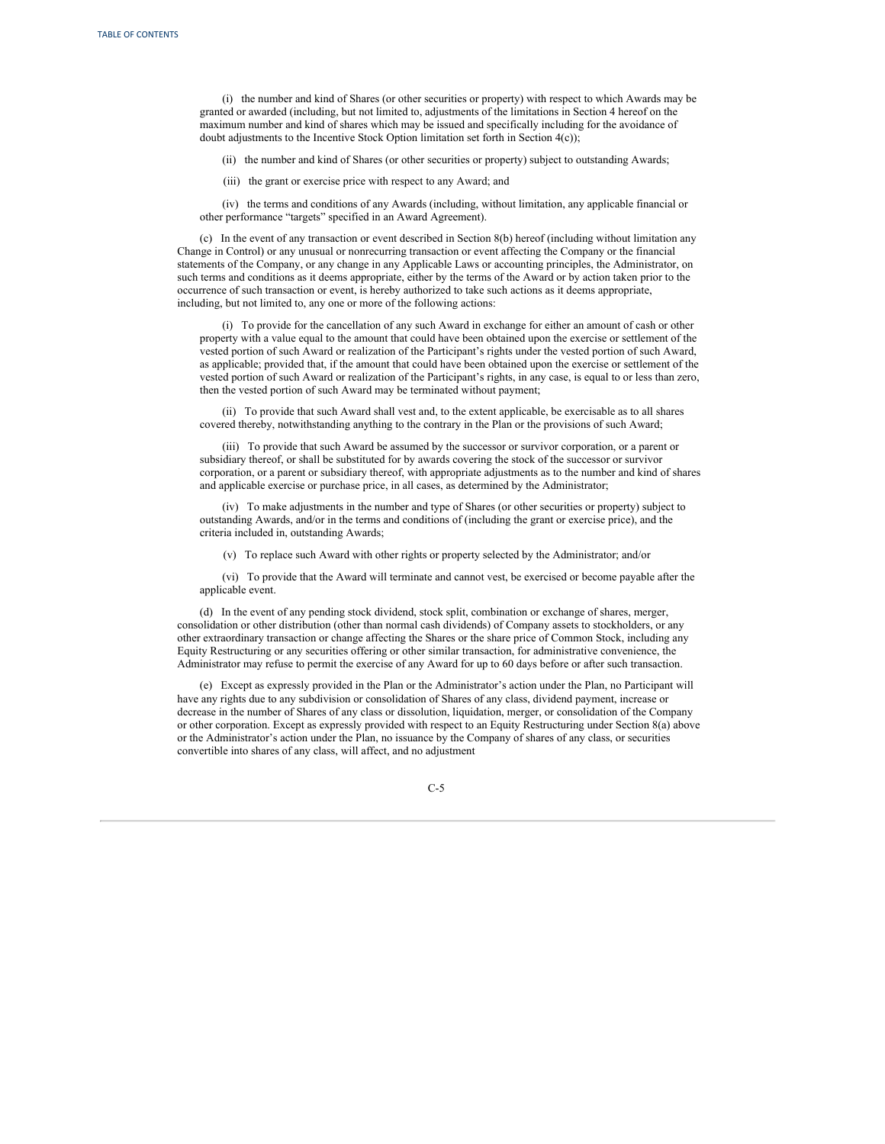(i) the number and kind of Shares (or other securities or property) with respect to which Awards may be granted or awarded (including, but not limited to, adjustments of the limitations in Section 4 hereof on the maximum number and kind of shares which may be issued and specifically including for the avoidance of doubt adjustments to the Incentive Stock Option limitation set forth in Section 4(c));

(ii) the number and kind of Shares (or other securities or property) subject to outstanding Awards;

(iii) the grant or exercise price with respect to any Award; and

(iv) the terms and conditions of any Awards (including, without limitation, any applicable financial or other performance "targets" specified in an Award Agreement).

(c) In the event of any transaction or event described in Section 8(b) hereof (including without limitation any Change in Control) or any unusual or nonrecurring transaction or event affecting the Company or the financial statements of the Company, or any change in any Applicable Laws or accounting principles, the Administrator, on such terms and conditions as it deems appropriate, either by the terms of the Award or by action taken prior to the occurrence of such transaction or event, is hereby authorized to take such actions as it deems appropriate, including, but not limited to, any one or more of the following actions:

(i) To provide for the cancellation of any such Award in exchange for either an amount of cash or other property with a value equal to the amount that could have been obtained upon the exercise or settlement of the vested portion of such Award or realization of the Participant's rights under the vested portion of such Award, as applicable; provided that, if the amount that could have been obtained upon the exercise or settlement of the vested portion of such Award or realization of the Participant's rights, in any case, is equal to or less than zero, then the vested portion of such Award may be terminated without payment;

(ii) To provide that such Award shall vest and, to the extent applicable, be exercisable as to all shares covered thereby, notwithstanding anything to the contrary in the Plan or the provisions of such Award;

(iii) To provide that such Award be assumed by the successor or survivor corporation, or a parent or subsidiary thereof, or shall be substituted for by awards covering the stock of the successor or survivor corporation, or a parent or subsidiary thereof, with appropriate adjustments as to the number and kind of shares and applicable exercise or purchase price, in all cases, as determined by the Administrator;

(iv) To make adjustments in the number and type of Shares (or other securities or property) subject to outstanding Awards, and/or in the terms and conditions of (including the grant or exercise price), and the criteria included in, outstanding Awards;

(v) To replace such Award with other rights or property selected by the Administrator; and/or

(vi) To provide that the Award will terminate and cannot vest, be exercised or become payable after the applicable event.

(d) In the event of any pending stock dividend, stock split, combination or exchange of shares, merger, consolidation or other distribution (other than normal cash dividends) of Company assets to stockholders, or any other extraordinary transaction or change affecting the Shares or the share price of Common Stock, including any Equity Restructuring or any securities offering or other similar transaction, for administrative convenience, the Administrator may refuse to permit the exercise of any Award for up to 60 days before or after such transaction.

(e) Except as expressly provided in the Plan or the Administrator's action under the Plan, no Participant will have any rights due to any subdivision or consolidation of Shares of any class, dividend payment, increase or decrease in the number of Shares of any class or dissolution, liquidation, merger, or consolidation of the Company or other corporation. Except as expressly provided with respect to an Equity Restructuring under Section 8(a) above or the Administrator's action under the Plan, no issuance by the Company of shares of any class, or securities convertible into shares of any class, will affect, and no adjustment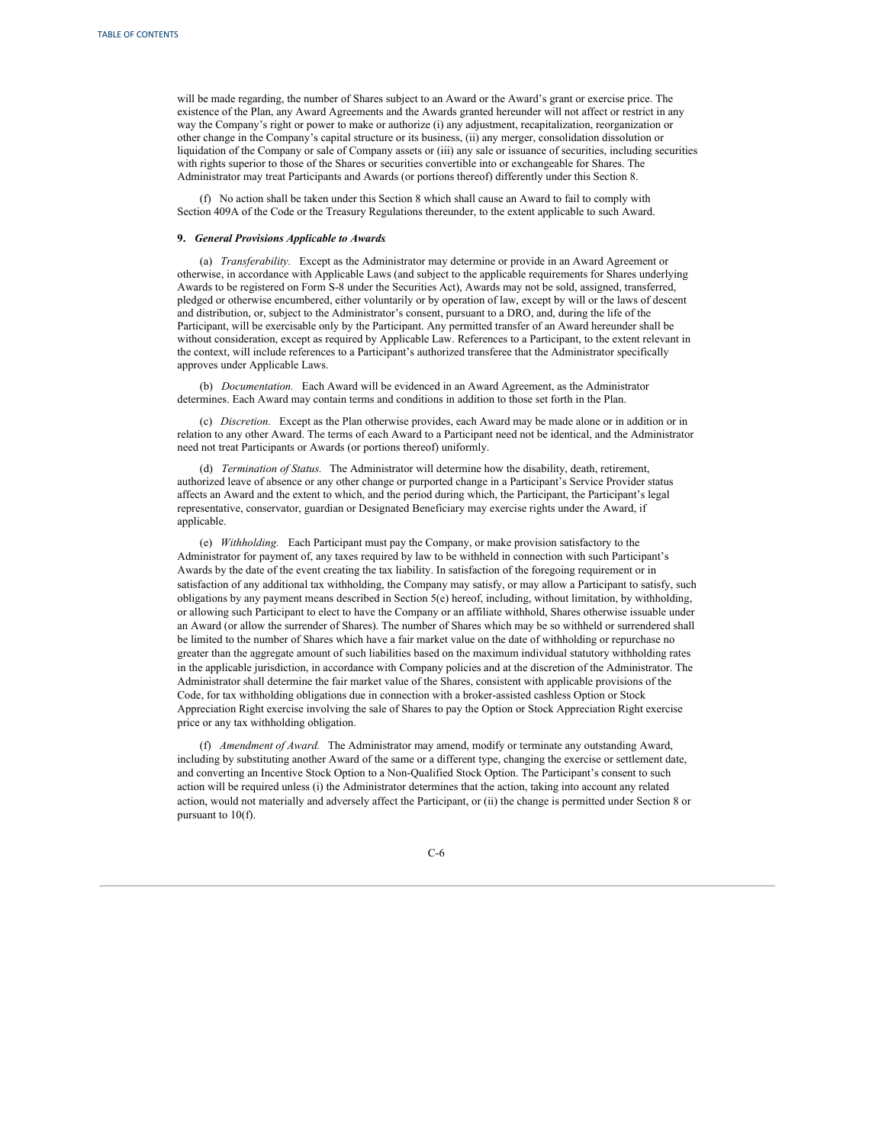will be made regarding, the number of Shares subject to an Award or the Award's grant or exercise price. The existence of the Plan, any Award Agreements and the Awards granted hereunder will not affect or restrict in any way the Company's right or power to make or authorize (i) any adjustment, recapitalization, reorganization or other change in the Company's capital structure or its business, (ii) any merger, consolidation dissolution or liquidation of the Company or sale of Company assets or (iii) any sale or issuance of securities, including securities with rights superior to those of the Shares or securities convertible into or exchangeable for Shares. The Administrator may treat Participants and Awards (or portions thereof) differently under this Section 8.

(f) No action shall be taken under this Section 8 which shall cause an Award to fail to comply with Section 409A of the Code or the Treasury Regulations thereunder, to the extent applicable to such Award.

### **9.** *General Provisions Applicable to Awards.*

(a) *Transferability.* Except as the Administrator may determine or provide in an Award Agreement or otherwise, in accordance with Applicable Laws (and subject to the applicable requirements for Shares underlying Awards to be registered on Form S-8 under the Securities Act), Awards may not be sold, assigned, transferred, pledged or otherwise encumbered, either voluntarily or by operation of law, except by will or the laws of descent and distribution, or, subject to the Administrator's consent, pursuant to a DRO, and, during the life of the Participant, will be exercisable only by the Participant. Any permitted transfer of an Award hereunder shall be without consideration, except as required by Applicable Law. References to a Participant, to the extent relevant in the context, will include references to a Participant's authorized transferee that the Administrator specifically approves under Applicable Laws.

(b) *Documentation.* Each Award will be evidenced in an Award Agreement, as the Administrator determines. Each Award may contain terms and conditions in addition to those set forth in the Plan.

(c) *Discretion.* Except as the Plan otherwise provides, each Award may be made alone or in addition or in relation to any other Award. The terms of each Award to a Participant need not be identical, and the Administrator need not treat Participants or Awards (or portions thereof) uniformly.

(d) *Termination of Status.* The Administrator will determine how the disability, death, retirement, authorized leave of absence or any other change or purported change in a Participant's Service Provider status affects an Award and the extent to which, and the period during which, the Participant, the Participant's legal representative, conservator, guardian or Designated Beneficiary may exercise rights under the Award, if applicable.

(e) *Withholding.* Each Participant must pay the Company, or make provision satisfactory to the Administrator for payment of, any taxes required by law to be withheld in connection with such Participant's Awards by the date of the event creating the tax liability. In satisfaction of the foregoing requirement or in satisfaction of any additional tax withholding, the Company may satisfy, or may allow a Participant to satisfy, such obligations by any payment means described in Section 5(e) hereof, including, without limitation, by withholding, or allowing such Participant to elect to have the Company or an affiliate withhold, Shares otherwise issuable under an Award (or allow the surrender of Shares). The number of Shares which may be so withheld or surrendered shall be limited to the number of Shares which have a fair market value on the date of withholding or repurchase no greater than the aggregate amount of such liabilities based on the maximum individual statutory withholding rates in the applicable jurisdiction, in accordance with Company policies and at the discretion of the Administrator. The Administrator shall determine the fair market value of the Shares, consistent with applicable provisions of the Code, for tax withholding obligations due in connection with a broker-assisted cashless Option or Stock Appreciation Right exercise involving the sale of Shares to pay the Option or Stock Appreciation Right exercise price or any tax withholding obligation.

(f) *Amendment of Award.* The Administrator may amend, modify or terminate any outstanding Award, including by substituting another Award of the same or a different type, changing the exercise or settlement date, and converting an Incentive Stock Option to a Non-Qualified Stock Option. The Participant's consent to such action will be required unless (i) the Administrator determines that the action, taking into account any related action, would not materially and adversely affect the Participant, or (ii) the change is permitted under Section 8 or pursuant to 10(f).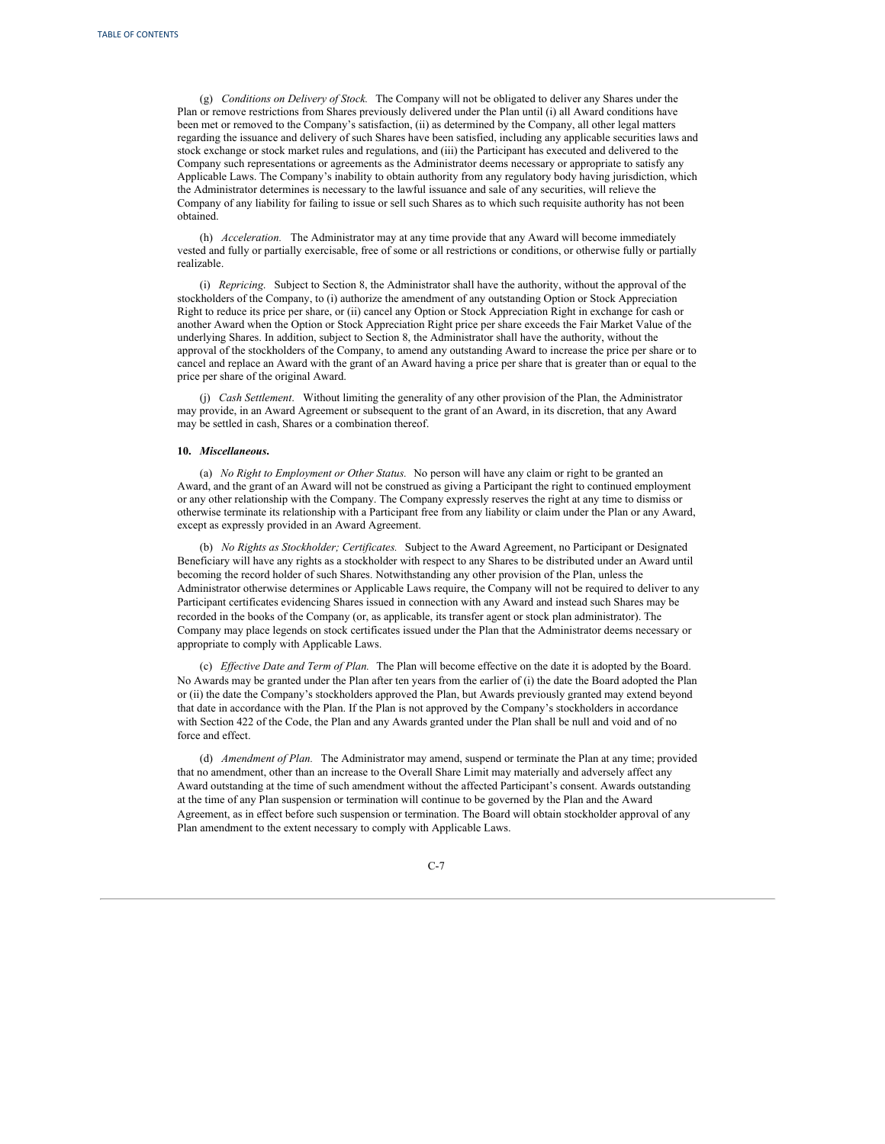(g) *Conditions on Delivery of Stock.* The Company will not be obligated to deliver any Shares under the Plan or remove restrictions from Shares previously delivered under the Plan until (i) all Award conditions have been met or removed to the Company's satisfaction, (ii) as determined by the Company, all other legal matters regarding the issuance and delivery of such Shares have been satisfied, including any applicable securities laws and stock exchange or stock market rules and regulations, and (iii) the Participant has executed and delivered to the Company such representations or agreements as the Administrator deems necessary or appropriate to satisfy any Applicable Laws. The Company's inability to obtain authority from any regulatory body having jurisdiction, which the Administrator determines is necessary to the lawful issuance and sale of any securities, will relieve the Company of any liability for failing to issue or sell such Shares as to which such requisite authority has not been obtained.

(h) *Acceleration.* The Administrator may at any time provide that any Award will become immediately vested and fully or partially exercisable, free of some or all restrictions or conditions, or otherwise fully or partially realizable.

(i) *Repricing*. Subject to Section 8, the Administrator shall have the authority, without the approval of the stockholders of the Company, to (i) authorize the amendment of any outstanding Option or Stock Appreciation Right to reduce its price per share, or (ii) cancel any Option or Stock Appreciation Right in exchange for cash or another Award when the Option or Stock Appreciation Right price per share exceeds the Fair Market Value of the underlying Shares. In addition, subject to Section 8, the Administrator shall have the authority, without the approval of the stockholders of the Company, to amend any outstanding Award to increase the price per share or to cancel and replace an Award with the grant of an Award having a price per share that is greater than or equal to the price per share of the original Award.

(j) *Cash Settlement*. Without limiting the generality of any other provision of the Plan, the Administrator may provide, in an Award Agreement or subsequent to the grant of an Award, in its discretion, that any Award may be settled in cash, Shares or a combination thereof.

# **10.** *Miscellaneous***.**

(a) *No Right to Employment or Other Status.* No person will have any claim or right to be granted an Award, and the grant of an Award will not be construed as giving a Participant the right to continued employment or any other relationship with the Company. The Company expressly reserves the right at any time to dismiss or otherwise terminate its relationship with a Participant free from any liability or claim under the Plan or any Award, except as expressly provided in an Award Agreement.

(b) *No Rights as Stockholder; Certificates.* Subject to the Award Agreement, no Participant or Designated Beneficiary will have any rights as a stockholder with respect to any Shares to be distributed under an Award until becoming the record holder of such Shares. Notwithstanding any other provision of the Plan, unless the Administrator otherwise determines or Applicable Laws require, the Company will not be required to deliver to any Participant certificates evidencing Shares issued in connection with any Award and instead such Shares may be recorded in the books of the Company (or, as applicable, its transfer agent or stock plan administrator). The Company may place legends on stock certificates issued under the Plan that the Administrator deems necessary or appropriate to comply with Applicable Laws.

(c) *Ef ective Date and Term of Plan.* The Plan will become effective on the date it is adopted by the Board. No Awards may be granted under the Plan after ten years from the earlier of (i) the date the Board adopted the Plan or (ii) the date the Company's stockholders approved the Plan, but Awards previously granted may extend beyond that date in accordance with the Plan. If the Plan is not approved by the Company's stockholders in accordance with Section 422 of the Code, the Plan and any Awards granted under the Plan shall be null and void and of no force and effect.

(d) *Amendment of Plan.* The Administrator may amend, suspend or terminate the Plan at any time; provided that no amendment, other than an increase to the Overall Share Limit may materially and adversely affect any Award outstanding at the time of such amendment without the affected Participant's consent. Awards outstanding at the time of any Plan suspension or termination will continue to be governed by the Plan and the Award Agreement, as in effect before such suspension or termination. The Board will obtain stockholder approval of any Plan amendment to the extent necessary to comply with Applicable Laws.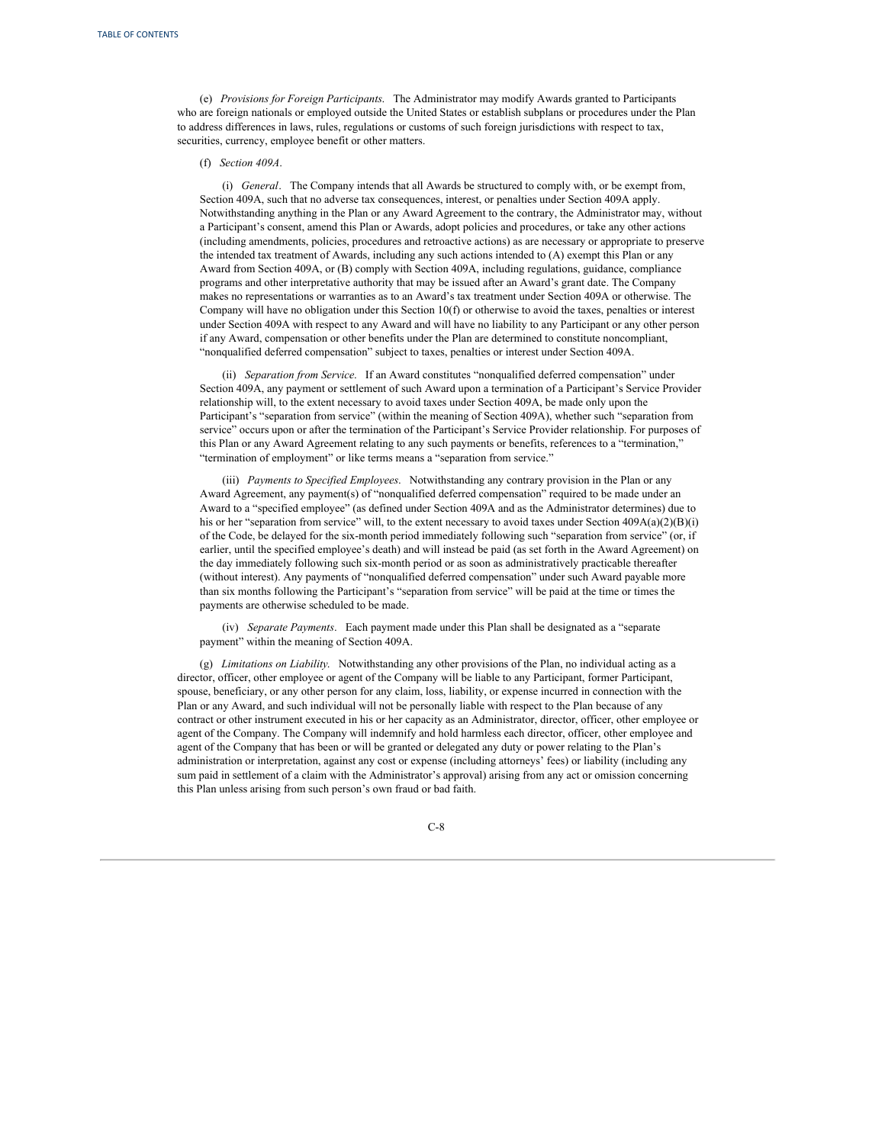(e) *Provisions for Foreign Participants*. The Administrator may modify Awards granted to Participants who are foreign nationals or employed outside the United States or establish subplans or procedures under the Plan to address differences in laws, rules, regulations or customs of such foreign jurisdictions with respect to tax, securities, currency, employee benefit or other matters.

### (f) *Section 409A*.

(i) *General*. The Company intends that all Awards be structured to comply with, or be exempt from, Section 409A, such that no adverse tax consequences, interest, or penalties under Section 409A apply. Notwithstanding anything in the Plan or any Award Agreement to the contrary, the Administrator may, without a Participant's consent, amend this Plan or Awards, adopt policies and procedures, or take any other actions (including amendments, policies, procedures and retroactive actions) as are necessary or appropriate to preserve the intended tax treatment of Awards, including any such actions intended to (A) exempt this Plan or any Award from Section 409A, or (B) comply with Section 409A, including regulations, guidance, compliance programs and other interpretative authority that may be issued after an Award's grant date. The Company makes no representations or warranties as to an Award's tax treatment under Section 409A or otherwise. The Company will have no obligation under this Section 10(f) or otherwise to avoid the taxes, penalties or interest under Section 409A with respect to any Award and will have no liability to any Participant or any other person if any Award, compensation or other benefits under the Plan are determined to constitute noncompliant, "nonqualified deferred compensation" subject to taxes, penalties or interest under Section 409A.

(ii) *Separation from Service*. If an Award constitutes "nonqualified deferred compensation" under Section 409A, any payment or settlement of such Award upon a termination of a Participant's Service Provider relationship will, to the extent necessary to avoid taxes under Section 409A, be made only upon the Participant's "separation from service" (within the meaning of Section 409A), whether such "separation from service" occurs upon or after the termination of the Participant's Service Provider relationship. For purposes of this Plan or any Award Agreement relating to any such payments or benefits, references to a "termination," "termination of employment" or like terms means a "separation from service."

(iii) *Payments to Specified Employees*. Notwithstanding any contrary provision in the Plan or any Award Agreement, any payment(s) of "nonqualified deferred compensation" required to be made under an Award to a "specified employee" (as defined under Section 409A and as the Administrator determines) due to his or her "separation from service" will, to the extent necessary to avoid taxes under Section 409A(a)(2)(B)(i) of the Code, be delayed for the six-month period immediately following such "separation from service" (or, if earlier, until the specified employee's death) and will instead be paid (as set forth in the Award Agreement) on the day immediately following such six-month period or as soon as administratively practicable thereafter (without interest). Any payments of "nonqualified deferred compensation" under such Award payable more than six months following the Participant's "separation from service" will be paid at the time or times the payments are otherwise scheduled to be made.

(iv) *Separate Payments*. Each payment made under this Plan shall be designated as a "separate payment" within the meaning of Section 409A.

(g) *Limitations on Liability*. Notwithstanding any other provisions of the Plan, no individual acting as a director, officer, other employee or agent of the Company will be liable to any Participant, former Participant, spouse, beneficiary, or any other person for any claim, loss, liability, or expense incurred in connection with the Plan or any Award, and such individual will not be personally liable with respect to the Plan because of any contract or other instrument executed in his or her capacity as an Administrator, director, officer, other employee or agent of the Company. The Company will indemnify and hold harmless each director, officer, other employee and agent of the Company that has been or will be granted or delegated any duty or power relating to the Plan's administration or interpretation, against any cost or expense (including attorneys' fees) or liability (including any sum paid in settlement of a claim with the Administrator's approval) arising from any act or omission concerning this Plan unless arising from such person's own fraud or bad faith.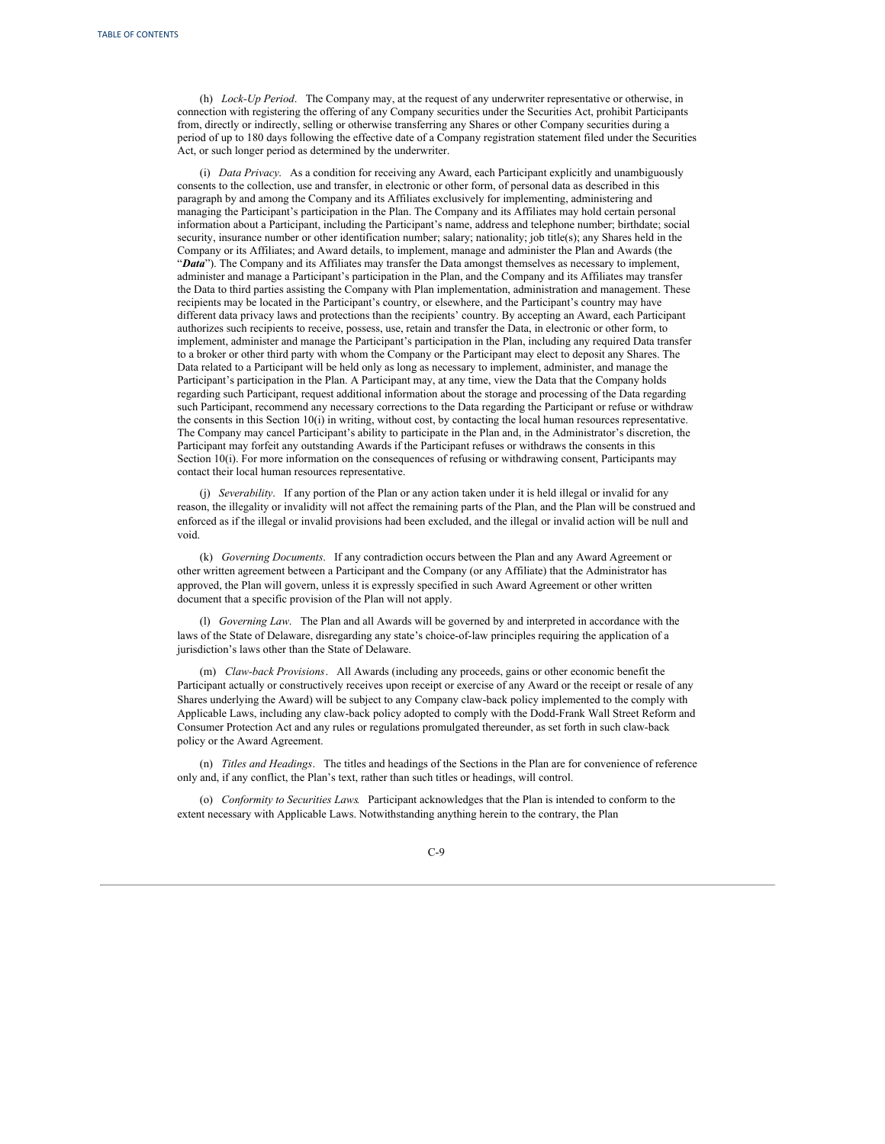(h) *Lock-Up Period*. The Company may, at the request of any underwriter representative or otherwise, in connection with registering the offering of any Company securities under the Securities Act, prohibit Participants from, directly or indirectly, selling or otherwise transferring any Shares or other Company securities during a period of up to 180 days following the effective date of a Company registration statement filed under the Securities Act, or such longer period as determined by the underwriter.

(i) *Data Privacy*. As a condition for receiving any Award, each Participant explicitly and unambiguously consents to the collection, use and transfer, in electronic or other form, of personal data as described in this paragraph by and among the Company and its Affiliates exclusively for implementing, administering and managing the Participant's participation in the Plan. The Company and its Affiliates may hold certain personal information about a Participant, including the Participant's name, address and telephone number; birthdate; social security, insurance number or other identification number; salary; nationality; job title(s); any Shares held in the Company or its Affiliates; and Award details, to implement, manage and administer the Plan and Awards (the "*Data*"). The Company and its Affiliates may transfer the Data amongst themselves as necessary to implement, administer and manage a Participant's participation in the Plan, and the Company and its Affiliates may transfer the Data to third parties assisting the Company with Plan implementation, administration and management. These recipients may be located in the Participant's country, or elsewhere, and the Participant's country may have different data privacy laws and protections than the recipients' country. By accepting an Award, each Participant authorizes such recipients to receive, possess, use, retain and transfer the Data, in electronic or other form, to implement, administer and manage the Participant's participation in the Plan, including any required Data transfer to a broker or other third party with whom the Company or the Participant may elect to deposit any Shares. The Data related to a Participant will be held only as long as necessary to implement, administer, and manage the Participant's participation in the Plan. A Participant may, at any time, view the Data that the Company holds regarding such Participant, request additional information about the storage and processing of the Data regarding such Participant, recommend any necessary corrections to the Data regarding the Participant or refuse or withdraw the consents in this Section 10(i) in writing, without cost, by contacting the local human resources representative. The Company may cancel Participant's ability to participate in the Plan and, in the Administrator's discretion, the Participant may forfeit any outstanding Awards if the Participant refuses or withdraws the consents in this Section 10(i). For more information on the consequences of refusing or withdrawing consent, Participants may contact their local human resources representative.

(j) *Severability*. If any portion of the Plan or any action taken under it is held illegal or invalid for any reason, the illegality or invalidity will not affect the remaining parts of the Plan, and the Plan will be construed and enforced as if the illegal or invalid provisions had been excluded, and the illegal or invalid action will be null and void.

(k) *Governing Documents*. If any contradiction occurs between the Plan and any Award Agreement or other written agreement between a Participant and the Company (or any Affiliate) that the Administrator has approved, the Plan will govern, unless it is expressly specified in such Award Agreement or other written document that a specific provision of the Plan will not apply.

(l) *Governing Law*. The Plan and all Awards will be governed by and interpreted in accordance with the laws of the State of Delaware, disregarding any state's choice-of-law principles requiring the application of a jurisdiction's laws other than the State of Delaware.

(m) *Claw-back Provisions*. All Awards (including any proceeds, gains or other economic benefit the Participant actually or constructively receives upon receipt or exercise of any Award or the receipt or resale of any Shares underlying the Award) will be subject to any Company claw-back policy implemented to the comply with Applicable Laws, including any claw-back policy adopted to comply with the Dodd-Frank Wall Street Reform and Consumer Protection Act and any rules or regulations promulgated thereunder, as set forth in such claw-back policy or the Award Agreement.

(n) *Titles and Headings*. The titles and headings of the Sections in the Plan are for convenience of reference only and, if any conflict, the Plan's text, rather than such titles or headings, will control.

(o) *Conformity to Securities Laws*. Participant acknowledges that the Plan is intended to conform to the extent necessary with Applicable Laws. Notwithstanding anything herein to the contrary, the Plan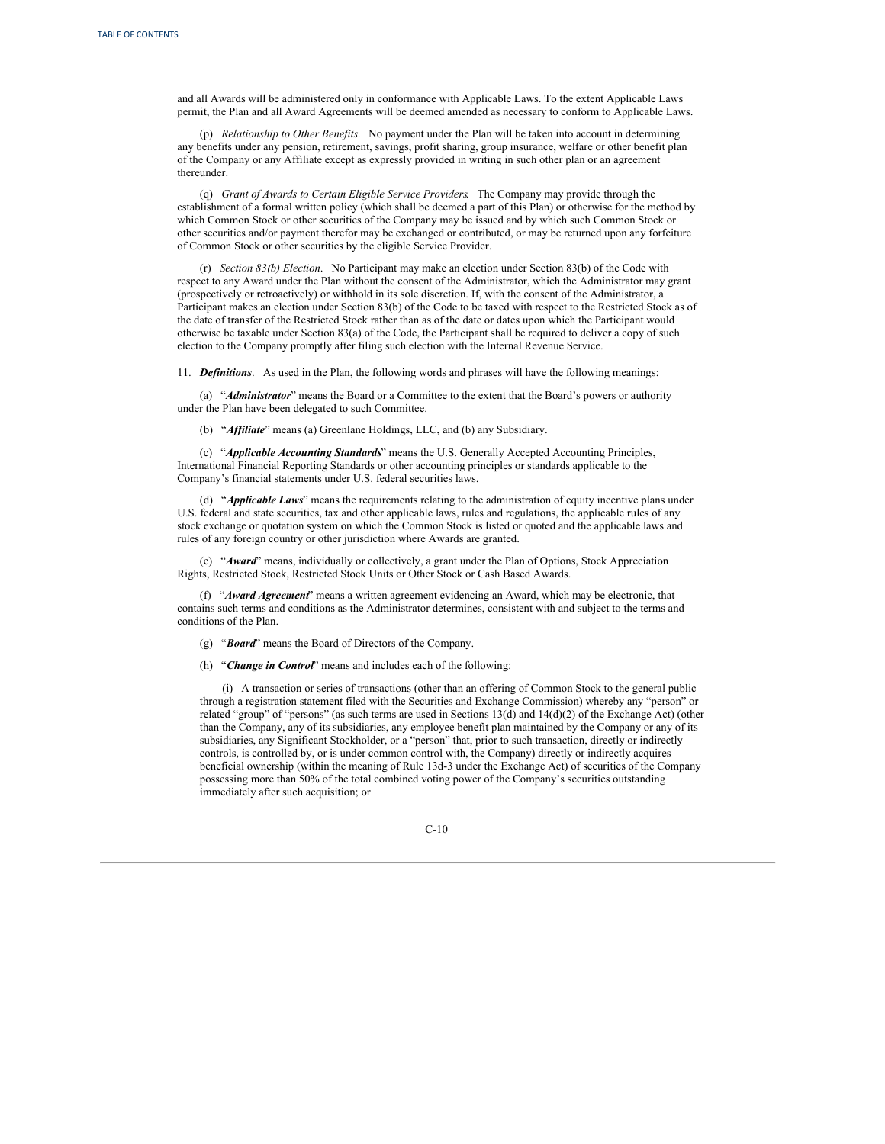and all Awards will be administered only in conformance with Applicable Laws. To the extent Applicable Laws permit, the Plan and all Award Agreements will be deemed amended as necessary to conform to Applicable Laws.

(p) *Relationship to Other Benefits.* No payment under the Plan will be taken into account in determining any benefits under any pension, retirement, savings, profit sharing, group insurance, welfare or other benefit plan of the Company or any Affiliate except as expressly provided in writing in such other plan or an agreement thereunder.

(q) *Grant of Awards to Certain Eligible Service Providers*. The Company may provide through the establishment of a formal written policy (which shall be deemed a part of this Plan) or otherwise for the method by which Common Stock or other securities of the Company may be issued and by which such Common Stock or other securities and/or payment therefor may be exchanged or contributed, or may be returned upon any forfeiture of Common Stock or other securities by the eligible Service Provider.

(r) *Section 83(b) Election*. No Participant may make an election under Section 83(b) of the Code with respect to any Award under the Plan without the consent of the Administrator, which the Administrator may grant (prospectively or retroactively) or withhold in its sole discretion. If, with the consent of the Administrator, a Participant makes an election under Section 83(b) of the Code to be taxed with respect to the Restricted Stock as of the date of transfer of the Restricted Stock rather than as of the date or dates upon which the Participant would otherwise be taxable under Section 83(a) of the Code, the Participant shall be required to deliver a copy of such election to the Company promptly after filing such election with the Internal Revenue Service.

11. *Definitions*. As used in the Plan, the following words and phrases will have the following meanings:

(a) "*Administrator*" means the Board or a Committee to the extent that the Board's powers or authority under the Plan have been delegated to such Committee.

(b) "*Affiliate*" means (a) Greenlane Holdings, LLC, and (b) any Subsidiary.

(c) "*Applicable Accounting Standards*" means the U.S. Generally Accepted Accounting Principles, International Financial Reporting Standards or other accounting principles or standards applicable to the Company's financial statements under U.S. federal securities laws.

(d) "*Applicable Laws*" means the requirements relating to the administration of equity incentive plans under U.S. federal and state securities, tax and other applicable laws, rules and regulations, the applicable rules of any stock exchange or quotation system on which the Common Stock is listed or quoted and the applicable laws and rules of any foreign country or other jurisdiction where Awards are granted.

(e) "*Award*" means, individually or collectively, a grant under the Plan of Options, Stock Appreciation Rights, Restricted Stock, Restricted Stock Units or Other Stock or Cash Based Awards.

(f) "*Award Agreement*" means a written agreement evidencing an Award, which may be electronic, that contains such terms and conditions as the Administrator determines, consistent with and subject to the terms and conditions of the Plan.

(g) "*Board*" means the Board of Directors of the Company.

(h) "*Change in Control*" means and includes each of the following:

(i) A transaction or series of transactions (other than an offering of Common Stock to the general public through a registration statement filed with the Securities and Exchange Commission) whereby any "person" or related "group" of "persons" (as such terms are used in Sections 13(d) and 14(d)(2) of the Exchange Act) (other than the Company, any of its subsidiaries, any employee benefit plan maintained by the Company or any of its subsidiaries, any Significant Stockholder, or a "person" that, prior to such transaction, directly or indirectly controls, is controlled by, or is under common control with, the Company) directly or indirectly acquires beneficial ownership (within the meaning of Rule 13d-3 under the Exchange Act) of securities of the Company possessing more than 50% of the total combined voting power of the Company's securities outstanding immediately after such acquisition; or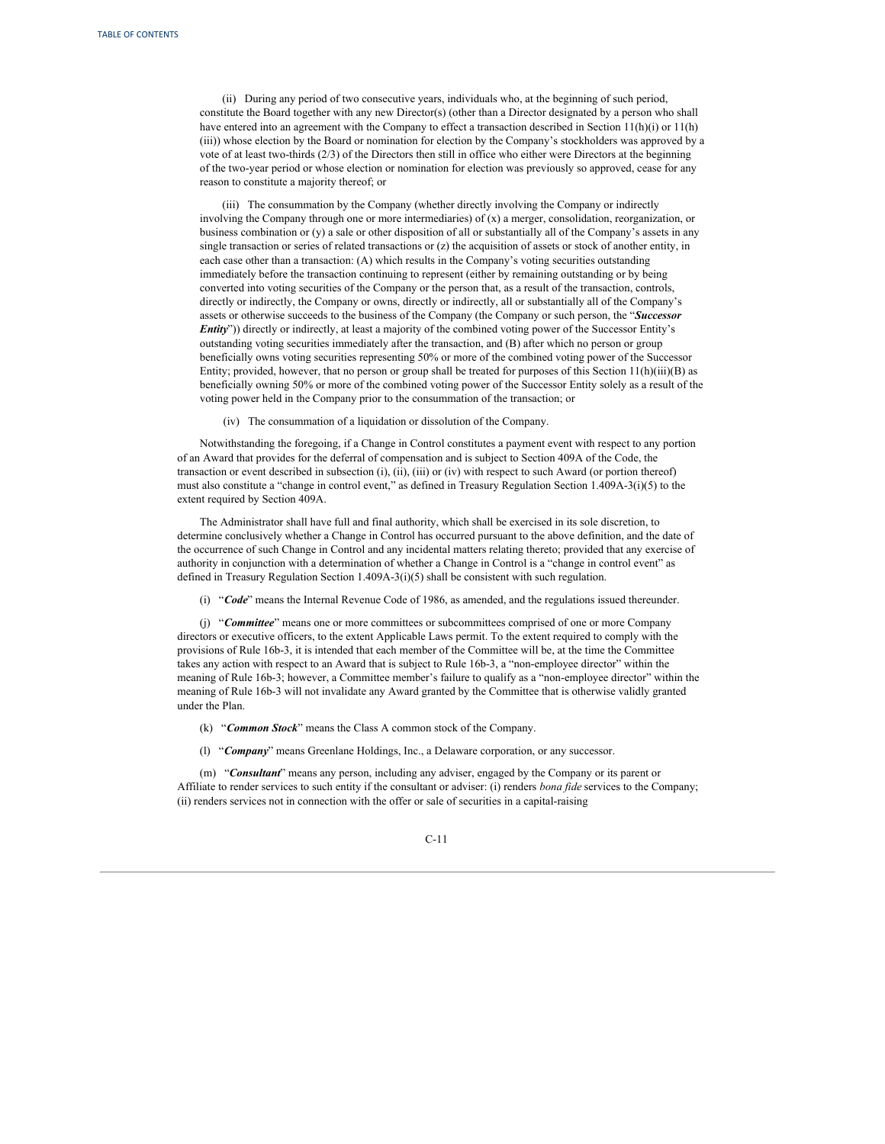(ii) During any period of two consecutive years, individuals who, at the beginning of such period, constitute the Board together with any new Director(s) (other than a Director designated by a person who shall have entered into an agreement with the Company to effect a transaction described in Section 11(h)(i) or 11(h) (iii)) whose election by the Board or nomination for election by the Company's stockholders was approved by a vote of at least two-thirds (2/3) of the Directors then still in office who either were Directors at the beginning of the two-year period or whose election or nomination for election was previously so approved, cease for any reason to constitute a majority thereof; or

(iii) The consummation by the Company (whether directly involving the Company or indirectly involving the Company through one or more intermediaries) of  $(x)$  a merger, consolidation, reorganization, or business combination or (y) a sale or other disposition of all or substantially all of the Company's assets in any single transaction or series of related transactions or (z) the acquisition of assets or stock of another entity, in each case other than a transaction: (A) which results in the Company's voting securities outstanding immediately before the transaction continuing to represent (either by remaining outstanding or by being converted into voting securities of the Company or the person that, as a result of the transaction, controls, directly or indirectly, the Company or owns, directly or indirectly, all or substantially all of the Company's assets or otherwise succeeds to the business of the Company (the Company or such person, the "*Successor Entity*")) directly or indirectly, at least a majority of the combined voting power of the Successor Entity's outstanding voting securities immediately after the transaction, and (B) after which no person or group beneficially owns voting securities representing 50% or more of the combined voting power of the Successor Entity; provided, however, that no person or group shall be treated for purposes of this Section 11(h)(iii)(B) as beneficially owning 50% or more of the combined voting power of the Successor Entity solely as a result of the voting power held in the Company prior to the consummation of the transaction; or

(iv) The consummation of a liquidation or dissolution of the Company.

Notwithstanding the foregoing, if a Change in Control constitutes a payment event with respect to any portion of an Award that provides for the deferral of compensation and is subject to Section 409A of the Code, the transaction or event described in subsection (i), (ii), (iii) or (iv) with respect to such Award (or portion thereof) must also constitute a "change in control event," as defined in Treasury Regulation Section 1.409A-3(i)(5) to the extent required by Section 409A.

The Administrator shall have full and final authority, which shall be exercised in its sole discretion, to determine conclusively whether a Change in Control has occurred pursuant to the above definition, and the date of the occurrence of such Change in Control and any incidental matters relating thereto; provided that any exercise of authority in conjunction with a determination of whether a Change in Control is a "change in control event" as defined in Treasury Regulation Section 1.409A-3(i)(5) shall be consistent with such regulation.

(i) "*Code*" means the Internal Revenue Code of 1986, as amended, and the regulations issued thereunder.

(j) "*Committee*" means one or more committees or subcommittees comprised of one or more Company directors or executive officers, to the extent Applicable Laws permit. To the extent required to comply with the provisions of Rule 16b-3, it is intended that each member of the Committee will be, at the time the Committee takes any action with respect to an Award that is subject to Rule 16b-3, a "non-employee director" within the meaning of Rule 16b-3; however, a Committee member's failure to qualify as a "non-employee director" within the meaning of Rule 16b-3 will not invalidate any Award granted by the Committee that is otherwise validly granted under the Plan.

- (k) "*Common Stock*" means the Class A common stock of the Company.
- (l) "*Company*" means Greenlane Holdings, Inc., a Delaware corporation, or any successor.

(m) "*Consultant*" means any person, including any adviser, engaged by the Company or its parent or Affiliate to render services to such entity if the consultant or adviser: (i) renders *bona fide* services to the Company; (ii) renders services not in connection with the offer or sale of securities in a capital-raising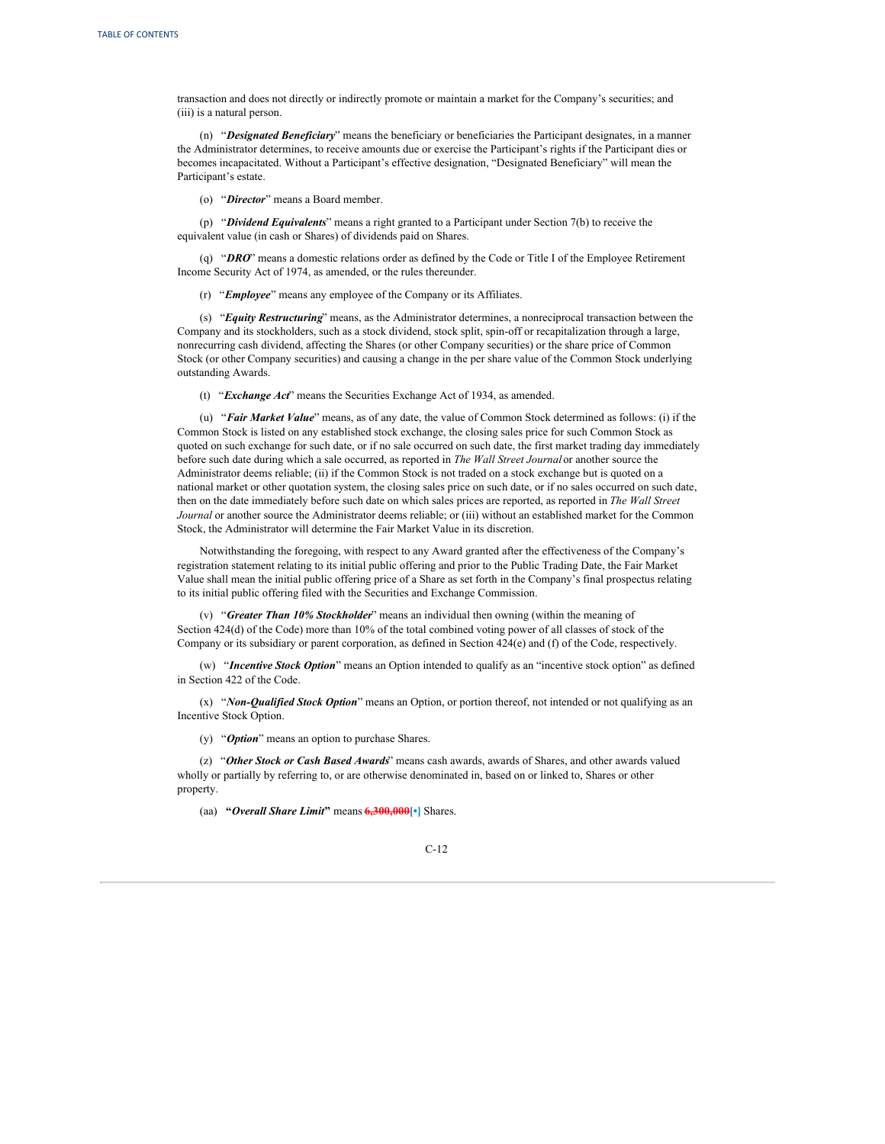transaction and does not directly or indirectly promote or maintain a market for the Company's securities; and (iii) is a natural person.

(n) "*Designated Beneficiary*" means the beneficiary or beneficiaries the Participant designates, in a manner the Administrator determines, to receive amounts due or exercise the Participant's rights if the Participant dies or becomes incapacitated. Without a Participant's effective designation, "Designated Beneficiary" will mean the Participant's estate.

(o) "*Director*" means a Board member.

(p) "*Dividend Equivalents*" means a right granted to a Participant under Section 7(b) to receive the equivalent value (in cash or Shares) of dividends paid on Shares.

(q) "*DRO*" means a domestic relations order as defined by the Code or Title I of the Employee Retirement Income Security Act of 1974, as amended, or the rules thereunder.

(r) "*Employee*" means any employee of the Company or its Affiliates.

(s) "*Equity Restructuring*" means, as the Administrator determines, a nonreciprocal transaction between the Company and its stockholders, such as a stock dividend, stock split, spin-off or recapitalization through a large, nonrecurring cash dividend, affecting the Shares (or other Company securities) or the share price of Common Stock (or other Company securities) and causing a change in the per share value of the Common Stock underlying outstanding Awards.

(t) "*Exchange Act*" means the Securities Exchange Act of 1934, as amended.

(u) "*Fair Market Value*" means, as of any date, the value of Common Stock determined as follows: (i) if the Common Stock is listed on any established stock exchange, the closing sales price for such Common Stock as quoted on such exchange for such date, or if no sale occurred on such date, the first market trading day immediately before such date during which a sale occurred, as reported in *The Wall Street Journal* or another source the Administrator deems reliable; (ii) if the Common Stock is not traded on a stock exchange but is quoted on a national market or other quotation system, the closing sales price on such date, or if no sales occurred on such date, then on the date immediately before such date on which sales prices are reported, as reported in *The Wall Street Journal* or another source the Administrator deems reliable; or (iii) without an established market for the Common Stock, the Administrator will determine the Fair Market Value in its discretion.

Notwithstanding the foregoing, with respect to any Award granted after the effectiveness of the Company's registration statement relating to its initial public offering and prior to the Public Trading Date, the Fair Market Value shall mean the initial public offering price of a Share as set forth in the Company's final prospectus relating to its initial public offering filed with the Securities and Exchange Commission.

(v) "*Greater Than 10% Stockholder*" means an individual then owning (within the meaning of Section 424(d) of the Code) more than 10% of the total combined voting power of all classes of stock of the Company or its subsidiary or parent corporation, as defined in Section 424(e) and (f) of the Code, respectively.

(w) "*Incentive Stock Option*" means an Option intended to qualify as an "incentive stock option" as defined in Section 422 of the Code.

(x) "*Non-Qualified Stock Option*" means an Option, or portion thereof, not intended or not qualifying as an Incentive Stock Option.

(y) "*Option*" means an option to purchase Shares.

(z) "*Other Stock or Cash Based Awards*" means cash awards, awards of Shares, and other awards valued wholly or partially by referring to, or are otherwise denominated in, based on or linked to, Shares or other property.

(aa) **"***Overall Share Limit***"** means **6,300,000[•]** Shares.